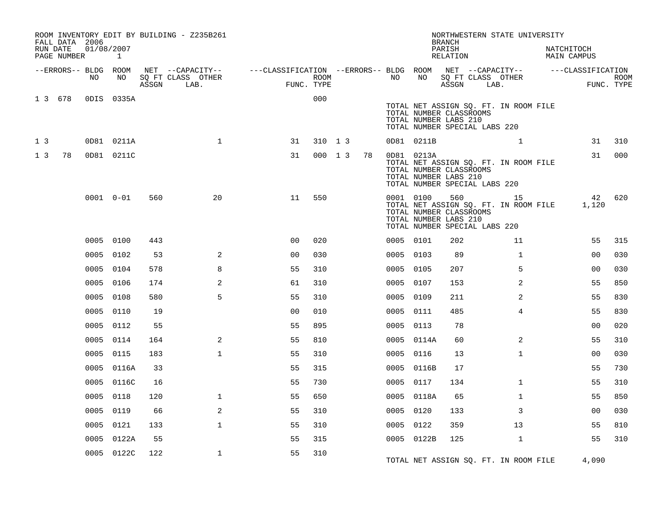|                | FALL DATA 2006          |            |               |       | ROOM INVENTORY EDIT BY BUILDING - Z235B261    |                                                      |         |  |    |    |            | <b>BRANCH</b>                                                                     |         | NORTHWESTERN STATE UNIVERSITY                 |                                  |                           |
|----------------|-------------------------|------------|---------------|-------|-----------------------------------------------|------------------------------------------------------|---------|--|----|----|------------|-----------------------------------------------------------------------------------|---------|-----------------------------------------------|----------------------------------|---------------------------|
|                | RUN DATE<br>PAGE NUMBER | 01/08/2007 | $\mathbf{1}$  |       |                                               |                                                      |         |  |    |    |            | PARISH<br>RELATION                                                                |         |                                               | NATCHITOCH<br><b>MAIN CAMPUS</b> |                           |
|                | --ERRORS-- BLDG ROOM    | NO.        | NO            | ASSGN | NET --CAPACITY--<br>SO FT CLASS OTHER<br>LAB. | ---CLASSIFICATION --ERRORS-- BLDG ROOM<br>FUNC. TYPE | ROOM    |  |    | NO | NO         | ASSGN                                                                             |         | NET --CAPACITY--<br>SQ FT CLASS OTHER<br>LAB. | ---CLASSIFICATION                | <b>ROOM</b><br>FUNC. TYPE |
|                | 1 3 6 7 8               |            | ODIS 0335A    |       |                                               |                                                      | 000     |  |    |    |            | TOTAL NUMBER CLASSROOMS<br>TOTAL NUMBER LABS 210<br>TOTAL NUMBER SPECIAL LABS 220 |         | TOTAL NET ASSIGN SQ. FT. IN ROOM FILE         |                                  |                           |
| 1 <sup>3</sup> |                         |            | 0D81 0211A    |       | $\mathbf{1}$                                  | 31                                                   | 310 1 3 |  |    |    | 0D81 0211B |                                                                                   |         | $\mathbf{1}$                                  | 31                               | 310                       |
| 1 <sub>3</sub> | 78                      |            | 0D81 0211C    |       |                                               | 31                                                   | 000 1 3 |  | 78 |    | 0D81 0213A | TOTAL NUMBER CLASSROOMS<br>TOTAL NUMBER LABS 210<br>TOTAL NUMBER SPECIAL LABS 220 |         | TOTAL NET ASSIGN SQ. FT. IN ROOM FILE         | 31                               | 000                       |
|                |                         |            | $0001 0 - 01$ | 560   | 20                                            | 11                                                   | 550     |  |    |    | 0001 0100  | TOTAL NUMBER CLASSROOMS<br>TOTAL NUMBER LABS 210<br>TOTAL NUMBER SPECIAL LABS 220 | 560 700 | 15<br>TOTAL NET ASSIGN SQ. FT. IN ROOM FILE   | 42<br>1,120                      | 620                       |
|                |                         |            | 0005 0100     | 443   |                                               | 0 <sub>0</sub>                                       | 020     |  |    |    | 0005 0101  | 202                                                                               |         | 11                                            | 55                               | 315                       |
|                |                         |            | 0005 0102     | 53    | 2                                             | 0 <sub>0</sub>                                       | 030     |  |    |    | 0005 0103  | 89                                                                                |         | $\mathbf{1}$                                  | 0 <sub>0</sub>                   | 030                       |
|                |                         |            | 0005 0104     | 578   | 8                                             | 55                                                   | 310     |  |    |    | 0005 0105  | 207                                                                               |         | 5                                             | 0 <sub>0</sub>                   | 030                       |
|                |                         | 0005       | 0106          | 174   | 2                                             | 61                                                   | 310     |  |    |    | 0005 0107  | 153                                                                               |         | 2                                             | 55                               | 850                       |
|                |                         | 0005       | 0108          | 580   | 5                                             | 55                                                   | 310     |  |    |    | 0005 0109  | 211                                                                               |         | 2                                             | 55                               | 830                       |
|                |                         | 0005       | 0110          | 19    |                                               | 0 <sub>0</sub>                                       | 010     |  |    |    | 0005 0111  | 485                                                                               |         | $\overline{4}$                                | 55                               | 830                       |
|                |                         | 0005       | 0112          | 55    |                                               | 55                                                   | 895     |  |    |    | 0005 0113  | 78                                                                                |         |                                               | 0 <sub>0</sub>                   | 020                       |
|                |                         | 0005       | 0114          | 164   | 2                                             | 55                                                   | 810     |  |    |    | 0005 0114A | 60                                                                                |         | 2                                             | 55                               | 310                       |
|                |                         | 0005       | 0115          | 183   | $\mathbf{1}$                                  | 55                                                   | 310     |  |    |    | 0005 0116  | 13                                                                                |         | $\mathbf{1}$                                  | 0 <sub>0</sub>                   | 030                       |
|                |                         | 0005       | 0116A         | 33    |                                               | 55                                                   | 315     |  |    |    | 0005 0116B | 17                                                                                |         |                                               | 55                               | 730                       |
|                |                         | 0005       | 0116C         | 16    |                                               | 55                                                   | 730     |  |    |    | 0005 0117  | 134                                                                               |         | $\mathbf{1}$                                  | 55                               | 310                       |
|                |                         | 0005       | 0118          | 120   | $\mathbf 1$                                   | 55                                                   | 650     |  |    |    | 0005 0118A | 65                                                                                |         | $\mathbf{1}$                                  | 55                               | 850                       |
|                |                         | 0005       | 0119          | 66    | 2                                             | 55                                                   | 310     |  |    |    | 0005 0120  | 133                                                                               |         | 3                                             | 0 <sub>0</sub>                   | 030                       |
|                |                         | 0005       | 0121          | 133   | $\mathbf{1}$                                  | 55                                                   | 310     |  |    |    | 0005 0122  | 359                                                                               |         | 13                                            | 55                               | 810                       |
|                |                         | 0005       | 0122A         | 55    |                                               | 55                                                   | 315     |  |    |    | 0005 0122B | 125                                                                               |         | $\mathbf{1}$                                  | 55                               | 310                       |
|                |                         | 0005       | 0122C         | 122   | $\mathbf 1$                                   | 55                                                   | 310     |  |    |    |            |                                                                                   |         | TOTAL NET ASSIGN SQ. FT. IN ROOM FILE         | 4,090                            |                           |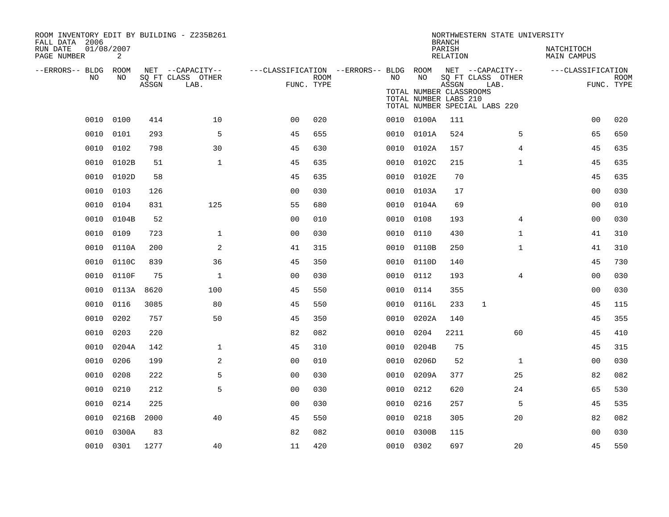| ROOM INVENTORY EDIT BY BUILDING - Z235B261<br>FALL DATA 2006 |                 |       |                           |                                                         |             |      |                                                        | <b>BRANCH</b>      | NORTHWESTERN STATE UNIVERSITY                              |                           |                           |
|--------------------------------------------------------------|-----------------|-------|---------------------------|---------------------------------------------------------|-------------|------|--------------------------------------------------------|--------------------|------------------------------------------------------------|---------------------------|---------------------------|
| RUN DATE<br>PAGE NUMBER                                      | 01/08/2007<br>2 |       |                           |                                                         |             |      |                                                        | PARISH<br>RELATION |                                                            | NATCHITOCH<br>MAIN CAMPUS |                           |
| --ERRORS-- BLDG ROOM                                         |                 |       | NET --CAPACITY--          | ---CLASSIFICATION --ERRORS-- BLDG ROOM NET --CAPACITY-- |             |      |                                                        |                    |                                                            | ---CLASSIFICATION         |                           |
| NO                                                           | NO              | ASSGN | SQ FT CLASS OTHER<br>LAB. | FUNC. TYPE                                              | <b>ROOM</b> | NO   | NO<br>TOTAL NUMBER CLASSROOMS<br>TOTAL NUMBER LABS 210 | ASSGN              | SQ FT CLASS OTHER<br>LAB.<br>TOTAL NUMBER SPECIAL LABS 220 |                           | <b>ROOM</b><br>FUNC. TYPE |
| 0010                                                         | 0100            | 414   | 10                        | 0 <sub>0</sub>                                          | 020         |      | 0010 0100A                                             | 111                |                                                            | 0 <sub>0</sub>            | 020                       |
| 0010                                                         | 0101            | 293   | 5                         | 45                                                      | 655         |      | 0010 0101A                                             | 524                | 5                                                          | 65                        | 650                       |
| 0010                                                         | 0102            | 798   | 30                        | 45                                                      | 630         | 0010 | 0102A                                                  | 157                | $\overline{4}$                                             | 45                        | 635                       |
| 0010                                                         | 0102B           | 51    | $\mathbf{1}$              | 45                                                      | 635         |      | 0010 0102C                                             | 215                | $\mathbf{1}$                                               | 45                        | 635                       |
| 0010                                                         | 0102D           | 58    |                           | 45                                                      | 635         | 0010 | 0102E                                                  | 70                 |                                                            | 45                        | 635                       |
|                                                              | 0010 0103       | 126   |                           | 0 <sub>0</sub>                                          | 030         |      | 0010 0103A                                             | 17                 |                                                            | 00                        | 030                       |
| 0010                                                         | 0104            | 831   | 125                       | 55                                                      | 680         |      | 0010 0104A                                             | 69                 |                                                            | 0 <sub>0</sub>            | 010                       |
| 0010                                                         | 0104B           | 52    |                           | 0 <sub>0</sub>                                          | 010         | 0010 | 0108                                                   | 193                | 4                                                          | 00                        | 030                       |
| 0010                                                         | 0109            | 723   | $\mathbf{1}$              | 0 <sub>0</sub>                                          | 030         | 0010 | 0110                                                   | 430                | $\mathbf{1}$                                               | 41                        | 310                       |
| 0010                                                         | 0110A           | 200   | 2                         | 41                                                      | 315         |      | 0010 0110B                                             | 250                | $\mathbf{1}$                                               | 41                        | 310                       |
| 0010                                                         | 0110C           | 839   | 36                        | 45                                                      | 350         | 0010 | 0110D                                                  | 140                |                                                            | 45                        | 730                       |
| 0010                                                         | 0110F           | 75    | $\mathbf 1$               | 0 <sub>0</sub>                                          | 030         | 0010 | 0112                                                   | 193                | 4                                                          | 00                        | 030                       |
| 0010                                                         | 0113A           | 8620  | 100                       | 45                                                      | 550         | 0010 | 0114                                                   | 355                |                                                            | 00                        | 030                       |
| 0010                                                         | 0116            | 3085  | 80                        | 45                                                      | 550         | 0010 | 0116L                                                  | 233                | 1                                                          | 45                        | 115                       |
| 0010                                                         | 0202            | 757   | 50                        | 45                                                      | 350         | 0010 | 0202A                                                  | 140                |                                                            | 45                        | 355                       |
| 0010                                                         | 0203            | 220   |                           | 82                                                      | 082         | 0010 | 0204                                                   | 2211               | 60                                                         | 45                        | 410                       |
| 0010                                                         | 0204A           | 142   | $\mathbf{1}$              | 45                                                      | 310         | 0010 | 0204B                                                  | 75                 |                                                            | 45                        | 315                       |
| 0010                                                         | 0206            | 199   | 2                         | 0 <sub>0</sub>                                          | 010         | 0010 | 0206D                                                  | 52                 | $\mathbf{1}$                                               | 0 <sub>0</sub>            | 030                       |
| 0010                                                         | 0208            | 222   | 5                         | 0 <sub>0</sub>                                          | 030         |      | 0010 0209A                                             | 377                | 25                                                         | 82                        | 082                       |
| 0010                                                         | 0210            | 212   | 5                         | 0 <sub>0</sub>                                          | 030         | 0010 | 0212                                                   | 620                | 24                                                         | 65                        | 530                       |
| 0010                                                         | 0214            | 225   |                           | 0 <sub>0</sub>                                          | 030         |      | 0010 0216                                              | 257                | 5                                                          | 45                        | 535                       |
| 0010                                                         | 0216B           | 2000  | 40                        | 45                                                      | 550         | 0010 | 0218                                                   | 305                | 20                                                         | 82                        | 082                       |
| 0010                                                         | 0300A           | 83    |                           | 82                                                      | 082         | 0010 | 0300B                                                  | 115                |                                                            | 0 <sub>0</sub>            | 030                       |
|                                                              | 0010 0301       | 1277  | 40                        | 11                                                      | 420         |      | 0010 0302                                              | 697                | 20                                                         | 45                        | 550                       |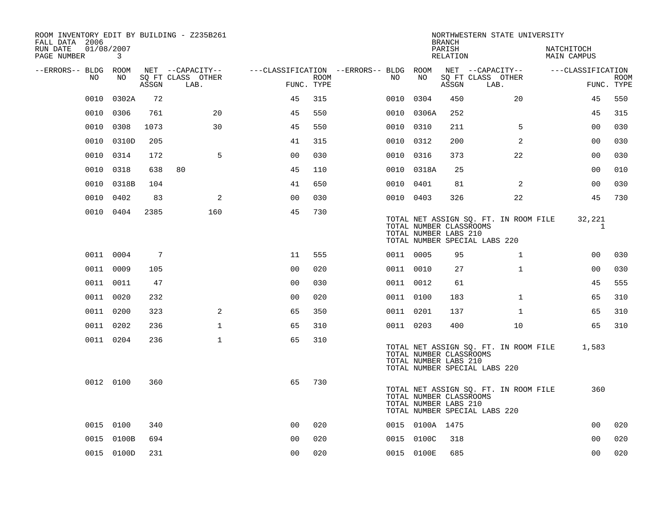| ROOM INVENTORY EDIT BY BUILDING - Z235B261<br>FALL DATA 2006 |                 |       |                           |                |      |                                        |                                                  | <b>BRANCH</b>      | NORTHWESTERN STATE UNIVERSITY                                          |                           |                           |
|--------------------------------------------------------------|-----------------|-------|---------------------------|----------------|------|----------------------------------------|--------------------------------------------------|--------------------|------------------------------------------------------------------------|---------------------------|---------------------------|
| RUN DATE<br>PAGE NUMBER                                      | 01/08/2007<br>3 |       |                           |                |      |                                        |                                                  | PARISH<br>RELATION |                                                                        | NATCHITOCH<br>MAIN CAMPUS |                           |
| --ERRORS-- BLDG ROOM                                         |                 |       | NET --CAPACITY--          |                |      | ---CLASSIFICATION --ERRORS-- BLDG ROOM |                                                  |                    | NET --CAPACITY--                                                       | ---CLASSIFICATION         |                           |
| NO                                                           | NO              | ASSGN | SQ FT CLASS OTHER<br>LAB. | FUNC. TYPE     | ROOM | NO                                     | NO                                               | ASSGN              | SQ FT CLASS OTHER<br>LAB.                                              |                           | <b>ROOM</b><br>FUNC. TYPE |
| 0010                                                         | 0302A           | 72    |                           | 45             | 315  | 0010                                   | 0304                                             | 450                | 20                                                                     | 45                        | 550                       |
|                                                              | 0010 0306       | 761   | 20                        | 45             | 550  |                                        | 0010 0306A                                       | 252                |                                                                        | 45                        | 315                       |
|                                                              | 0010 0308       | 1073  | 30                        | 45             | 550  |                                        | 0010 0310                                        | 211                | 5                                                                      | 00                        | 030                       |
| 0010                                                         | 0310D           | 205   |                           | 41             | 315  |                                        | 0010 0312                                        | 200                | 2                                                                      | 0 <sub>0</sub>            | 030                       |
| 0010                                                         | 0314            | 172   | 5                         | 0 <sub>0</sub> | 030  |                                        | 0010 0316                                        | 373                | 22                                                                     | 0 <sub>0</sub>            | 030                       |
| 0010                                                         | 0318            | 638   | 80                        | 45             | 110  |                                        | 0010 0318A                                       | 25                 |                                                                        | 00                        | 010                       |
|                                                              | 0010 0318B      | 104   |                           | 41             | 650  |                                        | 0010 0401                                        | 81                 | 2                                                                      | 00                        | 030                       |
| 0010                                                         | 0402            | 83    | 2                         | 0 <sub>0</sub> | 030  |                                        | 0010 0403                                        | 326                | 22                                                                     | 45                        | 730                       |
|                                                              | 0010 0404       | 2385  | 160                       | 45             | 730  |                                        | TOTAL NUMBER CLASSROOMS<br>TOTAL NUMBER LABS 210 |                    | TOTAL NET ASSIGN SQ. FT. IN ROOM FILE<br>TOTAL NUMBER SPECIAL LABS 220 | 32,221<br>$\mathbf{1}$    |                           |
|                                                              | 0011 0004       | 7     |                           | 11             | 555  |                                        | 0011 0005                                        | 95                 | $\mathbf{1}$                                                           | 00                        | 030                       |
|                                                              | 0011 0009       | 105   |                           | 0 <sub>0</sub> | 020  |                                        | 0011 0010                                        | 27                 | $\mathbf{1}$                                                           | 0 <sub>0</sub>            | 030                       |
|                                                              | 0011 0011       | 47    |                           | 0 <sub>0</sub> | 030  |                                        | 0011 0012                                        | 61                 |                                                                        | 45                        | 555                       |
|                                                              | 0011 0020       | 232   |                           | 0 <sub>0</sub> | 020  |                                        | 0011 0100                                        | 183                | $\mathbf{1}$                                                           | 65                        | 310                       |
|                                                              | 0011 0200       | 323   | 2                         | 65             | 350  |                                        | 0011 0201                                        | 137                | $\mathbf{1}$                                                           | 65                        | 310                       |
|                                                              | 0011 0202       | 236   | $\mathbf{1}$              | 65             | 310  |                                        | 0011 0203                                        | 400                | 10                                                                     | 65                        | 310                       |
|                                                              | 0011 0204       | 236   | $\mathbf 1$               | 65             | 310  |                                        | TOTAL NUMBER CLASSROOMS<br>TOTAL NUMBER LABS 210 |                    | TOTAL NET ASSIGN SQ. FT. IN ROOM FILE<br>TOTAL NUMBER SPECIAL LABS 220 | 1,583                     |                           |
|                                                              | 0012 0100       | 360   |                           | 65             | 730  |                                        | TOTAL NUMBER CLASSROOMS<br>TOTAL NUMBER LABS 210 |                    | TOTAL NET ASSIGN SQ. FT. IN ROOM FILE<br>TOTAL NUMBER SPECIAL LABS 220 | 360                       |                           |
|                                                              | 0015 0100       | 340   |                           | 0 <sub>0</sub> | 020  |                                        | 0015 0100A 1475                                  |                    |                                                                        | 0 <sub>0</sub>            | 020                       |
|                                                              | 0015 0100B      | 694   |                           | 00             | 020  |                                        | 0015 0100C                                       | 318                |                                                                        | 0 <sub>0</sub>            | 020                       |
|                                                              | 0015 0100D      | 231   |                           | 0 <sub>0</sub> | 020  |                                        | 0015 0100E                                       | 685                |                                                                        | 0 <sub>0</sub>            | 020                       |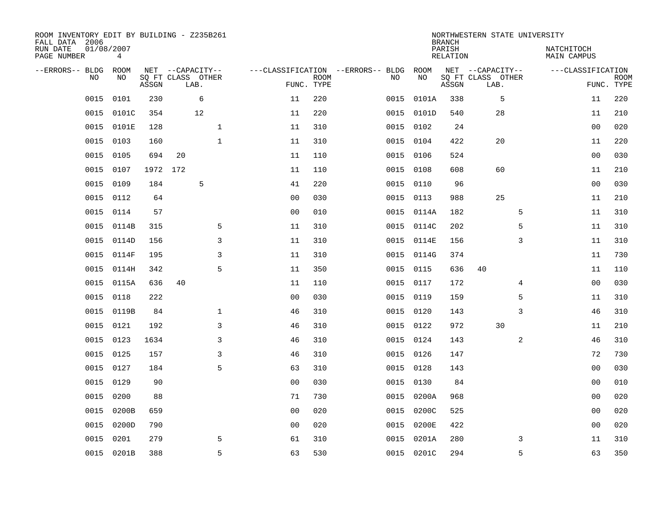| ROOM INVENTORY EDIT BY BUILDING - Z235B261<br>FALL DATA 2006 |                 |       |                           |                |                           |                                   |            | <b>BRANCH</b>             | NORTHWESTERN STATE UNIVERSITY |                                  |                           |
|--------------------------------------------------------------|-----------------|-------|---------------------------|----------------|---------------------------|-----------------------------------|------------|---------------------------|-------------------------------|----------------------------------|---------------------------|
| RUN DATE<br>PAGE NUMBER                                      | 01/08/2007<br>4 |       |                           |                |                           |                                   |            | PARISH<br><b>RELATION</b> |                               | NATCHITOCH<br><b>MAIN CAMPUS</b> |                           |
| --ERRORS-- BLDG                                              | ROOM            |       | NET --CAPACITY--          |                |                           | ---CLASSIFICATION --ERRORS-- BLDG | ROOM       |                           | NET --CAPACITY--              | ---CLASSIFICATION                |                           |
| NO                                                           | NO              | ASSGN | SQ FT CLASS OTHER<br>LAB. |                | <b>ROOM</b><br>FUNC. TYPE | NO                                | NO         | ASSGN                     | SQ FT CLASS OTHER<br>LAB.     |                                  | <b>ROOM</b><br>FUNC. TYPE |
| 0015                                                         | 0101            | 230   | 6                         | 11             | 220                       | 0015                              | 0101A      | 338                       | 5                             | 11                               | 220                       |
| 0015                                                         | 0101C           | 354   | 12                        | 11             | 220                       | 0015                              | 0101D      | 540                       | 28                            | 11                               | 210                       |
| 0015                                                         | 0101E           | 128   | $\mathbf{1}$              | 11             | 310                       | 0015                              | 0102       | 24                        |                               | 0 <sub>0</sub>                   | 020                       |
| 0015                                                         | 0103            | 160   | $\mathbf{1}$              | 11             | 310                       | 0015                              | 0104       | 422                       | 20                            | 11                               | 220                       |
| 0015                                                         | 0105            | 694   | 20                        | 11             | 110                       | 0015                              | 0106       | 524                       |                               | 0 <sub>0</sub>                   | 030                       |
| 0015                                                         | 0107            |       | 1972 172                  | 11             | 110                       |                                   | 0015 0108  | 608                       | 60                            | 11                               | 210                       |
| 0015                                                         | 0109            | 184   | 5                         | 41             | 220                       | 0015                              | 0110       | 96                        |                               | 0 <sub>0</sub>                   | 030                       |
| 0015                                                         | 0112            | 64    |                           | 0 <sub>0</sub> | 030                       |                                   | 0015 0113  | 988                       | 25                            | 11                               | 210                       |
| 0015                                                         | 0114            | 57    |                           | 0 <sub>0</sub> | 010                       | 0015                              | 0114A      | 182                       | 5                             | 11                               | 310                       |
| 0015                                                         | 0114B           | 315   | 5                         | 11             | 310                       | 0015                              | 0114C      | 202                       | 5                             | 11                               | 310                       |
| 0015                                                         | 0114D           | 156   | 3                         | 11             | 310                       | 0015                              | 0114E      | 156                       | 3                             | 11                               | 310                       |
| 0015                                                         | 0114F           | 195   | 3                         | 11             | 310                       | 0015                              | 0114G      | 374                       |                               | 11                               | 730                       |
| 0015                                                         | 0114H           | 342   | 5                         | 11             | 350                       | 0015                              | 0115       | 636                       | 40                            | 11                               | 110                       |
| 0015                                                         | 0115A           | 636   | 40                        | 11             | 110                       | 0015                              | 0117       | 172                       | 4                             | 00                               | 030                       |
| 0015                                                         | 0118            | 222   |                           | 0 <sub>0</sub> | 030                       |                                   | 0015 0119  | 159                       | 5                             | 11                               | 310                       |
| 0015                                                         | 0119B           | 84    | $\mathbf 1$               | 46             | 310                       |                                   | 0015 0120  | 143                       | 3                             | 46                               | 310                       |
| 0015                                                         | 0121            | 192   | 3                         | 46             | 310                       |                                   | 0015 0122  | 972                       | 30                            | 11                               | 210                       |
| 0015                                                         | 0123            | 1634  | 3                         | 46             | 310                       |                                   | 0015 0124  | 143                       | 2                             | 46                               | 310                       |
| 0015                                                         | 0125            | 157   | 3                         | 46             | 310                       |                                   | 0015 0126  | 147                       |                               | 72                               | 730                       |
| 0015                                                         | 0127            | 184   | 5                         | 63             | 310                       |                                   | 0015 0128  | 143                       |                               | 0 <sub>0</sub>                   | 030                       |
| 0015                                                         | 0129            | 90    |                           | 0 <sub>0</sub> | 030                       |                                   | 0015 0130  | 84                        |                               | 0 <sub>0</sub>                   | 010                       |
| 0015                                                         | 0200            | 88    |                           | 71             | 730                       | 0015                              | 0200A      | 968                       |                               | 00                               | 020                       |
| 0015                                                         | 0200B           | 659   |                           | 0 <sub>0</sub> | 020                       | 0015                              | 0200C      | 525                       |                               | 00                               | 020                       |
| 0015                                                         | 0200D           | 790   |                           | 0 <sub>0</sub> | 020                       | 0015                              | 0200E      | 422                       |                               | 0 <sub>0</sub>                   | 020                       |
| 0015                                                         | 0201            | 279   | 5                         | 61             | 310                       | 0015                              | 0201A      | 280                       | 3                             | 11                               | 310                       |
|                                                              | 0015 0201B      | 388   | 5                         | 63             | 530                       |                                   | 0015 0201C | 294                       | 5                             | 63                               | 350                       |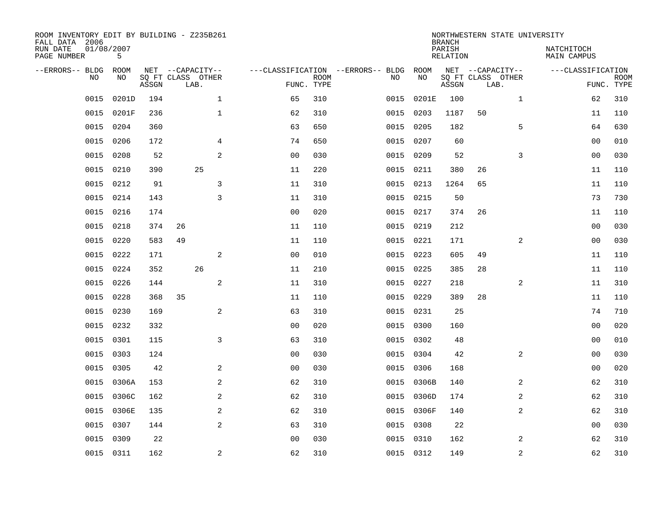| ROOM INVENTORY EDIT BY BUILDING - Z235B261<br>FALL DATA 2006<br>RUN DATE<br>PAGE NUMBER | 01/08/2007<br>5   |       |    |                                               |                                   |                           |           |            | <b>BRANCH</b><br>PARISH<br><b>RELATION</b> |                                               | NORTHWESTERN STATE UNIVERSITY | NATCHITOCH<br>MAIN CAMPUS |                           |
|-----------------------------------------------------------------------------------------|-------------------|-------|----|-----------------------------------------------|-----------------------------------|---------------------------|-----------|------------|--------------------------------------------|-----------------------------------------------|-------------------------------|---------------------------|---------------------------|
| --ERRORS-- BLDG<br>NO                                                                   | <b>ROOM</b><br>NO | ASSGN |    | NET --CAPACITY--<br>SQ FT CLASS OTHER<br>LAB. | ---CLASSIFICATION --ERRORS-- BLDG | <b>ROOM</b><br>FUNC. TYPE | NO        | ROOM<br>NO | ASSGN                                      | NET --CAPACITY--<br>SQ FT CLASS OTHER<br>LAB. |                               | ---CLASSIFICATION         | <b>ROOM</b><br>FUNC. TYPE |
| 0015                                                                                    | 0201D             | 194   |    | $\mathbf 1$                                   | 65                                | 310                       | 0015      | 0201E      | 100                                        |                                               | $\mathbf{1}$                  | 62                        | 310                       |
| 0015                                                                                    | 0201F             | 236   |    | $\mathbf{1}$                                  | 62                                | 310                       | 0015      | 0203       | 1187                                       | 50                                            |                               | 11                        | 110                       |
| 0015                                                                                    | 0204              | 360   |    |                                               | 63                                | 650                       | 0015      | 0205       | 182                                        |                                               | 5                             | 64                        | 630                       |
| 0015                                                                                    | 0206              | 172   |    | $\overline{4}$                                | 74                                | 650                       | 0015      | 0207       | 60                                         |                                               |                               | 0 <sub>0</sub>            | 010                       |
| 0015                                                                                    | 0208              | 52    |    | 2                                             | 0 <sub>0</sub>                    | 030                       | 0015      | 0209       | 52                                         |                                               | 3                             | 0 <sub>0</sub>            | 030                       |
| 0015                                                                                    | 0210              | 390   |    | 25                                            | 11                                | 220                       | 0015      | 0211       | 380                                        | 26                                            |                               | 11                        | 110                       |
| 0015                                                                                    | 0212              | 91    |    | 3                                             | 11                                | 310                       | 0015      | 0213       | 1264                                       | 65                                            |                               | 11                        | 110                       |
| 0015                                                                                    | 0214              | 143   |    | 3                                             | 11                                | 310                       | 0015      | 0215       | 50                                         |                                               |                               | 73                        | 730                       |
| 0015                                                                                    | 0216              | 174   |    |                                               | 0 <sub>0</sub>                    | 020                       | 0015      | 0217       | 374                                        | 26                                            |                               | 11                        | 110                       |
| 0015                                                                                    | 0218              | 374   | 26 |                                               | 11                                | 110                       | 0015      | 0219       | 212                                        |                                               |                               | 00                        | 030                       |
| 0015                                                                                    | 0220              | 583   | 49 |                                               | 11                                | 110                       | 0015      | 0221       | 171                                        |                                               | 2                             | 00                        | 030                       |
| 0015                                                                                    | 0222              | 171   |    | 2                                             | 0 <sub>0</sub>                    | 010                       | 0015      | 0223       | 605                                        | 49                                            |                               | 11                        | 110                       |
| 0015                                                                                    | 0224              | 352   |    | 26                                            | 11                                | 210                       | 0015      | 0225       | 385                                        | 28                                            |                               | 11                        | 110                       |
| 0015                                                                                    | 0226              | 144   |    | 2                                             | 11                                | 310                       | 0015      | 0227       | 218                                        |                                               | 2                             | 11                        | 310                       |
| 0015                                                                                    | 0228              | 368   | 35 |                                               | 11                                | 110                       | 0015 0229 |            | 389                                        | 28                                            |                               | 11                        | 110                       |
| 0015                                                                                    | 0230              | 169   |    | 2                                             | 63                                | 310                       | 0015      | 0231       | 25                                         |                                               |                               | 74                        | 710                       |
| 0015                                                                                    | 0232              | 332   |    |                                               | 0 <sub>0</sub>                    | 020                       | 0015      | 0300       | 160                                        |                                               |                               | 00                        | 020                       |
| 0015                                                                                    | 0301              | 115   |    | 3                                             | 63                                | 310                       | 0015      | 0302       | 48                                         |                                               |                               | 00                        | 010                       |
| 0015                                                                                    | 0303              | 124   |    |                                               | 0 <sub>0</sub>                    | 030                       | 0015      | 0304       | 42                                         |                                               | 2                             | 00                        | 030                       |
| 0015                                                                                    | 0305              | 42    |    | 2                                             | 0 <sub>0</sub>                    | 030                       | 0015      | 0306       | 168                                        |                                               |                               | 00                        | 020                       |
| 0015                                                                                    | 0306A             | 153   |    | 2                                             | 62                                | 310                       | 0015      | 0306B      | 140                                        |                                               | 2                             | 62                        | 310                       |
| 0015                                                                                    | 0306C             | 162   |    | $\overline{a}$                                | 62                                | 310                       | 0015      | 0306D      | 174                                        |                                               | 2                             | 62                        | 310                       |
| 0015                                                                                    | 0306E             | 135   |    | 2                                             | 62                                | 310                       | 0015      | 0306F      | 140                                        |                                               | 2                             | 62                        | 310                       |
| 0015                                                                                    | 0307              | 144   |    | 2                                             | 63                                | 310                       | 0015      | 0308       | 22                                         |                                               |                               | 00                        | 030                       |
| 0015                                                                                    | 0309              | 22    |    |                                               | 0 <sub>0</sub>                    | 030                       | 0015      | 0310       | 162                                        |                                               | 2                             | 62                        | 310                       |
|                                                                                         | 0015 0311         | 162   |    | 2                                             | 62                                | 310                       | 0015 0312 |            | 149                                        |                                               | $\overline{a}$                | 62                        | 310                       |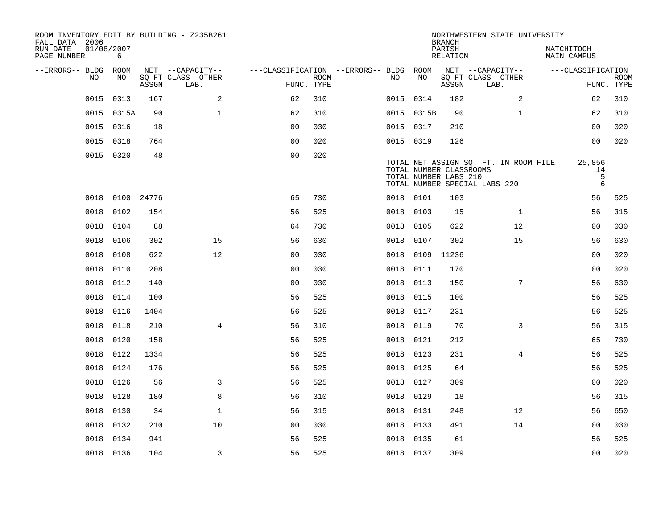| ROOM INVENTORY EDIT BY BUILDING - Z235B261<br>FALL DATA 2006 |                 |       |                           |                                        |             |           |            | <b>BRANCH</b>                                    | NORTHWESTERN STATE UNIVERSITY                                          |                           |                           |
|--------------------------------------------------------------|-----------------|-------|---------------------------|----------------------------------------|-------------|-----------|------------|--------------------------------------------------|------------------------------------------------------------------------|---------------------------|---------------------------|
| RUN DATE<br>PAGE NUMBER                                      | 01/08/2007<br>6 |       |                           |                                        |             |           |            | PARISH<br>RELATION                               |                                                                        | NATCHITOCH<br>MAIN CAMPUS |                           |
| --ERRORS-- BLDG ROOM                                         |                 |       | NET --CAPACITY--          | ---CLASSIFICATION --ERRORS-- BLDG ROOM |             |           |            |                                                  | NET --CAPACITY--                                                       | ---CLASSIFICATION         |                           |
| NO.                                                          | NO.             | ASSGN | SQ FT CLASS OTHER<br>LAB. | FUNC. TYPE                             | <b>ROOM</b> | NO.       | NO         | ASSGN                                            | SQ FT CLASS OTHER<br>LAB.                                              |                           | <b>ROOM</b><br>FUNC. TYPE |
| 0015                                                         | 0313            | 167   | 2                         | 62                                     | 310         | 0015 0314 |            | 182                                              | 2                                                                      | 62                        | 310                       |
|                                                              | 0015 0315A      | 90    | $\mathbf{1}$              | 62                                     | 310         |           | 0015 0315B | 90                                               | $\mathbf{1}$                                                           | 62                        | 310                       |
|                                                              | 0015 0316       | 18    |                           | 0 <sub>0</sub>                         | 030         | 0015 0317 |            | 210                                              |                                                                        | 0 <sub>0</sub>            | 020                       |
|                                                              | 0015 0318       | 764   |                           | 0 <sub>0</sub>                         | 020         | 0015 0319 |            | 126                                              |                                                                        | 0 <sub>0</sub>            | 020                       |
|                                                              | 0015 0320       | 48    |                           | 0 <sub>0</sub>                         | 020         |           |            | TOTAL NUMBER CLASSROOMS<br>TOTAL NUMBER LABS 210 | TOTAL NET ASSIGN SQ. FT. IN ROOM FILE<br>TOTAL NUMBER SPECIAL LABS 220 | 25,856<br>14<br>5<br>6    |                           |
| 0018                                                         | 0100 24776      |       |                           | 65                                     | 730         | 0018 0101 |            | 103                                              |                                                                        | 56                        | 525                       |
| 0018                                                         | 0102            | 154   |                           | 56                                     | 525         | 0018      | 0103       | 15                                               | $\mathbf{1}$                                                           | 56                        | 315                       |
| 0018                                                         | 0104            | 88    |                           | 64                                     | 730         | 0018 0105 |            | 622                                              | 12                                                                     | 0 <sub>0</sub>            | 030                       |
| 0018                                                         | 0106            | 302   | 15                        | 56                                     | 630         | 0018      | 0107       | 302                                              | 15                                                                     | 56                        | 630                       |
| 0018                                                         | 0108            | 622   | 12                        | 0 <sub>0</sub>                         | 030         |           | 0018 0109  | 11236                                            |                                                                        | 0 <sub>0</sub>            | 020                       |
| 0018                                                         | 0110            | 208   |                           | 0 <sub>0</sub>                         | 030         | 0018      | 0111       | 170                                              |                                                                        | 0 <sub>0</sub>            | 020                       |
| 0018                                                         | 0112            | 140   |                           | 0 <sub>0</sub>                         | 030         | 0018      | 0113       | 150                                              | 7                                                                      | 56                        | 630                       |
| 0018                                                         | 0114            | 100   |                           | 56                                     | 525         | 0018      | 0115       | 100                                              |                                                                        | 56                        | 525                       |
| 0018                                                         | 0116            | 1404  |                           | 56                                     | 525         | 0018      | 0117       | 231                                              |                                                                        | 56                        | 525                       |
| 0018                                                         | 0118            | 210   | $\overline{4}$            | 56                                     | 310         | 0018      | 0119       | 70                                               | 3                                                                      | 56                        | 315                       |
| 0018                                                         | 0120            | 158   |                           | 56                                     | 525         | 0018      | 0121       | 212                                              |                                                                        | 65                        | 730                       |
| 0018                                                         | 0122            | 1334  |                           | 56                                     | 525         | 0018 0123 |            | 231                                              | 4                                                                      | 56                        | 525                       |
| 0018                                                         | 0124            | 176   |                           | 56                                     | 525         | 0018 0125 |            | 64                                               |                                                                        | 56                        | 525                       |
| 0018                                                         | 0126            | 56    | 3                         | 56                                     | 525         | 0018 0127 |            | 309                                              |                                                                        | 0 <sub>0</sub>            | 020                       |
| 0018                                                         | 0128            | 180   | 8                         | 56                                     | 310         | 0018      | 0129       | 18                                               |                                                                        | 56                        | 315                       |
| 0018                                                         | 0130            | 34    | $\mathbf{1}$              | 56                                     | 315         | 0018 0131 |            | 248                                              | 12                                                                     | 56                        | 650                       |
| 0018                                                         | 0132            | 210   | 10                        | 0 <sub>0</sub>                         | 030         | 0018 0133 |            | 491                                              | 14                                                                     | 0 <sub>0</sub>            | 030                       |
| 0018                                                         | 0134            | 941   |                           | 56                                     | 525         | 0018      | 0135       | 61                                               |                                                                        | 56                        | 525                       |
|                                                              | 0018 0136       | 104   | $\overline{3}$            | 56                                     | 525         | 0018 0137 |            | 309                                              |                                                                        | 0 <sub>0</sub>            | 020                       |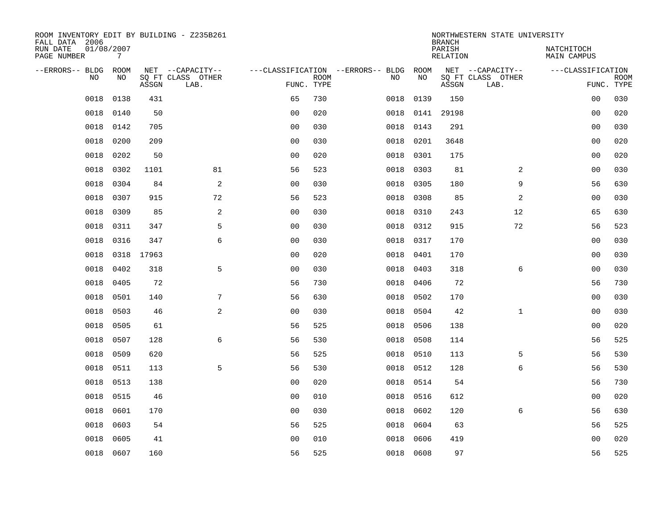| ROOM INVENTORY EDIT BY BUILDING - Z235B261<br>FALL DATA 2006 |                               |            |                           |                |             |                                   |           | <b>BRANCH</b>             | NORTHWESTERN STATE UNIVERSITY |                                  |                           |
|--------------------------------------------------------------|-------------------------------|------------|---------------------------|----------------|-------------|-----------------------------------|-----------|---------------------------|-------------------------------|----------------------------------|---------------------------|
| RUN DATE<br>PAGE NUMBER                                      | 01/08/2007<br>$7\phantom{.0}$ |            |                           |                |             |                                   |           | PARISH<br><b>RELATION</b> |                               | NATCHITOCH<br><b>MAIN CAMPUS</b> |                           |
| --ERRORS-- BLDG                                              | ROOM                          |            | NET --CAPACITY--          |                |             | ---CLASSIFICATION --ERRORS-- BLDG | ROOM      |                           | NET --CAPACITY--              | ---CLASSIFICATION                |                           |
| NO                                                           | NO                            | ASSGN      | SQ FT CLASS OTHER<br>LAB. | FUNC. TYPE     | <b>ROOM</b> | NO                                | NO        | ASSGN                     | SQ FT CLASS OTHER<br>LAB.     |                                  | <b>ROOM</b><br>FUNC. TYPE |
| 0018                                                         | 0138                          | 431        |                           | 65             | 730         | 0018                              | 0139      | 150                       |                               | 0 <sub>0</sub>                   | 030                       |
| 0018                                                         | 0140                          | 50         |                           | 0 <sub>0</sub> | 020         | 0018                              | 0141      | 29198                     |                               | 00                               | 020                       |
| 0018                                                         | 0142                          | 705        |                           | 0 <sub>0</sub> | 030         | 0018                              | 0143      | 291                       |                               | 00                               | 030                       |
| 0018                                                         | 0200                          | 209        |                           | 0 <sub>0</sub> | 030         | 0018                              | 0201      | 3648                      |                               | 0 <sub>0</sub>                   | 020                       |
| 0018                                                         | 0202                          | 50         |                           | 00             | 020         | 0018                              | 0301      | 175                       |                               | 0 <sub>0</sub>                   | 020                       |
| 0018                                                         | 0302                          | 1101       | 81                        | 56             | 523         | 0018                              | 0303      | 81                        | 2                             | 0 <sub>0</sub>                   | 030                       |
| 0018                                                         | 0304                          | 84         | 2                         | 0 <sub>0</sub> | 030         | 0018                              | 0305      | 180                       | 9                             | 56                               | 630                       |
| 0018                                                         | 0307                          | 915        | 72                        | 56             | 523         | 0018                              | 0308      | 85                        | $\overline{a}$                | 0 <sub>0</sub>                   | 030                       |
| 0018                                                         | 0309                          | 85         | 2                         | 0 <sub>0</sub> | 030         | 0018                              | 0310      | 243                       | 12                            | 65                               | 630                       |
| 0018                                                         | 0311                          | 347        | 5                         | 0 <sub>0</sub> | 030         | 0018                              | 0312      | 915                       | 72                            | 56                               | 523                       |
| 0018                                                         | 0316                          | 347        | 6                         | 0 <sub>0</sub> | 030         | 0018                              | 0317      | 170                       |                               | 0 <sub>0</sub>                   | 030                       |
| 0018                                                         |                               | 0318 17963 |                           | 0 <sub>0</sub> | 020         | 0018                              | 0401      | 170                       |                               | 0 <sub>0</sub>                   | 030                       |
| 0018                                                         | 0402                          | 318        | 5                         | 0 <sub>0</sub> | 030         | 0018                              | 0403      | 318                       | 6                             | 0 <sub>0</sub>                   | 030                       |
| 0018                                                         | 0405                          | 72         |                           | 56             | 730         | 0018                              | 0406      | 72                        |                               | 56                               | 730                       |
| 0018                                                         | 0501                          | 140        | 7                         | 56             | 630         | 0018                              | 0502      | 170                       |                               | 00                               | 030                       |
| 0018                                                         | 0503                          | 46         | 2                         | 00             | 030         | 0018                              | 0504      | 42                        | $\mathbf{1}$                  | 00                               | 030                       |
| 0018                                                         | 0505                          | 61         |                           | 56             | 525         | 0018                              | 0506      | 138                       |                               | 0 <sub>0</sub>                   | 020                       |
| 0018                                                         | 0507                          | 128        | 6                         | 56             | 530         | 0018                              | 0508      | 114                       |                               | 56                               | 525                       |
| 0018                                                         | 0509                          | 620        |                           | 56             | 525         | 0018                              | 0510      | 113                       | 5                             | 56                               | 530                       |
| 0018                                                         | 0511                          | 113        | 5                         | 56             | 530         | 0018                              | 0512      | 128                       | 6                             | 56                               | 530                       |
| 0018                                                         | 0513                          | 138        |                           | 0 <sub>0</sub> | 020         | 0018                              | 0514      | 54                        |                               | 56                               | 730                       |
| 0018                                                         | 0515                          | 46         |                           | 0 <sub>0</sub> | 010         | 0018                              | 0516      | 612                       |                               | 0 <sub>0</sub>                   | 020                       |
| 0018                                                         | 0601                          | 170        |                           | 0 <sub>0</sub> | 030         | 0018                              | 0602      | 120                       | 6                             | 56                               | 630                       |
| 0018                                                         | 0603                          | 54         |                           | 56             | 525         | 0018                              | 0604      | 63                        |                               | 56                               | 525                       |
| 0018                                                         | 0605                          | 41         |                           | 0 <sub>0</sub> | 010         | 0018                              | 0606      | 419                       |                               | 0 <sub>0</sub>                   | 020                       |
|                                                              | 0018 0607                     | 160        |                           | 56             | 525         |                                   | 0018 0608 | 97                        |                               | 56                               | 525                       |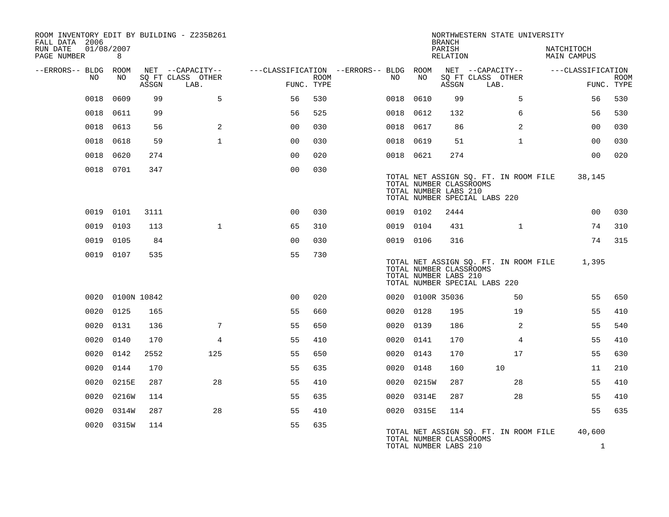| FALL DATA 2006          |      |                  |       | ROOM INVENTORY EDIT BY BUILDING - Z235B261    |                                                      |      |           |            | <b>BRANCH</b>                                    | NORTHWESTERN STATE UNIVERSITY                                          |                           |                        |             |
|-------------------------|------|------------------|-------|-----------------------------------------------|------------------------------------------------------|------|-----------|------------|--------------------------------------------------|------------------------------------------------------------------------|---------------------------|------------------------|-------------|
| RUN DATE<br>PAGE NUMBER |      | 01/08/2007<br>8  |       |                                               |                                                      |      |           |            | PARISH<br>RELATION                               |                                                                        | NATCHITOCH<br>MAIN CAMPUS |                        |             |
| --ERRORS-- BLDG ROOM    | NO   | NO               | ASSGN | NET --CAPACITY--<br>SQ FT CLASS OTHER<br>LAB. | ---CLASSIFICATION --ERRORS-- BLDG ROOM<br>FUNC. TYPE | ROOM | NO        | NO         | ASSGN                                            | NET --CAPACITY--<br>SQ FT CLASS OTHER<br>LAB.                          | ---CLASSIFICATION         | FUNC. TYPE             | <b>ROOM</b> |
|                         | 0018 | 0609             | 99    | 5                                             | 56                                                   | 530  | 0018      | 0610       | 99                                               | 5                                                                      |                           | 56                     | 530         |
|                         | 0018 | 0611             | 99    |                                               | 56                                                   | 525  | 0018 0612 |            | 132                                              | 6                                                                      |                           | 56                     | 530         |
|                         | 0018 | 0613             | 56    | 2                                             | 00                                                   | 030  | 0018 0617 |            | 86                                               | 2                                                                      |                           | 0 <sub>0</sub>         | 030         |
|                         | 0018 | 0618             | 59    | $\mathbf{1}$                                  | 00                                                   | 030  | 0018 0619 |            | 51                                               | $\mathbf{1}$                                                           |                           | 00                     | 030         |
|                         | 0018 | 0620             | 274   |                                               | 0 <sub>0</sub>                                       | 020  | 0018 0621 |            | 274                                              |                                                                        |                           | 0 <sub>0</sub>         | 020         |
|                         |      | 0018 0701        | 347   |                                               | 0 <sub>0</sub>                                       | 030  |           |            | TOTAL NUMBER CLASSROOMS<br>TOTAL NUMBER LABS 210 | TOTAL NET ASSIGN SQ. FT. IN ROOM FILE<br>TOTAL NUMBER SPECIAL LABS 220 |                           | 38,145                 |             |
|                         |      | 0019 0101        | 3111  |                                               | 0 <sub>0</sub>                                       | 030  | 0019 0102 |            | 2444                                             |                                                                        |                           | 00                     | 030         |
|                         |      | 0019 0103        | 113   | $\mathbf{1}$                                  | 65                                                   | 310  | 0019 0104 |            | 431                                              | $\mathbf{1}$                                                           |                           | 74                     | 310         |
|                         | 0019 | 0105             | 84    |                                               | 0 <sub>0</sub>                                       | 030  | 0019 0106 |            | 316                                              |                                                                        |                           | 74                     | 315         |
|                         |      | 0019 0107        | 535   |                                               | 55                                                   | 730  |           |            | TOTAL NUMBER CLASSROOMS<br>TOTAL NUMBER LABS 210 | TOTAL NET ASSIGN SQ. FT. IN ROOM FILE<br>TOTAL NUMBER SPECIAL LABS 220 |                           | 1,395                  |             |
|                         |      | 0020 0100N 10842 |       |                                               | 0 <sub>0</sub>                                       | 020  |           |            | 0020 0100R 35036                                 | 50                                                                     |                           | 55                     | 650         |
|                         |      | 0020 0125        | 165   |                                               | 55                                                   | 660  | 0020 0128 |            | 195                                              | 19                                                                     |                           | 55                     | 410         |
|                         |      | 0020 0131        | 136   | 7                                             | 55                                                   | 650  | 0020 0139 |            | 186                                              | 2                                                                      |                           | 55                     | 540         |
|                         | 0020 | 0140             | 170   | $\overline{4}$                                | 55                                                   | 410  | 0020 0141 |            | 170                                              | $\overline{4}$                                                         |                           | 55                     | 410         |
|                         | 0020 | 0142             | 2552  | 125                                           | 55                                                   | 650  | 0020      | 0143       | 170                                              | 17                                                                     |                           | 55                     | 630         |
|                         | 0020 | 0144             | 170   |                                               | 55                                                   | 635  | 0020 0148 |            | 160                                              | 10                                                                     |                           | 11                     | 210         |
|                         | 0020 | 0215E            | 287   | 28                                            | 55                                                   | 410  |           | 0020 0215W | 287                                              | 28                                                                     |                           | 55                     | 410         |
|                         | 0020 | 0216W            | 114   |                                               | 55                                                   | 635  |           | 0020 0314E | 287                                              | 28                                                                     |                           | 55                     | 410         |
|                         | 0020 | 0314W            | 287   | 28                                            | 55                                                   | 410  |           | 0020 0315E | 114                                              |                                                                        |                           | 55                     | 635         |
|                         |      | 0020 0315W       | 114   |                                               | 55                                                   | 635  |           |            | TOTAL NUMBER CLASSROOMS<br>TOTAL NUMBER LABS 210 | TOTAL NET ASSIGN SQ. FT. IN ROOM FILE                                  |                           | 40,600<br>$\mathbf{1}$ |             |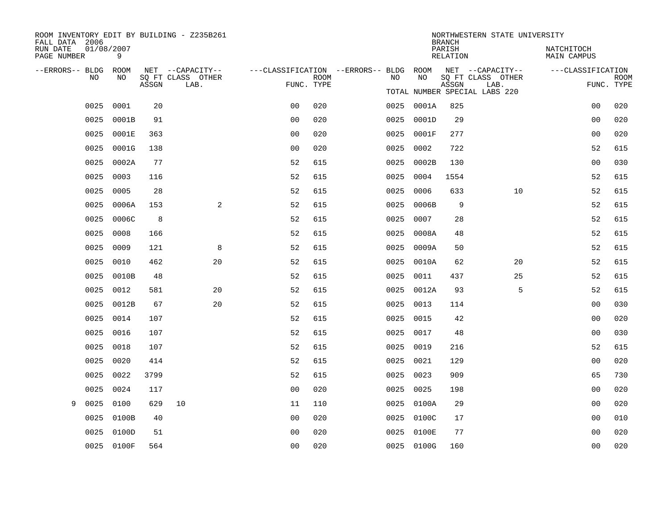| ROOM INVENTORY EDIT BY BUILDING - Z235B261<br>FALL DATA 2006 |                 |       |                                       |                |             |                                              |            | <b>BRANCH</b>             | NORTHWESTERN STATE UNIVERSITY         |                           |             |
|--------------------------------------------------------------|-----------------|-------|---------------------------------------|----------------|-------------|----------------------------------------------|------------|---------------------------|---------------------------------------|---------------------------|-------------|
| RUN DATE<br>PAGE NUMBER                                      | 01/08/2007<br>9 |       |                                       |                |             |                                              |            | PARISH<br><b>RELATION</b> |                                       | NATCHITOCH<br>MAIN CAMPUS |             |
| --ERRORS-- BLDG ROOM<br>NO.                                  | NO.             |       | NET --CAPACITY--<br>SQ FT CLASS OTHER |                | <b>ROOM</b> | ---CLASSIFICATION --ERRORS-- BLDG ROOM<br>NO | NO         |                           | NET --CAPACITY--<br>SQ FT CLASS OTHER | ---CLASSIFICATION         | <b>ROOM</b> |
|                                                              |                 | ASSGN | LAB.                                  | FUNC. TYPE     |             |                                              |            | ASSGN                     | LAB.<br>TOTAL NUMBER SPECIAL LABS 220 |                           | FUNC. TYPE  |
| 0025                                                         | 0001            | 20    |                                       | 0 <sub>0</sub> | 020         |                                              | 0025 0001A | 825                       |                                       | 0 <sub>0</sub>            | 020         |
| 0025                                                         | 0001B           | 91    |                                       | 0 <sub>0</sub> | 020         | 0025                                         | 0001D      | 29                        |                                       | 00                        | 020         |
| 0025                                                         | 0001E           | 363   |                                       | 0 <sub>0</sub> | 020         | 0025                                         | 0001F      | 277                       |                                       | 0 <sub>0</sub>            | 020         |
| 0025                                                         | 0001G           | 138   |                                       | 0 <sub>0</sub> | 020         | 0025                                         | 0002       | 722                       |                                       | 52                        | 615         |
| 0025                                                         | 0002A           | 77    |                                       | 52             | 615         | 0025                                         | 0002B      | 130                       |                                       | 0 <sub>0</sub>            | 030         |
| 0025                                                         | 0003            | 116   |                                       | 52             | 615         | 0025                                         | 0004       | 1554                      |                                       | 52                        | 615         |
| 0025                                                         | 0005            | 28    |                                       | 52             | 615         | 0025                                         | 0006       | 633                       | 10                                    | 52                        | 615         |
| 0025                                                         | 0006A           | 153   | 2                                     | 52             | 615         | 0025                                         | 0006B      | 9                         |                                       | 52                        | 615         |
| 0025                                                         | 0006C           | 8     |                                       | 52             | 615         | 0025                                         | 0007       | 28                        |                                       | 52                        | 615         |
| 0025                                                         | 0008            | 166   |                                       | 52             | 615         | 0025                                         | 0008A      | 48                        |                                       | 52                        | 615         |
| 0025                                                         | 0009            | 121   | 8                                     | 52             | 615         | 0025                                         | 0009A      | 50                        |                                       | 52                        | 615         |
| 0025                                                         | 0010            | 462   | 20                                    | 52             | 615         | 0025                                         | 0010A      | 62                        | 20                                    | 52                        | 615         |
| 0025                                                         | 0010B           | 48    |                                       | 52             | 615         | 0025                                         | 0011       | 437                       | 25                                    | 52                        | 615         |
| 0025                                                         | 0012            | 581   | 20                                    | 52             | 615         |                                              | 0025 0012A | 93                        | 5                                     | 52                        | 615         |
| 0025                                                         | 0012B           | 67    | 20                                    | 52             | 615         | 0025                                         | 0013       | 114                       |                                       | 0 <sub>0</sub>            | 030         |
| 0025                                                         | 0014            | 107   |                                       | 52             | 615         | 0025                                         | 0015       | 42                        |                                       | 0 <sub>0</sub>            | 020         |
| 0025                                                         | 0016            | 107   |                                       | 52             | 615         | 0025                                         | 0017       | 48                        |                                       | 0 <sub>0</sub>            | 030         |
| 0025                                                         | 0018            | 107   |                                       | 52             | 615         |                                              | 0025 0019  | 216                       |                                       | 52                        | 615         |
| 0025                                                         | 0020            | 414   |                                       | 52             | 615         | 0025                                         | 0021       | 129                       |                                       | 0 <sub>0</sub>            | 020         |
| 0025                                                         | 0022            | 3799  |                                       | 52             | 615         | 0025                                         | 0023       | 909                       |                                       | 65                        | 730         |
| 0025                                                         | 0024            | 117   |                                       | 00             | 020         | 0025                                         | 0025       | 198                       |                                       | 0 <sub>0</sub>            | 020         |
| 0025<br>9                                                    | 0100            | 629   | 10                                    | 11             | 110         |                                              | 0025 0100A | 29                        |                                       | 0 <sub>0</sub>            | 020         |
| 0025                                                         | 0100B           | 40    |                                       | 0 <sub>0</sub> | 020         |                                              | 0025 0100C | 17                        |                                       | 00                        | 010         |
| 0025                                                         | 0100D           | 51    |                                       | 0 <sub>0</sub> | 020         |                                              | 0025 0100E | 77                        |                                       | 00                        | 020         |
|                                                              | 0025 0100F      | 564   |                                       | 0 <sub>0</sub> | 020         |                                              | 0025 0100G | 160                       |                                       | 0 <sub>0</sub>            | 020         |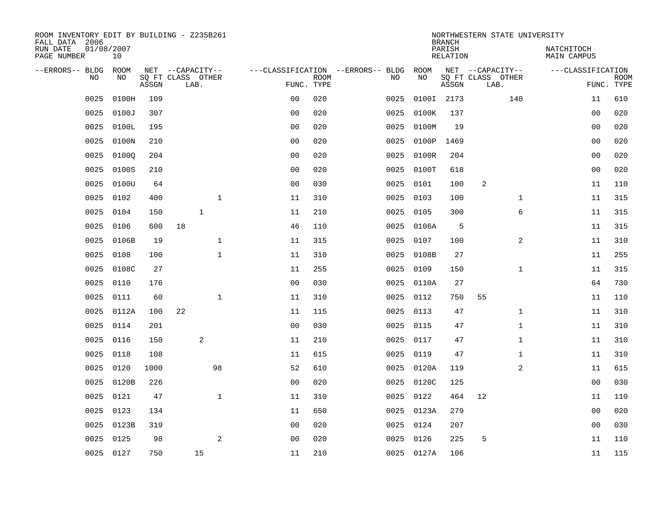| ROOM INVENTORY EDIT BY BUILDING - Z235B261<br>FALL DATA 2006 |                  |       |                           |              |                |             |                                   |      |            | <b>BRANCH</b>             |                           | NORTHWESTERN STATE UNIVERSITY |                                  |                           |
|--------------------------------------------------------------|------------------|-------|---------------------------|--------------|----------------|-------------|-----------------------------------|------|------------|---------------------------|---------------------------|-------------------------------|----------------------------------|---------------------------|
| RUN DATE<br>PAGE NUMBER                                      | 01/08/2007<br>10 |       |                           |              |                |             |                                   |      |            | PARISH<br><b>RELATION</b> |                           |                               | NATCHITOCH<br><b>MAIN CAMPUS</b> |                           |
| --ERRORS-- BLDG                                              | ROOM             |       | NET --CAPACITY--          |              |                |             | ---CLASSIFICATION --ERRORS-- BLDG |      | ROOM       |                           | NET --CAPACITY--          |                               | ---CLASSIFICATION                |                           |
| NO                                                           | NO               | ASSGN | SQ FT CLASS OTHER<br>LAB. |              | FUNC. TYPE     | <b>ROOM</b> | NO                                |      | NO         | ASSGN                     | SQ FT CLASS OTHER<br>LAB. |                               |                                  | <b>ROOM</b><br>FUNC. TYPE |
| 0025                                                         | 0100H            | 109   |                           |              | 0 <sub>0</sub> | 020         | 0025                              |      | 0100I 2173 |                           |                           | 140                           | 11                               | 610                       |
| 0025                                                         | 0100J            | 307   |                           |              | 0 <sub>0</sub> | 020         | 0025                              |      | 0100K      | 137                       |                           |                               | 00                               | 020                       |
| 0025                                                         | 0100L            | 195   |                           |              | 0 <sub>0</sub> | 020         | 0025                              |      | 0100M      | 19                        |                           |                               | 00                               | 020                       |
| 0025                                                         | 0100N            | 210   |                           |              | 0 <sub>0</sub> | 020         |                                   | 0025 | 0100P      | 1469                      |                           |                               | 0 <sub>0</sub>                   | 020                       |
| 0025                                                         | 01000            | 204   |                           |              | 0 <sub>0</sub> | 020         |                                   | 0025 | 0100R      | 204                       |                           |                               | 0 <sub>0</sub>                   | 020                       |
| 0025                                                         | 0100S            | 210   |                           |              | 0 <sub>0</sub> | 020         |                                   | 0025 | 0100T      | 618                       |                           |                               | 0 <sub>0</sub>                   | 020                       |
| 0025                                                         | 0100U            | 64    |                           |              | 0 <sub>0</sub> | 030         |                                   | 0025 | 0101       | 100                       | 2                         |                               | 11                               | 110                       |
| 0025                                                         | 0102             | 400   |                           | $\mathbf{1}$ | 11             | 310         |                                   | 0025 | 0103       | 100                       |                           | $\mathbf{1}$                  | 11                               | 315                       |
| 0025                                                         | 0104             | 150   | $\mathbf{1}$              |              | 11             | 210         | 0025                              |      | 0105       | 300                       |                           | 6                             | 11                               | 315                       |
| 0025                                                         | 0106             | 600   | 18                        |              | 46             | 110         |                                   |      | 0025 0106A | 5                         |                           |                               | 11                               | 315                       |
| 0025                                                         | 0106B            | 19    |                           | $\mathbf{1}$ | 11             | 315         |                                   | 0025 | 0107       | 100                       |                           | $\overline{2}$                | 11                               | 310                       |
| 0025                                                         | 0108             | 100   |                           | $\mathbf{1}$ | 11             | 310         |                                   | 0025 | 0108B      | 27                        |                           |                               | 11                               | 255                       |
| 0025                                                         | 0108C            | 27    |                           |              | 11             | 255         |                                   | 0025 | 0109       | 150                       |                           | $\mathbf{1}$                  | 11                               | 315                       |
| 0025                                                         | 0110             | 176   |                           |              | 0 <sub>0</sub> | 030         |                                   | 0025 | 0110A      | 27                        |                           |                               | 64                               | 730                       |
| 0025                                                         | 0111             | 60    |                           | $\mathbf 1$  | 11             | 310         |                                   | 0025 | 0112       | 750                       | 55                        |                               | 11                               | 110                       |
| 0025                                                         | 0112A            | 100   | 22                        |              | 11             | 115         |                                   | 0025 | 0113       | 47                        |                           | $\mathbf{1}$                  | 11                               | 310                       |
| 0025                                                         | 0114             | 201   |                           |              | 0 <sub>0</sub> | 030         |                                   | 0025 | 0115       | 47                        |                           | $\mathbf{1}$                  | 11                               | 310                       |
| 0025                                                         | 0116             | 150   | 2                         |              | 11             | 210         |                                   | 0025 | 0117       | 47                        |                           | $\mathbf{1}$                  | 11                               | 310                       |
| 0025                                                         | 0118             | 108   |                           |              | 11             | 615         |                                   |      | 0025 0119  | 47                        |                           | $\mathbf{1}$                  | 11                               | 310                       |
| 0025                                                         | 0120             | 1000  |                           | 98           | 52             | 610         |                                   | 0025 | 0120A      | 119                       |                           | $\overline{a}$                | 11                               | 615                       |
| 0025                                                         | 0120B            | 226   |                           |              | 0 <sub>0</sub> | 020         |                                   |      | 0025 0120C | 125                       |                           |                               | 00                               | 030                       |
| 0025                                                         | 0121             | 47    |                           | $\mathbf{1}$ | 11             | 310         | 0025                              |      | 0122       | 464                       | 12                        |                               | 11                               | 110                       |
| 0025                                                         | 0123             | 134   |                           |              | 11             | 650         |                                   |      | 0025 0123A | 279                       |                           |                               | 00                               | 020                       |
| 0025                                                         | 0123B            | 319   |                           |              | 0 <sub>0</sub> | 020         |                                   | 0025 | 0124       | 207                       |                           |                               | 0 <sub>0</sub>                   | 030                       |
| 0025                                                         | 0125             | 98    |                           | 2            | 0 <sub>0</sub> | 020         |                                   | 0025 | 0126       | 225                       | 5                         |                               | 11                               | 110                       |
|                                                              | 0025 0127        | 750   | 15                        |              | 11             | 210         |                                   |      | 0025 0127A | 106                       |                           |                               | 11                               | 115                       |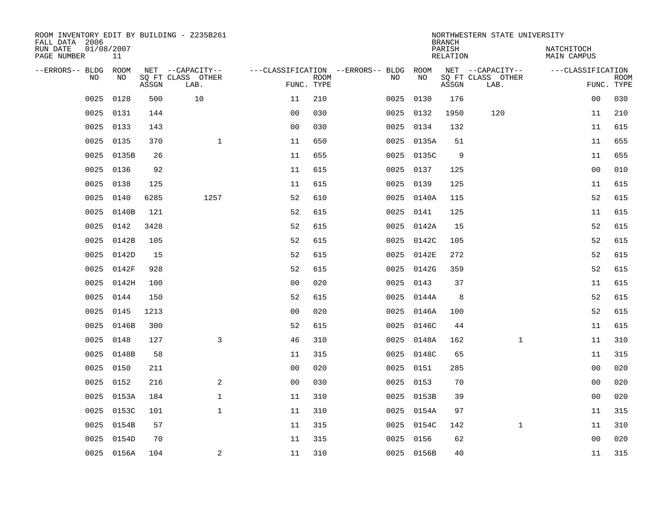| ROOM INVENTORY EDIT BY BUILDING - Z235B261<br>FALL DATA 2006 |                  |       |                                       |                                   |             |           |            | <b>BRANCH</b>             | NORTHWESTERN STATE UNIVERSITY         |                                  |             |
|--------------------------------------------------------------|------------------|-------|---------------------------------------|-----------------------------------|-------------|-----------|------------|---------------------------|---------------------------------------|----------------------------------|-------------|
| RUN DATE<br>PAGE NUMBER                                      | 01/08/2007<br>11 |       |                                       |                                   |             |           |            | PARISH<br><b>RELATION</b> |                                       | NATCHITOCH<br><b>MAIN CAMPUS</b> |             |
| --ERRORS-- BLDG<br>NO                                        | ROOM<br>NO       |       | NET --CAPACITY--<br>SQ FT CLASS OTHER | ---CLASSIFICATION --ERRORS-- BLDG | <b>ROOM</b> | NO        | ROOM<br>NO |                           | NET --CAPACITY--<br>SQ FT CLASS OTHER | ---CLASSIFICATION                | <b>ROOM</b> |
|                                                              |                  | ASSGN | LAB.                                  | FUNC. TYPE                        |             |           |            | ASSGN                     | LAB.                                  |                                  | FUNC. TYPE  |
| 0025                                                         | 0128             | 500   | 10                                    | 11                                | 210         | 0025      | 0130       | 176                       |                                       | 00                               | 030         |
| 0025                                                         | 0131             | 144   |                                       | 0 <sub>0</sub>                    | 030         | 0025 0132 |            | 1950                      | 120                                   | 11                               | 210         |
| 0025                                                         | 0133             | 143   |                                       | 0 <sub>0</sub>                    | 030         | 0025 0134 |            | 132                       |                                       | 11                               | 615         |
| 0025                                                         | 0135             | 370   | $\mathbf{1}$                          | 11                                | 650         | 0025      | 0135A      | 51                        |                                       | 11                               | 655         |
| 0025                                                         | 0135B            | 26    |                                       | 11                                | 655         | 0025      | 0135C      | 9                         |                                       | 11                               | 655         |
| 0025                                                         | 0136             | 92    |                                       | 11                                | 615         |           | 0025 0137  | 125                       |                                       | 00                               | 010         |
| 0025                                                         | 0138             | 125   |                                       | 11                                | 615         | 0025      | 0139       | 125                       |                                       | 11                               | 615         |
| 0025                                                         | 0140             | 6285  | 1257                                  | 52                                | 610         |           | 0025 0140A | 115                       |                                       | 52                               | 615         |
| 0025                                                         | 0140B            | 121   |                                       | 52                                | 615         | 0025      | 0141       | 125                       |                                       | 11                               | 615         |
| 0025                                                         | 0142             | 3428  |                                       | 52                                | 615         | 0025      | 0142A      | 15                        |                                       | 52                               | 615         |
| 0025                                                         | 0142B            | 105   |                                       | 52                                | 615         | 0025      | 0142C      | 105                       |                                       | 52                               | 615         |
| 0025                                                         | 0142D            | 15    |                                       | 52                                | 615         | 0025      | 0142E      | 272                       |                                       | 52                               | 615         |
| 0025                                                         | 0142F            | 928   |                                       | 52                                | 615         | 0025      | 0142G      | 359                       |                                       | 52                               | 615         |
| 0025                                                         | 0142H            | 100   |                                       | 0 <sub>0</sub>                    | 020         |           | 0025 0143  | 37                        |                                       | 11                               | 615         |
| 0025                                                         | 0144             | 150   |                                       | 52                                | 615         |           | 0025 0144A | 8                         |                                       | 52                               | 615         |
| 0025                                                         | 0145             | 1213  |                                       | 0 <sub>0</sub>                    | 020         |           | 0025 0146A | 100                       |                                       | 52                               | 615         |
| 0025                                                         | 0146B            | 300   |                                       | 52                                | 615         |           | 0025 0146C | 44                        |                                       | 11                               | 615         |
| 0025                                                         | 0148             | 127   | 3                                     | 46                                | 310         | 0025      | 0148A      | 162                       | $\mathbf{1}$                          | 11                               | 310         |
| 0025                                                         | 0148B            | 58    |                                       | 11                                | 315         |           | 0025 0148C | 65                        |                                       | 11                               | 315         |
| 0025                                                         | 0150             | 211   |                                       | 0 <sub>0</sub>                    | 020         | 0025      | 0151       | 285                       |                                       | 00                               | 020         |
| 0025                                                         | 0152             | 216   | 2                                     | 0 <sub>0</sub>                    | 030         | 0025      | 0153       | 70                        |                                       | 0 <sub>0</sub>                   | 020         |
| 0025                                                         | 0153A            | 184   | $\mathbf 1$                           | 11                                | 310         | 0025      | 0153B      | 39                        |                                       | 00                               | 020         |
| 0025                                                         | 0153C            | 101   | $\mathbf 1$                           | 11                                | 310         |           | 0025 0154A | 97                        |                                       | 11                               | 315         |
| 0025                                                         | 0154B            | 57    |                                       | 11                                | 315         | 0025      | 0154C      | 142                       | $\mathbf{1}$                          | 11                               | 310         |
| 0025                                                         | 0154D            | 70    |                                       | 11                                | 315         | 0025      | 0156       | 62                        |                                       | 0 <sub>0</sub>                   | 020         |
|                                                              | 0025 0156A       | 104   | 2                                     | 11                                | 310         |           | 0025 0156B | 40                        |                                       | 11                               | 315         |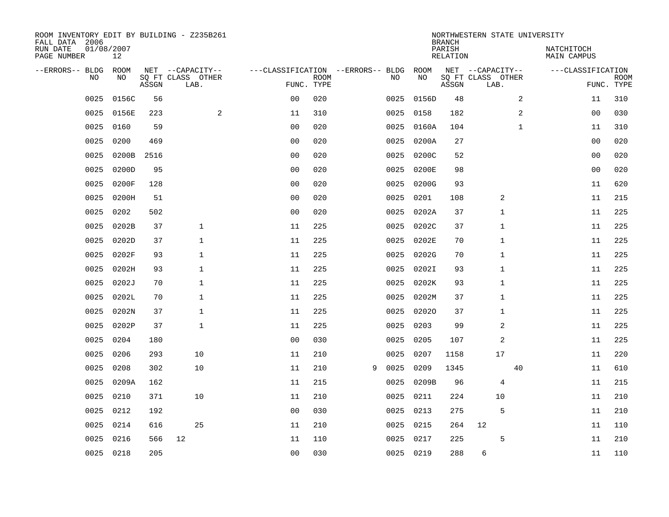| ROOM INVENTORY EDIT BY BUILDING - Z235B261<br>FALL DATA 2006 |                  |       |                           |                                   |                           |   |      |           | <b>BRANCH</b>             | NORTHWESTERN STATE UNIVERSITY |              |                           |                           |
|--------------------------------------------------------------|------------------|-------|---------------------------|-----------------------------------|---------------------------|---|------|-----------|---------------------------|-------------------------------|--------------|---------------------------|---------------------------|
| RUN DATE<br>PAGE NUMBER                                      | 01/08/2007<br>12 |       |                           |                                   |                           |   |      |           | PARISH<br><b>RELATION</b> |                               |              | NATCHITOCH<br>MAIN CAMPUS |                           |
| --ERRORS-- BLDG                                              | ROOM             |       | NET --CAPACITY--          | ---CLASSIFICATION --ERRORS-- BLDG |                           |   |      | ROOM      |                           | NET --CAPACITY--              |              | ---CLASSIFICATION         |                           |
| NO                                                           | NO.              | ASSGN | SQ FT CLASS OTHER<br>LAB. |                                   | <b>ROOM</b><br>FUNC. TYPE |   | NO   | NO        | ASSGN                     | SQ FT CLASS OTHER<br>LAB.     |              |                           | <b>ROOM</b><br>FUNC. TYPE |
| 0025                                                         | 0156C            | 56    |                           | 0 <sub>0</sub>                    | 020                       |   | 0025 | 0156D     | 48                        |                               | 2            | 11                        | 310                       |
| 0025                                                         | 0156E            | 223   | 2                         | 11                                | 310                       |   | 0025 | 0158      | 182                       |                               | 2            | 00                        | 030                       |
| 0025                                                         | 0160             | 59    |                           | 0 <sub>0</sub>                    | 020                       |   | 0025 | 0160A     | 104                       |                               | $\mathbf{1}$ | 11                        | 310                       |
| 0025                                                         | 0200             | 469   |                           | 0 <sub>0</sub>                    | 020                       |   | 0025 | 0200A     | 27                        |                               |              | 0 <sub>0</sub>            | 020                       |
| 0025                                                         | 0200B            | 2516  |                           | 0 <sub>0</sub>                    | 020                       |   | 0025 | 0200C     | 52                        |                               |              | 0 <sub>0</sub>            | 020                       |
| 0025                                                         | 0200D            | 95    |                           | 0 <sub>0</sub>                    | 020                       |   | 0025 | 0200E     | 98                        |                               |              | 0 <sub>0</sub>            | 020                       |
| 0025                                                         | 0200F            | 128   |                           | 0 <sub>0</sub>                    | 020                       |   | 0025 | 0200G     | 93                        |                               |              | 11                        | 620                       |
| 0025                                                         | 0200H            | 51    |                           | 0 <sub>0</sub>                    | 020                       |   | 0025 | 0201      | 108                       | 2                             |              | 11                        | 215                       |
| 0025                                                         | 0202             | 502   |                           | 0 <sub>0</sub>                    | 020                       |   | 0025 | 0202A     | 37                        | 1                             |              | 11                        | 225                       |
| 0025                                                         | 0202B            | 37    | $\mathbf{1}$              | 11                                | 225                       |   | 0025 | 0202C     | 37                        | 1                             |              | 11                        | 225                       |
| 0025                                                         | 0202D            | 37    | $\mathbf{1}$              | 11                                | 225                       |   | 0025 | 0202E     | 70                        | $\mathbf{1}$                  |              | 11                        | 225                       |
| 0025                                                         | 0202F            | 93    | $\mathbf{1}$              | 11                                | 225                       |   | 0025 | 0202G     | 70                        | $\mathbf{1}$                  |              | 11                        | 225                       |
| 0025                                                         | 0202H            | 93    | $\mathbf{1}$              | 11                                | 225                       |   | 0025 | 0202I     | 93                        | 1                             |              | 11                        | 225                       |
| 0025                                                         | 0202J            | 70    | $\mathbf{1}$              | 11                                | 225                       |   | 0025 | 0202K     | 93                        | 1                             |              | 11                        | 225                       |
| 0025                                                         | 0202L            | 70    | $\mathbf{1}$              | 11                                | 225                       |   | 0025 | 0202M     | 37                        | 1                             |              | 11                        | 225                       |
| 0025                                                         | 0202N            | 37    | $\mathbf{1}$              | 11                                | 225                       |   | 0025 | 02020     | 37                        | 1                             |              | 11                        | 225                       |
| 0025                                                         | 0202P            | 37    | $\mathbf{1}$              | 11                                | 225                       |   | 0025 | 0203      | 99                        | 2                             |              | 11                        | 225                       |
| 0025                                                         | 0204             | 180   |                           | 0 <sub>0</sub>                    | 030                       |   | 0025 | 0205      | 107                       | 2                             |              | 11                        | 225                       |
| 0025                                                         | 0206             | 293   | 10                        | 11                                | 210                       |   | 0025 | 0207      | 1158                      | 17                            |              | 11                        | 220                       |
| 0025                                                         | 0208             | 302   | 10                        | 11                                | 210                       | 9 | 0025 | 0209      | 1345                      |                               | 40           | 11                        | 610                       |
| 0025                                                         | 0209A            | 162   |                           | 11                                | 215                       |   | 0025 | 0209B     | 96                        | 4                             |              | 11                        | 215                       |
| 0025                                                         | 0210             | 371   | 10                        | 11                                | 210                       |   | 0025 | 0211      | 224                       | 10                            |              | 11                        | 210                       |
| 0025                                                         | 0212             | 192   |                           | 0 <sub>0</sub>                    | 030                       |   | 0025 | 0213      | 275                       | 5                             |              | 11                        | 210                       |
| 0025                                                         | 0214             | 616   | 25                        | 11                                | 210                       |   | 0025 | 0215      | 264                       | 12                            |              | 11                        | 110                       |
| 0025                                                         | 0216             | 566   | 12                        | 11                                | 110                       |   | 0025 | 0217      | 225                       | 5                             |              | 11                        | 210                       |
|                                                              | 0025 0218        | 205   |                           | 0 <sub>0</sub>                    | 030                       |   |      | 0025 0219 | 288                       | 6                             |              | 11                        | 110                       |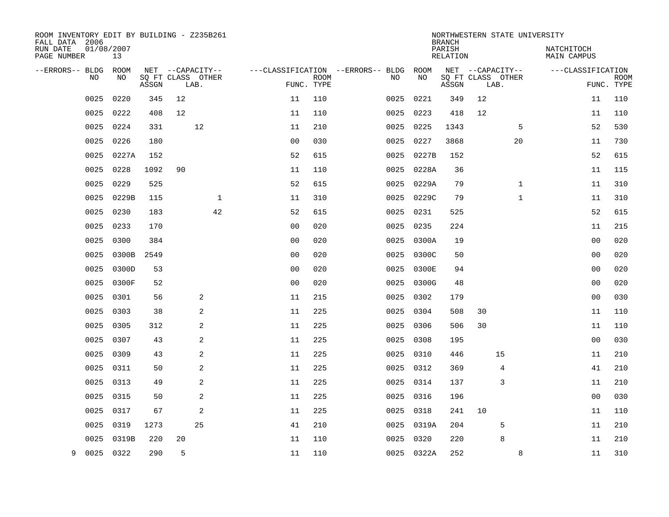| ROOM INVENTORY EDIT BY BUILDING - Z235B261<br>FALL DATA 2006 |                  |       |                           |              |                |                           |                                   |            | <b>BRANCH</b>             | NORTHWESTERN STATE UNIVERSITY |              |                                  |                           |
|--------------------------------------------------------------|------------------|-------|---------------------------|--------------|----------------|---------------------------|-----------------------------------|------------|---------------------------|-------------------------------|--------------|----------------------------------|---------------------------|
| RUN DATE<br>PAGE NUMBER                                      | 01/08/2007<br>13 |       |                           |              |                |                           |                                   |            | PARISH<br><b>RELATION</b> |                               |              | NATCHITOCH<br><b>MAIN CAMPUS</b> |                           |
| --ERRORS-- BLDG                                              | ROOM             |       | NET --CAPACITY--          |              |                |                           | ---CLASSIFICATION --ERRORS-- BLDG | ROOM       |                           | NET --CAPACITY--              |              | ---CLASSIFICATION                |                           |
| NO.                                                          | NO               | ASSGN | SQ FT CLASS OTHER<br>LAB. |              |                | <b>ROOM</b><br>FUNC. TYPE | NO                                | NO         | ASSGN                     | SQ FT CLASS OTHER<br>LAB.     |              |                                  | <b>ROOM</b><br>FUNC. TYPE |
| 0025                                                         | 0220             | 345   | 12                        |              | 11             | 110                       | 0025                              | 0221       | 349                       | 12                            |              | 11                               | 110                       |
| 0025                                                         | 0222             | 408   | 12                        |              | 11             | 110                       | 0025                              | 0223       | 418                       | 12                            |              | 11                               | 110                       |
| 0025                                                         | 0224             | 331   | 12                        |              | 11             | 210                       | 0025                              | 0225       | 1343                      |                               | 5            | 52                               | 530                       |
| 0025                                                         | 0226             | 180   |                           |              | 0 <sub>0</sub> | 030                       | 0025                              | 0227       | 3868                      |                               | 20           | 11                               | 730                       |
| 0025                                                         | 0227A            | 152   |                           |              | 52             | 615                       | 0025                              | 0227B      | 152                       |                               |              | 52                               | 615                       |
| 0025                                                         | 0228             | 1092  | 90                        |              | 11             | 110                       |                                   | 0025 0228A | 36                        |                               |              | 11                               | 115                       |
| 0025                                                         | 0229             | 525   |                           |              | 52             | 615                       |                                   | 0025 0229A | 79                        |                               | $\mathbf{1}$ | 11                               | 310                       |
| 0025                                                         | 0229B            | 115   |                           | $\mathbf{1}$ | 11             | 310                       | 0025                              | 0229C      | 79                        |                               | $\mathbf{1}$ | 11                               | 310                       |
| 0025                                                         | 0230             | 183   |                           | 42           | 52             | 615                       | 0025                              | 0231       | 525                       |                               |              | 52                               | 615                       |
| 0025                                                         | 0233             | 170   |                           |              | 0 <sub>0</sub> | 020                       | 0025                              | 0235       | 224                       |                               |              | 11                               | 215                       |
| 0025                                                         | 0300             | 384   |                           |              | 0 <sub>0</sub> | 020                       | 0025                              | 0300A      | 19                        |                               |              | 0 <sub>0</sub>                   | 020                       |
| 0025                                                         | 0300B            | 2549  |                           |              | 0 <sub>0</sub> | 020                       |                                   | 0025 0300C | 50                        |                               |              | 0 <sub>0</sub>                   | 020                       |
| 0025                                                         | 0300D            | 53    |                           |              | 0 <sub>0</sub> | 020                       | 0025                              | 0300E      | 94                        |                               |              | 0 <sub>0</sub>                   | 020                       |
| 0025                                                         | 0300F            | 52    |                           |              | 0 <sub>0</sub> | 020                       | 0025                              | 0300G      | 48                        |                               |              | 00                               | 020                       |
| 0025                                                         | 0301             | 56    | 2                         |              | 11             | 215                       | 0025                              | 0302       | 179                       |                               |              | 0 <sub>0</sub>                   | 030                       |
| 0025                                                         | 0303             | 38    | 2                         |              | 11             | 225                       | 0025                              | 0304       | 508                       | 30                            |              | 11                               | 110                       |
| 0025                                                         | 0305             | 312   | 2                         |              | 11             | 225                       | 0025                              | 0306       | 506                       | 30                            |              | 11                               | 110                       |
| 0025                                                         | 0307             | 43    | 2                         |              | 11             | 225                       | 0025                              | 0308       | 195                       |                               |              | 00                               | 030                       |
| 0025                                                         | 0309             | 43    | 2                         |              | 11             | 225                       |                                   | 0025 0310  | 446                       | 15                            |              | 11                               | 210                       |
| 0025                                                         | 0311             | 50    | 2                         |              | 11             | 225                       |                                   | 0025 0312  | 369                       | 4                             |              | 41                               | 210                       |
| 0025                                                         | 0313             | 49    | 2                         |              | 11             | 225                       |                                   | 0025 0314  | 137                       | 3                             |              | 11                               | 210                       |
| 0025                                                         | 0315             | 50    | 2                         |              | 11             | 225                       | 0025                              | 0316       | 196                       |                               |              | 0 <sub>0</sub>                   | 030                       |
| 0025                                                         | 0317             | 67    | 2                         |              | 11             | 225                       |                                   | 0025 0318  | 241                       | 10                            |              | 11                               | 110                       |
| 0025                                                         | 0319             | 1273  | 25                        |              | 41             | 210                       |                                   | 0025 0319A | 204                       | 5                             |              | 11                               | 210                       |
| 0025                                                         | 0319B            | 220   | 20                        |              | 11             | 110                       |                                   | 0025 0320  | 220                       | 8                             |              | 11                               | 210                       |
| 9                                                            | 0025 0322        | 290   | 5                         |              | 11             | 110                       |                                   | 0025 0322A | 252                       |                               | 8            | 11                               | 310                       |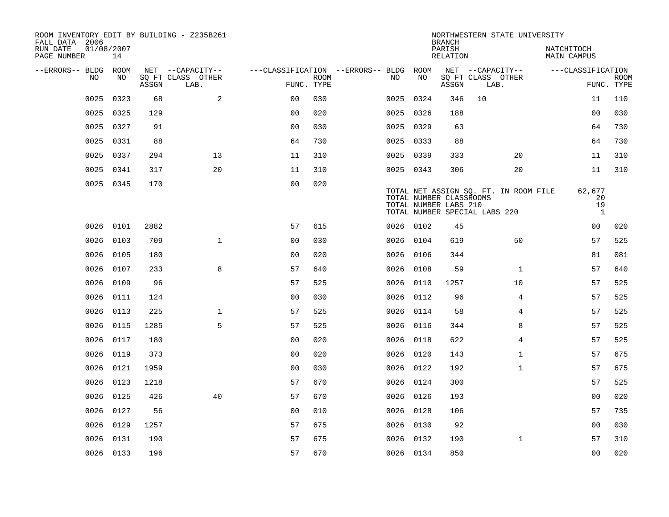| ROOM INVENTORY EDIT BY BUILDING - Z235B261<br>FALL DATA 2006 |                  |       |                           |                                   |      |           |           | <b>BRANCH</b>                                    | NORTHWESTERN STATE UNIVERSITY                                          |                                    |                           |
|--------------------------------------------------------------|------------------|-------|---------------------------|-----------------------------------|------|-----------|-----------|--------------------------------------------------|------------------------------------------------------------------------|------------------------------------|---------------------------|
| RUN DATE<br>PAGE NUMBER                                      | 01/08/2007<br>14 |       |                           |                                   |      |           |           | PARISH<br><b>RELATION</b>                        |                                                                        | NATCHITOCH<br><b>MAIN CAMPUS</b>   |                           |
| --ERRORS-- BLDG                                              | ROOM             |       | NET --CAPACITY--          | ---CLASSIFICATION --ERRORS-- BLDG |      |           | ROOM      |                                                  | NET --CAPACITY--                                                       | ---CLASSIFICATION                  |                           |
| N <sub>O</sub>                                               | NO.              | ASSGN | SO FT CLASS OTHER<br>LAB. | FUNC. TYPE                        | ROOM | NO.       | NO        | ASSGN                                            | SQ FT CLASS OTHER<br>LAB.                                              |                                    | <b>ROOM</b><br>FUNC. TYPE |
| 0025                                                         | 0323             | 68    | 2                         | 0 <sub>0</sub>                    | 030  | 0025      | 0324      | 346                                              | 10                                                                     | 11                                 | 110                       |
| 0025                                                         | 0325             | 129   |                           | 0 <sub>0</sub>                    | 020  | 0025 0326 |           | 188                                              |                                                                        | 00                                 | 030                       |
| 0025                                                         | 0327             | 91    |                           | 0 <sub>0</sub>                    | 030  | 0025 0329 |           | 63                                               |                                                                        | 64                                 | 730                       |
| 0025                                                         | 0331             | 88    |                           | 64                                | 730  |           | 0025 0333 | 88                                               |                                                                        | 64                                 | 730                       |
| 0025                                                         | 0337             | 294   | 13                        | 11                                | 310  | 0025 0339 |           | 333                                              | 20                                                                     | 11                                 | 310                       |
| 0025                                                         | 0341             | 317   | 20                        | 11                                | 310  | 0025 0343 |           | 306                                              | 20                                                                     | 11                                 | 310                       |
|                                                              | 0025 0345        | 170   |                           | 0 <sub>0</sub>                    | 020  |           |           | TOTAL NUMBER CLASSROOMS<br>TOTAL NUMBER LABS 210 | TOTAL NET ASSIGN SQ. FT. IN ROOM FILE<br>TOTAL NUMBER SPECIAL LABS 220 | 62,677<br>20<br>19<br>$\mathbf{1}$ |                           |
| 0026                                                         | 0101             | 2882  |                           | 57                                | 615  | 0026 0102 |           | 45                                               |                                                                        | 0 <sub>0</sub>                     | 020                       |
| 0026                                                         | 0103             | 709   | $\mathbf{1}$              | 0 <sub>0</sub>                    | 030  | 0026      | 0104      | 619                                              | 50                                                                     | 57                                 | 525                       |
| 0026                                                         | 0105             | 180   |                           | 0 <sub>0</sub>                    | 020  |           | 0026 0106 | 344                                              |                                                                        | 81                                 | 081                       |
| 0026                                                         | 0107             | 233   | 8                         | 57                                | 640  | 0026      | 0108      | 59                                               | $\mathbf{1}$                                                           | 57                                 | 640                       |
| 0026                                                         | 0109             | 96    |                           | 57                                | 525  | 0026      | 0110      | 1257                                             | 10                                                                     | 57                                 | 525                       |
| 0026                                                         | 0111             | 124   |                           | 0 <sub>0</sub>                    | 030  | 0026      | 0112      | 96                                               | 4                                                                      | 57                                 | 525                       |
| 0026                                                         | 0113             | 225   | $\mathbf 1$               | 57                                | 525  |           | 0026 0114 | 58                                               | 4                                                                      | 57                                 | 525                       |
| 0026                                                         | 0115             | 1285  | 5                         | 57                                | 525  | 0026      | 0116      | 344                                              | 8                                                                      | 57                                 | 525                       |
| 0026                                                         | 0117             | 180   |                           | 00                                | 020  | 0026      | 0118      | 622                                              | 4                                                                      | 57                                 | 525                       |
| 0026                                                         | 0119             | 373   |                           | 0 <sub>0</sub>                    | 020  | 0026 0120 |           | 143                                              | $\mathbf{1}$                                                           | 57                                 | 675                       |
| 0026                                                         | 0121             | 1959  |                           | 0 <sub>0</sub>                    | 030  | 0026 0122 |           | 192                                              | $\mathbf{1}$                                                           | 57                                 | 675                       |
| 0026                                                         | 0123             | 1218  |                           | 57                                | 670  | 0026 0124 |           | 300                                              |                                                                        | 57                                 | 525                       |
| 0026                                                         | 0125             | 426   | 40                        | 57                                | 670  | 0026 0126 |           | 193                                              |                                                                        | 0 <sub>0</sub>                     | 020                       |
|                                                              | 0026 0127        | 56    |                           | 0 <sub>0</sub>                    | 010  | 0026 0128 |           | 106                                              |                                                                        | 57                                 | 735                       |
| 0026                                                         | 0129             | 1257  |                           | 57                                | 675  | 0026 0130 |           | 92                                               |                                                                        | 0 <sub>0</sub>                     | 030                       |
| 0026                                                         | 0131             | 190   |                           | 57                                | 675  |           | 0026 0132 | 190                                              | $\mathbf{1}$                                                           | 57                                 | 310                       |
|                                                              | 0026 0133        | 196   |                           | 57                                | 670  | 0026 0134 |           | 850                                              |                                                                        | 0 <sub>0</sub>                     | 020                       |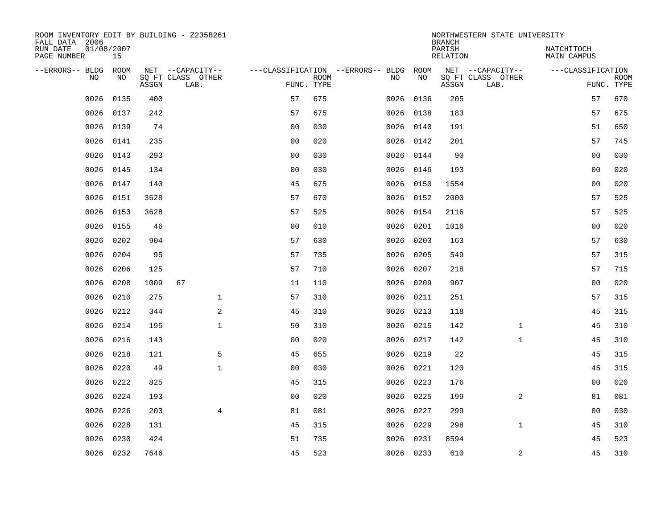| ROOM INVENTORY EDIT BY BUILDING - Z235B261<br>FALL DATA 2006 |                  |       |                           |                |                           |                                   |           | <b>BRANCH</b>      | NORTHWESTERN STATE UNIVERSITY |                                  |                           |
|--------------------------------------------------------------|------------------|-------|---------------------------|----------------|---------------------------|-----------------------------------|-----------|--------------------|-------------------------------|----------------------------------|---------------------------|
| RUN DATE<br>PAGE NUMBER                                      | 01/08/2007<br>15 |       |                           |                |                           |                                   |           | PARISH<br>RELATION |                               | NATCHITOCH<br><b>MAIN CAMPUS</b> |                           |
| --ERRORS-- BLDG                                              | ROOM             |       | NET --CAPACITY--          |                |                           | ---CLASSIFICATION --ERRORS-- BLDG | ROOM      |                    | NET --CAPACITY--              | ---CLASSIFICATION                |                           |
| NO                                                           | NO               | ASSGN | SQ FT CLASS OTHER<br>LAB. |                | <b>ROOM</b><br>FUNC. TYPE | NO                                | NO        | ASSGN              | SQ FT CLASS OTHER<br>LAB.     |                                  | <b>ROOM</b><br>FUNC. TYPE |
| 0026                                                         | 0135             | 400   |                           | 57             | 675                       | 0026                              | 0136      | 205                |                               | 57                               | 670                       |
| 0026                                                         | 0137             | 242   |                           | 57             | 675                       |                                   | 0026 0138 | 183                |                               | 57                               | 675                       |
| 0026                                                         | 0139             | 74    |                           | 0 <sub>0</sub> | 030                       | 0026                              | 0140      | 191                |                               | 51                               | 650                       |
| 0026                                                         | 0141             | 235   |                           | 0 <sub>0</sub> | 020                       |                                   | 0026 0142 | 201                |                               | 57                               | 745                       |
| 0026                                                         | 0143             | 293   |                           | 0 <sub>0</sub> | 030                       | 0026                              | 0144      | 90                 |                               | 0 <sub>0</sub>                   | 030                       |
| 0026                                                         | 0145             | 134   |                           | 0 <sub>0</sub> | 030                       |                                   | 0026 0146 | 193                |                               | 0 <sub>0</sub>                   | 020                       |
| 0026                                                         | 0147             | 140   |                           | 45             | 675                       |                                   | 0026 0150 | 1554               |                               | 0 <sub>0</sub>                   | 020                       |
| 0026                                                         | 0151             | 3628  |                           | 57             | 670                       |                                   | 0026 0152 | 2000               |                               | 57                               | 525                       |
| 0026                                                         | 0153             | 3628  |                           | 57             | 525                       | 0026                              | 0154      | 2116               |                               | 57                               | 525                       |
| 0026                                                         | 0155             | 46    |                           | 0 <sub>0</sub> | 010                       | 0026                              | 0201      | 1016               |                               | 0 <sub>0</sub>                   | 020                       |
| 0026                                                         | 0202             | 904   |                           | 57             | 630                       | 0026                              | 0203      | 163                |                               | 57                               | 630                       |
| 0026                                                         | 0204             | 95    |                           | 57             | 735                       | 0026                              | 0205      | 549                |                               | 57                               | 315                       |
| 0026                                                         | 0206             | 125   |                           | 57             | 710                       | 0026                              | 0207      | 218                |                               | 57                               | 715                       |
| 0026                                                         | 0208             | 1009  | 67                        | 11             | 110                       | 0026                              | 0209      | 907                |                               | 0 <sub>0</sub>                   | 020                       |
| 0026                                                         | 0210             | 275   | $\mathbf 1$               | 57             | 310                       | 0026                              | 0211      | 251                |                               | 57                               | 315                       |
| 0026                                                         | 0212             | 344   | 2                         | 45             | 310                       | 0026                              | 0213      | 118                |                               | 45                               | 315                       |
| 0026                                                         | 0214             | 195   | $\mathbf{1}$              | 50             | 310                       | 0026                              | 0215      | 142                | $\mathbf{1}$                  | 45                               | 310                       |
| 0026                                                         | 0216             | 143   |                           | 0 <sub>0</sub> | 020                       | 0026                              | 0217      | 142                | $\mathbf{1}$                  | 45                               | 310                       |
| 0026                                                         | 0218             | 121   | 5                         | 45             | 655                       |                                   | 0026 0219 | 22                 |                               | 45                               | 315                       |
| 0026                                                         | 0220             | 49    | $\mathbf{1}$              | 0 <sub>0</sub> | 030                       | 0026                              | 0221      | 120                |                               | 45                               | 315                       |
| 0026                                                         | 0222             | 825   |                           | 45             | 315                       |                                   | 0026 0223 | 176                |                               | 0 <sub>0</sub>                   | 020                       |
| 0026                                                         | 0224             | 193   |                           | 0 <sub>0</sub> | 020                       | 0026                              | 0225      | 199                | $\overline{2}$                | 81                               | 081                       |
| 0026                                                         | 0226             | 203   | $\overline{4}$            | 81             | 081                       | 0026                              | 0227      | 299                |                               | 0 <sub>0</sub>                   | 030                       |
| 0026                                                         | 0228             | 131   |                           | 45             | 315                       | 0026                              | 0229      | 298                | $\mathbf{1}$                  | 45                               | 310                       |
| 0026                                                         | 0230             | 424   |                           | 51             | 735                       | 0026                              | 0231      | 8594               |                               | 45                               | 523                       |
|                                                              | 0026 0232        | 7646  |                           | 45             | 523                       |                                   | 0026 0233 | 610                | 2                             | 45                               | 310                       |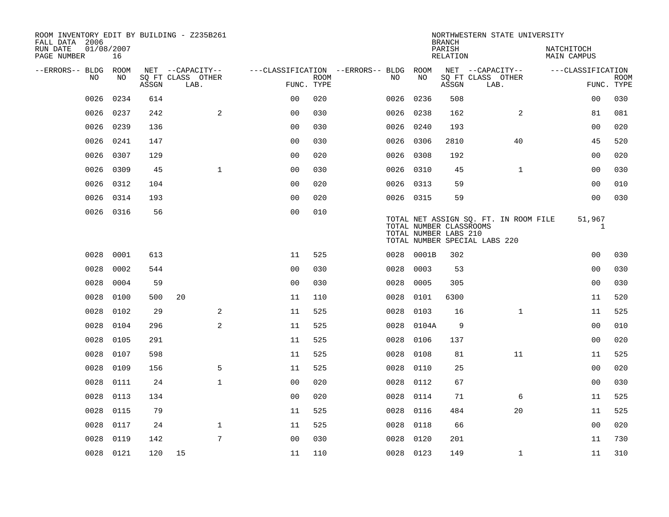| ROOM INVENTORY EDIT BY BUILDING - Z235B261<br>FALL DATA 2006 |                  |       |                           |                                   |      |           |                                                  | <b>BRANCH</b>      | NORTHWESTERN STATE UNIVERSITY                                          |                           |                           |
|--------------------------------------------------------------|------------------|-------|---------------------------|-----------------------------------|------|-----------|--------------------------------------------------|--------------------|------------------------------------------------------------------------|---------------------------|---------------------------|
| RUN DATE<br>PAGE NUMBER                                      | 01/08/2007<br>16 |       |                           |                                   |      |           |                                                  | PARISH<br>RELATION |                                                                        | NATCHITOCH<br>MAIN CAMPUS |                           |
| --ERRORS-- BLDG ROOM                                         |                  |       | NET --CAPACITY--          | ---CLASSIFICATION --ERRORS-- BLDG |      |           | ROOM                                             |                    | NET --CAPACITY--                                                       | ---CLASSIFICATION         |                           |
| NO.                                                          | NO.              | ASSGN | SO FT CLASS OTHER<br>LAB. | FUNC. TYPE                        | ROOM | NO.       | NO                                               | ASSGN              | SQ FT CLASS OTHER<br>LAB.                                              |                           | <b>ROOM</b><br>FUNC. TYPE |
| 0026                                                         | 0234             | 614   |                           | 0 <sub>0</sub>                    | 020  | 0026      | 0236                                             | 508                |                                                                        | 00                        | 030                       |
| 0026                                                         | 0237             | 242   | 2                         | 00                                | 030  | 0026      | 0238                                             | 162                | 2                                                                      | 81                        | 081                       |
| 0026                                                         | 0239             | 136   |                           | 0 <sub>0</sub>                    | 030  | 0026      | 0240                                             | 193                |                                                                        | 0 <sub>0</sub>            | 020                       |
| 0026                                                         | 0241             | 147   |                           | 0 <sub>0</sub>                    | 030  | 0026      | 0306                                             | 2810               | 40                                                                     | 45                        | 520                       |
| 0026                                                         | 0307             | 129   |                           | 00                                | 020  | 0026      | 0308                                             | 192                |                                                                        | 0 <sub>0</sub>            | 020                       |
| 0026                                                         | 0309             | 45    | $\mathbf{1}$              | 0 <sub>0</sub>                    | 030  | 0026 0310 |                                                  | 45                 | $\mathbf{1}$                                                           | 00                        | 030                       |
| 0026                                                         | 0312             | 104   |                           | 0 <sub>0</sub>                    | 020  | 0026 0313 |                                                  | 59                 |                                                                        | 0 <sub>0</sub>            | 010                       |
| 0026                                                         | 0314             | 193   |                           | 0 <sub>0</sub>                    | 020  | 0026 0315 |                                                  | 59                 |                                                                        | 0 <sub>0</sub>            | 030                       |
| 0026                                                         | 0316             | 56    |                           | 0 <sub>0</sub>                    | 010  |           | TOTAL NUMBER CLASSROOMS<br>TOTAL NUMBER LABS 210 |                    | TOTAL NET ASSIGN SQ. FT. IN ROOM FILE<br>TOTAL NUMBER SPECIAL LABS 220 | 51,967<br>1               |                           |
| 0028                                                         | 0001             | 613   |                           | 11                                | 525  |           | 0028 0001B                                       | 302                |                                                                        | 00                        | 030                       |
| 0028                                                         | 0002             | 544   |                           | 0 <sub>0</sub>                    | 030  | 0028      | 0003                                             | 53                 |                                                                        | 0 <sub>0</sub>            | 030                       |
| 0028                                                         | 0004             | 59    |                           | 0 <sub>0</sub>                    | 030  | 0028      | 0005                                             | 305                |                                                                        | 00                        | 030                       |
| 0028                                                         | 0100             | 500   | 20                        | 11                                | 110  | 0028      | 0101                                             | 6300               |                                                                        | 11                        | 520                       |
| 0028                                                         | 0102             | 29    | 2                         | 11                                | 525  | 0028      | 0103                                             | 16                 | $\mathbf{1}$                                                           | 11                        | 525                       |
| 0028                                                         | 0104             | 296   | 2                         | 11                                | 525  | 0028      | 0104A                                            | 9                  |                                                                        | 0 <sub>0</sub>            | 010                       |
| 0028                                                         | 0105             | 291   |                           | 11                                | 525  | 0028      | 0106                                             | 137                |                                                                        | 0 <sub>0</sub>            | 020                       |
| 0028                                                         | 0107             | 598   |                           | 11                                | 525  | 0028      | 0108                                             | 81                 | 11                                                                     | 11                        | 525                       |
| 0028                                                         | 0109             | 156   | 5                         | 11                                | 525  | 0028      | 0110                                             | 25                 |                                                                        | 0 <sub>0</sub>            | 020                       |
| 0028                                                         | 0111             | 24    | $\mathbf{1}$              | 0 <sub>0</sub>                    | 020  | 0028      | 0112                                             | 67                 |                                                                        | 00                        | 030                       |
| 0028                                                         | 0113             | 134   |                           | 0 <sub>0</sub>                    | 020  | 0028      | 0114                                             | 71                 | 6                                                                      | 11                        | 525                       |
| 0028                                                         | 0115             | 79    |                           | 11                                | 525  | 0028      | 0116                                             | 484                | 20                                                                     | 11                        | 525                       |
| 0028                                                         | 0117             | 24    | $\mathbf{1}$              | 11                                | 525  | 0028      | 0118                                             | 66                 |                                                                        | 0 <sub>0</sub>            | 020                       |
| 0028                                                         | 0119             | 142   | 7                         | 0 <sub>0</sub>                    | 030  | 0028      | 0120                                             | 201                |                                                                        | 11                        | 730                       |
|                                                              | 0028 0121        | 120   | 15                        | 11                                | 110  |           | 0028 0123                                        | 149                | $\mathbf{1}$                                                           | 11                        | 310                       |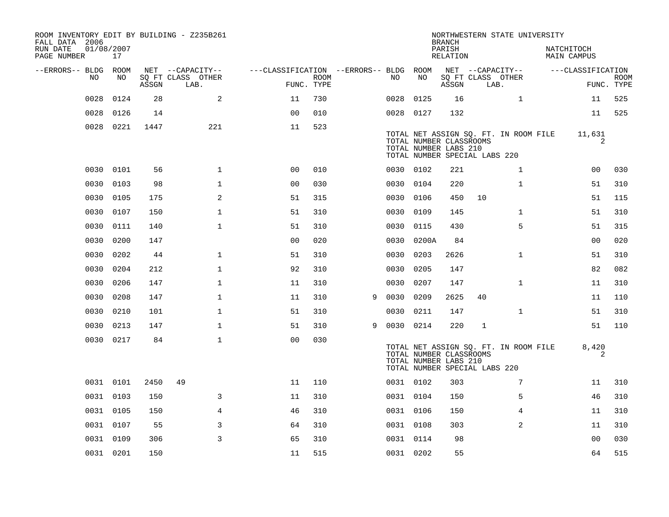| ROOM INVENTORY EDIT BY BUILDING - Z235B261<br>FALL DATA 2006 |                  |       |                                       |                                        |             |   |           |           | <b>BRANCH</b>                                                                     |             | NORTHWESTERN STATE UNIVERSITY         |                                  |             |
|--------------------------------------------------------------|------------------|-------|---------------------------------------|----------------------------------------|-------------|---|-----------|-----------|-----------------------------------------------------------------------------------|-------------|---------------------------------------|----------------------------------|-------------|
| RUN DATE<br>PAGE NUMBER                                      | 01/08/2007<br>17 |       |                                       |                                        |             |   |           |           | PARISH<br>RELATION                                                                |             |                                       | NATCHITOCH<br><b>MAIN CAMPUS</b> |             |
| --ERRORS-- BLDG ROOM<br>NO.                                  | NO               |       | NET --CAPACITY--<br>SQ FT CLASS OTHER | ---CLASSIFICATION --ERRORS-- BLDG ROOM | <b>ROOM</b> |   | NO.       | NO        |                                                                                   |             | NET --CAPACITY--<br>SQ FT CLASS OTHER | ---CLASSIFICATION                | <b>ROOM</b> |
|                                                              |                  | ASSGN | LAB.                                  | FUNC. TYPE                             |             |   |           |           | ASSGN                                                                             |             | LAB.                                  |                                  | FUNC. TYPE  |
| 0028                                                         | 0124             | 28    | 2                                     | 11                                     | 730         |   | 0028      | 0125      | 16                                                                                |             | $\mathbf{1}$                          | 11                               | 525         |
| 0028                                                         | 0126             | 14    |                                       | 0 <sub>0</sub>                         | 010         |   | 0028 0127 |           | 132                                                                               |             |                                       | 11                               | 525         |
|                                                              | 0028 0221        | 1447  | 221                                   | 11                                     | 523         |   |           |           | TOTAL NUMBER CLASSROOMS<br>TOTAL NUMBER LABS 210<br>TOTAL NUMBER SPECIAL LABS 220 |             | TOTAL NET ASSIGN SQ. FT. IN ROOM FILE | 11,631<br>2                      |             |
| 0030                                                         | 0101             | 56    | $\mathbf 1$                           | 00                                     | 010         |   | 0030 0102 |           | 221                                                                               |             | $\mathbf{1}$                          | 00                               | 030         |
| 0030                                                         | 0103             | 98    | $\mathbf{1}$                          | 0 <sub>0</sub>                         | 030         |   | 0030      | 0104      | 220                                                                               |             | $\mathbf{1}$                          | 51                               | 310         |
| 0030                                                         | 0105             | 175   | 2                                     | 51                                     | 315         |   | 0030 0106 |           | 450                                                                               | 10          |                                       | 51                               | 115         |
| 0030                                                         | 0107             | 150   | $\mathbf 1$                           | 51                                     | 310         |   | 0030      | 0109      | 145                                                                               |             | $\mathbf{1}$                          | 51                               | 310         |
| 0030                                                         | 0111             | 140   | $\mathbf{1}$                          | 51                                     | 310         |   | 0030      | 0115      | 430                                                                               |             | 5                                     | 51                               | 315         |
| 0030                                                         | 0200             | 147   |                                       | 0 <sub>0</sub>                         | 020         |   | 0030      | 0200A     | 84                                                                                |             |                                       | 00                               | 020         |
| 0030                                                         | 0202             | 44    | $\mathbf{1}$                          | 51                                     | 310         |   | 0030      | 0203      | 2626                                                                              |             | $\mathbf{1}$                          | 51                               | 310         |
| 0030                                                         | 0204             | 212   | $\mathbf{1}$                          | 92                                     | 310         |   | 0030      | 0205      | 147                                                                               |             |                                       | 82                               | 082         |
| 0030                                                         | 0206             | 147   | $\mathbf{1}$                          | 11                                     | 310         |   | 0030      | 0207      | 147                                                                               |             | $\mathbf{1}$                          | 11                               | 310         |
| 0030                                                         | 0208             | 147   | $\mathbf{1}$                          | 11                                     | 310         | 9 | 0030      | 0209      | 2625                                                                              | 40          |                                       | 11                               | 110         |
| 0030                                                         | 0210             | 101   | $\mathbf{1}$                          | 51                                     | 310         |   | 0030      | 0211      | 147                                                                               |             | $\mathbf{1}$                          | 51                               | 310         |
| 0030                                                         | 0213             | 147   | $\mathbf 1$                           | 51                                     | 310         | 9 | 0030 0214 |           | 220                                                                               | $\mathbf 1$ |                                       | 51                               | 110         |
| 0030                                                         | 0217             | 84    | $\mathbf{1}$                          | 0 <sub>0</sub>                         | 030         |   |           |           | TOTAL NUMBER CLASSROOMS<br>TOTAL NUMBER LABS 210<br>TOTAL NUMBER SPECIAL LABS 220 |             | TOTAL NET ASSIGN SQ. FT. IN ROOM FILE | 8,420<br>2                       |             |
|                                                              | 0031 0101        | 2450  | 49                                    | 11                                     | 110         |   |           | 0031 0102 | 303                                                                               |             | 7                                     | 11                               | 310         |
|                                                              | 0031 0103        | 150   | 3                                     | 11                                     | 310         |   |           | 0031 0104 | 150                                                                               |             | 5                                     | 46                               | 310         |
|                                                              | 0031 0105        | 150   | 4                                     | 46                                     | 310         |   | 0031 0106 |           | 150                                                                               |             | 4                                     | 11                               | 310         |
|                                                              | 0031 0107        | 55    | 3                                     | 64                                     | 310         |   | 0031 0108 |           | 303                                                                               |             | 2                                     | 11                               | 310         |
|                                                              | 0031 0109        | 306   | 3                                     | 65                                     | 310         |   | 0031 0114 |           | 98                                                                                |             |                                       | 00                               | 030         |
|                                                              | 0031 0201        | 150   |                                       | 11                                     | 515         |   | 0031 0202 |           | 55                                                                                |             |                                       | 64                               | 515         |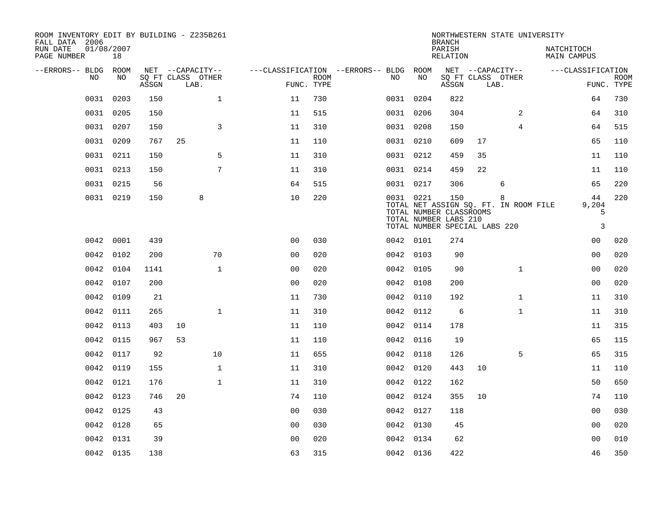| ROOM INVENTORY EDIT BY BUILDING - Z235B261<br>FALL DATA 2006 |                  |       |                           |              |                                        |      |           |      | <b>BRANCH</b>                                                                            |    | NORTHWESTERN STATE UNIVERSITY              |                                  |                           |
|--------------------------------------------------------------|------------------|-------|---------------------------|--------------|----------------------------------------|------|-----------|------|------------------------------------------------------------------------------------------|----|--------------------------------------------|----------------------------------|---------------------------|
| RUN DATE<br>PAGE NUMBER                                      | 01/08/2007<br>18 |       |                           |              |                                        |      |           |      | PARISH<br>RELATION                                                                       |    |                                            | NATCHITOCH<br><b>MAIN CAMPUS</b> |                           |
| --ERRORS-- BLDG ROOM                                         |                  |       | NET --CAPACITY--          |              | ---CLASSIFICATION --ERRORS-- BLDG ROOM |      |           |      |                                                                                          |    | NET --CAPACITY--                           | ---CLASSIFICATION                |                           |
| NO.                                                          | NO.              | ASSGN | SO FT CLASS OTHER<br>LAB. |              | FUNC. TYPE                             | ROOM | NO.       | NO   | ASSGN                                                                                    |    | SQ FT CLASS OTHER<br>LAB.                  |                                  | <b>ROOM</b><br>FUNC. TYPE |
| 0031                                                         | 0203             | 150   |                           | $\mathbf{1}$ | 11                                     | 730  | 0031 0204 |      | 822                                                                                      |    |                                            | 64                               | 730                       |
| 0031                                                         | 0205             | 150   |                           |              | 11                                     | 515  | 0031 0206 |      | 304                                                                                      |    | $\overline{2}$                             | 64                               | 310                       |
|                                                              | 0031 0207        | 150   |                           | 3            | 11                                     | 310  | 0031 0208 |      | 150                                                                                      |    | $\overline{4}$                             | 64                               | 515                       |
| 0031                                                         | 0209             | 767   | 25                        |              | 11                                     | 110  | 0031 0210 |      | 609                                                                                      | 17 |                                            | 65                               | 110                       |
| 0031                                                         | 0211             | 150   |                           | 5            | 11                                     | 310  | 0031 0212 |      | 459                                                                                      | 35 |                                            | 11                               | 110                       |
| 0031                                                         | 0213             | 150   |                           | 7            | 11                                     | 310  | 0031 0214 |      | 459                                                                                      | 22 |                                            | 11                               | 110                       |
|                                                              | 0031 0215        | 56    |                           |              | 64                                     | 515  | 0031 0217 |      | 306                                                                                      |    | 6                                          | 65                               | 220                       |
|                                                              | 0031 0219        | 150   | 8                         |              | 10                                     | 220  | 0031 0221 |      | 150<br>TOTAL NUMBER CLASSROOMS<br>TOTAL NUMBER LABS 210<br>TOTAL NUMBER SPECIAL LABS 220 |    | 8<br>TOTAL NET ASSIGN SQ. FT. IN ROOM FILE | 44<br>9,204<br>5<br>3            | 220                       |
| 0042                                                         | 0001             | 439   |                           |              | 0 <sub>0</sub>                         | 030  | 0042 0101 |      | 274                                                                                      |    |                                            | 00                               | 020                       |
|                                                              | 0042 0102        | 200   |                           | 70           | 0 <sub>0</sub>                         | 020  | 0042 0103 |      | 90                                                                                       |    |                                            | 0 <sub>0</sub>                   | 020                       |
| 0042                                                         | 0104             | 1141  |                           | $\mathbf{1}$ | 0 <sub>0</sub>                         | 020  | 0042 0105 |      | 90                                                                                       |    | $\mathbf{1}$                               | 0 <sub>0</sub>                   | 020                       |
| 0042                                                         | 0107             | 200   |                           |              | 0 <sub>0</sub>                         | 020  | 0042 0108 |      | 200                                                                                      |    |                                            | 0 <sub>0</sub>                   | 020                       |
| 0042                                                         | 0109             | 21    |                           |              | 11                                     | 730  | 0042      | 0110 | 192                                                                                      |    | $\mathbf{1}$                               | 11                               | 310                       |
| 0042                                                         | 0111             | 265   |                           | $\mathbf 1$  | 11                                     | 310  | 0042 0112 |      | 6                                                                                        |    | $\mathbf{1}$                               | 11                               | 310                       |
| 0042                                                         | 0113             | 403   | 10                        |              | 11                                     | 110  | 0042 0114 |      | 178                                                                                      |    |                                            | 11                               | 315                       |
| 0042                                                         | 0115             | 967   | 53                        |              | 11                                     | 110  | 0042 0116 |      | 19                                                                                       |    |                                            | 65                               | 115                       |
|                                                              | 0042 0117        | 92    |                           | 10           | 11                                     | 655  | 0042 0118 |      | 126                                                                                      |    | 5                                          | 65                               | 315                       |
|                                                              | 0042 0119        | 155   |                           | $\mathbf{1}$ | 11                                     | 310  | 0042 0120 |      | 443                                                                                      | 10 |                                            | 11                               | 110                       |
|                                                              | 0042 0121        | 176   |                           | $\mathbf 1$  | 11                                     | 310  | 0042 0122 |      | 162                                                                                      |    |                                            | 50                               | 650                       |
| 0042                                                         | 0123             | 746   | 20                        |              | 74                                     | 110  | 0042 0124 |      | 355                                                                                      | 10 |                                            | 74                               | 110                       |
|                                                              | 0042 0125        | 43    |                           |              | 0 <sub>0</sub>                         | 030  | 0042 0127 |      | 118                                                                                      |    |                                            | 00                               | 030                       |
| 0042                                                         | 0128             | 65    |                           |              | 0 <sub>0</sub>                         | 030  | 0042 0130 |      | 45                                                                                       |    |                                            | 0 <sub>0</sub>                   | 020                       |
| 0042                                                         | 0131             | 39    |                           |              | 0 <sub>0</sub>                         | 020  | 0042 0134 |      | 62                                                                                       |    |                                            | 0 <sub>0</sub>                   | 010                       |
|                                                              | 0042 0135        | 138   |                           |              | 63                                     | 315  | 0042 0136 |      | 422                                                                                      |    |                                            | 46                               | 350                       |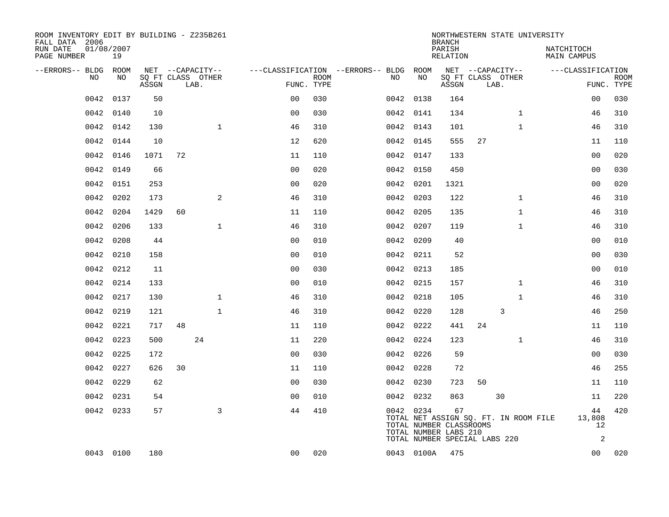| ROOM INVENTORY EDIT BY BUILDING - Z235B261<br>FALL DATA 2006 |                  |       |    |                           |                |                           |                                        |           |            | <b>BRANCH</b>                                                          |                   |      |              | NORTHWESTERN STATE UNIVERSITY    |                    |                           |
|--------------------------------------------------------------|------------------|-------|----|---------------------------|----------------|---------------------------|----------------------------------------|-----------|------------|------------------------------------------------------------------------|-------------------|------|--------------|----------------------------------|--------------------|---------------------------|
| RUN DATE<br>PAGE NUMBER                                      | 01/08/2007<br>19 |       |    |                           |                |                           |                                        |           |            | PARISH<br><b>RELATION</b>                                              |                   |      |              | NATCHITOCH<br><b>MAIN CAMPUS</b> |                    |                           |
| --ERRORS-- BLDG ROOM                                         |                  |       |    | NET --CAPACITY--          |                |                           | ---CLASSIFICATION --ERRORS-- BLDG ROOM |           |            |                                                                        | NET --CAPACITY--  |      |              |                                  | ---CLASSIFICATION  |                           |
| NO.                                                          | NO               | ASSGN |    | SQ FT CLASS OTHER<br>LAB. |                | <b>ROOM</b><br>FUNC. TYPE |                                        | NO        | NO         | ASSGN                                                                  | SQ FT CLASS OTHER | LAB. |              |                                  |                    | <b>ROOM</b><br>FUNC. TYPE |
| 0042                                                         | 0137             | 50    |    |                           | 0 <sub>0</sub> | 030                       |                                        |           | 0042 0138  | 164                                                                    |                   |      |              |                                  | 00                 | 030                       |
| 0042                                                         | 0140             | 10    |    |                           | 0 <sub>0</sub> | 030                       |                                        |           | 0042 0141  | 134                                                                    |                   |      | $\mathbf{1}$ |                                  | 46                 | 310                       |
| 0042                                                         | 0142             | 130   |    | $\mathbf{1}$              | 46             | 310                       |                                        | 0042 0143 |            | 101                                                                    |                   |      | $\mathbf{1}$ |                                  | 46                 | 310                       |
| 0042                                                         | 0144             | 10    |    |                           | 12             | 620                       |                                        |           | 0042 0145  | 555                                                                    | 27                |      |              |                                  | 11                 | 110                       |
| 0042                                                         | 0146             | 1071  | 72 |                           | 11             | 110                       |                                        | 0042 0147 |            | 133                                                                    |                   |      |              |                                  | 0 <sub>0</sub>     | 020                       |
| 0042                                                         | 0149             | 66    |    |                           | 0 <sub>0</sub> | 020                       |                                        |           | 0042 0150  | 450                                                                    |                   |      |              |                                  | 0 <sub>0</sub>     | 030                       |
| 0042                                                         | 0151             | 253   |    |                           | 0 <sub>0</sub> | 020                       |                                        | 0042 0201 |            | 1321                                                                   |                   |      |              |                                  | 0 <sub>0</sub>     | 020                       |
| 0042                                                         | 0202             | 173   |    | 2                         | 46             | 310                       |                                        |           | 0042 0203  | 122                                                                    |                   |      | $\mathbf{1}$ |                                  | 46                 | 310                       |
| 0042                                                         | 0204             | 1429  | 60 |                           | 11             | 110                       |                                        | 0042 0205 |            | 135                                                                    |                   |      | $\mathbf{1}$ |                                  | 46                 | 310                       |
| 0042                                                         | 0206             | 133   |    | $\mathbf 1$               | 46             | 310                       |                                        |           | 0042 0207  | 119                                                                    |                   |      | $\mathbf{1}$ |                                  | 46                 | 310                       |
| 0042                                                         | 0208             | 44    |    |                           | 0 <sub>0</sub> | 010                       |                                        | 0042 0209 |            | 40                                                                     |                   |      |              |                                  | 0 <sub>0</sub>     | 010                       |
| 0042                                                         | 0210             | 158   |    |                           | 0 <sub>0</sub> | 010                       |                                        |           | 0042 0211  | 52                                                                     |                   |      |              |                                  | 00                 | 030                       |
| 0042                                                         | 0212             | 11    |    |                           | 0 <sub>0</sub> | 030                       |                                        | 0042      | 0213       | 185                                                                    |                   |      |              |                                  | 00                 | 010                       |
| 0042                                                         | 0214             | 133   |    |                           | 0 <sub>0</sub> | 010                       |                                        |           | 0042 0215  | 157                                                                    |                   |      | $\mathbf{1}$ |                                  | 46                 | 310                       |
|                                                              | 0042 0217        | 130   |    | $\mathbf{1}$              | 46             | 310                       |                                        | 0042 0218 |            | 105                                                                    |                   |      | $\mathbf{1}$ |                                  | 46                 | 310                       |
| 0042                                                         | 0219             | 121   |    | $\mathbf{1}$              | 46             | 310                       |                                        | 0042 0220 |            | 128                                                                    |                   | 3    |              |                                  | 46                 | 250                       |
| 0042                                                         | 0221             | 717   | 48 |                           | 11             | 110                       |                                        | 0042 0222 |            | 441                                                                    | 24                |      |              |                                  | 11                 | 110                       |
| 0042                                                         | 0223             | 500   |    | 24                        | 11             | 220                       |                                        | 0042 0224 |            | 123                                                                    |                   |      | $\mathbf{1}$ |                                  | 46                 | 310                       |
| 0042                                                         | 0225             | 172   |    |                           | 0 <sub>0</sub> | 030                       |                                        |           | 0042 0226  | 59                                                                     |                   |      |              |                                  | 00                 | 030                       |
| 0042                                                         | 0227             | 626   | 30 |                           | 11             | 110                       |                                        |           | 0042 0228  | 72                                                                     |                   |      |              |                                  | 46                 | 255                       |
| 0042                                                         | 0229             | 62    |    |                           | 0 <sub>0</sub> | 030                       |                                        |           | 0042 0230  | 723                                                                    | 50                |      |              |                                  | 11                 | 110                       |
| 0042                                                         | 0231             | 54    |    |                           | 0 <sub>0</sub> | 010                       |                                        |           | 0042 0232  | 863                                                                    |                   | 30   |              |                                  | 11                 | 220                       |
|                                                              | 0042 0233        | 57    |    | 3                         | 44             | 410                       |                                        |           | 0042 0234  | 67<br>TOTAL NET ASSIGN SQ. FT. IN ROOM FILE<br>TOTAL NUMBER CLASSROOMS |                   |      |              |                                  | 44<br>13,808<br>12 | 420                       |
|                                                              |                  |       |    |                           |                |                           |                                        |           |            | TOTAL NUMBER LABS 210<br>TOTAL NUMBER SPECIAL LABS 220                 |                   |      |              |                                  | 2                  |                           |
|                                                              | 0043 0100        | 180   |    |                           | 0 <sub>0</sub> | 020                       |                                        |           | 0043 0100A | 475                                                                    |                   |      |              |                                  | 00                 | 020                       |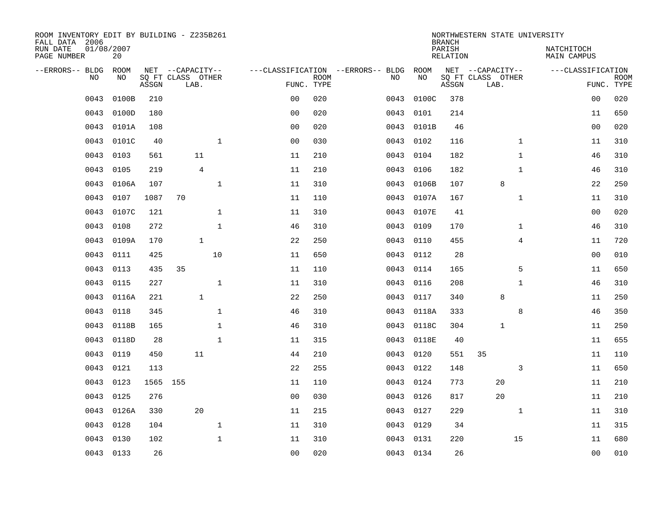| ROOM INVENTORY EDIT BY BUILDING - Z235B261<br>FALL DATA 2006 |                  |       |                           |                |                |                           |                                   |           | <b>BRANCH</b>             | NORTHWESTERN STATE UNIVERSITY |                                  |                           |
|--------------------------------------------------------------|------------------|-------|---------------------------|----------------|----------------|---------------------------|-----------------------------------|-----------|---------------------------|-------------------------------|----------------------------------|---------------------------|
| RUN DATE<br>PAGE NUMBER                                      | 01/08/2007<br>20 |       |                           |                |                |                           |                                   |           | PARISH<br><b>RELATION</b> |                               | NATCHITOCH<br><b>MAIN CAMPUS</b> |                           |
| --ERRORS-- BLDG                                              | ROOM             |       | NET --CAPACITY--          |                |                |                           | ---CLASSIFICATION --ERRORS-- BLDG | ROOM      |                           | NET --CAPACITY--              | ---CLASSIFICATION                |                           |
| NO                                                           | NO               | ASSGN | SQ FT CLASS OTHER<br>LAB. |                |                | <b>ROOM</b><br>FUNC. TYPE | NO                                | NO        | ASSGN                     | SQ FT CLASS OTHER<br>LAB.     |                                  | <b>ROOM</b><br>FUNC. TYPE |
| 0043                                                         | 0100B            | 210   |                           |                | 0 <sub>0</sub> | 020                       | 0043                              | 0100C     | 378                       |                               | 0 <sub>0</sub>                   | 020                       |
| 0043                                                         | 0100D            | 180   |                           |                | 0 <sub>0</sub> | 020                       | 0043                              | 0101      | 214                       |                               | 11                               | 650                       |
| 0043                                                         | 0101A            | 108   |                           |                | 0 <sub>0</sub> | 020                       | 0043                              | 0101B     | 46                        |                               | 00                               | 020                       |
| 0043                                                         | 0101C            | 40    |                           | $\mathbf 1$    | 0 <sub>0</sub> | 030                       | 0043                              | 0102      | 116                       | $\mathbf{1}$                  | 11                               | 310                       |
| 0043                                                         | 0103             | 561   | 11                        |                | 11             | 210                       | 0043                              | 0104      | 182                       | $\mathbf{1}$                  | 46                               | 310                       |
| 0043                                                         | 0105             | 219   |                           | $\overline{4}$ | 11             | 210                       | 0043                              | 0106      | 182                       | $\mathbf{1}$                  | 46                               | 310                       |
| 0043                                                         | 0106A            | 107   |                           | $\mathbf{1}$   | 11             | 310                       | 0043                              | 0106B     | 107                       | 8                             | 22                               | 250                       |
| 0043                                                         | 0107             | 1087  | 70                        |                | 11             | 110                       | 0043                              | 0107A     | 167                       | $\mathbf{1}$                  | 11                               | 310                       |
| 0043                                                         | 0107C            | 121   |                           | $\mathbf{1}$   | 11             | 310                       | 0043                              | 0107E     | 41                        |                               | 0 <sub>0</sub>                   | 020                       |
| 0043                                                         | 0108             | 272   |                           | $\mathbf 1$    | 46             | 310                       | 0043                              | 0109      | 170                       | $\mathbf{1}$                  | 46                               | 310                       |
| 0043                                                         | 0109A            | 170   |                           | $\mathbf{1}$   | 22             | 250                       | 0043                              | 0110      | 455                       | 4                             | 11                               | 720                       |
| 0043                                                         | 0111             | 425   |                           | 10             | 11             | 650                       | 0043                              | 0112      | 28                        |                               | 0 <sub>0</sub>                   | 010                       |
| 0043                                                         | 0113             | 435   | 35                        |                | 11             | 110                       | 0043                              | 0114      | 165                       | 5                             | 11                               | 650                       |
| 0043                                                         | 0115             | 227   |                           | $\mathbf{1}$   | 11             | 310                       | 0043                              | 0116      | 208                       | $\mathbf{1}$                  | 46                               | 310                       |
| 0043                                                         | 0116A            | 221   |                           | $\mathbf{1}$   | 22             | 250                       | 0043                              | 0117      | 340                       | 8                             | 11                               | 250                       |
| 0043                                                         | 0118             | 345   |                           | $\mathbf 1$    | 46             | 310                       | 0043                              | 0118A     | 333                       | 8                             | 46                               | 350                       |
| 0043                                                         | 0118B            | 165   |                           | $\mathbf{1}$   | 46             | 310                       | 0043                              | 0118C     | 304                       | 1                             | 11                               | 250                       |
| 0043                                                         | 0118D            | 28    |                           | $\mathbf 1$    | 11             | 315                       | 0043                              | 0118E     | 40                        |                               | 11                               | 655                       |
| 0043                                                         | 0119             | 450   | 11                        |                | 44             | 210                       | 0043                              | 0120      | 551                       | 35                            | 11                               | 110                       |
| 0043                                                         | 0121             | 113   |                           |                | 22             | 255                       | 0043                              | 0122      | 148                       | 3                             | 11                               | 650                       |
| 0043                                                         | 0123             |       | 1565 155                  |                | 11             | 110                       | 0043                              | 0124      | 773                       | 20                            | 11                               | 210                       |
| 0043                                                         | 0125             | 276   |                           |                | 0 <sub>0</sub> | 030                       | 0043                              | 0126      | 817                       | 20                            | 11                               | 210                       |
| 0043                                                         | 0126A            | 330   | 20                        |                | 11             | 215                       |                                   | 0043 0127 | 229                       | $\mathbf{1}$                  | 11                               | 310                       |
| 0043                                                         | 0128             | 104   |                           | $\mathbf{1}$   | 11             | 310                       | 0043                              | 0129      | 34                        |                               | 11                               | 315                       |
| 0043                                                         | 0130             | 102   |                           | $\mathbf{1}$   | 11             | 310                       | 0043                              | 0131      | 220                       | 15                            | 11                               | 680                       |
|                                                              | 0043 0133        | 26    |                           |                | 0 <sub>0</sub> | 020                       |                                   | 0043 0134 | 26                        |                               | 00                               | 010                       |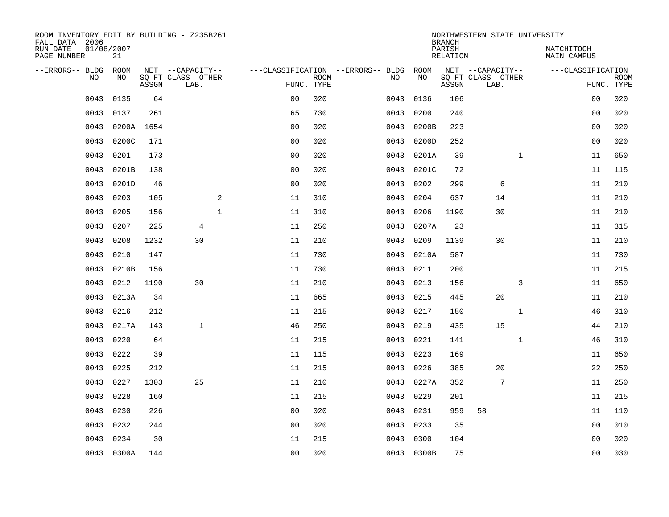| ROOM INVENTORY EDIT BY BUILDING - Z235B261<br>FALL DATA 2006 |                  |       |                           |                |             |                                   |            | <b>BRANCH</b>      | NORTHWESTERN STATE UNIVERSITY |              |                                  |                           |
|--------------------------------------------------------------|------------------|-------|---------------------------|----------------|-------------|-----------------------------------|------------|--------------------|-------------------------------|--------------|----------------------------------|---------------------------|
| RUN DATE<br>PAGE NUMBER                                      | 01/08/2007<br>21 |       |                           |                |             |                                   |            | PARISH<br>RELATION |                               |              | NATCHITOCH<br><b>MAIN CAMPUS</b> |                           |
| --ERRORS-- BLDG                                              | ROOM             |       | NET --CAPACITY--          |                |             | ---CLASSIFICATION --ERRORS-- BLDG | ROOM       |                    | NET --CAPACITY--              |              | ---CLASSIFICATION                |                           |
| N <sub>O</sub>                                               | NO.              | ASSGN | SO FT CLASS OTHER<br>LAB. | FUNC. TYPE     | <b>ROOM</b> | NO.                               | NO         | ASSGN              | SQ FT CLASS OTHER<br>LAB.     |              |                                  | <b>ROOM</b><br>FUNC. TYPE |
| 0043                                                         | 0135             | 64    |                           | 0 <sub>0</sub> | 020         | 0043                              | 0136       | 106                |                               |              | 00                               | 020                       |
| 0043                                                         | 0137             | 261   |                           | 65             | 730         | 0043                              | 0200       | 240                |                               |              | 0 <sub>0</sub>                   | 020                       |
| 0043                                                         | 0200A            | 1654  |                           | 0 <sub>0</sub> | 020         | 0043                              | 0200B      | 223                |                               |              | 0 <sub>0</sub>                   | 020                       |
| 0043                                                         | 0200C            | 171   |                           | 0 <sub>0</sub> | 020         | 0043                              | 0200D      | 252                |                               |              | 0 <sub>0</sub>                   | 020                       |
| 0043                                                         | 0201             | 173   |                           | 00             | 020         | 0043                              | 0201A      | 39                 |                               | $\mathbf{1}$ | 11                               | 650                       |
| 0043                                                         | 0201B            | 138   |                           | 0 <sub>0</sub> | 020         | 0043                              | 0201C      | 72                 |                               |              | 11                               | 115                       |
| 0043                                                         | 0201D            | 46    |                           | 0 <sub>0</sub> | 020         | 0043                              | 0202       | 299                | 6                             |              | 11                               | 210                       |
| 0043                                                         | 0203             | 105   | 2                         | 11             | 310         | 0043                              | 0204       | 637                | 14                            |              | 11                               | 210                       |
| 0043                                                         | 0205             | 156   | $\mathbf{1}$              | 11             | 310         | 0043                              | 0206       | 1190               | 30                            |              | 11                               | 210                       |
| 0043                                                         | 0207             | 225   | $\overline{4}$            | 11             | 250         | 0043                              | 0207A      | 23                 |                               |              | 11                               | 315                       |
| 0043                                                         | 0208             | 1232  | 30                        | 11             | 210         | 0043                              | 0209       | 1139               | 30                            |              | 11                               | 210                       |
| 0043                                                         | 0210             | 147   |                           | 11             | 730         | 0043                              | 0210A      | 587                |                               |              | 11                               | 730                       |
| 0043                                                         | 0210B            | 156   |                           | 11             | 730         | 0043                              | 0211       | 200                |                               |              | 11                               | 215                       |
| 0043                                                         | 0212             | 1190  | 30                        | 11             | 210         | 0043                              | 0213       | 156                |                               | 3            | 11                               | 650                       |
| 0043                                                         | 0213A            | 34    |                           | 11             | 665         | 0043                              | 0215       | 445                | 20                            |              | 11                               | 210                       |
| 0043                                                         | 0216             | 212   |                           | 11             | 215         | 0043                              | 0217       | 150                |                               | $\mathbf{1}$ | 46                               | 310                       |
| 0043                                                         | 0217A            | 143   | $\mathbf{1}$              | 46             | 250         | 0043                              | 0219       | 435                | 15                            |              | 44                               | 210                       |
| 0043                                                         | 0220             | 64    |                           | 11             | 215         | 0043                              | 0221       | 141                |                               | $\mathbf{1}$ | 46                               | 310                       |
| 0043                                                         | 0222             | 39    |                           | 11             | 115         | 0043                              | 0223       | 169                |                               |              | 11                               | 650                       |
| 0043                                                         | 0225             | 212   |                           | 11             | 215         | 0043                              | 0226       | 385                | 20                            |              | 22                               | 250                       |
| 0043                                                         | 0227             | 1303  | 25                        | 11             | 210         | 0043                              | 0227A      | 352                | 7                             |              | 11                               | 250                       |
| 0043                                                         | 0228             | 160   |                           | 11             | 215         | 0043                              | 0229       | 201                |                               |              | 11                               | 215                       |
| 0043                                                         | 0230             | 226   |                           | 0 <sub>0</sub> | 020         | 0043                              | 0231       | 959                | 58                            |              | 11                               | 110                       |
| 0043                                                         | 0232             | 244   |                           | 0 <sub>0</sub> | 020         | 0043                              | 0233       | 35                 |                               |              | 0 <sub>0</sub>                   | 010                       |
| 0043                                                         | 0234             | 30    |                           | 11             | 215         | 0043                              | 0300       | 104                |                               |              | 0 <sub>0</sub>                   | 020                       |
|                                                              | 0043 0300A       | 144   |                           | 0 <sub>0</sub> | 020         |                                   | 0043 0300B | 75                 |                               |              | 0 <sub>0</sub>                   | 030                       |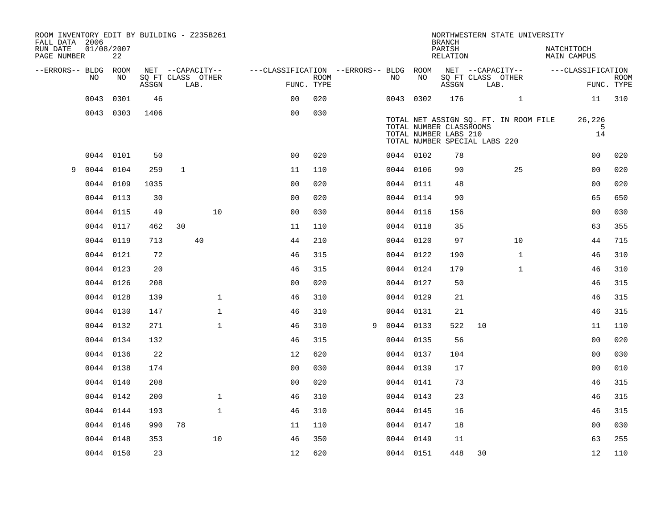| ROOM INVENTORY EDIT BY BUILDING - Z235B261<br>FALL DATA 2006<br>RUN DATE<br>PAGE NUMBER | 01/08/2007<br>22 |       |              |                           |                                        |      |   |           |    | <b>BRANCH</b><br>PARISH<br>RELATION                                               |    | NORTHWESTERN STATE UNIVERSITY         | NATCHITOCH | <b>MAIN CAMPUS</b> |                           |
|-----------------------------------------------------------------------------------------|------------------|-------|--------------|---------------------------|----------------------------------------|------|---|-----------|----|-----------------------------------------------------------------------------------|----|---------------------------------------|------------|--------------------|---------------------------|
| --ERRORS-- BLDG ROOM                                                                    |                  |       |              | NET --CAPACITY--          | ---CLASSIFICATION --ERRORS-- BLDG ROOM |      |   |           |    |                                                                                   |    | NET --CAPACITY--                      |            | ---CLASSIFICATION  |                           |
| NO                                                                                      | NO               | ASSGN |              | SQ FT CLASS OTHER<br>LAB. | FUNC. TYPE                             | ROOM |   | NO        | NO | ASSGN                                                                             |    | SQ FT CLASS OTHER<br>LAB.             |            |                    | <b>ROOM</b><br>FUNC. TYPE |
| 0043                                                                                    | 0301             | 46    |              |                           | 0 <sub>0</sub>                         | 020  |   | 0043 0302 |    | 176                                                                               |    | $\mathbf{1}$                          |            | 11                 | 310                       |
|                                                                                         | 0043 0303        | 1406  |              |                           | 0 <sub>0</sub>                         | 030  |   |           |    |                                                                                   |    |                                       |            |                    |                           |
|                                                                                         |                  |       |              |                           |                                        |      |   |           |    | TOTAL NUMBER CLASSROOMS<br>TOTAL NUMBER LABS 210<br>TOTAL NUMBER SPECIAL LABS 220 |    | TOTAL NET ASSIGN SQ. FT. IN ROOM FILE |            | 26,226<br>5<br>14  |                           |
|                                                                                         | 0044 0101        | 50    |              |                           | 0 <sub>0</sub>                         | 020  |   | 0044 0102 |    | 78                                                                                |    |                                       |            | 00                 | 020                       |
| 9                                                                                       | 0044 0104        | 259   | $\mathbf{1}$ |                           | 11                                     | 110  |   | 0044 0106 |    | 90                                                                                |    | 25                                    |            | 00                 | 020                       |
|                                                                                         | 0044 0109        | 1035  |              |                           | 0 <sub>0</sub>                         | 020  |   | 0044 0111 |    | 48                                                                                |    |                                       |            | 0 <sub>0</sub>     | 020                       |
|                                                                                         | 0044 0113        | 30    |              |                           | 0 <sub>0</sub>                         | 020  |   | 0044 0114 |    | 90                                                                                |    |                                       |            | 65                 | 650                       |
| 0044                                                                                    | 0115             | 49    |              | 10                        | 0 <sub>0</sub>                         | 030  |   | 0044 0116 |    | 156                                                                               |    |                                       |            | 0 <sub>0</sub>     | 030                       |
|                                                                                         | 0044 0117        | 462   | 30           |                           | 11                                     | 110  |   | 0044 0118 |    | 35                                                                                |    |                                       |            | 63                 | 355                       |
|                                                                                         | 0044 0119        | 713   |              | 40                        | 44                                     | 210  |   | 0044 0120 |    | 97                                                                                |    | 10 <sup>°</sup>                       |            | 44                 | 715                       |
|                                                                                         | 0044 0121        | 72    |              |                           | 46                                     | 315  |   | 0044 0122 |    | 190                                                                               |    | $\mathbf{1}$                          |            | 46                 | 310                       |
|                                                                                         | 0044 0123        | 20    |              |                           | 46                                     | 315  |   | 0044 0124 |    | 179                                                                               |    | $\mathbf{1}$                          |            | 46                 | 310                       |
|                                                                                         | 0044 0126        | 208   |              |                           | 0 <sub>0</sub>                         | 020  |   | 0044 0127 |    | 50                                                                                |    |                                       |            | 46                 | 315                       |
|                                                                                         | 0044 0128        | 139   |              | $\mathbf 1$               | 46                                     | 310  |   | 0044 0129 |    | 21                                                                                |    |                                       |            | 46                 | 315                       |
|                                                                                         | 0044 0130        | 147   |              | $\mathbf{1}$              | 46                                     | 310  |   | 0044 0131 |    | 21                                                                                |    |                                       |            | 46                 | 315                       |
|                                                                                         | 0044 0132        | 271   |              | $\mathbf{1}$              | 46                                     | 310  | 9 | 0044 0133 |    | 522                                                                               | 10 |                                       |            | 11                 | 110                       |
|                                                                                         | 0044 0134        | 132   |              |                           | 46                                     | 315  |   | 0044 0135 |    | 56                                                                                |    |                                       |            | 0 <sub>0</sub>     | 020                       |
|                                                                                         | 0044 0136        | 22    |              |                           | 12                                     | 620  |   | 0044 0137 |    | 104                                                                               |    |                                       |            | 0 <sub>0</sub>     | 030                       |
|                                                                                         | 0044 0138        | 174   |              |                           | 0 <sub>0</sub>                         | 030  |   | 0044 0139 |    | 17                                                                                |    |                                       |            | 0 <sub>0</sub>     | 010                       |
|                                                                                         | 0044 0140        | 208   |              |                           | 0 <sub>0</sub>                         | 020  |   | 0044 0141 |    | 73                                                                                |    |                                       |            | 46                 | 315                       |
|                                                                                         | 0044 0142        | 200   |              | $\mathbf 1$               | 46                                     | 310  |   | 0044 0143 |    | 23                                                                                |    |                                       |            | 46                 | 315                       |
|                                                                                         | 0044 0144        | 193   |              | $\mathbf{1}$              | 46                                     | 310  |   | 0044 0145 |    | 16                                                                                |    |                                       |            | 46                 | 315                       |
|                                                                                         | 0044 0146        | 990   | 78           |                           | 11                                     | 110  |   | 0044 0147 |    | 18                                                                                |    |                                       |            | 0 <sub>0</sub>     | 030                       |
|                                                                                         | 0044 0148        | 353   |              | 10                        | 46                                     | 350  |   | 0044 0149 |    | 11                                                                                |    |                                       |            | 63                 | 255                       |
|                                                                                         | 0044 0150        | 23    |              |                           | 12                                     | 620  |   | 0044 0151 |    | 448                                                                               | 30 |                                       |            | 12                 | 110                       |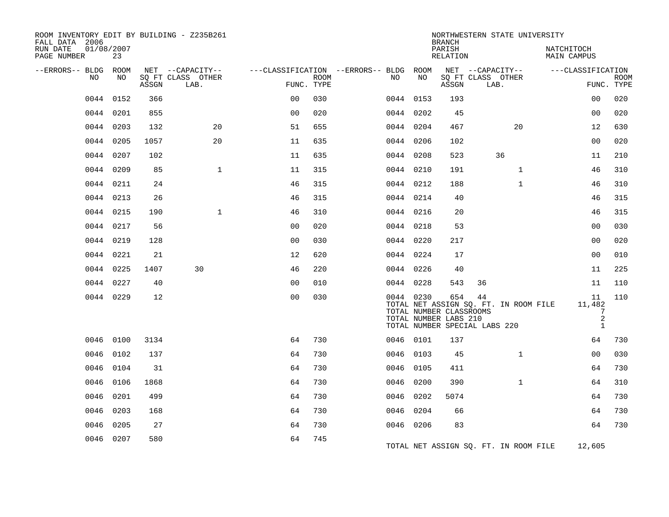| ROOM INVENTORY EDIT BY BUILDING - Z235B261<br>FALL DATA 2006 |                  |       |                           |                |      |                                        |           | <b>BRANCH</b>                                           |                                     | NORTHWESTERN STATE UNIVERSITY         |                                  |                                       |                           |
|--------------------------------------------------------------|------------------|-------|---------------------------|----------------|------|----------------------------------------|-----------|---------------------------------------------------------|-------------------------------------|---------------------------------------|----------------------------------|---------------------------------------|---------------------------|
| RUN DATE<br>PAGE NUMBER                                      | 01/08/2007<br>23 |       |                           |                |      |                                        |           | PARISH<br>RELATION                                      |                                     |                                       | NATCHITOCH<br><b>MAIN CAMPUS</b> |                                       |                           |
| --ERRORS-- BLDG ROOM                                         |                  |       | NET --CAPACITY--          |                |      | ---CLASSIFICATION --ERRORS-- BLDG ROOM |           |                                                         |                                     | NET --CAPACITY--                      | ---CLASSIFICATION                |                                       |                           |
| NO                                                           | NO               | ASSGN | SO FT CLASS OTHER<br>LAB. | FUNC. TYPE     | ROOM | NO                                     | NO        | ASSGN                                                   | SO FT CLASS OTHER<br>LAB.           |                                       |                                  |                                       | <b>ROOM</b><br>FUNC. TYPE |
|                                                              | 0044 0152        | 366   |                           | 0 <sub>0</sub> | 030  | 0044 0153                              |           | 193                                                     |                                     |                                       |                                  | 0 <sub>0</sub>                        | 020                       |
|                                                              | 0044 0201        | 855   |                           | 0 <sub>0</sub> | 020  | 0044 0202                              |           | 45                                                      |                                     |                                       |                                  | 0 <sub>0</sub>                        | 020                       |
|                                                              | 0044 0203        | 132   | 20                        | 51             | 655  | 0044 0204                              |           | 467                                                     |                                     | 20                                    |                                  | 12                                    | 630                       |
|                                                              | 0044 0205        | 1057  | 20                        | 11             | 635  | 0044 0206                              |           | 102                                                     |                                     |                                       |                                  | 0 <sub>0</sub>                        | 020                       |
|                                                              | 0044 0207        | 102   |                           | 11             | 635  | 0044 0208                              |           | 523                                                     |                                     | 36                                    |                                  | 11                                    | 210                       |
|                                                              | 0044 0209        | 85    | $\mathbf{1}$              | 11             | 315  | 0044 0210                              |           | 191                                                     |                                     | $\mathbf{1}$                          |                                  | 46                                    | 310                       |
|                                                              | 0044 0211        | 24    |                           | 46             | 315  | 0044 0212                              |           | 188                                                     |                                     | $\mathbf{1}$                          |                                  | 46                                    | 310                       |
|                                                              | 0044 0213        | 26    |                           | 46             | 315  | 0044 0214                              |           | 40                                                      |                                     |                                       |                                  | 46                                    | 315                       |
|                                                              | 0044 0215        | 190   | $\mathbf{1}$              | 46             | 310  | 0044 0216                              |           | 20                                                      |                                     |                                       |                                  | 46                                    | 315                       |
|                                                              | 0044 0217        | 56    |                           | 0 <sub>0</sub> | 020  | 0044 0218                              |           | 53                                                      |                                     |                                       |                                  | 0 <sub>0</sub>                        | 030                       |
|                                                              | 0044 0219        | 128   |                           | 0 <sub>0</sub> | 030  | 0044 0220                              |           | 217                                                     |                                     |                                       |                                  | 0 <sub>0</sub>                        | 020                       |
|                                                              | 0044 0221        | 21    |                           | 12             | 620  | 0044 0224                              |           | 17                                                      |                                     |                                       |                                  | 0 <sub>0</sub>                        | 010                       |
|                                                              | 0044 0225        | 1407  | 30                        | 46             | 220  | 0044 0226                              |           | 40                                                      |                                     |                                       |                                  | 11                                    | 225                       |
|                                                              | 0044 0227        | 40    |                           | 0 <sub>0</sub> | 010  | 0044 0228                              |           | 543                                                     | 36                                  |                                       |                                  | 11                                    | 110                       |
|                                                              | 0044 0229        | 12    |                           | 0 <sub>0</sub> | 030  |                                        | 0044 0230 | 654<br>TOTAL NUMBER CLASSROOMS<br>TOTAL NUMBER LABS 210 | 44<br>TOTAL NUMBER SPECIAL LABS 220 | TOTAL NET ASSIGN SQ. FT. IN ROOM FILE | 11,482                           | 11<br>7<br>$\sqrt{2}$<br>$\mathbf{1}$ | 110                       |
|                                                              | 0046 0100        | 3134  |                           | 64             | 730  | 0046 0101                              |           | 137                                                     |                                     |                                       |                                  | 64                                    | 730                       |
| 0046                                                         | 0102             | 137   |                           | 64             | 730  | 0046 0103                              |           | 45                                                      |                                     | $\mathbf{1}$                          |                                  | 0 <sub>0</sub>                        | 030                       |
|                                                              | 0046 0104        | 31    |                           | 64             | 730  | 0046 0105                              |           | 411                                                     |                                     |                                       |                                  | 64                                    | 730                       |
| 0046                                                         | 0106             | 1868  |                           | 64             | 730  | 0046 0200                              |           | 390                                                     |                                     | $\mathbf{1}$                          |                                  | 64                                    | 310                       |
| 0046                                                         | 0201             | 499   |                           | 64             | 730  | 0046 0202                              |           | 5074                                                    |                                     |                                       |                                  | 64                                    | 730                       |
| 0046                                                         | 0203             | 168   |                           | 64             | 730  | 0046 0204                              |           | 66                                                      |                                     |                                       |                                  | 64                                    | 730                       |
| 0046                                                         | 0205             | 27    |                           | 64             | 730  | 0046 0206                              |           | 83                                                      |                                     |                                       |                                  | 64                                    | 730                       |
|                                                              | 0046 0207        | 580   |                           | 64             | 745  |                                        |           |                                                         |                                     | TOTAL NET ASSIGN SQ. FT. IN ROOM FILE | 12,605                           |                                       |                           |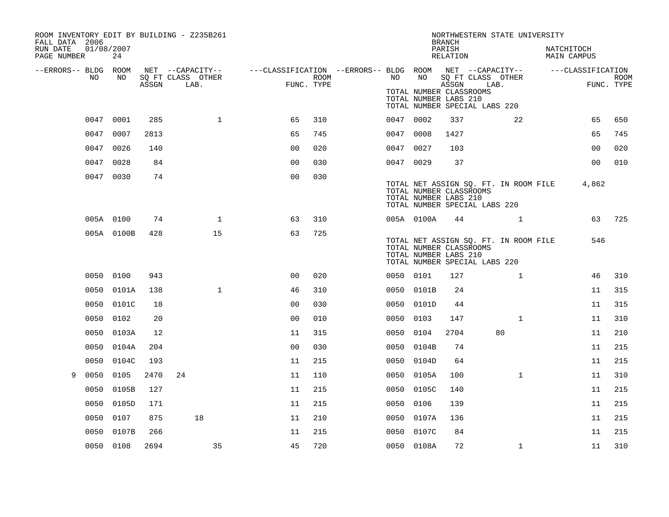| ROOM INVENTORY EDIT BY BUILDING - Z235B261<br>FALL DATA 2006<br>RUN DATE | 01/08/2007 |       |                                       |                                                         |            |           |                                                                                   | <b>BRANCH</b><br>PARISH |      | NORTHWESTERN STATE UNIVERSITY         | NATCHITOCH        |                           |
|--------------------------------------------------------------------------|------------|-------|---------------------------------------|---------------------------------------------------------|------------|-----------|-----------------------------------------------------------------------------------|-------------------------|------|---------------------------------------|-------------------|---------------------------|
| PAGE NUMBER                                                              | 24         |       |                                       |                                                         |            |           |                                                                                   | RELATION                |      |                                       | MAIN CAMPUS       |                           |
| --ERRORS-- BLDG ROOM<br>NO                                               | NO         |       | NET --CAPACITY--<br>SQ FT CLASS OTHER | ---CLASSIFICATION --ERRORS-- BLDG ROOM NET --CAPACITY-- | ROOM       | NO .      | NO                                                                                |                         | LAB. | SQ FT CLASS OTHER                     | ---CLASSIFICATION | <b>ROOM</b><br>FUNC. TYPE |
|                                                                          |            | ASSGN | LAB.                                  |                                                         | FUNC. TYPE |           | TOTAL NUMBER CLASSROOMS<br>TOTAL NUMBER LABS 210<br>TOTAL NUMBER SPECIAL LABS 220 | ASSGN                   |      |                                       |                   |                           |
|                                                                          | 0047 0001  | 285   | $\mathbf{1}$                          | 65                                                      | 310        | 0047 0002 |                                                                                   | 337                     |      | 22                                    | 65                | 650                       |
|                                                                          | 0047 0007  | 2813  |                                       | 65                                                      | 745        | 0047 0008 |                                                                                   | 1427                    |      |                                       | 65                | 745                       |
|                                                                          | 0047 0026  | 140   |                                       | 0 <sub>0</sub>                                          | 020        | 0047 0027 |                                                                                   | 103                     |      |                                       | 0 <sub>0</sub>    | 020                       |
|                                                                          | 0047 0028  | 84    |                                       | 0 <sub>0</sub>                                          | 030        | 0047 0029 |                                                                                   | 37                      |      |                                       | 0 <sub>0</sub>    | 010                       |
|                                                                          | 0047 0030  | 74    |                                       | 0 <sub>0</sub>                                          | 030        |           | TOTAL NUMBER CLASSROOMS<br>TOTAL NUMBER LABS 210<br>TOTAL NUMBER SPECIAL LABS 220 |                         |      | TOTAL NET ASSIGN SQ. FT. IN ROOM FILE | 4,862             |                           |
|                                                                          | 005A 0100  | 74    | $\mathbf{1}$                          | 63                                                      | 310        |           | 005A 0100A                                                                        | 44                      |      | $\mathbf{1}$                          | 63                | 725                       |
|                                                                          | 005A 0100B | 428   | 15                                    | 63                                                      | 725        |           | TOTAL NUMBER CLASSROOMS<br>TOTAL NUMBER LABS 210<br>TOTAL NUMBER SPECIAL LABS 220 |                         |      | TOTAL NET ASSIGN SQ. FT. IN ROOM FILE | 546               |                           |
|                                                                          | 0050 0100  | 943   |                                       | 0 <sub>0</sub>                                          | 020        | 0050 0101 |                                                                                   | 127                     |      | $\mathbf{1}$                          | 46                | 310                       |
|                                                                          | 0050 0101A | 138   | $\mathbf{1}$                          | 46                                                      | 310        |           | 0050 0101B                                                                        | 24                      |      |                                       | 11                | 315                       |
|                                                                          | 0050 0101C | 18    |                                       | 0 <sub>0</sub>                                          | 030        |           | 0050 0101D                                                                        | 44                      |      |                                       | 11                | 315                       |
|                                                                          | 0050 0102  | 20    |                                       | 0 <sub>0</sub>                                          | 010        | 0050 0103 |                                                                                   | 147                     |      | $\mathbf{1}$                          | 11                | 310                       |
| 0050                                                                     | 0103A      | 12    |                                       | 11                                                      | 315        | 0050      | 0104                                                                              | 2704                    |      | 80                                    | 11                | 210                       |
| 0050                                                                     | 0104A      | 204   |                                       | 0 <sub>0</sub>                                          | 030        |           | 0050 0104B                                                                        | 74                      |      |                                       | 11                | 215                       |
| 0050                                                                     | 0104C      | 193   |                                       | 11                                                      | 215        |           | 0050 0104D                                                                        | 64                      |      |                                       | 11                | 215                       |
| 0050<br>9                                                                | 0105       | 2470  | 24                                    | 11                                                      | 110        |           | 0050 0105A                                                                        | 100                     |      | $\mathbf{1}$                          | 11                | 310                       |
| 0050                                                                     | 0105B      | 127   |                                       | 11                                                      | 215        | 0050      | 0105C                                                                             | 140                     |      |                                       | 11                | 215                       |
|                                                                          | 0050 0105D | 171   |                                       | 11                                                      | 215        | 0050 0106 |                                                                                   | 139                     |      |                                       | 11                | 215                       |
|                                                                          | 0050 0107  | 875   | 18                                    | 11                                                      | 210        |           | 0050 0107A                                                                        | 136                     |      |                                       | 11                | 215                       |
| 0050                                                                     | 0107B      | 266   |                                       | 11                                                      | 215        |           | 0050 0107C                                                                        | 84                      |      |                                       | 11                | 215                       |
|                                                                          | 0050 0108  | 2694  | 35                                    | 45                                                      | 720        |           | 0050 0108A                                                                        | 72                      |      | $\mathbf{1}$                          | 11                | 310                       |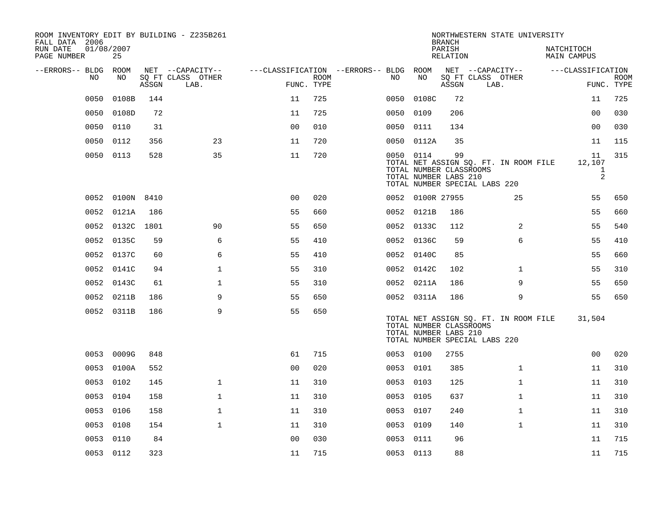| ROOM INVENTORY EDIT BY BUILDING - Z235B261<br>FALL DATA 2006 |                  |       |                           |                                   |             |           |                  | <b>BRANCH</b>                                          | NORTHWESTERN STATE UNIVERSITY                                          |                           |                           |
|--------------------------------------------------------------|------------------|-------|---------------------------|-----------------------------------|-------------|-----------|------------------|--------------------------------------------------------|------------------------------------------------------------------------|---------------------------|---------------------------|
| RUN DATE<br>PAGE NUMBER                                      | 01/08/2007<br>25 |       |                           |                                   |             |           |                  | PARISH<br>RELATION                                     |                                                                        | NATCHITOCH<br>MAIN CAMPUS |                           |
| --ERRORS-- BLDG                                              | ROOM             |       | NET --CAPACITY--          | ---CLASSIFICATION --ERRORS-- BLDG |             |           | ROOM             |                                                        | NET --CAPACITY--                                                       | ---CLASSIFICATION         |                           |
| NO                                                           | NO               | ASSGN | SQ FT CLASS OTHER<br>LAB. | FUNC. TYPE                        | <b>ROOM</b> | NO        | NO               | ASSGN                                                  | SQ FT CLASS OTHER<br>LAB.                                              |                           | <b>ROOM</b><br>FUNC. TYPE |
| 0050                                                         | 0108B            | 144   |                           | 11                                | 725         | 0050      | 0108C            | 72                                                     |                                                                        | 11                        | 725                       |
| 0050                                                         | 0108D            | 72    |                           | 11                                | 725         | 0050      | 0109             | 206                                                    |                                                                        | 00                        | 030                       |
| 0050                                                         | 0110             | 31    |                           | 0 <sub>0</sub>                    | 010         | 0050      | 0111             | 134                                                    |                                                                        | 0 <sub>0</sub>            | 030                       |
| 0050                                                         | 0112             | 356   | 23                        | 11                                | 720         |           | 0050 0112A       | 35                                                     |                                                                        | 11                        | 115                       |
| 0050                                                         | 0113             | 528   | 35                        | 11                                | 720         | 0050 0114 |                  | 99<br>TOTAL NUMBER CLASSROOMS<br>TOTAL NUMBER LABS 210 | TOTAL NET ASSIGN SQ. FT. IN ROOM FILE<br>TOTAL NUMBER SPECIAL LABS 220 | 11<br>12,107<br>1<br>2    | 315                       |
|                                                              | 0052 0100N 8410  |       |                           | 0 <sup>0</sup>                    | 020         |           | 0052 0100R 27955 |                                                        | 25                                                                     | 55                        | 650                       |
| 0052                                                         | 0121A            | 186   |                           | 55                                | 660         | 0052      | 0121B            | 186                                                    |                                                                        | 55                        | 660                       |
| 0052                                                         | 0132C 1801       |       | 90                        | 55                                | 650         |           | 0052 0133C       | 112                                                    | 2                                                                      | 55                        | 540                       |
| 0052                                                         | 0135C            | 59    | 6                         | 55                                | 410         |           | 0052 0136C       | 59                                                     | 6                                                                      | 55                        | 410                       |
|                                                              | 0052 0137C       | 60    | 6                         | 55                                | 410         |           | 0052 0140C       | 85                                                     |                                                                        | 55                        | 660                       |
|                                                              | 0052 0141C       | 94    | 1                         | 55                                | 310         |           | 0052 0142C       | 102                                                    | $\mathbf{1}$                                                           | 55                        | 310                       |
|                                                              | 0052 0143C       | 61    | $\mathbf 1$               | 55                                | 310         |           | 0052 0211A       | 186                                                    | 9                                                                      | 55                        | 650                       |
|                                                              | 0052 0211B       | 186   | 9                         | 55                                | 650         |           | 0052 0311A       | 186                                                    | 9                                                                      | 55                        | 650                       |
|                                                              | 0052 0311B       | 186   | 9                         | 55                                | 650         |           |                  | TOTAL NUMBER CLASSROOMS<br>TOTAL NUMBER LABS 210       | TOTAL NET ASSIGN SQ. FT. IN ROOM FILE<br>TOTAL NUMBER SPECIAL LABS 220 | 31,504                    |                           |
|                                                              | 0053 0009G       | 848   |                           | 61                                | 715         | 0053 0100 |                  | 2755                                                   |                                                                        | 0 <sub>0</sub>            | 020                       |
|                                                              | 0053 0100A       | 552   |                           | 0 <sub>0</sub>                    | 020         | 0053 0101 |                  | 385                                                    | $\mathbf{1}$                                                           | 11                        | 310                       |
|                                                              | 0053 0102        | 145   | $\mathbf{1}$              | 11                                | 310         | 0053 0103 |                  | 125                                                    | $\mathbf{1}$                                                           | 11                        | 310                       |
| 0053                                                         | 0104             | 158   | $\mathbf 1$               | 11                                | 310         | 0053      | 0105             | 637                                                    | $\mathbf{1}$                                                           | 11                        | 310                       |
|                                                              | 0053 0106        | 158   | $\mathbf{1}$              | 11                                | 310         | 0053 0107 |                  | 240                                                    | $\mathbf{1}$                                                           | 11                        | 310                       |
| 0053                                                         | 0108             | 154   | $\mathbf{1}$              | 11                                | 310         | 0053      | 0109             | 140                                                    | $\mathbf{1}$                                                           | 11                        | 310                       |
| 0053                                                         | 0110             | 84    |                           | 00                                | 030         | 0053      | 0111             | 96                                                     |                                                                        | 11                        | 715                       |
|                                                              | 0053 0112        | 323   |                           | 11                                | 715         | 0053 0113 |                  | 88                                                     |                                                                        | 11                        | 715                       |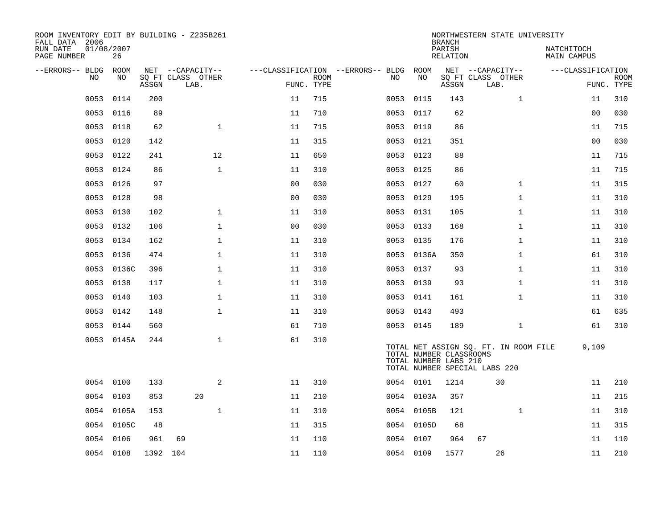| ROOM INVENTORY EDIT BY BUILDING - Z235B261<br>FALL DATA 2006 |                  |          |                           |                |                           |                                        |            | <b>BRANCH</b>                                    | NORTHWESTERN STATE UNIVERSITY                                          |                                  |                           |
|--------------------------------------------------------------|------------------|----------|---------------------------|----------------|---------------------------|----------------------------------------|------------|--------------------------------------------------|------------------------------------------------------------------------|----------------------------------|---------------------------|
| RUN DATE<br>PAGE NUMBER                                      | 01/08/2007<br>26 |          |                           |                |                           |                                        |            | PARISH<br><b>RELATION</b>                        |                                                                        | NATCHITOCH<br><b>MAIN CAMPUS</b> |                           |
| --ERRORS-- BLDG ROOM                                         |                  |          | NET --CAPACITY--          |                |                           | ---CLASSIFICATION --ERRORS-- BLDG ROOM |            |                                                  | NET --CAPACITY--                                                       | ---CLASSIFICATION                |                           |
| NO                                                           | NO               | ASSGN    | SQ FT CLASS OTHER<br>LAB. |                | <b>ROOM</b><br>FUNC. TYPE | NO                                     | NO         | ASSGN                                            | SQ FT CLASS OTHER<br>LAB.                                              |                                  | <b>ROOM</b><br>FUNC. TYPE |
| 0053                                                         | 0114             | 200      |                           | 11             | 715                       | 0053                                   | 0115       | 143                                              | $\mathbf{1}$                                                           | 11                               | 310                       |
| 0053                                                         | 0116             | 89       |                           | 11             | 710                       | 0053                                   | 0117       | 62                                               |                                                                        | 0 <sub>0</sub>                   | 030                       |
| 0053                                                         | 0118             | 62       | $\mathbf{1}$              | 11             | 715                       | 0053                                   | 0119       | 86                                               |                                                                        | 11                               | 715                       |
| 0053                                                         | 0120             | 142      |                           | 11             | 315                       |                                        | 0053 0121  | 351                                              |                                                                        | 0 <sub>0</sub>                   | 030                       |
| 0053                                                         | 0122             | 241      | 12                        | 11             | 650                       | 0053                                   | 0123       | 88                                               |                                                                        | 11                               | 715                       |
|                                                              | 0053 0124        | 86       | $\mathbf{1}$              | 11             | 310                       |                                        | 0053 0125  | 86                                               |                                                                        | 11                               | 715                       |
|                                                              | 0053 0126        | 97       |                           | 0 <sub>0</sub> | 030                       |                                        | 0053 0127  | 60                                               | $\mathbf{1}$                                                           | 11                               | 315                       |
|                                                              | 0053 0128        | 98       |                           | 0 <sub>0</sub> | 030                       |                                        | 0053 0129  | 195                                              | $\mathbf{1}$                                                           | 11                               | 310                       |
| 0053                                                         | 0130             | 102      | $\mathbf 1$               | 11             | 310                       | 0053                                   | 0131       | 105                                              | $\mathbf{1}$                                                           | 11                               | 310                       |
| 0053                                                         | 0132             | 106      | $\mathbf 1$               | 0 <sub>0</sub> | 030                       |                                        | 0053 0133  | 168                                              | $\mathbf{1}$                                                           | 11                               | 310                       |
| 0053                                                         | 0134             | 162      | $\mathbf{1}$              | 11             | 310                       | 0053                                   | 0135       | 176                                              | $\mathbf{1}$                                                           | 11                               | 310                       |
| 0053                                                         | 0136             | 474      | $\mathbf 1$               | 11             | 310                       |                                        | 0053 0136A | 350                                              | $\mathbf{1}$                                                           | 61                               | 310                       |
| 0053                                                         | 0136C            | 396      | $\mathbf 1$               | 11             | 310                       | 0053                                   | 0137       | 93                                               | $\mathbf{1}$                                                           | 11                               | 310                       |
| 0053                                                         | 0138             | 117      | $\mathbf 1$               | 11             | 310                       |                                        | 0053 0139  | 93                                               | $\mathbf{1}$                                                           | 11                               | 310                       |
|                                                              | 0053 0140        | 103      | $\mathbf{1}$              | 11             | 310                       |                                        | 0053 0141  | 161                                              | $\mathbf{1}$                                                           | 11                               | 310                       |
|                                                              | 0053 0142        | 148      | $\mathbf{1}$              | 11             | 310                       |                                        | 0053 0143  | 493                                              |                                                                        | 61                               | 635                       |
|                                                              | 0053 0144        | 560      |                           | 61             | 710                       |                                        | 0053 0145  | 189                                              | $\mathbf{1}$                                                           | 61                               | 310                       |
|                                                              | 0053 0145A       | 244      | $\mathbf 1$               | 61             | 310                       |                                        |            | TOTAL NUMBER CLASSROOMS<br>TOTAL NUMBER LABS 210 | TOTAL NET ASSIGN SQ. FT. IN ROOM FILE<br>TOTAL NUMBER SPECIAL LABS 220 | 9,109                            |                           |
|                                                              | 0054 0100        | 133      | 2                         | 11             | 310                       |                                        | 0054 0101  | 1214                                             | 30                                                                     | 11                               | 210                       |
| 0054                                                         | 0103             | 853      | 20                        | 11             | 210                       |                                        | 0054 0103A | 357                                              |                                                                        | 11                               | 215                       |
|                                                              | 0054 0105A       | 153      | $\mathbf 1$               | 11             | 310                       |                                        | 0054 0105B | 121                                              | $\mathbf{1}$                                                           | 11                               | 310                       |
|                                                              | 0054 0105C       | 48       |                           | 11             | 315                       |                                        | 0054 0105D | 68                                               |                                                                        | 11                               | 315                       |
|                                                              | 0054 0106        | 961      | 69                        | 11             | 110                       |                                        | 0054 0107  | 964                                              | 67                                                                     | 11                               | 110                       |
|                                                              | 0054 0108        | 1392 104 |                           | 11             | 110                       |                                        | 0054 0109  | 1577                                             | 26                                                                     | 11                               | 210                       |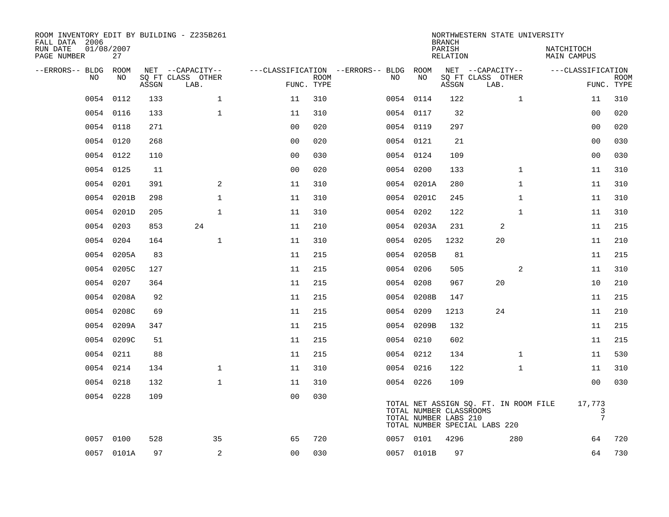| FALL DATA 2006<br>RUN DATE | 01/08/2007 |            |       | ROOM INVENTORY EDIT BY BUILDING - Z235B261    |                                        |                           |           |                                                  | <b>BRANCH</b><br>PARISH | NORTHWESTERN STATE UNIVERSITY                                          | NATCHITOCH                      |             |
|----------------------------|------------|------------|-------|-----------------------------------------------|----------------------------------------|---------------------------|-----------|--------------------------------------------------|-------------------------|------------------------------------------------------------------------|---------------------------------|-------------|
| PAGE NUMBER                |            | 27         |       |                                               |                                        |                           |           |                                                  | RELATION                |                                                                        | MAIN CAMPUS                     |             |
| --ERRORS-- BLDG ROOM       | NO         | NO         | ASSGN | NET --CAPACITY--<br>SQ FT CLASS OTHER<br>LAB. | ---CLASSIFICATION --ERRORS-- BLDG ROOM | <b>ROOM</b><br>FUNC. TYPE | NO        | NO                                               | ASSGN                   | NET --CAPACITY--<br>SQ FT CLASS OTHER<br>LAB.                          | ---CLASSIFICATION<br>FUNC. TYPE | <b>ROOM</b> |
|                            | 0054       | 0112       | 133   | $\mathbf{1}$                                  | 11                                     | 310                       |           | 0054 0114                                        | 122                     | $\mathbf{1}$                                                           | 11                              | 310         |
|                            | 0054 0116  |            | 133   | $\mathbf{1}$                                  | 11                                     | 310                       |           | 0054 0117                                        | 32                      |                                                                        | 0 <sub>0</sub>                  | 020         |
|                            | 0054 0118  |            | 271   |                                               | 0 <sub>0</sub>                         | 020                       | 0054 0119 |                                                  | 297                     |                                                                        | 00                              | 020         |
|                            |            | 0054 0120  | 268   |                                               | 0 <sub>0</sub>                         | 020                       |           | 0054 0121                                        | 21                      |                                                                        | 00                              | 030         |
|                            |            | 0054 0122  | 110   |                                               | 0 <sub>0</sub>                         | 030                       | 0054 0124 |                                                  | 109                     |                                                                        | 00                              | 030         |
|                            |            | 0054 0125  | 11    |                                               | 0 <sub>0</sub>                         | 020                       |           | 0054 0200                                        | 133                     | $\mathbf{1}$                                                           | 11                              | 310         |
|                            |            | 0054 0201  | 391   | 2                                             | 11                                     | 310                       |           | 0054 0201A                                       | 280                     | $\mathbf{1}$                                                           | 11                              | 310         |
|                            |            | 0054 0201B | 298   | $\mathbf{1}$                                  | 11                                     | 310                       |           | 0054 0201C                                       | 245                     | $\mathbf{1}$                                                           | 11                              | 310         |
|                            | 0054       | 0201D      | 205   | $\mathbf{1}$                                  | 11                                     | 310                       |           | 0054 0202                                        | 122                     | $\mathbf{1}$                                                           | 11                              | 310         |
|                            |            | 0054 0203  | 853   | 24                                            | 11                                     | 210                       |           | 0054 0203A                                       | 231                     | 2                                                                      | 11                              | 215         |
|                            | 0054       | 0204       | 164   | $\mathbf 1$                                   | 11                                     | 310                       |           | 0054 0205                                        | 1232                    | 20                                                                     | 11                              | 210         |
|                            |            | 0054 0205A | 83    |                                               | 11                                     | 215                       |           | 0054 0205B                                       | 81                      |                                                                        | 11                              | 215         |
|                            | 0054       | 0205C      | 127   |                                               | 11                                     | 215                       | 0054      | 0206                                             | 505                     | 2                                                                      | 11                              | 310         |
|                            | 0054       | 0207       | 364   |                                               | 11                                     | 215                       |           | 0054 0208                                        | 967                     | 20                                                                     | 10                              | 210         |
|                            |            | 0054 0208A | 92    |                                               | 11                                     | 215                       |           | 0054 0208B                                       | 147                     |                                                                        | 11                              | 215         |
|                            |            | 0054 0208C | 69    |                                               | 11                                     | 215                       |           | 0054 0209                                        | 1213                    | 24                                                                     | 11                              | 210         |
|                            |            | 0054 0209A | 347   |                                               | 11                                     | 215                       |           | 0054 0209B                                       | 132                     |                                                                        | 11                              | 215         |
|                            | 0054       | 0209C      | 51    |                                               | 11                                     | 215                       |           | 0054 0210                                        | 602                     |                                                                        | 11                              | 215         |
|                            |            | 0054 0211  | 88    |                                               | 11                                     | 215                       |           | 0054 0212                                        | 134                     | $\mathbf{1}$                                                           | 11                              | 530         |
|                            |            | 0054 0214  | 134   | $\mathbf 1$                                   | 11                                     | 310                       |           | 0054 0216                                        | 122                     | $\mathbf{1}$                                                           | 11                              | 310         |
|                            |            | 0054 0218  | 132   | $\mathbf 1$                                   | 11                                     | 310                       |           | 0054 0226                                        | 109                     |                                                                        | 0 <sub>0</sub>                  | 030         |
|                            |            | 0054 0228  | 109   |                                               | 0 <sub>0</sub>                         | 030                       |           | TOTAL NUMBER CLASSROOMS<br>TOTAL NUMBER LABS 210 |                         | TOTAL NET ASSIGN SQ. FT. IN ROOM FILE<br>TOTAL NUMBER SPECIAL LABS 220 | 17,773<br>3<br>$\overline{7}$   |             |
|                            |            | 0057 0100  | 528   | 35                                            | 65                                     | 720                       |           | 0057 0101                                        | 4296                    | 280                                                                    | 64                              | 720         |
|                            |            | 0057 0101A | 97    | 2                                             | 0 <sub>0</sub>                         | 030                       |           | 0057 0101B                                       | 97                      |                                                                        | 64                              | 730         |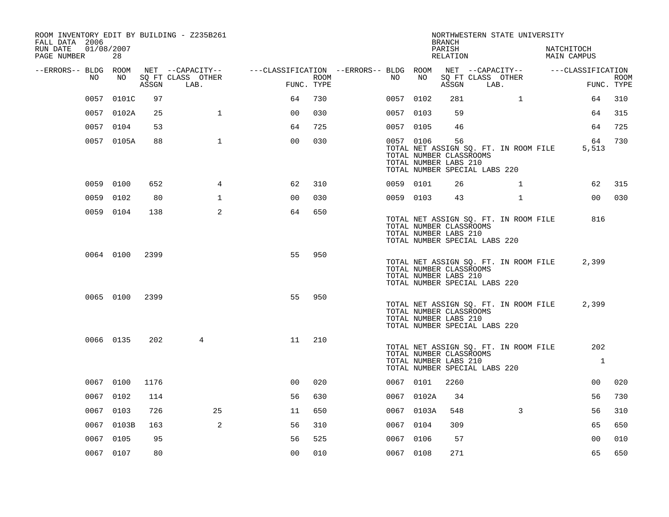| 28                   |                  |                |                                                                          |                  |            |      |    |                                                                                                                                                                                |                                                     |                                                                                                                                                                                                                                                                                       |                                                                                                                                                                                                |                                                                                                    |                                                                                                                                                                                                            |
|----------------------|------------------|----------------|--------------------------------------------------------------------------|------------------|------------|------|----|--------------------------------------------------------------------------------------------------------------------------------------------------------------------------------|-----------------------------------------------------|---------------------------------------------------------------------------------------------------------------------------------------------------------------------------------------------------------------------------------------------------------------------------------------|------------------------------------------------------------------------------------------------------------------------------------------------------------------------------------------------|----------------------------------------------------------------------------------------------------|------------------------------------------------------------------------------------------------------------------------------------------------------------------------------------------------------------|
| --ERRORS-- BLDG ROOM |                  |                |                                                                          |                  |            |      |    |                                                                                                                                                                                |                                                     |                                                                                                                                                                                                                                                                                       |                                                                                                                                                                                                |                                                                                                    | <b>ROOM</b>                                                                                                                                                                                                |
|                      |                  | LAB.           |                                                                          |                  |            |      |    |                                                                                                                                                                                |                                                     |                                                                                                                                                                                                                                                                                       |                                                                                                                                                                                                |                                                                                                    | FUNC. TYPE                                                                                                                                                                                                 |
| 0057 0101C           | 97               |                | 64                                                                       | 730              |            |      |    | 281                                                                                                                                                                            |                                                     | $\mathbf{1}$                                                                                                                                                                                                                                                                          |                                                                                                                                                                                                | 64                                                                                                 | 310                                                                                                                                                                                                        |
| 0057 0102A           | 25               | $\mathbf{1}$   | 0 <sub>0</sub>                                                           | 030              |            |      |    | 59                                                                                                                                                                             |                                                     |                                                                                                                                                                                                                                                                                       |                                                                                                                                                                                                | 64                                                                                                 | 315                                                                                                                                                                                                        |
| 0057 0104            | 53               |                | 64                                                                       | 725              |            |      |    | 46                                                                                                                                                                             |                                                     |                                                                                                                                                                                                                                                                                       |                                                                                                                                                                                                | 64                                                                                                 | 725                                                                                                                                                                                                        |
| 0057 0105A           | 88               | $\mathbf{1}$   | 0 <sub>0</sub>                                                           | 030              |            |      |    | 56                                                                                                                                                                             |                                                     |                                                                                                                                                                                                                                                                                       |                                                                                                                                                                                                | 64<br>5,513                                                                                        | 730                                                                                                                                                                                                        |
| 0059 0100            | 652              | $\overline{4}$ | 62                                                                       | 310              |            |      |    | 26                                                                                                                                                                             |                                                     | $\mathbf{1}$                                                                                                                                                                                                                                                                          |                                                                                                                                                                                                | 62                                                                                                 | 315                                                                                                                                                                                                        |
| 0059 0102            | 80               | $\mathbf{1}$   | 0 <sub>0</sub>                                                           | 030              |            |      |    | 43                                                                                                                                                                             |                                                     | $\mathbf{1}$                                                                                                                                                                                                                                                                          |                                                                                                                                                                                                | 00                                                                                                 | 030                                                                                                                                                                                                        |
| 0059 0104            | 138              | 2              | 64                                                                       | 650              |            |      |    |                                                                                                                                                                                |                                                     |                                                                                                                                                                                                                                                                                       |                                                                                                                                                                                                | 816                                                                                                |                                                                                                                                                                                                            |
|                      | 2399             |                | 55                                                                       | 950              |            |      |    |                                                                                                                                                                                |                                                     |                                                                                                                                                                                                                                                                                       |                                                                                                                                                                                                | 2,399                                                                                              |                                                                                                                                                                                                            |
| 0065 0100            | 2399             |                | 55                                                                       | 950              |            |      |    |                                                                                                                                                                                |                                                     |                                                                                                                                                                                                                                                                                       |                                                                                                                                                                                                | 2,399                                                                                              |                                                                                                                                                                                                            |
| 0066 0135            | 202              | 4              | 11                                                                       | 210              |            |      |    |                                                                                                                                                                                |                                                     |                                                                                                                                                                                                                                                                                       |                                                                                                                                                                                                | 202<br>$\mathbf{1}$                                                                                |                                                                                                                                                                                                            |
| 0067 0100            | 1176             |                | 0 <sup>0</sup>                                                           | 020              |            |      |    | 2260                                                                                                                                                                           |                                                     |                                                                                                                                                                                                                                                                                       |                                                                                                                                                                                                | 00                                                                                                 | 020                                                                                                                                                                                                        |
| 0067 0102            | 114              |                | 56                                                                       | 630              |            |      |    | 34                                                                                                                                                                             |                                                     |                                                                                                                                                                                                                                                                                       |                                                                                                                                                                                                | 56                                                                                                 | 730                                                                                                                                                                                                        |
| 0067 0103            | 726              | 25             | 11                                                                       | 650              |            |      |    | 548                                                                                                                                                                            |                                                     | $\mathbf{3}$                                                                                                                                                                                                                                                                          |                                                                                                                                                                                                | 56                                                                                                 | 310                                                                                                                                                                                                        |
| 0067 0103B           | 163              | 2              | 56                                                                       | 310              |            |      |    | 309                                                                                                                                                                            |                                                     |                                                                                                                                                                                                                                                                                       |                                                                                                                                                                                                | 65                                                                                                 | 650                                                                                                                                                                                                        |
| 0067 0105            | 95               |                | 56                                                                       | 525              |            |      |    | 57                                                                                                                                                                             |                                                     |                                                                                                                                                                                                                                                                                       |                                                                                                                                                                                                | 0 <sub>0</sub>                                                                                     | 010                                                                                                                                                                                                        |
| 0067 0107            | 80               |                | 00                                                                       | 010              |            |      |    | 271                                                                                                                                                                            |                                                     |                                                                                                                                                                                                                                                                                       |                                                                                                                                                                                                | 65                                                                                                 | 650                                                                                                                                                                                                        |
|                      | 01/08/2007<br>NO | 0064 0100      | ROOM INVENTORY EDIT BY BUILDING - Z235B261<br>SQ FT CLASS OTHER<br>ASSGN | NET --CAPACITY-- | FUNC. TYPE | ROOM | NO | ---CLASSIFICATION --ERRORS-- BLDG ROOM<br>NO<br>0057 0102<br>0057 0103<br>0057 0105<br>0057 0106<br>0059 0101<br>0059 0103<br>0067 0101<br>0067 0104<br>0067 0106<br>0067 0108 | <b>BRANCH</b><br>PARISH<br>0067 0102A<br>0067 0103A | RELATION<br>ASSGN<br>TOTAL NUMBER CLASSROOMS<br>TOTAL NUMBER LABS 210<br>TOTAL NUMBER CLASSROOMS<br>TOTAL NUMBER LABS 210<br>TOTAL NUMBER CLASSROOMS<br>TOTAL NUMBER LABS 210<br>TOTAL NUMBER CLASSROOMS<br>TOTAL NUMBER LABS 210<br>TOTAL NUMBER CLASSROOMS<br>TOTAL NUMBER LABS 210 | SQ FT CLASS OTHER<br>LAB.<br>TOTAL NUMBER SPECIAL LABS 220<br>TOTAL NUMBER SPECIAL LABS 220<br>TOTAL NUMBER SPECIAL LABS 220<br>TOTAL NUMBER SPECIAL LABS 220<br>TOTAL NUMBER SPECIAL LABS 220 | NET --CAPACITY--<br>TOTAL NET ASSIGN SQ. FT. IN ROOM FILE<br>TOTAL NET ASSIGN SQ. FT. IN ROOM FILE | NORTHWESTERN STATE UNIVERSITY<br>NATCHITOCH<br>MAIN CAMPUS<br>---CLASSIFICATION<br>TOTAL NET ASSIGN SQ. FT. IN ROOM FILE<br>TOTAL NET ASSIGN SQ. FT. IN ROOM FILE<br>TOTAL NET ASSIGN SQ. FT. IN ROOM FILE |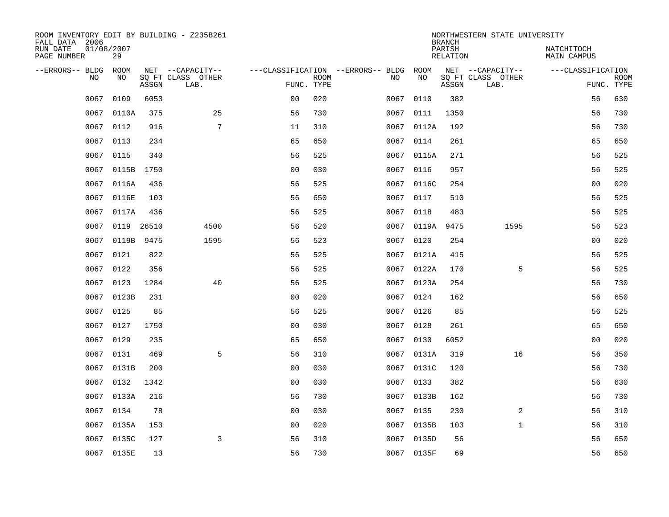| ROOM INVENTORY EDIT BY BUILDING - Z235B261<br>FALL DATA 2006 |                  |       |                                       |                |             |                                          |            | <b>BRANCH</b>      | NORTHWESTERN STATE UNIVERSITY         |                                  |             |
|--------------------------------------------------------------|------------------|-------|---------------------------------------|----------------|-------------|------------------------------------------|------------|--------------------|---------------------------------------|----------------------------------|-------------|
| RUN DATE<br>PAGE NUMBER                                      | 01/08/2007<br>29 |       |                                       |                |             |                                          |            | PARISH<br>RELATION |                                       | NATCHITOCH<br><b>MAIN CAMPUS</b> |             |
| --ERRORS-- BLDG<br>N <sub>O</sub>                            | ROOM<br>NO.      |       | NET --CAPACITY--<br>SO FT CLASS OTHER |                | <b>ROOM</b> | ---CLASSIFICATION --ERRORS-- BLDG<br>NO. | ROOM<br>NO |                    | NET --CAPACITY--<br>SO FT CLASS OTHER | ---CLASSIFICATION                | <b>ROOM</b> |
|                                                              |                  | ASSGN | LAB.                                  | FUNC. TYPE     |             |                                          |            | ASSGN              | LAB.                                  |                                  | FUNC. TYPE  |
| 0067                                                         | 0109             | 6053  |                                       | 0 <sub>0</sub> | 020         | 0067                                     | 0110       | 382                |                                       | 56                               | 630         |
| 0067                                                         | 0110A            | 375   | 25                                    | 56             | 730         | 0067                                     | 0111       | 1350               |                                       | 56                               | 730         |
| 0067                                                         | 0112             | 916   | 7                                     | 11             | 310         |                                          | 0067 0112A | 192                |                                       | 56                               | 730         |
| 0067                                                         | 0113             | 234   |                                       | 65             | 650         | 0067                                     | 0114       | 261                |                                       | 65                               | 650         |
| 0067                                                         | 0115             | 340   |                                       | 56             | 525         | 0067                                     | 0115A      | 271                |                                       | 56                               | 525         |
| 0067                                                         | 0115B 1750       |       |                                       | 0 <sub>0</sub> | 030         | 0067                                     | 0116       | 957                |                                       | 56                               | 525         |
| 0067                                                         | 0116A            | 436   |                                       | 56             | 525         | 0067                                     | 0116C      | 254                |                                       | 0 <sub>0</sub>                   | 020         |
| 0067                                                         | 0116E            | 103   |                                       | 56             | 650         | 0067                                     | 0117       | 510                |                                       | 56                               | 525         |
| 0067                                                         | 0117A            | 436   |                                       | 56             | 525         | 0067                                     | 0118       | 483                |                                       | 56                               | 525         |
| 0067                                                         | 0119 26510       |       | 4500                                  | 56             | 520         |                                          | 0067 0119A | 9475               | 1595                                  | 56                               | 523         |
| 0067                                                         | 0119B 9475       |       | 1595                                  | 56             | 523         | 0067                                     | 0120       | 254                |                                       | 0 <sub>0</sub>                   | 020         |
|                                                              | 0067 0121        | 822   |                                       | 56             | 525         |                                          | 0067 0121A | 415                |                                       | 56                               | 525         |
| 0067                                                         | 0122             | 356   |                                       | 56             | 525         | 0067                                     | 0122A      | 170                | 5                                     | 56                               | 525         |
| 0067                                                         | 0123             | 1284  | 40                                    | 56             | 525         |                                          | 0067 0123A | 254                |                                       | 56                               | 730         |
| 0067                                                         | 0123B            | 231   |                                       | 00             | 020         | 0067                                     | 0124       | 162                |                                       | 56                               | 650         |
| 0067                                                         | 0125             | 85    |                                       | 56             | 525         | 0067                                     | 0126       | 85                 |                                       | 56                               | 525         |
| 0067                                                         | 0127             | 1750  |                                       | 0 <sub>0</sub> | 030         | 0067                                     | 0128       | 261                |                                       | 65                               | 650         |
| 0067                                                         | 0129             | 235   |                                       | 65             | 650         | 0067                                     | 0130       | 6052               |                                       | 0 <sub>0</sub>                   | 020         |
| 0067                                                         | 0131             | 469   | 5                                     | 56             | 310         |                                          | 0067 0131A | 319                | 16                                    | 56                               | 350         |
| 0067                                                         | 0131B            | 200   |                                       | 0 <sub>0</sub> | 030         |                                          | 0067 0131C | 120                |                                       | 56                               | 730         |
| 0067                                                         | 0132             | 1342  |                                       | 0 <sub>0</sub> | 030         |                                          | 0067 0133  | 382                |                                       | 56                               | 630         |
| 0067                                                         | 0133A            | 216   |                                       | 56             | 730         | 0067                                     | 0133B      | 162                |                                       | 56                               | 730         |
| 0067                                                         | 0134             | 78    |                                       | 0 <sub>0</sub> | 030         |                                          | 0067 0135  | 230                | 2                                     | 56                               | 310         |
| 0067                                                         | 0135A            | 153   |                                       | 0 <sub>0</sub> | 020         | 0067                                     | 0135B      | 103                | $\mathbf{1}$                          | 56                               | 310         |
| 0067                                                         | 0135C            | 127   | 3                                     | 56             | 310         |                                          | 0067 0135D | 56                 |                                       | 56                               | 650         |
|                                                              | 0067 0135E       | 13    |                                       | 56             | 730         |                                          | 0067 0135F | 69                 |                                       | 56                               | 650         |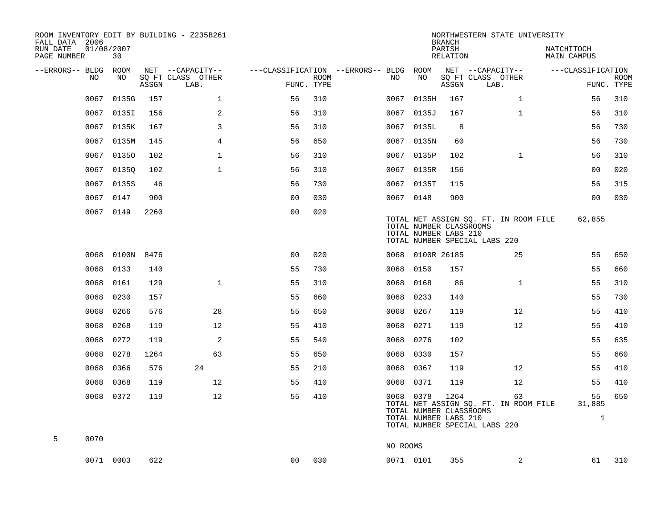| ROOM INVENTORY EDIT BY BUILDING - Z235B261<br>FALL DATA 2006 |                  |       |                           |                                        |             |           |                  | <b>BRANCH</b>                                            | NORTHWESTERN STATE UNIVERSITY                                                |                              |                           |
|--------------------------------------------------------------|------------------|-------|---------------------------|----------------------------------------|-------------|-----------|------------------|----------------------------------------------------------|------------------------------------------------------------------------------|------------------------------|---------------------------|
| RUN DATE<br>PAGE NUMBER                                      | 01/08/2007<br>30 |       |                           |                                        |             |           |                  | PARISH<br>RELATION                                       |                                                                              | NATCHITOCH<br>MAIN CAMPUS    |                           |
| --ERRORS-- BLDG ROOM                                         |                  |       | NET --CAPACITY--          | ---CLASSIFICATION --ERRORS-- BLDG ROOM |             |           |                  |                                                          | NET --CAPACITY--                                                             | ---CLASSIFICATION            |                           |
| NO                                                           | NO               | ASSGN | SQ FT CLASS OTHER<br>LAB. | FUNC. TYPE                             | <b>ROOM</b> | NO        | NO               | ASSGN                                                    | SQ FT CLASS OTHER<br>LAB.                                                    |                              | <b>ROOM</b><br>FUNC. TYPE |
| 0067                                                         | 0135G            | 157   | $\mathbf 1$               | 56                                     | 310         | 0067      | 0135H            | 167                                                      | $\mathbf{1}$                                                                 | 56                           | 310                       |
| 0067                                                         | 0135I            | 156   | 2                         | 56                                     | 310         |           | 0067 0135J       | 167                                                      | $\mathbf{1}$                                                                 | 56                           | 310                       |
| 0067                                                         | 0135K            | 167   | 3                         | 56                                     | 310         |           | 0067 0135L       | 8                                                        |                                                                              | 56                           | 730                       |
|                                                              | 0067 0135M       | 145   | $\overline{4}$            | 56                                     | 650         |           | 0067 0135N       | 60                                                       |                                                                              | 56                           | 730                       |
| 0067                                                         | 01350            | 102   | $\mathbf 1$               | 56                                     | 310         |           | 0067 0135P       | 102                                                      | $\mathbf{1}$                                                                 | 56                           | 310                       |
| 0067                                                         | 01350            | 102   | $\mathbf{1}$              | 56                                     | 310         |           | 0067 0135R       | 156                                                      |                                                                              | 0 <sub>0</sub>               | 020                       |
| 0067                                                         | 0135S            | 46    |                           | 56                                     | 730         |           | 0067 0135T       | 115                                                      |                                                                              | 56                           | 315                       |
| 0067                                                         | 0147             | 900   |                           | 0 <sub>0</sub>                         | 030         | 0067 0148 |                  | 900                                                      |                                                                              | 0 <sub>0</sub>               | 030                       |
|                                                              | 0067 0149        | 2260  |                           | 0 <sub>0</sub>                         | 020         |           |                  | TOTAL NUMBER CLASSROOMS<br>TOTAL NUMBER LABS 210         | TOTAL NET ASSIGN SQ. FT. IN ROOM FILE<br>TOTAL NUMBER SPECIAL LABS 220       | 62,855                       |                           |
| 0068                                                         | 0100N 8476       |       |                           | 0 <sub>0</sub>                         | 020         |           | 0068 0100R 26185 |                                                          | 25                                                                           | 55                           | 650                       |
| 0068                                                         | 0133             | 140   |                           | 55                                     | 730         | 0068      | 0150             | 157                                                      |                                                                              | 55                           | 660                       |
| 0068                                                         | 0161             | 129   | $\mathbf{1}$              | 55                                     | 310         | 0068      | 0168             | 86                                                       | $\mathbf{1}$                                                                 | 55                           | 310                       |
| 0068                                                         | 0230             | 157   |                           | 55                                     | 660         | 0068      | 0233             | 140                                                      |                                                                              | 55                           | 730                       |
| 0068                                                         | 0266             | 576   | 28                        | 55                                     | 650         | 0068      | 0267             | 119                                                      | 12                                                                           | 55                           | 410                       |
| 0068                                                         | 0268             | 119   | 12                        | 55                                     | 410         | 0068      | 0271             | 119                                                      | 12                                                                           | 55                           | 410                       |
| 0068                                                         | 0272             | 119   | 2                         | 55                                     | 540         | 0068      | 0276             | 102                                                      |                                                                              | 55                           | 635                       |
| 0068                                                         | 0278             | 1264  | 63                        | 55                                     | 650         | 0068      | 0330             | 157                                                      |                                                                              | 55                           | 660                       |
| 0068                                                         | 0366             | 576   | 24                        | 55                                     | 210         | 0068 0367 |                  | 119                                                      | 12                                                                           | 55                           | 410                       |
| 0068                                                         | 0368             | 119   | 12                        | 55                                     | 410         | 0068 0371 |                  | 119                                                      | 12                                                                           | 55                           | 410                       |
|                                                              | 0068 0372        | 119   | 12                        | 55                                     | 410         | 0068 0378 |                  | 1264<br>TOTAL NUMBER CLASSROOMS<br>TOTAL NUMBER LABS 210 | 63<br>TOTAL NET ASSIGN SQ. FT. IN ROOM FILE<br>TOTAL NUMBER SPECIAL LABS 220 | 55<br>31,885<br>$\mathbf{1}$ | 650                       |
| 5<br>0070                                                    |                  |       |                           |                                        |             | NO ROOMS  |                  |                                                          |                                                                              |                              |                           |
|                                                              | 0071 0003        | 622   |                           | 0 <sub>0</sub>                         | 030         | 0071 0101 |                  | 355                                                      | 2                                                                            | 61                           | 310                       |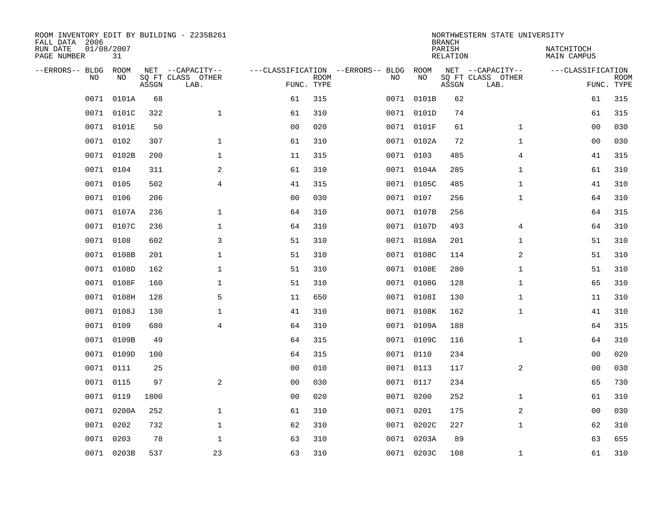| FALL DATA 2006<br>RUN DATE<br>PAGE NUMBER | 01/08/2007     | 31          |       | ROOM INVENTORY EDIT BY BUILDING - Z235B261    |                                                 |             |      |            | <b>BRANCH</b><br>PARISH<br>RELATION | NORTHWESTERN STATE UNIVERSITY                 | NATCHITOCH<br>MAIN CAMPUS |                           |
|-------------------------------------------|----------------|-------------|-------|-----------------------------------------------|-------------------------------------------------|-------------|------|------------|-------------------------------------|-----------------------------------------------|---------------------------|---------------------------|
| --ERRORS-- BLDG                           | N <sub>O</sub> | ROOM<br>NO. | ASSGN | NET --CAPACITY--<br>SQ FT CLASS OTHER<br>LAB. | ---CLASSIFICATION --ERRORS-- BLDG<br>FUNC. TYPE | <b>ROOM</b> | NO   | ROOM<br>NO | ASSGN                               | NET --CAPACITY--<br>SQ FT CLASS OTHER<br>LAB. | ---CLASSIFICATION         | <b>ROOM</b><br>FUNC. TYPE |
|                                           | 0071           | 0101A       | 68    |                                               | 61                                              | 315         | 0071 | 0101B      | 62                                  |                                               | 61                        | 315                       |
|                                           | 0071           | 0101C       | 322   | $\mathbf{1}$                                  | 61                                              | 310         |      | 0071 0101D | 74                                  |                                               | 61                        | 315                       |
|                                           | 0071           | 0101E       | 50    |                                               | 0 <sub>0</sub>                                  | 020         |      | 0071 0101F | 61                                  | $\mathbf{1}$                                  | 0 <sub>0</sub>            | 030                       |
|                                           | 0071 0102      |             | 307   | $\mathbf 1$                                   | 61                                              | 310         |      | 0071 0102A | 72                                  | $\mathbf{1}$                                  | 00                        | 030                       |
|                                           | 0071           | 0102B       | 200   | $\mathbf 1$                                   | 11                                              | 315         |      | 0071 0103  | 485                                 | $\overline{4}$                                | 41                        | 315                       |
|                                           | 0071 0104      |             | 311   | 2                                             | 61                                              | 310         |      | 0071 0104A | 285                                 | $\mathbf{1}$                                  | 61                        | 310                       |
|                                           | 0071           | 0105        | 502   | $\overline{4}$                                | 41                                              | 315         |      | 0071 0105C | 485                                 | $\mathbf{1}$                                  | 41                        | 310                       |
|                                           | 0071 0106      |             | 206   |                                               | 0 <sub>0</sub>                                  | 030         |      | 0071 0107  | 256                                 | $\mathbf{1}$                                  | 64                        | 310                       |
|                                           | 0071           | 0107A       | 236   | $\mathbf 1$                                   | 64                                              | 310         |      | 0071 0107B | 256                                 |                                               | 64                        | 315                       |
|                                           |                | 0071 0107C  | 236   | $\mathbf 1$                                   | 64                                              | 310         |      | 0071 0107D | 493                                 | 4                                             | 64                        | 310                       |
|                                           | 0071           | 0108        | 602   | 3                                             | 51                                              | 310         |      | 0071 0108A | 201                                 | $\mathbf{1}$                                  | 51                        | 310                       |
|                                           |                | 0071 0108B  | 201   | $\mathbf{1}$                                  | 51                                              | 310         |      | 0071 0108C | 114                                 | $\overline{2}$                                | 51                        | 310                       |
|                                           | 0071           | 0108D       | 162   | $\mathbf 1$                                   | 51                                              | 310         |      | 0071 0108E | 280                                 | $\mathbf{1}$                                  | 51                        | 310                       |
|                                           |                | 0071 0108F  | 160   | $\mathbf{1}$                                  | 51                                              | 310         |      | 0071 0108G | 128                                 | $\mathbf{1}$                                  | 65                        | 310                       |
|                                           | 0071           | 0108H       | 128   | 5                                             | 11                                              | 650         |      | 0071 0108I | 130                                 | $\mathbf{1}$                                  | 11                        | 310                       |
|                                           |                | 0071 0108J  | 130   | $\mathbf{1}$                                  | 41                                              | 310         |      | 0071 0108K | 162                                 | $\mathbf{1}$                                  | 41                        | 310                       |
|                                           | 0071           | 0109        | 680   | $\overline{4}$                                | 64                                              | 310         |      | 0071 0109A | 188                                 |                                               | 64                        | 315                       |
|                                           |                | 0071 0109B  | 49    |                                               | 64                                              | 315         |      | 0071 0109C | 116                                 | $\mathbf{1}$                                  | 64                        | 310                       |
|                                           | 0071           | 0109D       | 100   |                                               | 64                                              | 315         |      | 0071 0110  | 234                                 |                                               | 0 <sub>0</sub>            | 020                       |
|                                           | 0071 0111      |             | 25    |                                               | 0 <sub>0</sub>                                  | 010         |      | 0071 0113  | 117                                 | 2                                             | 0 <sub>0</sub>            | 030                       |
|                                           | 0071           | 0115        | 97    | 2                                             | 0 <sub>0</sub>                                  | 030         |      | 0071 0117  | 234                                 |                                               | 65                        | 730                       |
|                                           | 0071 0119      |             | 1800  |                                               | 0 <sub>0</sub>                                  | 020         |      | 0071 0200  | 252                                 | $\mathbf{1}$                                  | 61                        | 310                       |
|                                           | 0071           | 0200A       | 252   | $\mathbf 1$                                   | 61                                              | 310         |      | 0071 0201  | 175                                 | 2                                             | 00                        | 030                       |
|                                           | 0071           | 0202        | 732   | $\mathbf 1$                                   | 62                                              | 310         |      | 0071 0202C | 227                                 | $\mathbf{1}$                                  | 62                        | 310                       |
|                                           | 0071           | 0203        | 78    | $\mathbf 1$                                   | 63                                              | 310         |      | 0071 0203A | 89                                  |                                               | 63                        | 655                       |
|                                           |                | 0071 0203B  | 537   | 23                                            | 63                                              | 310         |      | 0071 0203C | 108                                 | $\mathbf{1}$                                  | 61                        | 310                       |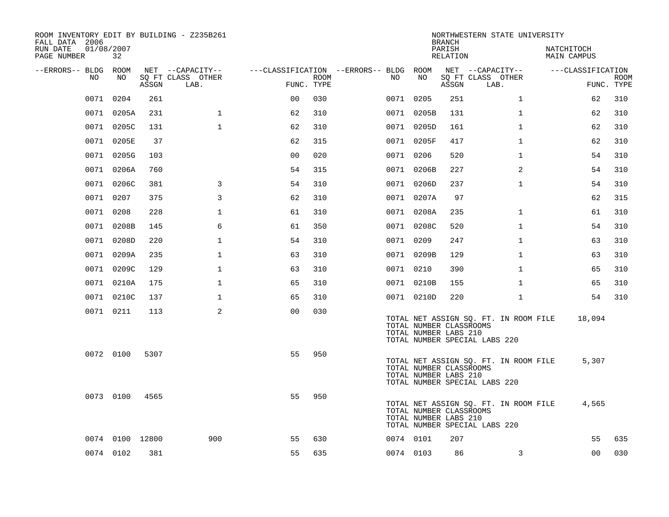| ROOM INVENTORY EDIT BY BUILDING - Z235B261<br>FALL DATA 2006 |                  |       |                           |                |                           |                                        |                                                  | <b>BRANCH</b>             | NORTHWESTERN STATE UNIVERSITY                                          |                                  |                           |
|--------------------------------------------------------------|------------------|-------|---------------------------|----------------|---------------------------|----------------------------------------|--------------------------------------------------|---------------------------|------------------------------------------------------------------------|----------------------------------|---------------------------|
| RUN DATE<br>PAGE NUMBER                                      | 01/08/2007<br>32 |       |                           |                |                           |                                        |                                                  | PARISH<br><b>RELATION</b> |                                                                        | NATCHITOCH<br><b>MAIN CAMPUS</b> |                           |
| --ERRORS-- BLDG ROOM                                         |                  |       | NET --CAPACITY--          |                |                           | ---CLASSIFICATION --ERRORS-- BLDG ROOM |                                                  |                           | NET --CAPACITY--                                                       | ---CLASSIFICATION                |                           |
| NO                                                           | NO               | ASSGN | SQ FT CLASS OTHER<br>LAB. |                | <b>ROOM</b><br>FUNC. TYPE | NO.                                    | NO                                               | ASSGN                     | SQ FT CLASS OTHER<br>LAB.                                              |                                  | <b>ROOM</b><br>FUNC. TYPE |
| 0071                                                         | 0204             | 261   |                           | 0 <sub>0</sub> | 030                       |                                        | 0071 0205                                        | 251                       | $\mathbf{1}$                                                           | 62                               | 310                       |
|                                                              | 0071 0205A       | 231   | $\mathbf 1$               | 62             | 310                       |                                        | 0071 0205B                                       | 131                       | $\mathbf{1}$                                                           | 62                               | 310                       |
|                                                              | 0071 0205C       | 131   | $\mathbf{1}$              | 62             | 310                       |                                        | 0071 0205D                                       | 161                       | $\mathbf{1}$                                                           | 62                               | 310                       |
|                                                              | 0071 0205E       | 37    |                           | 62             | 315                       |                                        | 0071 0205F                                       | 417                       | $\mathbf{1}$                                                           | 62                               | 310                       |
| 0071                                                         | 0205G            | 103   |                           | 0 <sub>0</sub> | 020                       |                                        | 0071 0206                                        | 520                       | $\mathbf{1}$                                                           | 54                               | 310                       |
|                                                              | 0071 0206A       | 760   |                           | 54             | 315                       |                                        | 0071 0206B                                       | 227                       | 2                                                                      | 54                               | 310                       |
|                                                              | 0071 0206C       | 381   | 3                         | 54             | 310                       |                                        | 0071 0206D                                       | 237                       | $\mathbf{1}$                                                           | 54                               | 310                       |
|                                                              | 0071 0207        | 375   | 3                         | 62             | 310                       |                                        | 0071 0207A                                       | 97                        |                                                                        | 62                               | 315                       |
|                                                              | 0071 0208        | 228   | $\mathbf 1$               | 61             | 310                       |                                        | 0071 0208A                                       | 235                       | $\mathbf{1}$                                                           | 61                               | 310                       |
|                                                              | 0071 0208B       | 145   | 6                         | 61             | 350                       |                                        | 0071 0208C                                       | 520                       | $\mathbf{1}$                                                           | 54                               | 310                       |
|                                                              | 0071 0208D       | 220   | $\mathbf{1}$              | 54             | 310                       |                                        | 0071 0209                                        | 247                       | $\mathbf{1}$                                                           | 63                               | 310                       |
|                                                              | 0071 0209A       | 235   | $\mathbf{1}$              | 63             | 310                       |                                        | 0071 0209B                                       | 129                       | $\mathbf{1}$                                                           | 63                               | 310                       |
| 0071                                                         | 0209C            | 129   | $\mathbf 1$               | 63             | 310                       |                                        | 0071 0210                                        | 390                       | $\mathbf{1}$                                                           | 65                               | 310                       |
|                                                              | 0071 0210A       | 175   | $\mathbf{1}$              | 65             | 310                       |                                        | 0071 0210B                                       | 155                       | $\mathbf{1}$                                                           | 65                               | 310                       |
|                                                              | 0071 0210C       | 137   | $\mathbf 1$               | 65             | 310                       |                                        | 0071 0210D                                       | 220                       | $\mathbf{1}$                                                           | 54                               | 310                       |
|                                                              | 0071 0211        | 113   | 2                         | 0 <sub>0</sub> | 030                       |                                        | TOTAL NUMBER CLASSROOMS<br>TOTAL NUMBER LABS 210 |                           | TOTAL NET ASSIGN SQ. FT. IN ROOM FILE<br>TOTAL NUMBER SPECIAL LABS 220 | 18,094                           |                           |
|                                                              | 0072 0100        | 5307  |                           | 55             | 950                       |                                        | TOTAL NUMBER CLASSROOMS<br>TOTAL NUMBER LABS 210 |                           | TOTAL NET ASSIGN SQ. FT. IN ROOM FILE<br>TOTAL NUMBER SPECIAL LABS 220 | 5,307                            |                           |
|                                                              | 0073 0100        | 4565  |                           | 55             | 950                       |                                        | TOTAL NUMBER CLASSROOMS<br>TOTAL NUMBER LABS 210 |                           | TOTAL NET ASSIGN SQ. FT. IN ROOM FILE<br>TOTAL NUMBER SPECIAL LABS 220 | 4,565                            |                           |
|                                                              | 0074 0100 12800  |       | 900                       | 55             | 630                       |                                        | 0074 0101                                        | 207                       |                                                                        | 55                               | 635                       |
|                                                              | 0074 0102        | 381   |                           | 55             | 635                       |                                        | 0074 0103                                        | 86                        | 3                                                                      | 0 <sub>0</sub>                   | 030                       |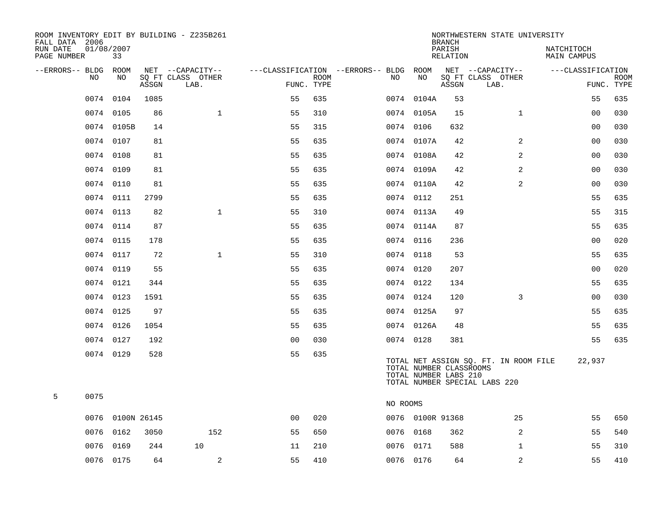| ROOM INVENTORY EDIT BY BUILDING - Z235B261<br>FALL DATA 2006 |                  |       |                           |                                        |             |          |                  | <b>BRANCH</b>                                    | NORTHWESTERN STATE UNIVERSITY                                          |                                  |                           |
|--------------------------------------------------------------|------------------|-------|---------------------------|----------------------------------------|-------------|----------|------------------|--------------------------------------------------|------------------------------------------------------------------------|----------------------------------|---------------------------|
| RUN DATE<br>PAGE NUMBER                                      | 01/08/2007<br>33 |       |                           |                                        |             |          |                  | PARISH<br>RELATION                               |                                                                        | NATCHITOCH<br><b>MAIN CAMPUS</b> |                           |
| --ERRORS-- BLDG                                              | ROOM             |       | NET --CAPACITY--          | ---CLASSIFICATION --ERRORS-- BLDG ROOM |             |          |                  |                                                  | NET --CAPACITY--                                                       | ---CLASSIFICATION                |                           |
| NO                                                           | NO               | ASSGN | SQ FT CLASS OTHER<br>LAB. | FUNC. TYPE                             | <b>ROOM</b> | NO       | NO               | ASSGN                                            | SQ FT CLASS OTHER<br>LAB.                                              |                                  | <b>ROOM</b><br>FUNC. TYPE |
| 0074                                                         | 0104             | 1085  |                           | 55                                     | 635         |          | 0074 0104A       | 53                                               |                                                                        | 55                               | 635                       |
|                                                              | 0074 0105        | 86    | $\mathbf{1}$              | 55                                     | 310         |          | 0074 0105A       | 15                                               | $\mathbf{1}$                                                           | 0 <sub>0</sub>                   | 030                       |
|                                                              | 0074 0105B       | 14    |                           | 55                                     | 315         |          | 0074 0106        | 632                                              |                                                                        | 0 <sub>0</sub>                   | 030                       |
|                                                              | 0074 0107        | 81    |                           | 55                                     | 635         |          | 0074 0107A       | 42                                               | 2                                                                      | 0 <sub>0</sub>                   | 030                       |
|                                                              | 0074 0108        | 81    |                           | 55                                     | 635         |          | 0074 0108A       | 42                                               | $\overline{a}$                                                         | 00                               | 030                       |
|                                                              | 0074 0109        | 81    |                           | 55                                     | 635         |          | 0074 0109A       | 42                                               | 2                                                                      | 0 <sub>0</sub>                   | 030                       |
|                                                              | 0074 0110        | 81    |                           | 55                                     | 635         |          | 0074 0110A       | 42                                               | 2                                                                      | 00                               | 030                       |
|                                                              | 0074 0111        | 2799  |                           | 55                                     | 635         |          | 0074 0112        | 251                                              |                                                                        | 55                               | 635                       |
|                                                              | 0074 0113        | 82    | $\mathbf{1}$              | 55                                     | 310         |          | 0074 0113A       | 49                                               |                                                                        | 55                               | 315                       |
|                                                              | 0074 0114        | 87    |                           | 55                                     | 635         |          | 0074 0114A       | 87                                               |                                                                        | 55                               | 635                       |
|                                                              | 0074 0115        | 178   |                           | 55                                     | 635         |          | 0074 0116        | 236                                              |                                                                        | 0 <sub>0</sub>                   | 020                       |
|                                                              | 0074 0117        | 72    | $\mathbf{1}$              | 55                                     | 310         |          | 0074 0118        | 53                                               |                                                                        | 55                               | 635                       |
|                                                              | 0074 0119        | 55    |                           | 55                                     | 635         |          | 0074 0120        | 207                                              |                                                                        | 0 <sub>0</sub>                   | 020                       |
|                                                              | 0074 0121        | 344   |                           | 55                                     | 635         |          | 0074 0122        | 134                                              |                                                                        | 55                               | 635                       |
|                                                              | 0074 0123        | 1591  |                           | 55                                     | 635         |          | 0074 0124        | 120                                              | 3                                                                      | 00                               | 030                       |
|                                                              | 0074 0125        | 97    |                           | 55                                     | 635         |          | 0074 0125A       | 97                                               |                                                                        | 55                               | 635                       |
|                                                              | 0074 0126        | 1054  |                           | 55                                     | 635         |          | 0074 0126A       | 48                                               |                                                                        | 55                               | 635                       |
|                                                              | 0074 0127        | 192   |                           | 0 <sub>0</sub>                         | 030         |          | 0074 0128        | 381                                              |                                                                        | 55                               | 635                       |
|                                                              | 0074 0129        | 528   |                           | 55                                     | 635         |          |                  | TOTAL NUMBER CLASSROOMS<br>TOTAL NUMBER LABS 210 | TOTAL NET ASSIGN SQ. FT. IN ROOM FILE<br>TOTAL NUMBER SPECIAL LABS 220 | 22,937                           |                           |
| 5<br>0075                                                    |                  |       |                           |                                        |             | NO ROOMS |                  |                                                  |                                                                        |                                  |                           |
| 0076                                                         | 0100N 26145      |       |                           | 0 <sub>0</sub>                         | 020         |          | 0076 0100R 91368 |                                                  | 25                                                                     | 55                               | 650                       |
| 0076                                                         | 0162             | 3050  | 152                       | 55                                     | 650         |          | 0076 0168        | 362                                              | 2                                                                      | 55                               | 540                       |
| 0076                                                         | 0169             | 244   | 10                        | 11                                     | 210         |          | 0076 0171        | 588                                              | $\mathbf{1}$                                                           | 55                               | 310                       |
|                                                              | 0076 0175        | 64    | 2                         | 55                                     | 410         |          | 0076 0176        | 64                                               | 2                                                                      | 55                               | 410                       |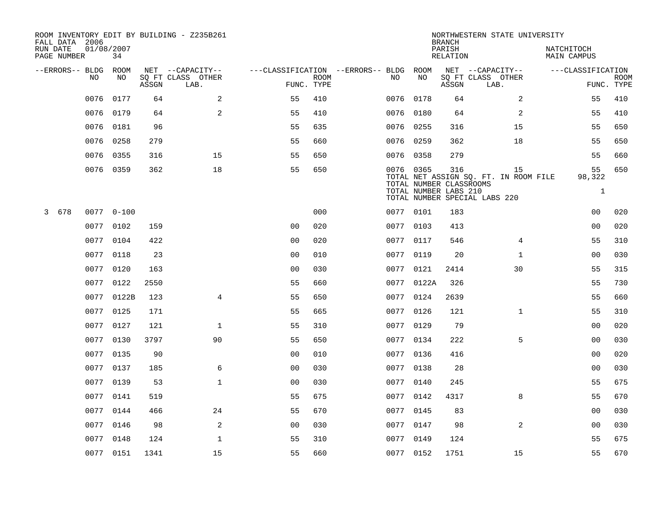| FALL DATA 2006          |                |                  |       | ROOM INVENTORY EDIT BY BUILDING - Z235B261 |                                   |             |           |            | <b>BRANCH</b>                  | NORTHWESTERN STATE UNIVERSITY               |                                  |             |
|-------------------------|----------------|------------------|-------|--------------------------------------------|-----------------------------------|-------------|-----------|------------|--------------------------------|---------------------------------------------|----------------------------------|-------------|
| RUN DATE<br>PAGE NUMBER |                | 01/08/2007<br>34 |       |                                            |                                   |             |           |            | PARISH<br><b>RELATION</b>      |                                             | NATCHITOCH<br><b>MAIN CAMPUS</b> |             |
| --ERRORS-- BLDG         |                | ROOM             |       | NET --CAPACITY--                           | ---CLASSIFICATION --ERRORS-- BLDG |             |           | ROOM       |                                | NET --CAPACITY--                            | ---CLASSIFICATION                |             |
|                         | N <sub>O</sub> | NO.              | ASSGN | SO FT CLASS OTHER<br>LAB.                  | FUNC. TYPE                        | <b>ROOM</b> | NO.       | NO         | ASSGN                          | SQ FT CLASS OTHER<br>LAB.                   | FUNC. TYPE                       | <b>ROOM</b> |
|                         | 0076           | 0177             | 64    | 2                                          | 55                                | 410         | 0076      | 0178       | 64                             | 2                                           | 55                               | 410         |
|                         | 0076           | 0179             | 64    | 2                                          | 55                                | 410         | 0076      | 0180       | 64                             | 2                                           | 55                               | 410         |
|                         | 0076           | 0181             | 96    |                                            | 55                                | 635         | 0076      | 0255       | 316                            | 15                                          | 55                               | 650         |
|                         | 0076           | 0258             | 279   |                                            | 55                                | 660         | 0076      | 0259       | 362                            | 18                                          | 55                               | 650         |
|                         | 0076           | 0355             | 316   | 15                                         | 55                                | 650         | 0076      | 0358       | 279                            |                                             | 55                               | 660         |
|                         |                | 0076 0359        | 362   | 18                                         | 55                                | 650         | 0076 0365 |            | 316<br>TOTAL NUMBER CLASSROOMS | 15<br>TOTAL NET ASSIGN SQ. FT. IN ROOM FILE | 55<br>98,322                     | 650         |
|                         |                |                  |       |                                            |                                   |             |           |            | TOTAL NUMBER LABS 210          | TOTAL NUMBER SPECIAL LABS 220               | $\mathbf{1}$                     |             |
| 678<br>3                |                | $00770 - -100$   |       |                                            |                                   | 000         | 0077 0101 |            | 183                            |                                             | 0 <sub>0</sub>                   | 020         |
|                         |                | 0077 0102        | 159   |                                            | 0 <sub>0</sub>                    | 020         | 0077 0103 |            | 413                            |                                             | 0 <sub>0</sub>                   | 020         |
|                         | 0077           | 0104             | 422   |                                            | 0 <sub>0</sub>                    | 020         | 0077 0117 |            | 546                            | $\overline{4}$                              | 55                               | 310         |
|                         |                | 0077 0118        | 23    |                                            | 0 <sub>0</sub>                    | 010         | 0077 0119 |            | 20                             | $\mathbf{1}$                                | 0 <sub>0</sub>                   | 030         |
|                         | 0077           | 0120             | 163   |                                            | 0 <sub>0</sub>                    | 030         | 0077      | 0121       | 2414                           | 30                                          | 55                               | 315         |
|                         | 0077           | 0122             | 2550  |                                            | 55                                | 660         |           | 0077 0122A | 326                            |                                             | 55                               | 730         |
|                         | 0077           | 0122B            | 123   | $\overline{4}$                             | 55                                | 650         | 0077      | 0124       | 2639                           |                                             | 55                               | 660         |
|                         |                | 0077 0125        | 171   |                                            | 55                                | 665         |           | 0077 0126  | 121                            | $\mathbf{1}$                                | 55                               | 310         |
|                         | 0077           | 0127             | 121   | $\mathbf{1}$                               | 55                                | 310         | 0077      | 0129       | 79                             |                                             | 0 <sub>0</sub>                   | 020         |
|                         | 0077           | 0130             | 3797  | 90                                         | 55                                | 650         | 0077 0134 |            | 222                            | 5                                           | 00                               | 030         |
|                         | 0077           | 0135             | 90    |                                            | 0 <sub>0</sub>                    | 010         | 0077      | 0136       | 416                            |                                             | 0 <sub>0</sub>                   | 020         |
|                         | 0077           | 0137             | 185   | 6                                          | 0 <sub>0</sub>                    | 030         | 0077      | 0138       | 28                             |                                             | 0 <sub>0</sub>                   | 030         |
|                         | 0077           | 0139             | 53    | $\mathbf{1}$                               | 0 <sub>0</sub>                    | 030         | 0077 0140 |            | 245                            |                                             | 55                               | 675         |
|                         | 0077           | 0141             | 519   |                                            | 55                                | 675         | 0077      | 0142       | 4317                           | 8                                           | 55                               | 670         |
|                         | 0077           | 0144             | 466   | 24                                         | 55                                | 670         | 0077 0145 |            | 83                             |                                             | 0 <sub>0</sub>                   | 030         |
|                         | 0077           | 0146             | 98    | 2                                          | 0 <sub>0</sub>                    | 030         | 0077 0147 |            | 98                             | 2                                           | 0 <sub>0</sub>                   | 030         |
|                         | 0077           | 0148             | 124   | $\mathbf{1}$                               | 55                                | 310         | 0077 0149 |            | 124                            |                                             | 55                               | 675         |
|                         |                | 0077 0151        | 1341  | 15                                         | 55                                | 660         | 0077 0152 |            | 1751                           | 15                                          | 55                               | 670         |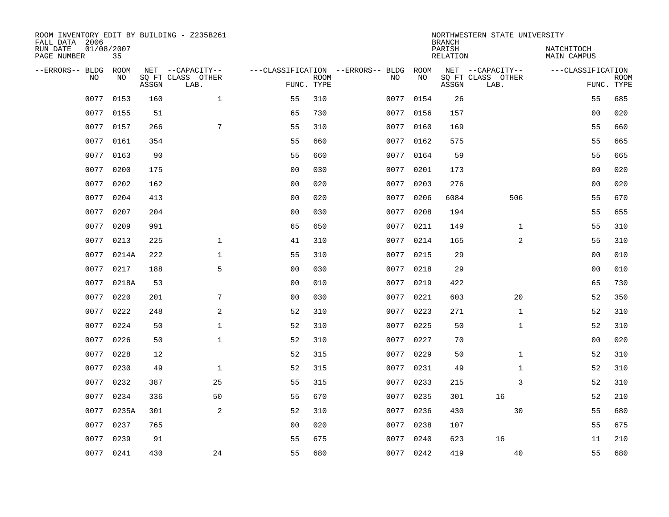| FALL DATA 2006          |           |                  |       | ROOM INVENTORY EDIT BY BUILDING - Z235B261    |                                                 |             |      |            | <b>BRANCH</b>      | NORTHWESTERN STATE UNIVERSITY                 |                                  |                           |
|-------------------------|-----------|------------------|-------|-----------------------------------------------|-------------------------------------------------|-------------|------|------------|--------------------|-----------------------------------------------|----------------------------------|---------------------------|
| RUN DATE<br>PAGE NUMBER |           | 01/08/2007<br>35 |       |                                               |                                                 |             |      |            | PARISH<br>RELATION |                                               | NATCHITOCH<br><b>MAIN CAMPUS</b> |                           |
| --ERRORS-- BLDG         | <b>NO</b> | ROOM<br>NO.      | ASSGN | NET --CAPACITY--<br>SQ FT CLASS OTHER<br>LAB. | ---CLASSIFICATION --ERRORS-- BLDG<br>FUNC. TYPE | <b>ROOM</b> | NO.  | ROOM<br>NO | ASSGN              | NET --CAPACITY--<br>SQ FT CLASS OTHER<br>LAB. | ---CLASSIFICATION                | <b>ROOM</b><br>FUNC. TYPE |
|                         | 0077      | 0153             | 160   | $\mathbf{1}$                                  | 55                                              | 310         | 0077 | 0154       | 26                 |                                               | 55                               | 685                       |
|                         | 0077      | 0155             | 51    |                                               | 65                                              | 730         |      | 0077 0156  | 157                |                                               | 0 <sub>0</sub>                   | 020                       |
|                         | 0077      | 0157             | 266   | 7                                             | 55                                              | 310         | 0077 | 0160       | 169                |                                               | 55                               | 660                       |
|                         |           | 0077 0161        | 354   |                                               | 55                                              | 660         |      | 0077 0162  | 575                |                                               | 55                               | 665                       |
|                         | 0077      | 0163             | 90    |                                               | 55                                              | 660         | 0077 | 0164       | 59                 |                                               | 55                               | 665                       |
|                         | 0077      | 0200             | 175   |                                               | 0 <sub>0</sub>                                  | 030         |      | 0077 0201  | 173                |                                               | 0 <sub>0</sub>                   | 020                       |
|                         | 0077      | 0202             | 162   |                                               | 0 <sub>0</sub>                                  | 020         | 0077 | 0203       | 276                |                                               | 0 <sub>0</sub>                   | 020                       |
|                         | 0077      | 0204             | 413   |                                               | 0 <sub>0</sub>                                  | 020         |      | 0077 0206  | 6084               | 506                                           | 55                               | 670                       |
|                         | 0077      | 0207             | 204   |                                               | 0 <sub>0</sub>                                  | 030         | 0077 | 0208       | 194                |                                               | 55                               | 655                       |
|                         | 0077      | 0209             | 991   |                                               | 65                                              | 650         |      | 0077 0211  | 149                | $\mathbf{1}$                                  | 55                               | 310                       |
|                         | 0077      | 0213             | 225   | $\mathbf 1$                                   | 41                                              | 310         | 0077 | 0214       | 165                | 2                                             | 55                               | 310                       |
|                         | 0077      | 0214A            | 222   | $\mathbf{1}$                                  | 55                                              | 310         |      | 0077 0215  | 29                 |                                               | 00                               | 010                       |
|                         | 0077      | 0217             | 188   | 5                                             | 0 <sub>0</sub>                                  | 030         | 0077 | 0218       | 29                 |                                               | 0 <sub>0</sub>                   | 010                       |
|                         | 0077      | 0218A            | 53    |                                               | 0 <sub>0</sub>                                  | 010         | 0077 | 0219       | 422                |                                               | 65                               | 730                       |
|                         | 0077      | 0220             | 201   | 7                                             | 0 <sub>0</sub>                                  | 030         | 0077 | 0221       | 603                | 20                                            | 52                               | 350                       |
|                         | 0077      | 0222             | 248   | 2                                             | 52                                              | 310         | 0077 | 0223       | 271                | $\mathbf{1}$                                  | 52                               | 310                       |
|                         | 0077      | 0224             | 50    | $\mathbf{1}$                                  | 52                                              | 310         |      | 0077 0225  | 50                 | $\mathbf{1}$                                  | 52                               | 310                       |
|                         | 0077      | 0226             | 50    | $\mathbf{1}$                                  | 52                                              | 310         | 0077 | 0227       | 70                 |                                               | 0 <sub>0</sub>                   | 020                       |
|                         | 0077      | 0228             | 12    |                                               | 52                                              | 315         |      | 0077 0229  | 50                 | $\mathbf{1}$                                  | 52                               | 310                       |
|                         | 0077      | 0230             | 49    | $\mathbf{1}$                                  | 52                                              | 315         | 0077 | 0231       | 49                 | $\mathbf{1}$                                  | 52                               | 310                       |
|                         | 0077      | 0232             | 387   | 25                                            | 55                                              | 315         |      | 0077 0233  | 215                | 3                                             | 52                               | 310                       |
|                         | 0077      | 0234             | 336   | 50                                            | 55                                              | 670         | 0077 | 0235       | 301                | 16                                            | 52                               | 210                       |
|                         | 0077      | 0235A            | 301   | 2                                             | 52                                              | 310         |      | 0077 0236  | 430                | 30                                            | 55                               | 680                       |
|                         | 0077      | 0237             | 765   |                                               | 0 <sub>0</sub>                                  | 020         | 0077 | 0238       | 107                |                                               | 55                               | 675                       |
|                         | 0077      | 0239             | 91    |                                               | 55                                              | 675         |      | 0077 0240  | 623                | 16                                            | 11                               | 210                       |
|                         |           | 0077 0241        | 430   | 24                                            | 55                                              | 680         |      | 0077 0242  | 419                | 40                                            | 55                               | 680                       |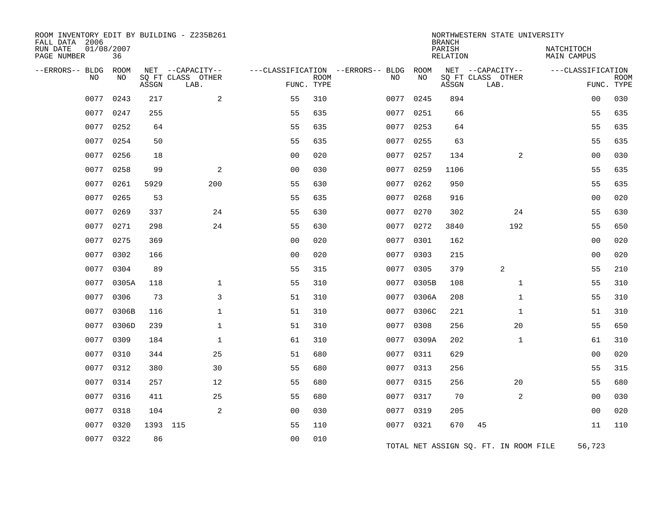| ROOM INVENTORY EDIT BY BUILDING - Z235B261<br>FALL DATA 2006 |                  |          |                           |                                   |             |      |            | <b>BRANCH</b>             | NORTHWESTERN STATE UNIVERSITY         |                                  |             |
|--------------------------------------------------------------|------------------|----------|---------------------------|-----------------------------------|-------------|------|------------|---------------------------|---------------------------------------|----------------------------------|-------------|
| RUN DATE<br>PAGE NUMBER                                      | 01/08/2007<br>36 |          |                           |                                   |             |      |            | PARISH<br><b>RELATION</b> |                                       | NATCHITOCH<br><b>MAIN CAMPUS</b> |             |
| --ERRORS-- BLDG                                              | ROOM<br>NO.      |          | NET --CAPACITY--          | ---CLASSIFICATION --ERRORS-- BLDG |             |      | ROOM<br>NO |                           | NET --CAPACITY--                      | ---CLASSIFICATION                |             |
| <b>NO</b>                                                    |                  | ASSGN    | SQ FT CLASS OTHER<br>LAB. | FUNC. TYPE                        | <b>ROOM</b> | NO   |            | ASSGN                     | SQ FT CLASS OTHER<br>LAB.             | FUNC. TYPE                       | <b>ROOM</b> |
| 0077                                                         | 0243             | 217      | $\overline{a}$            | 55                                | 310         | 0077 | 0245       | 894                       |                                       | 0 <sub>0</sub>                   | 030         |
| 0077                                                         | 0247             | 255      |                           | 55                                | 635         | 0077 | 0251       | 66                        |                                       | 55                               | 635         |
|                                                              | 0077 0252        | 64       |                           | 55                                | 635         |      | 0077 0253  | 64                        |                                       | 55                               | 635         |
| 0077                                                         | 0254             | 50       |                           | 55                                | 635         | 0077 | 0255       | 63                        |                                       | 55                               | 635         |
| 0077                                                         | 0256             | 18       |                           | 0 <sub>0</sub>                    | 020         | 0077 | 0257       | 134                       | $\overline{2}$                        | 0 <sub>0</sub>                   | 030         |
| 0077                                                         | 0258             | 99       | 2                         | 0 <sub>0</sub>                    | 030         | 0077 | 0259       | 1106                      |                                       | 55                               | 635         |
| 0077                                                         | 0261             | 5929     | 200                       | 55                                | 630         |      | 0077 0262  | 950                       |                                       | 55                               | 635         |
| 0077                                                         | 0265             | 53       |                           | 55                                | 635         | 0077 | 0268       | 916                       |                                       | 0 <sub>0</sub>                   | 020         |
| 0077                                                         | 0269             | 337      | 24                        | 55                                | 630         |      | 0077 0270  | 302                       | 24                                    | 55                               | 630         |
| 0077                                                         | 0271             | 298      | 24                        | 55                                | 630         | 0077 | 0272       | 3840                      | 192                                   | 55                               | 650         |
| 0077                                                         | 0275             | 369      |                           | 0 <sub>0</sub>                    | 020         |      | 0077 0301  | 162                       |                                       | 0 <sub>0</sub>                   | 020         |
| 0077                                                         | 0302             | 166      |                           | 00                                | 020         | 0077 | 0303       | 215                       |                                       | 00                               | 020         |
| 0077                                                         | 0304             | 89       |                           | 55                                | 315         |      | 0077 0305  | 379                       | 2                                     | 55                               | 210         |
| 0077                                                         | 0305A            | 118      | $\mathbf 1$               | 55                                | 310         |      | 0077 0305B | 108                       | $\mathbf{1}$                          | 55                               | 310         |
| 0077                                                         | 0306             | 73       | 3                         | 51                                | 310         |      | 0077 0306A | 208                       | $\mathbf{1}$                          | 55                               | 310         |
| 0077                                                         | 0306B            | 116      | $\mathbf{1}$              | 51                                | 310         | 0077 | 0306C      | 221                       | $\mathbf{1}$                          | 51                               | 310         |
| 0077                                                         | 0306D            | 239      | $\mathbf{1}$              | 51                                | 310         | 0077 | 0308       | 256                       | 20                                    | 55                               | 650         |
| 0077                                                         | 0309             | 184      | $\mathbf{1}$              | 61                                | 310         | 0077 | 0309A      | 202                       | $\mathbf{1}$                          | 61                               | 310         |
| 0077                                                         | 0310             | 344      | 25                        | 51                                | 680         | 0077 | 0311       | 629                       |                                       | 0 <sub>0</sub>                   | 020         |
| 0077                                                         | 0312             | 380      | 30                        | 55                                | 680         |      | 0077 0313  | 256                       |                                       | 55                               | 315         |
| 0077                                                         | 0314             | 257      | 12                        | 55                                | 680         | 0077 | 0315       | 256                       | 20                                    | 55                               | 680         |
| 0077                                                         | 0316             | 411      | 25                        | 55                                | 680         |      | 0077 0317  | 70                        | 2                                     | 0 <sub>0</sub>                   | 030         |
| 0077                                                         | 0318             | 104      | 2                         | 0 <sub>0</sub>                    | 030         | 0077 | 0319       | 205                       |                                       | 0 <sub>0</sub>                   | 020         |
| 0077                                                         | 0320             | 1393 115 |                           | 55                                | 110         |      | 0077 0321  | 670                       | 45                                    | 11                               | 110         |
| 0077                                                         | 0322             | 86       |                           | 0 <sub>0</sub>                    | 010         |      |            |                           | TOTAL NET ASSIGN SQ. FT. IN ROOM FILE | 56,723                           |             |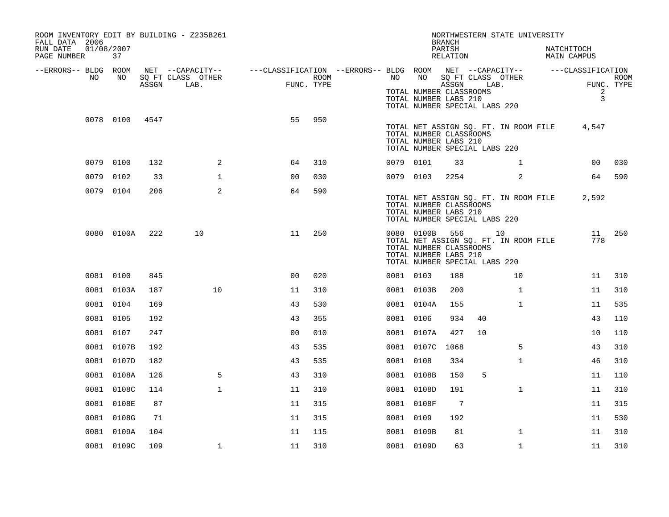| ROOM INVENTORY EDIT BY BUILDING - Z235B261<br>FALL DATA 2006<br>RUN DATE<br>PAGE NUMBER | 01/08/2007<br>37 |       |                                               |                                                                                           |      |           |                                                                                                     | <b>BRANCH</b><br>PARISH<br>RELATION |    | NORTHWESTERN STATE UNIVERSITY               | NATCHITOCH<br>MAIN CAMPUS        |                    |
|-----------------------------------------------------------------------------------------|------------------|-------|-----------------------------------------------|-------------------------------------------------------------------------------------------|------|-----------|-----------------------------------------------------------------------------------------------------|-------------------------------------|----|---------------------------------------------|----------------------------------|--------------------|
| --ERRORS-- BLDG ROOM<br>NO                                                              | NO.              | ASSGN | NET --CAPACITY--<br>SQ FT CLASS OTHER<br>LAB. | ---CLASSIFICATION --ERRORS-- BLDG ROOM NET --CAPACITY-- -----CLASSIFICATION<br>FUNC. TYPE | ROOM | NO .      | NO<br>TOTAL NUMBER CLASSROOMS<br>TOTAL NUMBER LABS 210<br>TOTAL NUMBER SPECIAL LABS 220             | SQ FT CLASS OTHER<br>ASSGN LAB.     |    |                                             | $\overline{a}$<br>$\overline{3}$ | ROOM<br>FUNC. TYPE |
|                                                                                         | 0078 0100        | 4547  |                                               | 55                                                                                        | 950  |           | TOTAL NUMBER CLASSROOMS<br>TOTAL NUMBER LABS 210<br>TOTAL NUMBER SPECIAL LABS 220                   |                                     |    | TOTAL NET ASSIGN SQ. FT. IN ROOM FILE       | 4,547                            |                    |
|                                                                                         | 0079 0100        | 132   | 2                                             | 64                                                                                        | 310  | 0079 0101 |                                                                                                     | 33                                  |    | $\mathbf{1}$                                | 00                               | 030                |
| 0079                                                                                    | 0102             | 33    | $\mathbf{1}$                                  | 0 <sub>0</sub>                                                                            | 030  | 0079 0103 |                                                                                                     | 2254                                |    | 2                                           | 64                               | 590                |
|                                                                                         | 0079 0104        | 206   | $\overline{2}$                                | 64                                                                                        | 590  |           | TOTAL NUMBER CLASSROOMS<br>TOTAL NUMBER LABS 210<br>TOTAL NUMBER SPECIAL LABS 220                   |                                     |    | TOTAL NET ASSIGN SQ. FT. IN ROOM FILE       | 2,592                            |                    |
|                                                                                         | 0080 0100A       | 222   | 10                                            | 11                                                                                        | 250  |           | 0080 0100B 556<br>TOTAL NUMBER CLASSROOMS<br>TOTAL NUMBER LABS 210<br>TOTAL NUMBER SPECIAL LABS 220 |                                     |    | 10<br>TOTAL NET ASSIGN SQ. FT. IN ROOM FILE | 11<br>778                        | 250                |
|                                                                                         | 0081 0100        | 845   |                                               | 0 <sub>0</sub>                                                                            | 020  | 0081 0103 |                                                                                                     | 188                                 |    | 10                                          | 11                               | 310                |
|                                                                                         | 0081 0103A       | 187   | 10                                            | 11                                                                                        | 310  |           | 0081 0103B                                                                                          | 200                                 |    | $\mathbf{1}$                                | 11                               | 310                |
|                                                                                         | 0081 0104        | 169   |                                               | 43                                                                                        | 530  |           | 0081 0104A                                                                                          | 155                                 |    | $\mathbf{1}$                                | 11                               | 535                |
|                                                                                         | 0081 0105        | 192   |                                               | 43                                                                                        | 355  | 0081 0106 |                                                                                                     | 934                                 | 40 |                                             | 43                               | 110                |
|                                                                                         | 0081 0107        | 247   |                                               | 00                                                                                        | 010  |           | 0081 0107A                                                                                          | 427                                 | 10 |                                             | 10                               | 110                |
|                                                                                         | 0081 0107B       | 192   |                                               | 43                                                                                        | 535  |           | 0081 0107C                                                                                          | 1068                                |    | 5                                           | 43                               | 310                |
|                                                                                         | 0081 0107D       | 182   |                                               | 43                                                                                        | 535  | 0081 0108 |                                                                                                     | 334                                 |    | $\mathbf{1}$                                | 46                               | 310                |
|                                                                                         | 0081 0108A       | 126   | 5                                             | 43                                                                                        | 310  |           | 0081 0108B                                                                                          | 150                                 | 5  |                                             | 11                               | 110                |
|                                                                                         | 0081 0108C       | 114   | $\mathbf{1}$                                  | 11                                                                                        | 310  |           | 0081 0108D                                                                                          | 191                                 |    | $\mathbf{1}$                                | 11                               | 310                |
|                                                                                         | 0081 0108E       | 87    |                                               | 11                                                                                        | 315  |           | 0081 0108F                                                                                          | 7                                   |    |                                             | 11                               | 315                |
|                                                                                         | 0081 0108G       | 71    |                                               | 11                                                                                        | 315  | 0081 0109 |                                                                                                     | 192                                 |    |                                             | 11                               | 530                |
|                                                                                         | 0081 0109A       | 104   |                                               | 11                                                                                        | 115  |           | 0081 0109B                                                                                          | 81                                  |    | $\mathbf{1}$                                | 11                               | 310                |
|                                                                                         | 0081 0109C       | 109   | $\mathbf{1}$                                  | 11                                                                                        | 310  |           | 0081 0109D                                                                                          | 63                                  |    | $\mathbf{1}$                                | 11                               | 310                |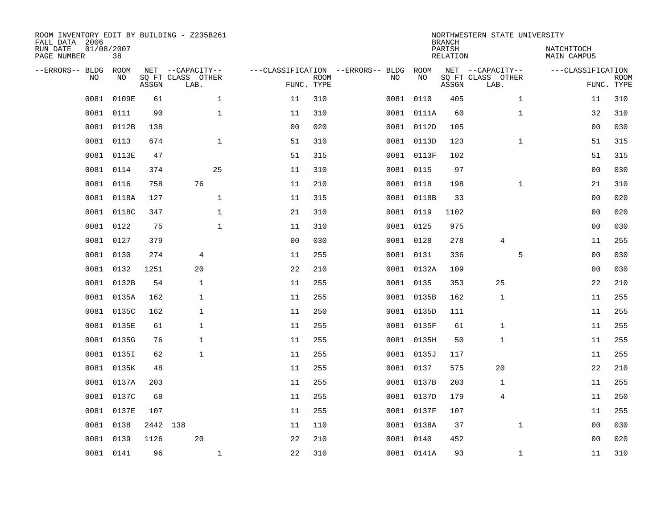| ROOM INVENTORY EDIT BY BUILDING - Z235B261<br>FALL DATA 2006<br>RUN DATE<br>PAGE NUMBER |      | 01/08/2007<br>38 |          |                                               |              |                                   |                           |      |            | <b>BRANCH</b><br>PARISH<br>RELATION | NORTHWESTERN STATE UNIVERSITY                 | NATCHITOCH   | MAIN CAMPUS       |                           |
|-----------------------------------------------------------------------------------------|------|------------------|----------|-----------------------------------------------|--------------|-----------------------------------|---------------------------|------|------------|-------------------------------------|-----------------------------------------------|--------------|-------------------|---------------------------|
| --ERRORS-- BLDG                                                                         | NO   | ROOM<br>NO.      | ASSGN    | NET --CAPACITY--<br>SQ FT CLASS OTHER<br>LAB. |              | ---CLASSIFICATION --ERRORS-- BLDG | <b>ROOM</b><br>FUNC. TYPE | NO   | ROOM<br>NO | ASSGN                               | NET --CAPACITY--<br>SQ FT CLASS OTHER<br>LAB. |              | ---CLASSIFICATION | <b>ROOM</b><br>FUNC. TYPE |
|                                                                                         | 0081 | 0109E            | 61       |                                               | $\mathbf{1}$ | 11                                | 310                       | 0081 | 0110       | 405                                 |                                               | $\mathbf{1}$ | 11                | 310                       |
|                                                                                         | 0081 | 0111             | 90       |                                               | $\mathbf 1$  | 11                                | 310                       |      | 0081 0111A | 60                                  |                                               | $\mathbf{1}$ | 32                | 310                       |
|                                                                                         | 0081 | 0112B            | 138      |                                               |              | 0 <sub>0</sub>                    | 020                       |      | 0081 0112D | 105                                 |                                               |              | 00                | 030                       |
|                                                                                         | 0081 | 0113             | 674      |                                               | $\mathbf{1}$ | 51                                | 310                       |      | 0081 0113D | 123                                 |                                               | $\mathbf{1}$ | 51                | 315                       |
|                                                                                         | 0081 | 0113E            | 47       |                                               |              | 51                                | 315                       |      | 0081 0113F | 102                                 |                                               |              | 51                | 315                       |
|                                                                                         |      | 0081 0114        | 374      |                                               | 25           | 11                                | 310                       |      | 0081 0115  | 97                                  |                                               |              | 0 <sub>0</sub>    | 030                       |
|                                                                                         | 0081 | 0116             | 758      | 76                                            |              | 11                                | 210                       |      | 0081 0118  | 198                                 |                                               | $\mathbf{1}$ | 21                | 310                       |
|                                                                                         | 0081 | 0118A            | 127      |                                               | $\mathbf{1}$ | 11                                | 315                       |      | 0081 0118B | 33                                  |                                               |              | 0 <sub>0</sub>    | 020                       |
|                                                                                         | 0081 | 0118C            | 347      |                                               | $\mathbf{1}$ | 21                                | 310                       |      | 0081 0119  | 1102                                |                                               |              | 0 <sub>0</sub>    | 020                       |
|                                                                                         |      | 0081 0122        | 75       |                                               | $\mathbf{1}$ | 11                                | 310                       |      | 0081 0125  | 975                                 |                                               |              | 0 <sub>0</sub>    | 030                       |
|                                                                                         | 0081 | 0127             | 379      |                                               |              | 0 <sub>0</sub>                    | 030                       |      | 0081 0128  | 278                                 | 4                                             |              | 11                | 255                       |
|                                                                                         | 0081 | 0130             | 274      | 4                                             |              | 11                                | 255                       |      | 0081 0131  | 336                                 |                                               | 5            | 0 <sub>0</sub>    | 030                       |
|                                                                                         | 0081 | 0132             | 1251     | 20                                            |              | 22                                | 210                       |      | 0081 0132A | 109                                 |                                               |              | 0 <sub>0</sub>    | 030                       |
|                                                                                         | 0081 | 0132B            | 54       | $\mathbf{1}$                                  |              | 11                                | 255                       |      | 0081 0135  | 353                                 | 25                                            |              | 22                | 210                       |
|                                                                                         | 0081 | 0135A            | 162      | $\mathbf{1}$                                  |              | 11                                | 255                       |      | 0081 0135B | 162                                 | 1                                             |              | 11                | 255                       |
|                                                                                         | 0081 | 0135C            | 162      | $\mathbf 1$                                   |              | 11                                | 250                       |      | 0081 0135D | 111                                 |                                               |              | 11                | 255                       |
|                                                                                         | 0081 | 0135E            | 61       | 1                                             |              | 11                                | 255                       |      | 0081 0135F | 61                                  | 1                                             |              | 11                | 255                       |
|                                                                                         | 0081 | 0135G            | 76       | 1                                             |              | 11                                | 255                       |      | 0081 0135H | 50                                  | 1                                             |              | 11                | 255                       |
|                                                                                         | 0081 | 0135I            | 62       | 1                                             |              | 11                                | 255                       |      | 0081 0135J | 117                                 |                                               |              | 11                | 255                       |
|                                                                                         |      | 0081 0135K       | 48       |                                               |              | 11                                | 255                       |      | 0081 0137  | 575                                 | 20                                            |              | 22                | 210                       |
|                                                                                         | 0081 | 0137A            | 203      |                                               |              | 11                                | 255                       |      | 0081 0137B | 203                                 | 1                                             |              | 11                | 255                       |
|                                                                                         |      | 0081 0137C       | 68       |                                               |              | 11                                | 255                       |      | 0081 0137D | 179                                 | 4                                             |              | 11                | 250                       |
|                                                                                         | 0081 | 0137E            | 107      |                                               |              | 11                                | 255                       |      | 0081 0137F | 107                                 |                                               |              | 11                | 255                       |
|                                                                                         | 0081 | 0138             | 2442 138 |                                               |              | 11                                | 110                       |      | 0081 0138A | 37                                  |                                               | $\mathbf{1}$ | 00                | 030                       |
|                                                                                         | 0081 | 0139             | 1126     | 20                                            |              | 22                                | 210                       |      | 0081 0140  | 452                                 |                                               |              | 00                | 020                       |
|                                                                                         |      | 0081 0141        | 96       |                                               | $\mathbf{1}$ | 22                                | 310                       |      | 0081 0141A | 93                                  |                                               | $\mathbf{1}$ | 11                | 310                       |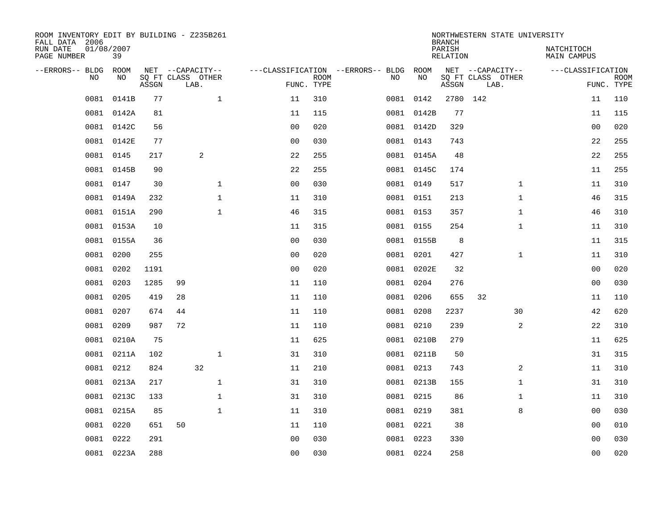| ROOM INVENTORY EDIT BY BUILDING - Z235B261<br>FALL DATA 2006 |                  |       |    |                           |                                        |                           |           |            | <b>BRANCH</b>             | NORTHWESTERN STATE UNIVERSITY |              |                                  |                           |
|--------------------------------------------------------------|------------------|-------|----|---------------------------|----------------------------------------|---------------------------|-----------|------------|---------------------------|-------------------------------|--------------|----------------------------------|---------------------------|
| RUN DATE<br>PAGE NUMBER                                      | 01/08/2007<br>39 |       |    |                           |                                        |                           |           |            | PARISH<br><b>RELATION</b> |                               |              | NATCHITOCH<br><b>MAIN CAMPUS</b> |                           |
| --ERRORS-- BLDG ROOM                                         |                  |       |    | NET --CAPACITY--          | ---CLASSIFICATION --ERRORS-- BLDG ROOM |                           |           |            |                           | NET --CAPACITY--              |              | ---CLASSIFICATION                |                           |
| NO                                                           | NO               | ASSGN |    | SQ FT CLASS OTHER<br>LAB. |                                        | <b>ROOM</b><br>FUNC. TYPE | NO        | NO         | ASSGN                     | SQ FT CLASS OTHER<br>LAB.     |              |                                  | <b>ROOM</b><br>FUNC. TYPE |
| 0081                                                         | 0141B            | 77    |    | $\mathbf{1}$              | 11                                     | 310                       |           | 0081 0142  |                           | 2780 142                      |              | 11                               | 110                       |
|                                                              | 0081 0142A       | 81    |    |                           | 11                                     | 115                       |           | 0081 0142B | 77                        |                               |              | 11                               | 115                       |
|                                                              | 0081 0142C       | 56    |    |                           | 0 <sub>0</sub>                         | 020                       |           | 0081 0142D | 329                       |                               |              | 00                               | 020                       |
| 0081                                                         | 0142E            | 77    |    |                           | 0 <sub>0</sub>                         | 030                       |           | 0081 0143  | 743                       |                               |              | 22                               | 255                       |
| 0081                                                         | 0145             | 217   |    | 2                         | 22                                     | 255                       |           | 0081 0145A | 48                        |                               |              | 22                               | 255                       |
| 0081                                                         | 0145B            | 90    |    |                           | 22                                     | 255                       |           | 0081 0145C | 174                       |                               |              | 11                               | 255                       |
| 0081                                                         | 0147             | 30    |    | $\mathbf{1}$              | 0 <sub>0</sub>                         | 030                       | 0081 0149 |            | 517                       |                               | $\mathbf{1}$ | 11                               | 310                       |
|                                                              | 0081 0149A       | 232   |    | $\mathbf{1}$              | 11                                     | 310                       |           | 0081 0151  | 213                       |                               | $\mathbf{1}$ | 46                               | 315                       |
| 0081                                                         | 0151A            | 290   |    | $\mathbf{1}$              | 46                                     | 315                       |           | 0081 0153  | 357                       |                               | $\mathbf{1}$ | 46                               | 310                       |
|                                                              | 0081 0153A       | 10    |    |                           | 11                                     | 315                       |           | 0081 0155  | 254                       |                               | $\mathbf{1}$ | 11                               | 310                       |
|                                                              | 0081 0155A       | 36    |    |                           | 0 <sub>0</sub>                         | 030                       |           | 0081 0155B | 8                         |                               |              | 11                               | 315                       |
|                                                              | 0081 0200        | 255   |    |                           | 0 <sub>0</sub>                         | 020                       |           | 0081 0201  | 427                       |                               | $\mathbf{1}$ | 11                               | 310                       |
| 0081                                                         | 0202             | 1191  |    |                           | 0 <sub>0</sub>                         | 020                       |           | 0081 0202E | 32                        |                               |              | 0 <sub>0</sub>                   | 020                       |
| 0081                                                         | 0203             | 1285  | 99 |                           | 11                                     | 110                       |           | 0081 0204  | 276                       |                               |              | 00                               | 030                       |
| 0081                                                         | 0205             | 419   | 28 |                           | 11                                     | 110                       |           | 0081 0206  | 655                       | 32                            |              | 11                               | 110                       |
| 0081                                                         | 0207             | 674   | 44 |                           | 11                                     | 110                       |           | 0081 0208  | 2237                      | 30                            |              | 42                               | 620                       |
| 0081                                                         | 0209             | 987   | 72 |                           | 11                                     | 110                       |           | 0081 0210  | 239                       |                               | 2            | 22                               | 310                       |
| 0081                                                         | 0210A            | 75    |    |                           | 11                                     | 625                       |           | 0081 0210B | 279                       |                               |              | 11                               | 625                       |
|                                                              | 0081 0211A       | 102   |    | $\mathbf{1}$              | 31                                     | 310                       |           | 0081 0211B | 50                        |                               |              | 31                               | 315                       |
| 0081                                                         | 0212             | 824   |    | 32                        | 11                                     | 210                       |           | 0081 0213  | 743                       |                               | 2            | 11                               | 310                       |
|                                                              | 0081 0213A       | 217   |    | $\mathbf{1}$              | 31                                     | 310                       |           | 0081 0213B | 155                       |                               | $\mathbf{1}$ | 31                               | 310                       |
| 0081                                                         | 0213C            | 133   |    | $\mathbf{1}$              | 31                                     | 310                       |           | 0081 0215  | 86                        |                               | $\mathbf{1}$ | 11                               | 310                       |
|                                                              | 0081 0215A       | 85    |    | $\mathbf{1}$              | 11                                     | 310                       | 0081 0219 |            | 381                       |                               | 8            | 0 <sub>0</sub>                   | 030                       |
| 0081                                                         | 0220             | 651   | 50 |                           | 11                                     | 110                       |           | 0081 0221  | 38                        |                               |              | 00                               | 010                       |
| 0081                                                         | 0222             | 291   |    |                           | 0 <sub>0</sub>                         | 030                       |           | 0081 0223  | 330                       |                               |              | 0 <sub>0</sub>                   | 030                       |
|                                                              | 0081 0223A       | 288   |    |                           | 00                                     | 030                       | 0081 0224 |            | 258                       |                               |              | 0 <sub>0</sub>                   | 020                       |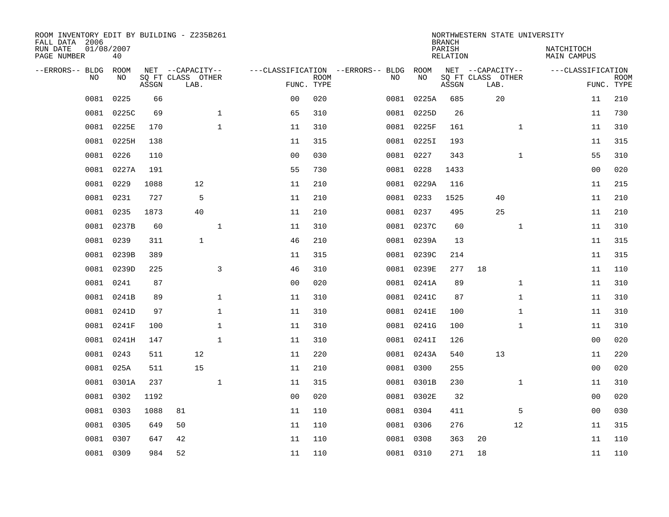| ROOM INVENTORY EDIT BY BUILDING - Z235B261<br>FALL DATA 2006 |                  |       |                           |              |                |             |                                   |            | <b>BRANCH</b>             | NORTHWESTERN STATE UNIVERSITY |              |                           |                           |
|--------------------------------------------------------------|------------------|-------|---------------------------|--------------|----------------|-------------|-----------------------------------|------------|---------------------------|-------------------------------|--------------|---------------------------|---------------------------|
| RUN DATE<br>PAGE NUMBER                                      | 01/08/2007<br>40 |       |                           |              |                |             |                                   |            | PARISH<br><b>RELATION</b> |                               |              | NATCHITOCH<br>MAIN CAMPUS |                           |
| --ERRORS-- BLDG                                              | ROOM             |       | NET --CAPACITY--          |              |                |             | ---CLASSIFICATION --ERRORS-- BLDG | ROOM       |                           | NET --CAPACITY--              |              | ---CLASSIFICATION         |                           |
| NO.                                                          | NO               | ASSGN | SQ FT CLASS OTHER<br>LAB. |              | FUNC. TYPE     | <b>ROOM</b> | NO                                | NO         | ASSGN                     | SQ FT CLASS OTHER<br>LAB.     |              |                           | <b>ROOM</b><br>FUNC. TYPE |
| 0081                                                         | 0225             | 66    |                           |              | 00             | 020         | 0081                              | 0225A      | 685                       | 20                            |              | 11                        | 210                       |
| 0081                                                         | 0225C            | 69    |                           | $\mathbf 1$  | 65             | 310         |                                   | 0081 0225D | 26                        |                               |              | 11                        | 730                       |
| 0081                                                         | 0225E            | 170   |                           | $\mathbf{1}$ | 11             | 310         |                                   | 0081 0225F | 161                       |                               | $\mathbf{1}$ | 11                        | 310                       |
| 0081                                                         | 0225H            | 138   |                           |              | 11             | 315         |                                   | 0081 0225I | 193                       |                               |              | 11                        | 315                       |
| 0081                                                         | 0226             | 110   |                           |              | 0 <sub>0</sub> | 030         |                                   | 0081 0227  | 343                       |                               | $\mathbf{1}$ | 55                        | 310                       |
| 0081                                                         | 0227A            | 191   |                           |              | 55             | 730         |                                   | 0081 0228  | 1433                      |                               |              | 0 <sub>0</sub>            | 020                       |
| 0081                                                         | 0229             | 1088  | 12                        |              | 11             | 210         |                                   | 0081 0229A | 116                       |                               |              | 11                        | 215                       |
| 0081                                                         | 0231             | 727   | 5                         |              | 11             | 210         |                                   | 0081 0233  | 1525                      | 40                            |              | 11                        | 210                       |
| 0081                                                         | 0235             | 1873  | 40                        |              | 11             | 210         |                                   | 0081 0237  | 495                       | 25                            |              | 11                        | 210                       |
| 0081                                                         | 0237B            | 60    |                           | $\mathbf{1}$ | 11             | 310         |                                   | 0081 0237C | 60                        |                               | $\mathbf{1}$ | 11                        | 310                       |
| 0081                                                         | 0239             | 311   | $\mathbf{1}$              |              | 46             | 210         |                                   | 0081 0239A | 13                        |                               |              | 11                        | 315                       |
| 0081                                                         | 0239B            | 389   |                           |              | 11             | 315         |                                   | 0081 0239C | 214                       |                               |              | 11                        | 315                       |
| 0081                                                         | 0239D            | 225   |                           | 3            | 46             | 310         |                                   | 0081 0239E | 277                       | 18                            |              | 11                        | 110                       |
| 0081                                                         | 0241             | 87    |                           |              | 0 <sub>0</sub> | 020         |                                   | 0081 0241A | 89                        |                               | $\mathbf{1}$ | 11                        | 310                       |
| 0081                                                         | 0241B            | 89    |                           | $\mathbf 1$  | 11             | 310         |                                   | 0081 0241C | 87                        |                               | $\mathbf{1}$ | 11                        | 310                       |
| 0081                                                         | 0241D            | 97    |                           | $\mathbf{1}$ | 11             | 310         |                                   | 0081 0241E | 100                       |                               | $\mathbf{1}$ | 11                        | 310                       |
| 0081                                                         | 0241F            | 100   |                           | $\mathbf{1}$ | 11             | 310         |                                   | 0081 0241G | 100                       |                               | $\mathbf{1}$ | 11                        | 310                       |
| 0081                                                         | 0241H            | 147   |                           | $\mathbf 1$  | 11             | 310         | 0081                              | 0241I      | 126                       |                               |              | 00                        | 020                       |
| 0081                                                         | 0243             | 511   | 12                        |              | 11             | 220         |                                   | 0081 0243A | 540                       | 13                            |              | 11                        | 220                       |
| 0081                                                         | 025A             | 511   | 15                        |              | 11             | 210         |                                   | 0081 0300  | 255                       |                               |              | 0 <sub>0</sub>            | 020                       |
| 0081                                                         | 0301A            | 237   |                           | $\mathbf 1$  | 11             | 315         |                                   | 0081 0301B | 230                       |                               | $\mathbf{1}$ | 11                        | 310                       |
| 0081                                                         | 0302             | 1192  |                           |              | 0 <sub>0</sub> | 020         |                                   | 0081 0302E | 32                        |                               |              | 00                        | 020                       |
| 0081                                                         | 0303             | 1088  | 81                        |              | 11             | 110         |                                   | 0081 0304  | 411                       |                               | 5            | 0 <sub>0</sub>            | 030                       |
| 0081                                                         | 0305             | 649   | 50                        |              | 11             | 110         |                                   | 0081 0306  | 276                       |                               | 12           | 11                        | 315                       |
| 0081                                                         | 0307             | 647   | 42                        |              | 11             | 110         | 0081                              | 0308       | 363                       | 20                            |              | 11                        | 110                       |
|                                                              | 0081 0309        | 984   | 52                        |              | 11             | 110         |                                   | 0081 0310  | 271                       | 18                            |              | 11                        | 110                       |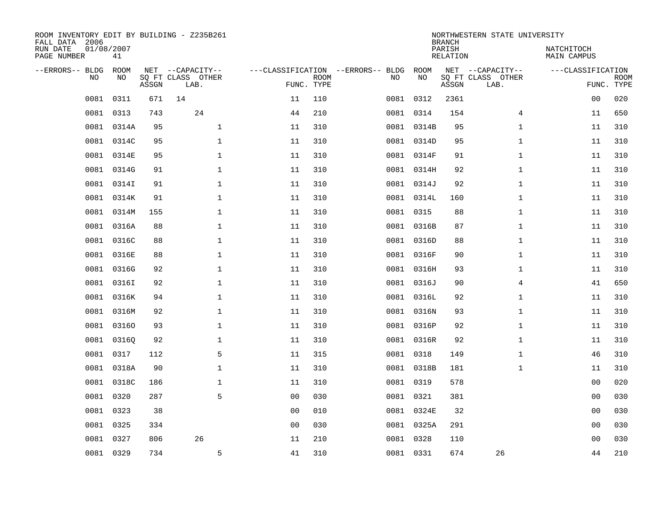| ROOM INVENTORY EDIT BY BUILDING - Z235B261<br>FALL DATA 2006 |                  |       |                           |                |             |                                   |            | <b>BRANCH</b>             | NORTHWESTERN STATE UNIVERSITY |                                  |             |
|--------------------------------------------------------------|------------------|-------|---------------------------|----------------|-------------|-----------------------------------|------------|---------------------------|-------------------------------|----------------------------------|-------------|
| RUN DATE<br>PAGE NUMBER                                      | 01/08/2007<br>41 |       |                           |                |             |                                   |            | PARISH<br><b>RELATION</b> |                               | NATCHITOCH<br><b>MAIN CAMPUS</b> |             |
| --ERRORS-- BLDG                                              | ROOM             |       | NET --CAPACITY--          |                |             | ---CLASSIFICATION --ERRORS-- BLDG | ROOM       |                           | NET --CAPACITY--              | ---CLASSIFICATION                |             |
| NO                                                           | NO               | ASSGN | SQ FT CLASS OTHER<br>LAB. | FUNC. TYPE     | <b>ROOM</b> | NO                                | NO         | ASSGN                     | SQ FT CLASS OTHER<br>LAB.     | FUNC. TYPE                       | <b>ROOM</b> |
| 0081                                                         | 0311             | 671   | 14                        | 11             | 110         |                                   | 0081 0312  | 2361                      |                               | 0 <sub>0</sub>                   | 020         |
| 0081                                                         | 0313             | 743   | 24                        | 44             | 210         |                                   | 0081 0314  | 154                       | 4                             | 11                               | 650         |
| 0081                                                         | 0314A            | 95    | $\mathbf 1$               | 11             | 310         |                                   | 0081 0314B | 95                        | $\mathbf{1}$                  | 11                               | 310         |
| 0081                                                         | 0314C            | 95    | $\mathbf 1$               | 11             | 310         |                                   | 0081 0314D | 95                        | $\mathbf{1}$                  | 11                               | 310         |
| 0081                                                         | 0314E            | 95    | $\mathbf{1}$              | 11             | 310         |                                   | 0081 0314F | 91                        | $\mathbf{1}$                  | 11                               | 310         |
| 0081                                                         | 0314G            | 91    | $\mathbf 1$               | 11             | 310         |                                   | 0081 0314H | 92                        | $\mathbf{1}$                  | 11                               | 310         |
| 0081                                                         | 0314I            | 91    | $\mathbf{1}$              | 11             | 310         |                                   | 0081 0314J | 92                        | $\mathbf{1}$                  | 11                               | 310         |
| 0081                                                         | 0314K            | 91    | $\mathbf{1}$              | 11             | 310         |                                   | 0081 0314L | 160                       | $\mathbf{1}$                  | 11                               | 310         |
| 0081                                                         | 0314M            | 155   | $\mathbf{1}$              | 11             | 310         |                                   | 0081 0315  | 88                        | $\mathbf{1}$                  | 11                               | 310         |
| 0081                                                         | 0316A            | 88    | $\mathbf{1}$              | 11             | 310         |                                   | 0081 0316B | 87                        | $\mathbf{1}$                  | 11                               | 310         |
| 0081                                                         | 0316C            | 88    | $\mathbf 1$               | 11             | 310         |                                   | 0081 0316D | 88                        | $\mathbf{1}$                  | 11                               | 310         |
|                                                              | 0081 0316E       | 88    | $\mathbf 1$               | 11             | 310         |                                   | 0081 0316F | 90                        | $\mathbf{1}$                  | 11                               | 310         |
| 0081                                                         | 0316G            | 92    | $\mathbf 1$               | 11             | 310         |                                   | 0081 0316H | 93                        | $\mathbf{1}$                  | 11                               | 310         |
| 0081                                                         | 0316I            | 92    | $\mathbf 1$               | 11             | 310         |                                   | 0081 0316J | 90                        | 4                             | 41                               | 650         |
| 0081                                                         | 0316K            | 94    | $\mathbf{1}$              | 11             | 310         |                                   | 0081 0316L | 92                        | $\mathbf{1}$                  | 11                               | 310         |
| 0081                                                         | 0316M            | 92    | $\mathbf 1$               | 11             | 310         |                                   | 0081 0316N | 93                        | $\mathbf{1}$                  | 11                               | 310         |
| 0081                                                         | 03160            | 93    | $\mathbf 1$               | 11             | 310         |                                   | 0081 0316P | 92                        | $\mathbf{1}$                  | 11                               | 310         |
| 0081                                                         | 03160            | 92    | $\mathbf 1$               | 11             | 310         |                                   | 0081 0316R | 92                        | $\mathbf{1}$                  | 11                               | 310         |
|                                                              | 0081 0317        | 112   | 5                         | 11             | 315         |                                   | 0081 0318  | 149                       | $\mathbf{1}$                  | 46                               | 310         |
| 0081                                                         | 0318A            | 90    | $\mathbf 1$               | 11             | 310         |                                   | 0081 0318B | 181                       | $\mathbf{1}$                  | 11                               | 310         |
|                                                              | 0081 0318C       | 186   | $\mathbf{1}$              | 11             | 310         |                                   | 0081 0319  | 578                       |                               | 0 <sub>0</sub>                   | 020         |
| 0081                                                         | 0320             | 287   | 5                         | 0 <sub>0</sub> | 030         |                                   | 0081 0321  | 381                       |                               | 0 <sub>0</sub>                   | 030         |
| 0081                                                         | 0323             | 38    |                           | 0 <sub>0</sub> | 010         |                                   | 0081 0324E | 32                        |                               | 0 <sub>0</sub>                   | 030         |
| 0081                                                         | 0325             | 334   |                           | 0 <sub>0</sub> | 030         |                                   | 0081 0325A | 291                       |                               | 0 <sub>0</sub>                   | 030         |
| 0081                                                         | 0327             | 806   | 26                        | 11             | 210         |                                   | 0081 0328  | 110                       |                               | 0 <sub>0</sub>                   | 030         |
|                                                              | 0081 0329        | 734   | 5                         | 41             | 310         |                                   | 0081 0331  | 674                       | 26                            | 44                               | 210         |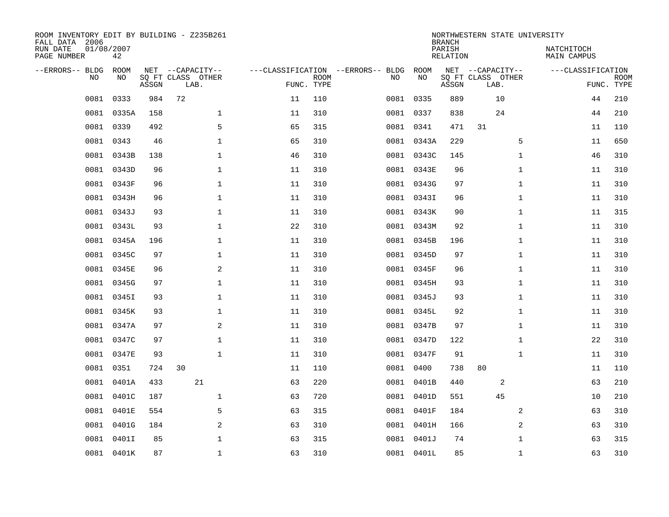| ROOM INVENTORY EDIT BY BUILDING - Z235B261<br>FALL DATA 2006 |                  |       |                           |    |                           |                                   |            | <b>BRANCH</b>             | NORTHWESTERN STATE UNIVERSITY |                           |                           |
|--------------------------------------------------------------|------------------|-------|---------------------------|----|---------------------------|-----------------------------------|------------|---------------------------|-------------------------------|---------------------------|---------------------------|
| RUN DATE<br>PAGE NUMBER                                      | 01/08/2007<br>42 |       |                           |    |                           |                                   |            | PARISH<br><b>RELATION</b> |                               | NATCHITOCH<br>MAIN CAMPUS |                           |
| --ERRORS-- BLDG                                              | ROOM             |       | NET --CAPACITY--          |    |                           | ---CLASSIFICATION --ERRORS-- BLDG | ROOM       |                           | NET --CAPACITY--              | ---CLASSIFICATION         |                           |
| NO                                                           | NO.              | ASSGN | SQ FT CLASS OTHER<br>LAB. |    | <b>ROOM</b><br>FUNC. TYPE | NO                                | NO         | ASSGN                     | SQ FT CLASS OTHER<br>LAB.     |                           | <b>ROOM</b><br>FUNC. TYPE |
| 0081                                                         | 0333             | 984   | 72                        | 11 | 110                       |                                   | 0081 0335  | 889                       | 10                            | 44                        | 210                       |
| 0081                                                         | 0335A            | 158   | $\mathbf 1$               | 11 | 310                       |                                   | 0081 0337  | 838                       | 24                            | 44                        | 210                       |
| 0081                                                         | 0339             | 492   | 5                         | 65 | 315                       |                                   | 0081 0341  | 471                       | 31                            | 11                        | 110                       |
| 0081                                                         | 0343             | 46    | $\mathbf{1}$              | 65 | 310                       |                                   | 0081 0343A | 229                       | 5                             | 11                        | 650                       |
| 0081                                                         | 0343B            | 138   | $\mathbf 1$               | 46 | 310                       |                                   | 0081 0343C | 145                       | $\mathbf{1}$                  | 46                        | 310                       |
| 0081                                                         | 0343D            | 96    | $\mathbf{1}$              | 11 | 310                       |                                   | 0081 0343E | 96                        | $\mathbf{1}$                  | 11                        | 310                       |
| 0081                                                         | 0343F            | 96    | $\mathbf{1}$              | 11 | 310                       |                                   | 0081 0343G | 97                        | $\mathbf{1}$                  | 11                        | 310                       |
| 0081                                                         | 0343H            | 96    | $\mathbf 1$               | 11 | 310                       |                                   | 0081 03431 | 96                        | $\mathbf{1}$                  | 11                        | 310                       |
| 0081                                                         | 0343J            | 93    | $\mathbf 1$               | 11 | 310                       |                                   | 0081 0343K | 90                        | $\mathbf{1}$                  | 11                        | 315                       |
| 0081                                                         | 0343L            | 93    | $\mathbf 1$               | 22 | 310                       |                                   | 0081 0343M | 92                        | $\mathbf{1}$                  | 11                        | 310                       |
| 0081                                                         | 0345A            | 196   | $\mathbf 1$               | 11 | 310                       |                                   | 0081 0345B | 196                       | $\mathbf{1}$                  | 11                        | 310                       |
| 0081                                                         | 0345C            | 97    | $\mathbf 1$               | 11 | 310                       |                                   | 0081 0345D | 97                        | $\mathbf{1}$                  | 11                        | 310                       |
| 0081                                                         | 0345E            | 96    | 2                         | 11 | 310                       |                                   | 0081 0345F | 96                        | $\mathbf{1}$                  | 11                        | 310                       |
|                                                              | 0081 0345G       | 97    | $\mathbf 1$               | 11 | 310                       |                                   | 0081 0345H | 93                        | $\mathbf{1}$                  | 11                        | 310                       |
| 0081                                                         | 0345I            | 93    | $\mathbf 1$               | 11 | 310                       |                                   | 0081 0345J | 93                        | $\mathbf{1}$                  | 11                        | 310                       |
|                                                              | 0081 0345K       | 93    | $\mathbf 1$               | 11 | 310                       |                                   | 0081 0345L | 92                        | $\mathbf{1}$                  | 11                        | 310                       |
| 0081                                                         | 0347A            | 97    | 2                         | 11 | 310                       |                                   | 0081 0347B | 97                        | $\mathbf{1}$                  | 11                        | 310                       |
| 0081                                                         | 0347C            | 97    | $\mathbf 1$               | 11 | 310                       |                                   | 0081 0347D | 122                       | $\mathbf{1}$                  | 22                        | 310                       |
| 0081                                                         | 0347E            | 93    | $\mathbf{1}$              | 11 | 310                       |                                   | 0081 0347F | 91                        | $\mathbf{1}$                  | 11                        | 310                       |
| 0081                                                         | 0351             | 724   | 30                        | 11 | 110                       |                                   | 0081 0400  | 738                       | 80                            | 11                        | 110                       |
| 0081                                                         | 0401A            | 433   | 21                        | 63 | 220                       | 0081                              | 0401B      | 440                       | 2                             | 63                        | 210                       |
| 0081                                                         | 0401C            | 187   | $\mathbf 1$               | 63 | 720                       | 0081                              | 0401D      | 551                       | 45                            | 10                        | 210                       |
| 0081                                                         | 0401E            | 554   | 5                         | 63 | 315                       |                                   | 0081 0401F | 184                       | 2                             | 63                        | 310                       |
| 0081                                                         | 0401G            | 184   | $\overline{a}$            | 63 | 310                       |                                   | 0081 0401H | 166                       | 2                             | 63                        | 310                       |
| 0081                                                         | 0401I            | 85    | 1                         | 63 | 315                       |                                   | 0081 0401J | 74                        | $\mathbf{1}$                  | 63                        | 315                       |
|                                                              | 0081 0401K       | 87    | $\mathbf{1}$              | 63 | 310                       |                                   | 0081 0401L | 85                        | $\mathbf{1}$                  | 63                        | 310                       |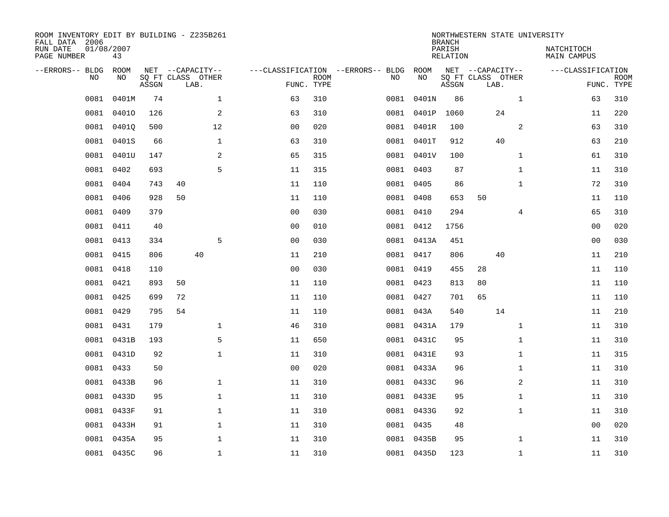| ROOM INVENTORY EDIT BY BUILDING - Z235B261<br>FALL DATA 2006<br>RUN DATE<br>PAGE NUMBER | 01/08/2007<br>43 |       |    |                                               |                |                           |                                         |            | <b>BRANCH</b><br>PARISH<br><b>RELATION</b> | NORTHWESTERN STATE UNIVERSITY                 |              | NATCHITOCH<br>MAIN CAMPUS |                           |
|-----------------------------------------------------------------------------------------|------------------|-------|----|-----------------------------------------------|----------------|---------------------------|-----------------------------------------|------------|--------------------------------------------|-----------------------------------------------|--------------|---------------------------|---------------------------|
| --ERRORS-- BLDG<br>NO.                                                                  | ROOM<br>NO       | ASSGN |    | NET --CAPACITY--<br>SQ FT CLASS OTHER<br>LAB. |                | <b>ROOM</b><br>FUNC. TYPE | ---CLASSIFICATION --ERRORS-- BLDG<br>NO | ROOM<br>NO | ASSGN                                      | NET --CAPACITY--<br>SQ FT CLASS OTHER<br>LAB. |              | ---CLASSIFICATION         | <b>ROOM</b><br>FUNC. TYPE |
| 0081                                                                                    | 0401M            | 74    |    | $\mathbf{1}$                                  | 63             | 310                       | 0081                                    | 0401N      | 86                                         |                                               | $\mathbf{1}$ | 63                        | 310                       |
| 0081                                                                                    | 04010            | 126   |    | 2                                             | 63             | 310                       | 0081                                    | 0401P      | 1060                                       | 24                                            |              | 11                        | 220                       |
| 0081                                                                                    | 04010            | 500   |    | 12                                            | 0 <sub>0</sub> | 020                       |                                         | 0081 0401R | 100                                        |                                               | 2            | 63                        | 310                       |
| 0081                                                                                    | 0401S            | 66    |    | $\mathbf{1}$                                  | 63             | 310                       |                                         | 0081 0401T | 912                                        | 40                                            |              | 63                        | 210                       |
| 0081                                                                                    | 0401U            | 147   |    | 2                                             | 65             | 315                       |                                         | 0081 0401V | 100                                        |                                               | $\mathbf{1}$ | 61                        | 310                       |
| 0081                                                                                    | 0402             | 693   |    | 5                                             | 11             | 315                       |                                         | 0081 0403  | 87                                         |                                               | $\mathbf{1}$ | 11                        | 310                       |
| 0081                                                                                    | 0404             | 743   | 40 |                                               | 11             | 110                       |                                         | 0081 0405  | 86                                         |                                               | $\mathbf{1}$ | 72                        | 310                       |
| 0081                                                                                    | 0406             | 928   | 50 |                                               | 11             | 110                       |                                         | 0081 0408  | 653                                        | 50                                            |              | 11                        | 110                       |
| 0081                                                                                    | 0409             | 379   |    |                                               | 0 <sub>0</sub> | 030                       |                                         | 0081 0410  | 294                                        |                                               | 4            | 65                        | 310                       |
|                                                                                         | 0081 0411        | 40    |    |                                               | 0 <sub>0</sub> | 010                       |                                         | 0081 0412  | 1756                                       |                                               |              | 00                        | 020                       |
| 0081                                                                                    | 0413             | 334   |    | 5                                             | 0 <sub>0</sub> | 030                       |                                         | 0081 0413A | 451                                        |                                               |              | 0 <sub>0</sub>            | 030                       |
|                                                                                         | 0081 0415        | 806   |    | 40                                            | 11             | 210                       |                                         | 0081 0417  | 806                                        | 40                                            |              | 11                        | 210                       |
| 0081                                                                                    | 0418             | 110   |    |                                               | 0 <sub>0</sub> | 030                       |                                         | 0081 0419  | 455                                        | 28                                            |              | 11                        | 110                       |
| 0081                                                                                    | 0421             | 893   | 50 |                                               | 11             | 110                       |                                         | 0081 0423  | 813                                        | 80                                            |              | 11                        | 110                       |
| 0081                                                                                    | 0425             | 699   | 72 |                                               | 11             | 110                       |                                         | 0081 0427  | 701                                        | 65                                            |              | 11                        | 110                       |
| 0081                                                                                    | 0429             | 795   | 54 |                                               | 11             | 110                       |                                         | 0081 043A  | 540                                        | 14                                            |              | 11                        | 210                       |
| 0081                                                                                    | 0431             | 179   |    | $\mathbf 1$                                   | 46             | 310                       |                                         | 0081 0431A | 179                                        |                                               | $\mathbf{1}$ | 11                        | 310                       |
| 0081                                                                                    | 0431B            | 193   |    | 5                                             | 11             | 650                       |                                         | 0081 0431C | 95                                         |                                               | $\mathbf{1}$ | 11                        | 310                       |
|                                                                                         | 0081 0431D       | 92    |    | $\mathbf{1}$                                  | 11             | 310                       |                                         | 0081 0431E | 93                                         |                                               | $\mathbf{1}$ | 11                        | 315                       |
| 0081                                                                                    | 0433             | 50    |    |                                               | 0 <sub>0</sub> | 020                       |                                         | 0081 0433A | 96                                         |                                               | $\mathbf{1}$ | 11                        | 310                       |
| 0081                                                                                    | 0433B            | 96    |    | $\mathbf 1$                                   | 11             | 310                       |                                         | 0081 0433C | 96                                         |                                               | 2            | 11                        | 310                       |
| 0081                                                                                    | 0433D            | 95    |    | $\mathbf 1$                                   | 11             | 310                       |                                         | 0081 0433E | 95                                         |                                               | $\mathbf{1}$ | 11                        | 310                       |
| 0081                                                                                    | 0433F            | 91    |    | 1                                             | 11             | 310                       |                                         | 0081 0433G | 92                                         |                                               | $\mathbf{1}$ | 11                        | 310                       |
| 0081                                                                                    | 0433H            | 91    |    | $\mathbf 1$                                   | 11             | 310                       |                                         | 0081 0435  | 48                                         |                                               |              | 00                        | 020                       |
| 0081                                                                                    | 0435A            | 95    |    | $\mathbf 1$                                   | 11             | 310                       |                                         | 0081 0435B | 95                                         |                                               | $\mathbf{1}$ | 11                        | 310                       |
|                                                                                         | 0081 0435C       | 96    |    | $\mathbf{1}$                                  | 11             | 310                       |                                         | 0081 0435D | 123                                        |                                               | $\mathbf{1}$ | 11                        | 310                       |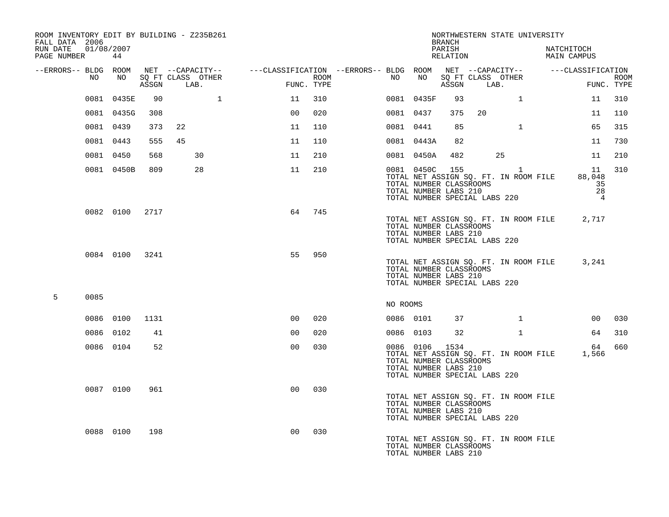| ROOM INVENTORY EDIT BY BUILDING - Z235B261<br>FALL DATA 2006 |           |                |                |            |                   |                                                                                                 |                    |          |                                                                    | BRANCH             | NORTHWESTERN STATE UNIVERSITY                                                                                                                  |              |                                                   |                           |
|--------------------------------------------------------------|-----------|----------------|----------------|------------|-------------------|-------------------------------------------------------------------------------------------------|--------------------|----------|--------------------------------------------------------------------|--------------------|------------------------------------------------------------------------------------------------------------------------------------------------|--------------|---------------------------------------------------|---------------------------|
| RUN DATE 01/08/2007<br>PAGE NUMBER 44                        |           |                |                |            |                   |                                                                                                 |                    |          |                                                                    | PARISH<br>RELATION |                                                                                                                                                |              | NATCHITOCH<br>MAIN CAMPUS                         |                           |
| --ERRORS-- BLDG ROOM                                         |           |                |                |            |                   | NET --CAPACITY-- - ---CLASSIFICATION --ERRORS-- BLDG ROOM NET --CAPACITY-- - ----CLASSIFICATION |                    |          |                                                                    |                    |                                                                                                                                                |              |                                                   |                           |
|                                                              | NO        | NO 11          |                | ASSGN LAB. | SQ FT CLASS OTHER |                                                                                                 | ROOM<br>FUNC. TYPE | NO       | NO                                                                 |                    | SQ FT CLASS OTHER<br>ASSGN LAB.                                                                                                                |              |                                                   | <b>ROOM</b><br>FUNC. TYPE |
|                                                              |           | 0081 0435E     | 90             |            | $\mathbf{1}$      | 11                                                                                              | 310                |          | 0081 0435F                                                         | 93                 |                                                                                                                                                | $\mathbf{1}$ | 11                                                | 310                       |
|                                                              |           | 0081 0435G     | 308            |            |                   | 0 <sub>0</sub>                                                                                  | 020                |          | 0081 0437                                                          | 375                | 20                                                                                                                                             |              | 11                                                | 110                       |
|                                                              | 0081 0439 |                | 373            | 22         |                   | 11                                                                                              | 110                |          | 0081 0441                                                          | 85                 |                                                                                                                                                | $\mathbf{1}$ | 65                                                | 315                       |
|                                                              | 0081 0443 |                | 555            | 45         |                   | 11                                                                                              | 110                |          | 0081 0443A                                                         | 82                 |                                                                                                                                                |              | 11                                                | 730                       |
|                                                              | 0081 0450 |                | 568            |            | 30                | 11                                                                                              | 210                |          | 0081 0450A                                                         | 482                |                                                                                                                                                | 25           | 11                                                | 210                       |
|                                                              |           | 0081 0450B     | 809            |            | 28                | 11                                                                                              | 210                |          |                                                                    |                    | 0081 0450C 155 1<br>TOTAL NET ASSIGN SQ. FT. IN ROOM FILE<br>TOTAL NUMBER CLASSROOMS<br>TOTAL NUMBER LABS 210<br>TOTAL NUMBER SPECIAL LABS 220 |              | - 11 -<br>88,048<br>35<br>28<br>$\overline{4}$    | 310                       |
|                                                              |           |                | 0082 0100 2717 |            |                   | 64                                                                                              | 745                |          | TOTAL NUMBER CLASSROOMS<br>TOTAL NUMBER LABS 210                   |                    | TOTAL NET ASSIGN SQ. FT. IN ROOM FILE<br>TOTAL NUMBER SPECIAL LABS 220                                                                         |              | 2,717                                             |                           |
|                                                              |           | 0084 0100 3241 |                |            |                   | 55                                                                                              | 950                |          | TOTAL NUMBER CLASSROOMS<br>TOTAL NUMBER LABS 210                   |                    | TOTAL NET ASSIGN SQ. FT. IN ROOM FILE<br>TOTAL NUMBER SPECIAL LABS 220                                                                         |              | 3,241                                             |                           |
| 5                                                            | 0085      |                |                |            |                   |                                                                                                 |                    | NO ROOMS |                                                                    |                    |                                                                                                                                                |              |                                                   |                           |
|                                                              | 0086 0100 |                | 1131           |            |                   | 0 <sub>0</sub>                                                                                  | 020                |          | 0086 0101                                                          | 37                 |                                                                                                                                                | $\mathbf{1}$ | 00 <sub>o</sub>                                   | 030                       |
|                                                              | 0086 0102 |                | 41             |            |                   | 0 <sub>0</sub>                                                                                  | 020                |          | 0086 0103                                                          | 32                 |                                                                                                                                                | $\mathbf{1}$ | 64                                                | 310                       |
|                                                              |           | 0086 0104      | 52             |            |                   | 0 <sub>0</sub>                                                                                  | 030                |          | 0086 0106 1534<br>TOTAL NUMBER CLASSROOMS<br>TOTAL NUMBER LABS 210 |                    | TOTAL NUMBER SPECIAL LABS 220                                                                                                                  |              | 64<br>TOTAL NET ASSIGN SQ. FT. IN ROOM FILE 1,566 | 660                       |
|                                                              |           | 0087 0100      | 961            |            |                   | 0 <sub>0</sub>                                                                                  | 030                |          | TOTAL NUMBER CLASSROOMS<br>TOTAL NUMBER LABS 210                   |                    | TOTAL NET ASSIGN SQ. FT. IN ROOM FILE<br>TOTAL NUMBER SPECIAL LABS 220                                                                         |              |                                                   |                           |
|                                                              |           | 0088 0100      | 198            |            |                   | 0 <sup>0</sup>                                                                                  | 030                |          | TOTAL NUMBER CLASSROOMS<br>TOTAL NUMBER LABS 210                   |                    | TOTAL NET ASSIGN SQ. FT. IN ROOM FILE                                                                                                          |              |                                                   |                           |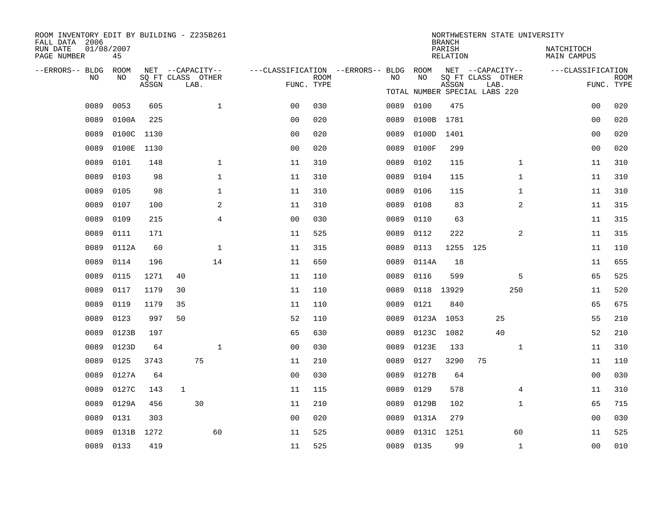| ROOM INVENTORY EDIT BY BUILDING - Z235B261<br>FALL DATA 2006 |                  |       |                           |                |                                        |                           |      |            | <b>BRANCH</b>      |                               |                | NORTHWESTERN STATE UNIVERSITY |                |                           |
|--------------------------------------------------------------|------------------|-------|---------------------------|----------------|----------------------------------------|---------------------------|------|------------|--------------------|-------------------------------|----------------|-------------------------------|----------------|---------------------------|
| RUN DATE<br>PAGE NUMBER                                      | 01/08/2007<br>45 |       |                           |                |                                        |                           |      |            | PARISH<br>RELATION |                               |                | NATCHITOCH<br>MAIN CAMPUS     |                |                           |
| --ERRORS-- BLDG                                              | ROOM             |       | NET --CAPACITY--          |                | ---CLASSIFICATION --ERRORS-- BLDG ROOM |                           |      |            |                    | NET --CAPACITY--              |                | ---CLASSIFICATION             |                |                           |
| NO                                                           | NO               | ASSGN | SQ FT CLASS OTHER<br>LAB. |                |                                        | <b>ROOM</b><br>FUNC. TYPE | NO   | NO         | ASSGN              | SQ FT CLASS OTHER<br>LAB.     |                |                               |                | <b>ROOM</b><br>FUNC. TYPE |
|                                                              |                  |       |                           |                |                                        |                           |      |            |                    | TOTAL NUMBER SPECIAL LABS 220 |                |                               |                |                           |
| 0089                                                         | 0053             | 605   |                           | $\mathbf{1}$   | 0 <sub>0</sub>                         | 030                       | 0089 | 0100       | 475                |                               |                |                               | 0 <sub>0</sub> | 020                       |
| 0089                                                         | 0100A            | 225   |                           |                | 0 <sub>0</sub>                         | 020                       | 0089 | 0100B      | 1781               |                               |                |                               | 0 <sub>0</sub> | 020                       |
| 0089                                                         | 0100C 1130       |       |                           |                | 0 <sub>0</sub>                         | 020                       | 0089 | 0100D      | 1401               |                               |                |                               | 0 <sub>0</sub> | 020                       |
| 0089                                                         | 0100E            | 1130  |                           |                | 0 <sub>0</sub>                         | 020                       | 0089 | 0100F      | 299                |                               |                |                               | 0 <sub>0</sub> | 020                       |
| 0089                                                         | 0101             | 148   |                           | $\mathbf 1$    | 11                                     | 310                       | 0089 | 0102       | 115                |                               | $\mathbf{1}$   |                               | 11             | 310                       |
| 0089                                                         | 0103             | 98    |                           | 1              | 11                                     | 310                       | 0089 | 0104       | 115                |                               | $\mathbf{1}$   |                               | 11             | 310                       |
| 0089                                                         | 0105             | 98    |                           | $\mathbf 1$    | 11                                     | 310                       | 0089 | 0106       | 115                |                               | $\mathbf{1}$   |                               | 11             | 310                       |
| 0089                                                         | 0107             | 100   |                           | 2              | 11                                     | 310                       | 0089 | 0108       | 83                 |                               | $\overline{a}$ |                               | 11             | 315                       |
| 0089                                                         | 0109             | 215   |                           | $\overline{4}$ | 0 <sub>0</sub>                         | 030                       | 0089 | 0110       | 63                 |                               |                |                               | 11             | 315                       |
| 0089                                                         | 0111             | 171   |                           |                | 11                                     | 525                       | 0089 | 0112       | 222                |                               | 2              |                               | 11             | 315                       |
| 0089                                                         | 0112A            | 60    |                           | $\mathbf 1$    | 11                                     | 315                       | 0089 | 0113       | 1255 125           |                               |                |                               | 11             | 110                       |
| 0089                                                         | 0114             | 196   |                           | 14             | 11                                     | 650                       | 0089 | 0114A      | 18                 |                               |                |                               | 11             | 655                       |
| 0089                                                         | 0115             | 1271  | 40                        |                | 11                                     | 110                       | 0089 | 0116       | 599                |                               | 5              |                               | 65             | 525                       |
| 0089                                                         | 0117             | 1179  | 30                        |                | 11                                     | 110                       | 0089 | 0118 13929 |                    |                               | 250            |                               | 11             | 520                       |
| 0089                                                         | 0119             | 1179  | 35                        |                | 11                                     | 110                       | 0089 | 0121       | 840                |                               |                |                               | 65             | 675                       |
| 0089                                                         | 0123             | 997   | 50                        |                | 52                                     | 110                       | 0089 |            | 0123A 1053         | 25                            |                |                               | 55             | 210                       |
| 0089                                                         | 0123B            | 197   |                           |                | 65                                     | 630                       | 0089 | 0123C      | 1082               | 40                            |                |                               | 52             | 210                       |
| 0089                                                         | 0123D            | 64    |                           | $\mathbf{1}$   | 0 <sub>0</sub>                         | 030                       | 0089 | 0123E      | 133                |                               | $\mathbf{1}$   |                               | 11             | 310                       |
| 0089                                                         | 0125             | 3743  |                           | 75             | 11                                     | 210                       | 0089 | 0127       | 3290               | 75                            |                |                               | 11             | 110                       |
| 0089                                                         | 0127A            | 64    |                           |                | 0 <sub>0</sub>                         | 030                       | 0089 | 0127B      | 64                 |                               |                |                               | 00             | 030                       |
| 0089                                                         | 0127C            | 143   | 1                         |                | 11                                     | 115                       | 0089 | 0129       | 578                |                               | 4              |                               | 11             | 310                       |
| 0089                                                         | 0129A            | 456   |                           | 30             | 11                                     | 210                       | 0089 | 0129B      | 102                |                               | $\mathbf{1}$   |                               | 65             | 715                       |
| 0089                                                         | 0131             | 303   |                           |                | 0 <sub>0</sub>                         | 020                       | 0089 | 0131A      | 279                |                               |                |                               | 00             | 030                       |
| 0089                                                         | 0131B            | 1272  |                           | 60             | 11                                     | 525                       | 0089 | 0131C 1251 |                    |                               | 60             |                               | 11             | 525                       |
|                                                              | 0089 0133        | 419   |                           |                | 11                                     | 525                       |      | 0089 0135  | 99                 |                               | $\mathbf{1}$   |                               | 0 <sub>0</sub> | 010                       |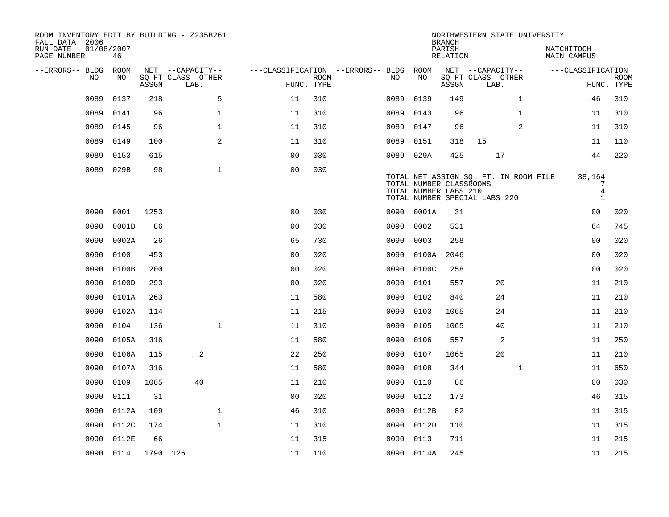| ROOM INVENTORY EDIT BY BUILDING - Z235B261<br>FALL DATA 2006 |                  |          |                           |                                        |             |      |                                                  | <b>BRANCH</b>      | NORTHWESTERN STATE UNIVERSITY                                          |                |                                                   |                           |
|--------------------------------------------------------------|------------------|----------|---------------------------|----------------------------------------|-------------|------|--------------------------------------------------|--------------------|------------------------------------------------------------------------|----------------|---------------------------------------------------|---------------------------|
| RUN DATE<br>PAGE NUMBER                                      | 01/08/2007<br>46 |          |                           |                                        |             |      |                                                  | PARISH<br>RELATION |                                                                        |                | NATCHITOCH<br>MAIN CAMPUS                         |                           |
| --ERRORS-- BLDG ROOM                                         |                  |          | NET --CAPACITY--          | ---CLASSIFICATION --ERRORS-- BLDG ROOM |             |      |                                                  |                    | NET --CAPACITY--                                                       |                | ---CLASSIFICATION                                 |                           |
| NO.                                                          | NO.              | ASSGN    | SQ FT CLASS OTHER<br>LAB. | FUNC. TYPE                             | <b>ROOM</b> | NO.  | NO                                               | ASSGN              | SQ FT CLASS OTHER<br>LAB.                                              |                |                                                   | <b>ROOM</b><br>FUNC. TYPE |
| 0089                                                         | 0137             | 218      | 5                         | 11                                     | 310         | 0089 | 0139                                             | 149                |                                                                        | $\mathbf{1}$   | 46                                                | 310                       |
| 0089                                                         | 0141             | 96       | $\mathbf{1}$              | 11                                     | 310         | 0089 | 0143                                             | 96                 |                                                                        | $\mathbf{1}$   | 11                                                | 310                       |
| 0089                                                         | 0145             | 96       | $\mathbf 1$               | 11                                     | 310         | 0089 | 0147                                             | 96                 |                                                                        | $\overline{2}$ | 11                                                | 310                       |
| 0089                                                         | 0149             | 100      | 2                         | 11                                     | 310         | 0089 | 0151                                             | 318                | 15                                                                     |                | 11                                                | 110                       |
| 0089                                                         | 0153             | 615      |                           | 00                                     | 030         | 0089 | 029A                                             | 425                | 17                                                                     |                | 44                                                | 220                       |
| 0089                                                         | 029B             | 98       | $\mathbf{1}$              | 0 <sub>0</sub>                         | 030         |      | TOTAL NUMBER CLASSROOMS<br>TOTAL NUMBER LABS 210 |                    | TOTAL NET ASSIGN SQ. FT. IN ROOM FILE<br>TOTAL NUMBER SPECIAL LABS 220 |                | 38,164<br>$\overline{7}$<br>$\,4$<br>$\mathbf{1}$ |                           |
| 0090                                                         | 0001             | 1253     |                           | 0 <sub>0</sub>                         | 030         | 0090 | 0001A                                            | 31                 |                                                                        |                | 0 <sub>0</sub>                                    | 020                       |
| 0090                                                         | 0001B            | 86       |                           | 0 <sub>0</sub>                         | 030         | 0090 | 0002                                             | 531                |                                                                        |                | 64                                                | 745                       |
| 0090                                                         | 0002A            | 26       |                           | 65                                     | 730         | 0090 | 0003                                             | 258                |                                                                        |                | 0 <sub>0</sub>                                    | 020                       |
| 0090                                                         | 0100             | 453      |                           | 0 <sub>0</sub>                         | 020         | 0090 | 0100A                                            | 2046               |                                                                        |                | 0 <sub>0</sub>                                    | 020                       |
| 0090                                                         | 0100B            | 200      |                           | 0 <sub>0</sub>                         | 020         | 0090 | 0100C                                            | 258                |                                                                        |                | 0 <sub>0</sub>                                    | 020                       |
| 0090                                                         | 0100D            | 293      |                           | 0 <sub>0</sub>                         | 020         | 0090 | 0101                                             | 557                | 20                                                                     |                | 11                                                | 210                       |
| 0090                                                         | 0101A            | 263      |                           | 11                                     | 580         | 0090 | 0102                                             | 840                | 24                                                                     |                | 11                                                | 210                       |
| 0090                                                         | 0102A            | 114      |                           | 11                                     | 215         | 0090 | 0103                                             | 1065               | 24                                                                     |                | 11                                                | 210                       |
| 0090                                                         | 0104             | 136      | $\mathbf{1}$              | 11                                     | 310         | 0090 | 0105                                             | 1065               | 40                                                                     |                | 11                                                | 210                       |
| 0090                                                         | 0105A            | 316      |                           | 11                                     | 580         | 0090 | 0106                                             | 557                | 2                                                                      |                | 11                                                | 250                       |
| 0090                                                         | 0106A            | 115      | 2                         | 22                                     | 250         | 0090 | 0107                                             | 1065               | 20                                                                     |                | 11                                                | 210                       |
| 0090                                                         | 0107A            | 316      |                           | 11                                     | 580         | 0090 | 0108                                             | 344                |                                                                        | $\mathbf{1}$   | 11                                                | 650                       |
| 0090                                                         | 0109             | 1065     | 40                        | 11                                     | 210         | 0090 | 0110                                             | 86                 |                                                                        |                | 0 <sub>0</sub>                                    | 030                       |
| 0090                                                         | 0111             | 31       |                           | 0 <sub>0</sub>                         | 020         | 0090 | 0112                                             | 173                |                                                                        |                | 46                                                | 315                       |
| 0090                                                         | 0112A            | 109      | $\mathbf 1$               | 46                                     | 310         | 0090 | 0112B                                            | 82                 |                                                                        |                | 11                                                | 315                       |
| 0090                                                         | 0112C            | 174      | $\mathbf{1}$              | 11                                     | 310         | 0090 | 0112D                                            | 110                |                                                                        |                | 11                                                | 315                       |
| 0090                                                         | 0112E            | 66       |                           | 11                                     | 315         | 0090 | 0113                                             | 711                |                                                                        |                | 11                                                | 215                       |
|                                                              | 0090 0114        | 1790 126 |                           | 11                                     | 110         |      | 0090 0114A                                       | 245                |                                                                        |                | 11                                                | 215                       |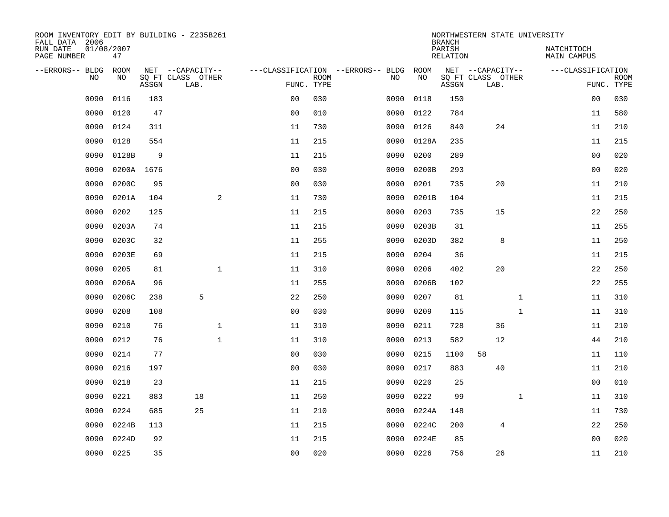| ROOM INVENTORY EDIT BY BUILDING - Z235B261<br>FALL DATA 2006 |                  |            |                                       |                |             |                                          |            | <b>BRANCH</b>      | NORTHWESTERN STATE UNIVERSITY         |                                  |             |
|--------------------------------------------------------------|------------------|------------|---------------------------------------|----------------|-------------|------------------------------------------|------------|--------------------|---------------------------------------|----------------------------------|-------------|
| RUN DATE<br>PAGE NUMBER                                      | 01/08/2007<br>47 |            |                                       |                |             |                                          |            | PARISH<br>RELATION |                                       | NATCHITOCH<br><b>MAIN CAMPUS</b> |             |
| --ERRORS-- BLDG<br>N <sub>O</sub>                            | ROOM<br>NO.      |            | NET --CAPACITY--<br>SO FT CLASS OTHER |                | <b>ROOM</b> | ---CLASSIFICATION --ERRORS-- BLDG<br>NO. | ROOM<br>NO |                    | NET --CAPACITY--<br>SQ FT CLASS OTHER | ---CLASSIFICATION                | <b>ROOM</b> |
|                                                              |                  | ASSGN      | LAB.                                  | FUNC. TYPE     |             |                                          |            | ASSGN              | LAB.                                  |                                  | FUNC. TYPE  |
| 0090                                                         | 0116             | 183        |                                       | 0 <sub>0</sub> | 030         | 0090                                     | 0118       | 150                |                                       | 00                               | 030         |
| 0090                                                         | 0120             | 47         |                                       | 0 <sub>0</sub> | 010         | 0090                                     | 0122       | 784                |                                       | 11                               | 580         |
| 0090                                                         | 0124             | 311        |                                       | 11             | 730         | 0090                                     | 0126       | 840                | 24                                    | 11                               | 210         |
| 0090                                                         | 0128             | 554        |                                       | 11             | 215         | 0090                                     | 0128A      | 235                |                                       | 11                               | 215         |
| 0090                                                         | 0128B            | 9          |                                       | 11             | 215         | 0090                                     | 0200       | 289                |                                       | 0 <sub>0</sub>                   | 020         |
| 0090                                                         |                  | 0200A 1676 |                                       | 0 <sub>0</sub> | 030         | 0090                                     | 0200B      | 293                |                                       | 0 <sub>0</sub>                   | 020         |
| 0090                                                         | 0200C            | 95         |                                       | 00             | 030         | 0090                                     | 0201       | 735                | 20                                    | 11                               | 210         |
| 0090                                                         | 0201A            | 104        | 2                                     | 11             | 730         | 0090                                     | 0201B      | 104                |                                       | 11                               | 215         |
| 0090                                                         | 0202             | 125        |                                       | 11             | 215         | 0090                                     | 0203       | 735                | 15                                    | 22                               | 250         |
| 0090                                                         | 0203A            | 74         |                                       | 11             | 215         | 0090                                     | 0203B      | 31                 |                                       | 11                               | 255         |
| 0090                                                         | 0203C            | 32         |                                       | 11             | 255         | 0090                                     | 0203D      | 382                | 8                                     | 11                               | 250         |
| 0090                                                         | 0203E            | 69         |                                       | 11             | 215         | 0090                                     | 0204       | 36                 |                                       | 11                               | 215         |
| 0090                                                         | 0205             | 81         | $\mathbf{1}$                          | 11             | 310         | 0090                                     | 0206       | 402                | 20                                    | 22                               | 250         |
| 0090                                                         | 0206A            | 96         |                                       | 11             | 255         | 0090                                     | 0206B      | 102                |                                       | 22                               | 255         |
| 0090                                                         | 0206C            | 238        | 5                                     | 22             | 250         | 0090                                     | 0207       | 81                 | $\mathbf{1}$                          | 11                               | 310         |
| 0090                                                         | 0208             | 108        |                                       | 0 <sub>0</sub> | 030         | 0090                                     | 0209       | 115                | $\mathbf{1}$                          | 11                               | 310         |
| 0090                                                         | 0210             | 76         | $\mathbf 1$                           | 11             | 310         | 0090                                     | 0211       | 728                | 36                                    | 11                               | 210         |
| 0090                                                         | 0212             | 76         | $\mathbf 1$                           | 11             | 310         | 0090                                     | 0213       | 582                | 12                                    | 44                               | 210         |
| 0090                                                         | 0214             | 77         |                                       | 0 <sub>0</sub> | 030         | 0090                                     | 0215       | 1100               | 58                                    | 11                               | 110         |
| 0090                                                         | 0216             | 197        |                                       | 0 <sub>0</sub> | 030         | 0090                                     | 0217       | 883                | 40                                    | 11                               | 210         |
| 0090                                                         | 0218             | 23         |                                       | 11             | 215         | 0090                                     | 0220       | 25                 |                                       | 00                               | 010         |
| 0090                                                         | 0221             | 883        | 18                                    | 11             | 250         | 0090                                     | 0222       | 99                 | $\mathbf{1}$                          | 11                               | 310         |
| 0090                                                         | 0224             | 685        | 25                                    | 11             | 210         | 0090                                     | 0224A      | 148                |                                       | 11                               | 730         |
| 0090                                                         | 0224B            | 113        |                                       | 11             | 215         | 0090                                     | 0224C      | 200                | 4                                     | 22                               | 250         |
| 0090                                                         | 0224D            | 92         |                                       | 11             | 215         | 0090                                     | 0224E      | 85                 |                                       | 00                               | 020         |
| 0090                                                         | 0225             | 35         |                                       | 0 <sub>0</sub> | 020         | 0090                                     | 0226       | 756                | 26                                    | 11                               | 210         |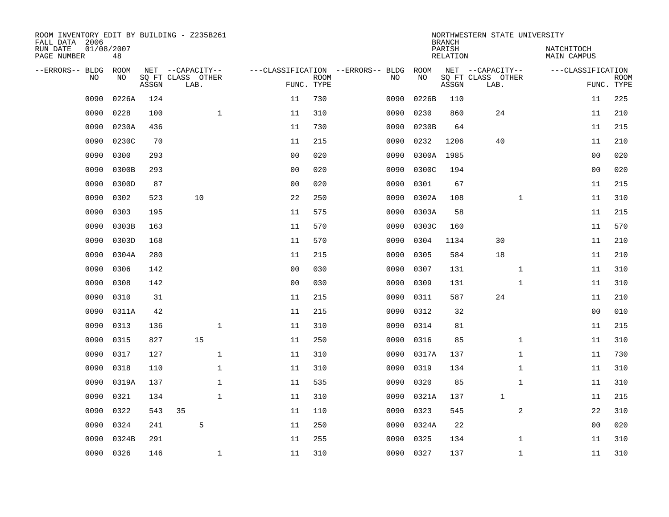| ROOM INVENTORY EDIT BY BUILDING - Z235B261<br>FALL DATA 2006 |                  |       |                           |              |                |                           |                                   |           | <b>BRANCH</b>             | NORTHWESTERN STATE UNIVERSITY |              |                                  |                           |
|--------------------------------------------------------------|------------------|-------|---------------------------|--------------|----------------|---------------------------|-----------------------------------|-----------|---------------------------|-------------------------------|--------------|----------------------------------|---------------------------|
| RUN DATE<br>PAGE NUMBER                                      | 01/08/2007<br>48 |       |                           |              |                |                           |                                   |           | PARISH<br><b>RELATION</b> |                               |              | NATCHITOCH<br><b>MAIN CAMPUS</b> |                           |
| --ERRORS-- BLDG                                              | ROOM             |       | NET --CAPACITY--          |              |                |                           | ---CLASSIFICATION --ERRORS-- BLDG | ROOM      |                           | NET --CAPACITY--              |              | ---CLASSIFICATION                |                           |
| NO                                                           | NO               | ASSGN | SQ FT CLASS OTHER<br>LAB. |              |                | <b>ROOM</b><br>FUNC. TYPE | NO                                | NO        | ASSGN                     | SQ FT CLASS OTHER<br>LAB.     |              |                                  | <b>ROOM</b><br>FUNC. TYPE |
| 0090                                                         | 0226A            | 124   |                           |              | 11             | 730                       | 0090                              | 0226B     | 110                       |                               |              | 11                               | 225                       |
| 0090                                                         | 0228             | 100   |                           | $\mathbf{1}$ | 11             | 310                       | 0090                              | 0230      | 860                       | 24                            |              | 11                               | 210                       |
| 0090                                                         | 0230A            | 436   |                           |              | 11             | 730                       | 0090                              | 0230B     | 64                        |                               |              | 11                               | 215                       |
| 0090                                                         | 0230C            | 70    |                           |              | 11             | 215                       | 0090                              | 0232      | 1206                      | 40                            |              | 11                               | 210                       |
| 0090                                                         | 0300             | 293   |                           |              | 0 <sub>0</sub> | 020                       | 0090                              | 0300A     | 1985                      |                               |              | 0 <sub>0</sub>                   | 020                       |
| 0090                                                         | 0300B            | 293   |                           |              | 0 <sub>0</sub> | 020                       | 0090                              | 0300C     | 194                       |                               |              | 0 <sub>0</sub>                   | 020                       |
| 0090                                                         | 0300D            | 87    |                           |              | 0 <sub>0</sub> | 020                       | 0090                              | 0301      | 67                        |                               |              | 11                               | 215                       |
| 0090                                                         | 0302             | 523   | 10                        |              | 22             | 250                       | 0090                              | 0302A     | 108                       |                               | $\mathbf{1}$ | 11                               | 310                       |
| 0090                                                         | 0303             | 195   |                           |              | 11             | 575                       | 0090                              | 0303A     | 58                        |                               |              | 11                               | 215                       |
| 0090                                                         | 0303B            | 163   |                           |              | 11             | 570                       | 0090                              | 0303C     | 160                       |                               |              | 11                               | 570                       |
| 0090                                                         | 0303D            | 168   |                           |              | 11             | 570                       | 0090                              | 0304      | 1134                      | 30                            |              | 11                               | 210                       |
| 0090                                                         | 0304A            | 280   |                           |              | 11             | 215                       | 0090                              | 0305      | 584                       | 18                            |              | 11                               | 210                       |
| 0090                                                         | 0306             | 142   |                           |              | 0 <sub>0</sub> | 030                       | 0090                              | 0307      | 131                       | $\mathbf{1}$                  |              | 11                               | 310                       |
| 0090                                                         | 0308             | 142   |                           |              | 0 <sub>0</sub> | 030                       | 0090                              | 0309      | 131                       |                               | $\mathbf{1}$ | 11                               | 310                       |
| 0090                                                         | 0310             | 31    |                           |              | 11             | 215                       | 0090                              | 0311      | 587                       | 24                            |              | 11                               | 210                       |
| 0090                                                         | 0311A            | 42    |                           |              | 11             | 215                       | 0090                              | 0312      | 32                        |                               |              | 00                               | 010                       |
| 0090                                                         | 0313             | 136   |                           | $\mathbf{1}$ | 11             | 310                       | 0090                              | 0314      | 81                        |                               |              | 11                               | 215                       |
| 0090                                                         | 0315             | 827   | 15                        |              | 11             | 250                       | 0090                              | 0316      | 85                        |                               | $\mathbf{1}$ | 11                               | 310                       |
| 0090                                                         | 0317             | 127   |                           | $\mathbf 1$  | 11             | 310                       | 0090                              | 0317A     | 137                       |                               | $\mathbf{1}$ | 11                               | 730                       |
| 0090                                                         | 0318             | 110   |                           | 1            | 11             | 310                       | 0090                              | 0319      | 134                       |                               | $\mathbf{1}$ | 11                               | 310                       |
| 0090                                                         | 0319A            | 137   |                           | 1            | 11             | 535                       | 0090                              | 0320      | 85                        |                               | $\mathbf{1}$ | 11                               | 310                       |
| 0090                                                         | 0321             | 134   |                           | $\mathbf 1$  | 11             | 310                       | 0090                              | 0321A     | 137                       | $\mathbf 1$                   |              | 11                               | 215                       |
| 0090                                                         | 0322             | 543   | 35                        |              | 11             | 110                       | 0090                              | 0323      | 545                       |                               | 2            | 22                               | 310                       |
| 0090                                                         | 0324             | 241   | 5                         |              | 11             | 250                       | 0090                              | 0324A     | 22                        |                               |              | 0 <sub>0</sub>                   | 020                       |
| 0090                                                         | 0324B            | 291   |                           |              | 11             | 255                       | 0090                              | 0325      | 134                       |                               | $\mathbf{1}$ | 11                               | 310                       |
| 0090                                                         | 0326             | 146   |                           | $\mathbf 1$  | 11             | 310                       |                                   | 0090 0327 | 137                       |                               | $\mathbf{1}$ | 11                               | 310                       |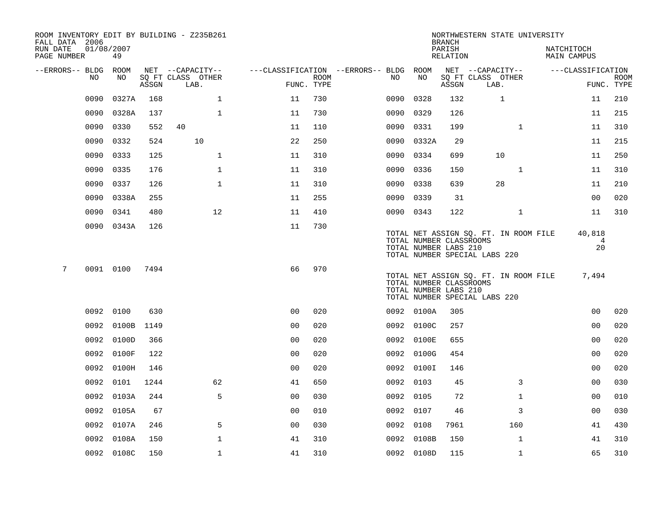| ROOM INVENTORY EDIT BY BUILDING - Z235B261<br>FALL DATA 2006 |                  |       |                           |                                        |      |           |            | <b>BRANCH</b>                                                                     |      | NORTHWESTERN STATE UNIVERSITY         |                                |                           |
|--------------------------------------------------------------|------------------|-------|---------------------------|----------------------------------------|------|-----------|------------|-----------------------------------------------------------------------------------|------|---------------------------------------|--------------------------------|---------------------------|
| RUN DATE<br>PAGE NUMBER                                      | 01/08/2007<br>49 |       |                           |                                        |      |           |            | PARISH<br>RELATION                                                                |      |                                       | NATCHITOCH<br>MAIN CAMPUS      |                           |
| --ERRORS-- BLDG ROOM                                         |                  |       | NET --CAPACITY--          | ---CLASSIFICATION --ERRORS-- BLDG ROOM |      |           |            | NET --CAPACITY--                                                                  |      |                                       | ---CLASSIFICATION              |                           |
| NO.                                                          | NO               | ASSGN | SQ FT CLASS OTHER<br>LAB. | FUNC. TYPE                             | ROOM | NO.       | NO         | SQ FT CLASS OTHER<br>ASSGN                                                        | LAB. |                                       |                                | <b>ROOM</b><br>FUNC. TYPE |
| 0090                                                         | 0327A            | 168   | $\mathbf{1}$              | 11                                     | 730  | 0090      | 0328       | 132                                                                               |      | 1                                     | 11                             | 210                       |
| 0090                                                         | 0328A            | 137   | $\mathbf 1$               | 11                                     | 730  | 0090      | 0329       | 126                                                                               |      |                                       | 11                             | 215                       |
| 0090                                                         | 0330             | 552   | 40                        | 11                                     | 110  | 0090      | 0331       | 199                                                                               |      | $\mathbf{1}$                          | 11                             | 310                       |
| 0090                                                         | 0332             | 524   | 10                        | 22                                     | 250  |           | 0090 0332A | 29                                                                                |      |                                       | 11                             | 215                       |
| 0090                                                         | 0333             | 125   | $\mathbf 1$               | 11                                     | 310  | 0090      | 0334       | 699                                                                               |      | 10                                    | 11                             | 250                       |
| 0090                                                         | 0335             | 176   | $\mathbf 1$               | 11                                     | 310  | 0090      | 0336       | 150                                                                               |      | $\mathbf{1}$                          | 11                             | 310                       |
| 0090                                                         | 0337             | 126   | $\mathbf{1}$              | 11                                     | 310  | 0090      | 0338       | 639                                                                               |      | 28                                    | 11                             | 210                       |
| 0090                                                         | 0338A            | 255   |                           | 11                                     | 255  | 0090 0339 |            | 31                                                                                |      |                                       | 0 <sub>0</sub>                 | 020                       |
| 0090                                                         | 0341             | 480   | 12                        | 11                                     | 410  | 0090 0343 |            | 122                                                                               |      | $\mathbf{1}$                          | 11                             | 310                       |
|                                                              | 0090 0343A       | 126   |                           | 11                                     | 730  |           |            | TOTAL NUMBER CLASSROOMS<br>TOTAL NUMBER LABS 210<br>TOTAL NUMBER SPECIAL LABS 220 |      | TOTAL NET ASSIGN SQ. FT. IN ROOM FILE | 40,818<br>$\overline{4}$<br>20 |                           |
| 7                                                            | 0091 0100        | 7494  |                           | 66                                     | 970  |           |            | TOTAL NUMBER CLASSROOMS<br>TOTAL NUMBER LABS 210<br>TOTAL NUMBER SPECIAL LABS 220 |      | TOTAL NET ASSIGN SQ. FT. IN ROOM FILE | 7,494                          |                           |
|                                                              | 0092 0100        | 630   |                           | 0 <sub>0</sub>                         | 020  |           | 0092 0100A | 305                                                                               |      |                                       | 0 <sub>0</sub>                 | 020                       |
|                                                              | 0092 0100B       | 1149  |                           | 0 <sub>0</sub>                         | 020  |           | 0092 0100C | 257                                                                               |      |                                       | 0 <sub>0</sub>                 | 020                       |
| 0092                                                         | 0100D            | 366   |                           | 0 <sub>0</sub>                         | 020  |           | 0092 0100E | 655                                                                               |      |                                       | 0 <sub>0</sub>                 | 020                       |
| 0092                                                         | 0100F            | 122   |                           | 0 <sub>0</sub>                         | 020  |           | 0092 0100G | 454                                                                               |      |                                       | 0 <sub>0</sub>                 | 020                       |
| 0092                                                         | 0100H            | 146   |                           | 00                                     | 020  |           | 0092 0100I | 146                                                                               |      |                                       | 00                             | 020                       |
| 0092                                                         | 0101             | 1244  | 62                        | 41                                     | 650  | 0092 0103 |            | 45                                                                                |      | 3                                     | 00                             | 030                       |
| 0092                                                         | 0103A            | 244   | 5                         | 0 <sub>0</sub>                         | 030  | 0092 0105 |            | 72                                                                                |      | $\mathbf{1}$                          | 0 <sub>0</sub>                 | 010                       |
| 0092                                                         | 0105A            | 67    |                           | 0 <sub>0</sub>                         | 010  | 0092 0107 |            | 46                                                                                |      | 3                                     | 0 <sub>0</sub>                 | 030                       |
| 0092                                                         | 0107A            | 246   | 5                         | 0 <sub>0</sub>                         | 030  | 0092 0108 |            | 7961                                                                              |      | 160                                   | 41                             | 430                       |
| 0092                                                         | 0108A            | 150   | $\mathbf{1}$              | 41                                     | 310  |           | 0092 0108B | 150                                                                               |      | $\mathbf{1}$                          | 41                             | 310                       |
|                                                              | 0092 0108C       | 150   | $\mathbf{1}$              | 41                                     | 310  |           | 0092 0108D | 115                                                                               |      | $\mathbf{1}$                          | 65                             | 310                       |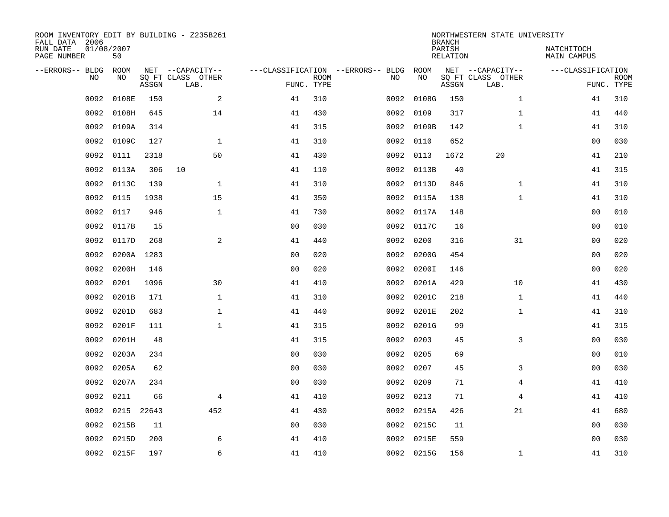| ROOM INVENTORY EDIT BY BUILDING - Z235B261<br>FALL DATA 2006<br>RUN DATE | 01/08/2007  |       |                           |                |             |                                   |            | <b>BRANCH</b><br>PARISH | NORTHWESTERN STATE UNIVERSITY | NATCHITOCH        |                           |
|--------------------------------------------------------------------------|-------------|-------|---------------------------|----------------|-------------|-----------------------------------|------------|-------------------------|-------------------------------|-------------------|---------------------------|
| PAGE NUMBER                                                              | 50          |       |                           |                |             |                                   |            | <b>RELATION</b>         |                               | MAIN CAMPUS       |                           |
| --ERRORS-- BLDG                                                          | <b>ROOM</b> |       | NET --CAPACITY--          |                |             | ---CLASSIFICATION --ERRORS-- BLDG | ROOM       |                         | NET --CAPACITY--              | ---CLASSIFICATION |                           |
| NO.                                                                      | NO          | ASSGN | SQ FT CLASS OTHER<br>LAB. | FUNC. TYPE     | <b>ROOM</b> | NO                                | NO         | ASSGN                   | SQ FT CLASS OTHER<br>LAB.     |                   | <b>ROOM</b><br>FUNC. TYPE |
| 0092                                                                     | 0108E       | 150   | 2                         | 41             | 310         | 0092                              | 0108G      | 150                     | $\mathbf{1}$                  | 41                | 310                       |
| 0092                                                                     | 0108H       | 645   | 14                        | 41             | 430         | 0092                              | 0109       | 317                     | $\mathbf{1}$                  | 41                | 440                       |
| 0092                                                                     | 0109A       | 314   |                           | 41             | 315         | 0092                              | 0109B      | 142                     | $\mathbf{1}$                  | 41                | 310                       |
| 0092                                                                     | 0109C       | 127   | $\mathbf 1$               | 41             | 310         |                                   | 0092 0110  | 652                     |                               | 00                | 030                       |
| 0092                                                                     | 0111        | 2318  | 50                        | 41             | 430         | 0092                              | 0113       | 1672                    | 20                            | 41                | 210                       |
| 0092                                                                     | 0113A       | 306   | 10                        | 41             | 110         |                                   | 0092 0113B | 40                      |                               | 41                | 315                       |
| 0092                                                                     | 0113C       | 139   | $\mathbf{1}$              | 41             | 310         |                                   | 0092 0113D | 846                     | $\mathbf{1}$                  | 41                | 310                       |
| 0092                                                                     | 0115        | 1938  | 15                        | 41             | 350         | 0092                              | 0115A      | 138                     | $\mathbf{1}$                  | 41                | 310                       |
| 0092                                                                     | 0117        | 946   | $\mathbf{1}$              | 41             | 730         | 0092                              | 0117A      | 148                     |                               | 0 <sub>0</sub>    | 010                       |
| 0092                                                                     | 0117B       | 15    |                           | 0 <sub>0</sub> | 030         |                                   | 0092 0117C | 16                      |                               | 0 <sub>0</sub>    | 010                       |
| 0092                                                                     | 0117D       | 268   | 2                         | 41             | 440         | 0092                              | 0200       | 316                     | 31                            | 0 <sub>0</sub>    | 020                       |
| 0092                                                                     | 0200A       | 1283  |                           | 0 <sub>0</sub> | 020         | 0092                              | 0200G      | 454                     |                               | 00                | 020                       |
| 0092                                                                     | 0200H       | 146   |                           | 0 <sub>0</sub> | 020         | 0092                              | 0200I      | 146                     |                               | 00                | 020                       |
| 0092                                                                     | 0201        | 1096  | 30                        | 41             | 410         |                                   | 0092 0201A | 429                     | 10                            | 41                | 430                       |
| 0092                                                                     | 0201B       | 171   | $\mathbf 1$               | 41             | 310         | 0092                              | 0201C      | 218                     | $\mathbf{1}$                  | 41                | 440                       |
| 0092                                                                     | 0201D       | 683   | $\mathbf{1}$              | 41             | 440         |                                   | 0092 0201E | 202                     | $\mathbf{1}$                  | 41                | 310                       |
| 0092                                                                     | 0201F       | 111   | $\mathbf{1}$              | 41             | 315         |                                   | 0092 0201G | 99                      |                               | 41                | 315                       |
| 0092                                                                     | 0201H       | 48    |                           | 41             | 315         | 0092                              | 0203       | 45                      | 3                             | 00                | 030                       |
| 0092                                                                     | 0203A       | 234   |                           | 0 <sub>0</sub> | 030         | 0092                              | 0205       | 69                      |                               | 00                | 010                       |
| 0092                                                                     | 0205A       | 62    |                           | 00             | 030         | 0092                              | 0207       | 45                      | 3                             | 00                | 030                       |
| 0092                                                                     | 0207A       | 234   |                           | 0 <sub>0</sub> | 030         |                                   | 0092 0209  | 71                      | 4                             | 41                | 410                       |
| 0092                                                                     | 0211        | 66    | $\overline{4}$            | 41             | 410         | 0092                              | 0213       | 71                      | 4                             | 41                | 410                       |
| 0092                                                                     | 0215 22643  |       | 452                       | 41             | 430         |                                   | 0092 0215A | 426                     | 21                            | 41                | 680                       |
| 0092                                                                     | 0215B       | 11    |                           | 00             | 030         |                                   | 0092 0215C | 11                      |                               | 0 <sub>0</sub>    | 030                       |
| 0092                                                                     | 0215D       | 200   | 6                         | 41             | 410         | 0092                              | 0215E      | 559                     |                               | 00                | 030                       |
|                                                                          | 0092 0215F  | 197   | 6                         | 41             | 410         |                                   | 0092 0215G | 156                     | $\mathbf{1}$                  | 41                | 310                       |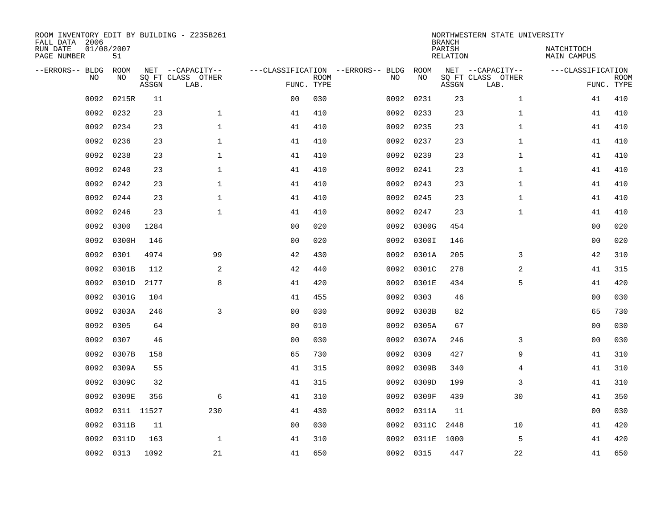| FALL DATA 2006<br>RUN DATE<br>PAGE NUMBER | 01/08/2007 | 51          |       | ROOM INVENTORY EDIT BY BUILDING - Z235B261    |                                                 |             |      |            | <b>BRANCH</b><br>PARISH<br>RELATION | NORTHWESTERN STATE UNIVERSITY                 | NATCHITOCH<br>MAIN CAMPUS |                           |
|-------------------------------------------|------------|-------------|-------|-----------------------------------------------|-------------------------------------------------|-------------|------|------------|-------------------------------------|-----------------------------------------------|---------------------------|---------------------------|
| --ERRORS-- BLDG                           | <b>NO</b>  | ROOM<br>NO. | ASSGN | NET --CAPACITY--<br>SQ FT CLASS OTHER<br>LAB. | ---CLASSIFICATION --ERRORS-- BLDG<br>FUNC. TYPE | <b>ROOM</b> | NO   | ROOM<br>NO | ASSGN                               | NET --CAPACITY--<br>SQ FT CLASS OTHER<br>LAB. | ---CLASSIFICATION         | <b>ROOM</b><br>FUNC. TYPE |
|                                           | 0092       | 0215R       | 11    |                                               | 0 <sub>0</sub>                                  | 030         | 0092 | 0231       | 23                                  | $\mathbf{1}$                                  | 41                        | 410                       |
|                                           | 0092       | 0232        | 23    | $\mathbf{1}$                                  | 41                                              | 410         |      | 0092 0233  | 23                                  | $\mathbf{1}$                                  | 41                        | 410                       |
|                                           | 0092       | 0234        | 23    | $\mathbf{1}$                                  | 41                                              | 410         | 0092 | 0235       | 23                                  | $\mathbf{1}$                                  | 41                        | 410                       |
|                                           | 0092       | 0236        | 23    | $\mathbf{1}$                                  | 41                                              | 410         |      | 0092 0237  | 23                                  | $\mathbf{1}$                                  | 41                        | 410                       |
|                                           | 0092       | 0238        | 23    | $\mathbf{1}$                                  | 41                                              | 410         | 0092 | 0239       | 23                                  | $\mathbf{1}$                                  | 41                        | 410                       |
|                                           | 0092       | 0240        | 23    | $\mathbf 1$                                   | 41                                              | 410         |      | 0092 0241  | 23                                  | $\mathbf{1}$                                  | 41                        | 410                       |
|                                           | 0092       | 0242        | 23    | $\mathbf 1$                                   | 41                                              | 410         | 0092 | 0243       | 23                                  | $\mathbf{1}$                                  | 41                        | 410                       |
|                                           | 0092       | 0244        | 23    | $\mathbf 1$                                   | 41                                              | 410         |      | 0092 0245  | 23                                  | $\mathbf{1}$                                  | 41                        | 410                       |
|                                           | 0092       | 0246        | 23    | $\mathbf 1$                                   | 41                                              | 410         | 0092 | 0247       | 23                                  | $\mathbf{1}$                                  | 41                        | 410                       |
|                                           | 0092       | 0300        | 1284  |                                               | 0 <sub>0</sub>                                  | 020         |      | 0092 0300G | 454                                 |                                               | 00                        | 020                       |
|                                           | 0092       | 0300H       | 146   |                                               | 0 <sub>0</sub>                                  | 020         | 0092 | 0300I      | 146                                 |                                               | 00                        | 020                       |
|                                           | 0092       | 0301        | 4974  | 99                                            | 42                                              | 430         |      | 0092 0301A | 205                                 | 3                                             | 42                        | 310                       |
|                                           | 0092       | 0301B       | 112   | 2                                             | 42                                              | 440         | 0092 | 0301C      | 278                                 | 2                                             | 41                        | 315                       |
|                                           | 0092       | 0301D       | 2177  | 8                                             | 41                                              | 420         |      | 0092 0301E | 434                                 | 5                                             | 41                        | 420                       |
|                                           | 0092       | 0301G       | 104   |                                               | 41                                              | 455         |      | 0092 0303  | 46                                  |                                               | 0 <sub>0</sub>            | 030                       |
|                                           | 0092       | 0303A       | 246   | 3                                             | 0 <sub>0</sub>                                  | 030         |      | 0092 0303B | 82                                  |                                               | 65                        | 730                       |
|                                           | 0092       | 0305        | 64    |                                               | 0 <sub>0</sub>                                  | 010         |      | 0092 0305A | 67                                  |                                               | 00                        | 030                       |
|                                           | 0092       | 0307        | 46    |                                               | 0 <sub>0</sub>                                  | 030         | 0092 | 0307A      | 246                                 | 3                                             | 00                        | 030                       |
|                                           | 0092       | 0307B       | 158   |                                               | 65                                              | 730         | 0092 | 0309       | 427                                 | 9                                             | 41                        | 310                       |
|                                           | 0092       | 0309A       | 55    |                                               | 41                                              | 315         | 0092 | 0309B      | 340                                 | 4                                             | 41                        | 310                       |
|                                           | 0092       | 0309C       | 32    |                                               | 41                                              | 315         | 0092 | 0309D      | 199                                 | 3                                             | 41                        | 310                       |
|                                           | 0092       | 0309E       | 356   | 6                                             | 41                                              | 310         | 0092 | 0309F      | 439                                 | 30                                            | 41                        | 350                       |
|                                           | 0092       | 0311 11527  |       | 230                                           | 41                                              | 430         |      | 0092 0311A | 11                                  |                                               | 0 <sub>0</sub>            | 030                       |
|                                           | 0092       | 0311B       | 11    |                                               | 0 <sub>0</sub>                                  | 030         |      | 0092 0311C | 2448                                | 10                                            | 41                        | 420                       |
|                                           | 0092       | 0311D       | 163   | 1                                             | 41                                              | 310         | 0092 | 0311E      | 1000                                | 5                                             | 41                        | 420                       |
|                                           | 0092 0313  |             | 1092  | 21                                            | 41                                              | 650         |      | 0092 0315  | 447                                 | 22                                            | 41                        | 650                       |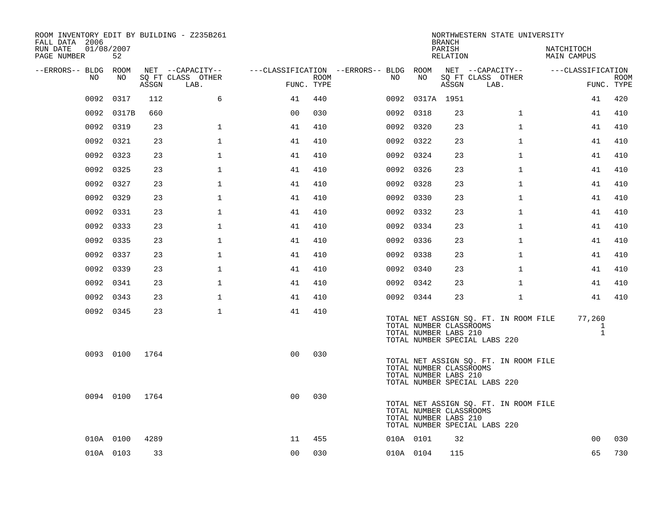| ROOM INVENTORY EDIT BY BUILDING - Z235B261<br>FALL DATA 2006 |                  |       |                           |                                        |                           |     |                 | <b>BRANCH</b>                                    | NORTHWESTERN STATE UNIVERSITY                                          |                             |                           |
|--------------------------------------------------------------|------------------|-------|---------------------------|----------------------------------------|---------------------------|-----|-----------------|--------------------------------------------------|------------------------------------------------------------------------|-----------------------------|---------------------------|
| RUN DATE<br>PAGE NUMBER                                      | 01/08/2007<br>52 |       |                           |                                        |                           |     |                 | PARISH<br><b>RELATION</b>                        |                                                                        | NATCHITOCH<br>MAIN CAMPUS   |                           |
| --ERRORS-- BLDG ROOM                                         |                  |       | NET --CAPACITY--          | ---CLASSIFICATION --ERRORS-- BLDG ROOM |                           |     |                 |                                                  | NET --CAPACITY--                                                       | ---CLASSIFICATION           |                           |
| NO                                                           | NO               | ASSGN | SQ FT CLASS OTHER<br>LAB. |                                        | <b>ROOM</b><br>FUNC. TYPE | NO. | NO              | ASSGN                                            | SQ FT CLASS OTHER<br>LAB.                                              |                             | <b>ROOM</b><br>FUNC. TYPE |
| 0092                                                         | 0317             | 112   | 6                         | 41                                     | 440                       |     | 0092 0317A 1951 |                                                  |                                                                        | 41                          | 420                       |
| 0092                                                         | 0317B            | 660   |                           | 0 <sub>0</sub>                         | 030                       |     | 0092 0318       | 23                                               | $\mathbf{1}$                                                           | 41                          | 410                       |
| 0092                                                         | 0319             | 23    | $\mathbf{1}$              | 41                                     | 410                       |     | 0092 0320       | 23                                               | $\mathbf{1}$                                                           | 41                          | 410                       |
|                                                              | 0092 0321        | 23    | $\mathbf{1}$              | 41                                     | 410                       |     | 0092 0322       | 23                                               | $\mathbf{1}$                                                           | 41                          | 410                       |
|                                                              | 0092 0323        | 23    | $\mathbf{1}$              | 41                                     | 410                       |     | 0092 0324       | 23                                               | $\mathbf{1}$                                                           | 41                          | 410                       |
|                                                              | 0092 0325        | 23    | $\mathbf{1}$              | 41                                     | 410                       |     | 0092 0326       | 23                                               | $\mathbf{1}$                                                           | 41                          | 410                       |
|                                                              | 0092 0327        | 23    | $\mathbf{1}$              | 41                                     | 410                       |     | 0092 0328       | 23                                               | $\mathbf{1}$                                                           | 41                          | 410                       |
|                                                              | 0092 0329        | 23    | $\mathbf{1}$              | 41                                     | 410                       |     | 0092 0330       | 23                                               | $\mathbf{1}$                                                           | 41                          | 410                       |
|                                                              | 0092 0331        | 23    | $\mathbf 1$               | 41                                     | 410                       |     | 0092 0332       | 23                                               | $\mathbf{1}$                                                           | 41                          | 410                       |
|                                                              | 0092 0333        | 23    | $\mathbf 1$               | 41                                     | 410                       |     | 0092 0334       | 23                                               | $\mathbf{1}$                                                           | 41                          | 410                       |
|                                                              | 0092 0335        | 23    | $\mathbf{1}$              | 41                                     | 410                       |     | 0092 0336       | 23                                               | $\mathbf{1}$                                                           | 41                          | 410                       |
|                                                              | 0092 0337        | 23    | $\mathbf 1$               | 41                                     | 410                       |     | 0092 0338       | 23                                               | $\mathbf{1}$                                                           | 41                          | 410                       |
| 0092                                                         | 0339             | 23    | $\mathbf 1$               | 41                                     | 410                       |     | 0092 0340       | 23                                               | $\mathbf{1}$                                                           | 41                          | 410                       |
|                                                              | 0092 0341        | 23    | $\mathbf 1$               | 41                                     | 410                       |     | 0092 0342       | 23                                               | $\mathbf{1}$                                                           | 41                          | 410                       |
|                                                              | 0092 0343        | 23    | $\mathbf{1}$              | 41                                     | 410                       |     | 0092 0344       | 23                                               | $\mathbf{1}$                                                           | 41                          | 410                       |
|                                                              | 0092 0345        | 23    | $\mathbf{1}$              | 41                                     | 410                       |     |                 | TOTAL NUMBER CLASSROOMS<br>TOTAL NUMBER LABS 210 | TOTAL NET ASSIGN SQ. FT. IN ROOM FILE<br>TOTAL NUMBER SPECIAL LABS 220 | 77,260<br>1<br>$\mathbf{1}$ |                           |
|                                                              | 0093 0100        | 1764  |                           | 0 <sup>0</sup>                         | 030                       |     |                 | TOTAL NUMBER CLASSROOMS<br>TOTAL NUMBER LABS 210 | TOTAL NET ASSIGN SQ. FT. IN ROOM FILE<br>TOTAL NUMBER SPECIAL LABS 220 |                             |                           |
|                                                              | 0094 0100        | 1764  |                           | 0 <sub>0</sub>                         | 030                       |     |                 | TOTAL NUMBER CLASSROOMS<br>TOTAL NUMBER LABS 210 | TOTAL NET ASSIGN SQ. FT. IN ROOM FILE<br>TOTAL NUMBER SPECIAL LABS 220 |                             |                           |
|                                                              | 010A 0100        | 4289  |                           | 11                                     | 455                       |     | 010A 0101       | 32                                               |                                                                        | 0 <sub>0</sub>              | 030                       |
|                                                              | 010A 0103        | 33    |                           | 0 <sub>0</sub>                         | 030                       |     | 010A 0104       | 115                                              |                                                                        | 65                          | 730                       |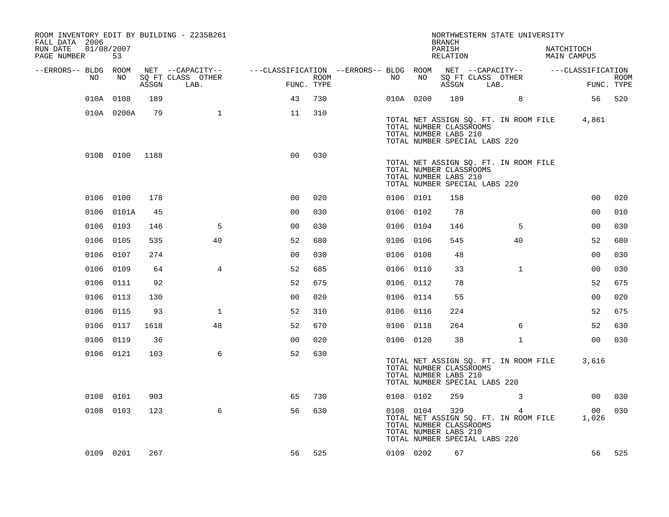| ROOM INVENTORY EDIT BY BUILDING - Z235B261<br>FALL DATA 2006<br>RUN DATE<br>PAGE NUMBER | 01/08/2007<br>53 |       |                           |                                        |      |           |                                                  | <b>BRANCH</b><br>PARISH<br>RELATION |                               | NORTHWESTERN STATE UNIVERSITY              | NATCHITOCH<br>MAIN CAMPUS |                   |             |
|-----------------------------------------------------------------------------------------|------------------|-------|---------------------------|----------------------------------------|------|-----------|--------------------------------------------------|-------------------------------------|-------------------------------|--------------------------------------------|---------------------------|-------------------|-------------|
| --ERRORS-- BLDG ROOM                                                                    |                  |       | NET --CAPACITY--          | ---CLASSIFICATION --ERRORS-- BLDG ROOM |      |           |                                                  |                                     |                               | NET --CAPACITY--                           |                           | ---CLASSIFICATION |             |
| NO                                                                                      | NO               | ASSGN | SQ FT CLASS OTHER<br>LAB. | FUNC. TYPE                             | ROOM | NO .      | NO                                               | ASSGN                               | SQ FT CLASS OTHER<br>LAB.     |                                            |                           | FUNC. TYPE        | <b>ROOM</b> |
|                                                                                         | 010A 0108        | 189   |                           | 43                                     | 730  | 010A 0200 |                                                  | 189                                 |                               | 8                                          |                           |                   | 56 520      |
|                                                                                         | 010A 0200A       | 79    | $\mathbf{1}$              | 11                                     | 310  |           | TOTAL NUMBER CLASSROOMS<br>TOTAL NUMBER LABS 210 |                                     | TOTAL NUMBER SPECIAL LABS 220 | TOTAL NET ASSIGN SQ. FT. IN ROOM FILE      |                           | 4,861             |             |
|                                                                                         | 010B 0100        | 1188  |                           | 0 <sup>0</sup>                         | 030  |           | TOTAL NUMBER CLASSROOMS<br>TOTAL NUMBER LABS 210 |                                     | TOTAL NUMBER SPECIAL LABS 220 | TOTAL NET ASSIGN SQ. FT. IN ROOM FILE      |                           |                   |             |
|                                                                                         | 0106 0100        | 178   |                           | 0 <sub>0</sub>                         | 020  | 0106 0101 |                                                  | 158                                 |                               |                                            |                           | 00                | 020         |
|                                                                                         | 0106 0101A       | 45    |                           | 00                                     | 030  | 0106 0102 |                                                  | 78                                  |                               |                                            |                           | 00                | 010         |
|                                                                                         | 0106 0103        | 146   | 5                         | 0 <sub>0</sub>                         | 030  | 0106 0104 |                                                  | 146                                 |                               | 5                                          |                           | 00                | 030         |
|                                                                                         | 0106 0105        | 535   | 40                        | 52                                     | 680  | 0106 0106 |                                                  | 545                                 |                               | 40                                         |                           | 52                | 680         |
|                                                                                         | 0106 0107        | 274   |                           | 0 <sub>0</sub>                         | 030  | 0106 0108 |                                                  | 48                                  |                               |                                            |                           | 0 <sub>0</sub>    | 030         |
| 0106                                                                                    | 0109             | 64    | $\overline{4}$            | 52                                     | 685  | 0106 0110 |                                                  | 33                                  |                               | $\mathbf{1}$                               |                           | 0 <sub>0</sub>    | 030         |
|                                                                                         | 0106 0111        | 92    |                           | 52                                     | 675  | 0106 0112 |                                                  | 78                                  |                               |                                            |                           | 52                | 675         |
|                                                                                         | 0106 0113        | 130   |                           | 0 <sub>0</sub>                         | 020  | 0106 0114 |                                                  | 55                                  |                               |                                            |                           | 0 <sub>0</sub>    | 020         |
|                                                                                         | 0106 0115        | 93    | $\mathbf{1}$              | 52                                     | 310  | 0106 0116 |                                                  | 224                                 |                               |                                            |                           | 52                | 675         |
|                                                                                         | 0106 0117        | 1618  | 48                        | 52                                     | 670  | 0106 0118 |                                                  | 264                                 |                               | 6                                          |                           | 52                | 630         |
|                                                                                         | 0106 0119        | 36    |                           | 0 <sub>0</sub>                         | 020  | 0106 0120 |                                                  | 38                                  |                               | $\mathbf{1}$                               |                           | 0 <sub>0</sub>    | 030         |
|                                                                                         | 0106 0121        | 103   | 6                         | 52                                     | 630  |           | TOTAL NUMBER CLASSROOMS<br>TOTAL NUMBER LABS 210 |                                     | TOTAL NUMBER SPECIAL LABS 220 | TOTAL NET ASSIGN SQ. FT. IN ROOM FILE      |                           | 3,616             |             |
|                                                                                         | 0108 0101        | 903   |                           | 65                                     | 730  | 0108 0102 |                                                  | 259                                 |                               | 3                                          |                           | 00                | 030         |
|                                                                                         | 0108 0103        | 123   | 6                         | 56                                     | 630  | 0108 0104 | TOTAL NUMBER CLASSROOMS<br>TOTAL NUMBER LABS 210 | 329                                 | TOTAL NUMBER SPECIAL LABS 220 | 4<br>TOTAL NET ASSIGN SQ. FT. IN ROOM FILE |                           | 00<br>1,026       | 030         |
|                                                                                         | 0109 0201        | 267   |                           | 56                                     | 525  | 0109 0202 |                                                  | 67                                  |                               |                                            |                           | 56                | 525         |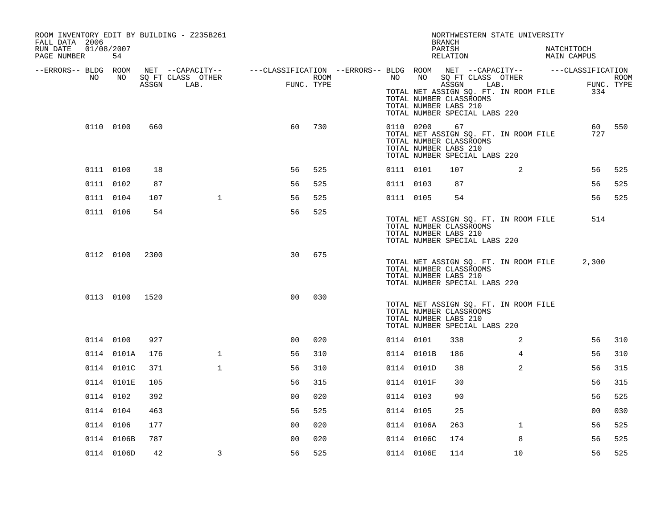| ROOM INVENTORY EDIT BY BUILDING - Z235B261<br>FALL DATA 2006<br>RUN DATE<br>01/08/2007<br>PAGE NUMBER | 54         |      |                                                                                                |                |            |           |            | NORTHWESTERN STATE UNIVERSITY<br>BRANCH<br>PARISH<br>RELATION                                                                               |                | NATCHITOCH<br>MAIN CAMPUS |                   |        |
|-------------------------------------------------------------------------------------------------------|------------|------|------------------------------------------------------------------------------------------------|----------------|------------|-----------|------------|---------------------------------------------------------------------------------------------------------------------------------------------|----------------|---------------------------|-------------------|--------|
| --ERRORS-- BLDG ROOM                                                                                  |            |      | NET --CAPACITY-- - ---CLASSIFICATION --ERRORS-- BLDG ROOM NET --CAPACITY-- - ---CLASSIFICATION |                |            |           |            |                                                                                                                                             |                |                           |                   |        |
| NO                                                                                                    | NO         |      | SQ FT CLASS OTHER                                                                              |                | ROOM       | NO        | NO         | SQ FT CLASS OTHER                                                                                                                           |                |                           |                   | ROOM   |
|                                                                                                       |            |      | ASSGN LAB.                                                                                     |                | FUNC. TYPE |           |            | ASSGN<br>LAB.<br>TOTAL NET ASSIGN SQ. FT. IN ROOM FILE<br>TOTAL NUMBER CLASSROOMS<br>TOTAL NUMBER LABS 210<br>TOTAL NUMBER SPECIAL LABS 220 |                |                           | FUNC. TYPE<br>334 |        |
|                                                                                                       | 0110 0100  | 660  |                                                                                                | 60             | 730        | 0110 0200 |            | 67<br>TOTAL NET ASSIGN SQ. FT. IN ROOM FILE<br>TOTAL NUMBER CLASSROOMS<br>TOTAL NUMBER LABS 210<br>TOTAL NUMBER SPECIAL LABS 220            |                |                           | 727               | 60 550 |
|                                                                                                       | 0111 0100  | 18   |                                                                                                | 56             | 525        | 0111 0101 |            | 107                                                                                                                                         | 2              |                           | 56                | 525    |
|                                                                                                       | 0111 0102  | 87   |                                                                                                | 56             | 525        | 0111 0103 |            | 87                                                                                                                                          |                |                           | 56                | 525    |
|                                                                                                       | 0111 0104  | 107  | $\mathbf{1}$                                                                                   | 56             | 525        | 0111 0105 |            | 54                                                                                                                                          |                |                           | 56                | 525    |
|                                                                                                       | 0111 0106  | 54   |                                                                                                | 56             | 525        |           |            | TOTAL NET ASSIGN SQ. FT. IN ROOM FILE<br>TOTAL NUMBER CLASSROOMS<br>TOTAL NUMBER LABS 210<br>TOTAL NUMBER SPECIAL LABS 220                  |                |                           | 514               |        |
|                                                                                                       | 0112 0100  | 2300 |                                                                                                | 30             | 675        |           |            | TOTAL NET ASSIGN SQ. FT. IN ROOM FILE<br>TOTAL NUMBER CLASSROOMS<br>TOTAL NUMBER LABS 210<br>TOTAL NUMBER SPECIAL LABS 220                  |                |                           | 2,300             |        |
|                                                                                                       | 0113 0100  | 1520 |                                                                                                | 0 <sub>0</sub> | 030        |           |            | TOTAL NET ASSIGN SQ. FT. IN ROOM FILE<br>TOTAL NUMBER CLASSROOMS<br>TOTAL NUMBER LABS 210<br>TOTAL NUMBER SPECIAL LABS 220                  |                |                           |                   |        |
|                                                                                                       | 0114 0100  | 927  |                                                                                                | 00             | 020        | 0114 0101 |            | 338                                                                                                                                         | 2              |                           | 56                | 310    |
|                                                                                                       | 0114 0101A | 176  | $\mathbf{1}$                                                                                   | 56             | 310        |           | 0114 0101B | 186                                                                                                                                         | 4              |                           | 56                | 310    |
|                                                                                                       | 0114 0101C | 371  | $\mathbf 1$                                                                                    | 56             | 310        |           | 0114 0101D | 38                                                                                                                                          | $\overline{a}$ |                           | 56                | 315    |
|                                                                                                       | 0114 0101E | 105  |                                                                                                | 56             | 315        |           | 0114 0101F | 30                                                                                                                                          |                |                           | 56                | 315    |
|                                                                                                       | 0114 0102  | 392  |                                                                                                | 0 <sub>0</sub> | 020        | 0114 0103 |            | 90                                                                                                                                          |                |                           | 56                | 525    |
|                                                                                                       | 0114 0104  | 463  |                                                                                                | 56             | 525        | 0114 0105 |            | 25                                                                                                                                          |                |                           | 0 <sub>0</sub>    | 030    |
|                                                                                                       | 0114 0106  | 177  |                                                                                                | 0 <sub>0</sub> | 020        |           | 0114 0106A | 263                                                                                                                                         | $\mathbf{1}$   |                           | 56                | 525    |
|                                                                                                       | 0114 0106B | 787  |                                                                                                | 0 <sub>0</sub> | 020        |           | 0114 0106C | 174                                                                                                                                         | 8              |                           | 56                | 525    |
|                                                                                                       | 0114 0106D | 42   | 3                                                                                              | 56             | 525        |           | 0114 0106E | 114                                                                                                                                         | 10             |                           | 56                | 525    |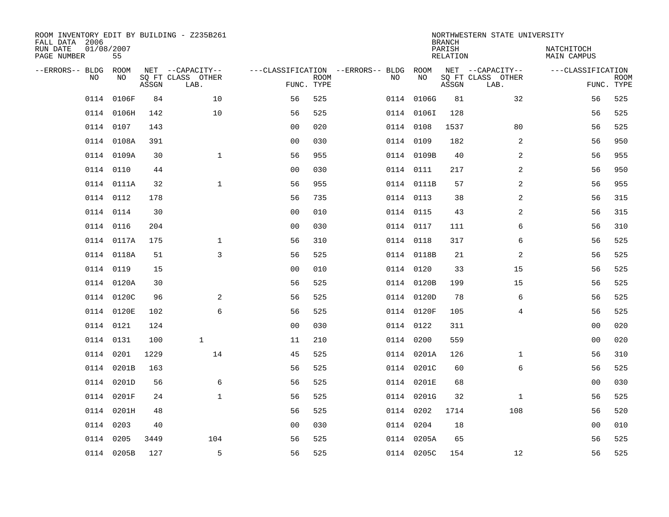| FALL DATA 2006<br>RUN DATE |      | 01/08/2007 |       | ROOM INVENTORY EDIT BY BUILDING - Z235B261    |                                                      |             |      |            | <b>BRANCH</b><br>PARISH | NORTHWESTERN STATE UNIVERSITY                 | NATCHITOCH         |                           |
|----------------------------|------|------------|-------|-----------------------------------------------|------------------------------------------------------|-------------|------|------------|-------------------------|-----------------------------------------------|--------------------|---------------------------|
| PAGE NUMBER                |      | 55         |       |                                               |                                                      |             |      |            | RELATION                |                                               | <b>MAIN CAMPUS</b> |                           |
| --ERRORS-- BLDG            | NO.  | ROOM<br>NO | ASSGN | NET --CAPACITY--<br>SQ FT CLASS OTHER<br>LAB. | ---CLASSIFICATION --ERRORS-- BLDG ROOM<br>FUNC. TYPE | <b>ROOM</b> | NO   | NO         | ASSGN                   | NET --CAPACITY--<br>SQ FT CLASS OTHER<br>LAB. | ---CLASSIFICATION  | <b>ROOM</b><br>FUNC. TYPE |
|                            | 0114 | 0106F      | 84    | 10                                            | 56                                                   | 525         | 0114 | 0106G      | 81                      | 32                                            | 56                 | 525                       |
|                            | 0114 | 0106H      | 142   | 10                                            | 56                                                   | 525         |      | 0114 01061 | 128                     |                                               | 56                 | 525                       |
|                            | 0114 | 0107       | 143   |                                               | 0 <sub>0</sub>                                       | 020         |      | 0114 0108  | 1537                    | 80                                            | 56                 | 525                       |
|                            |      | 0114 0108A | 391   |                                               | 0 <sub>0</sub>                                       | 030         |      | 0114 0109  | 182                     | 2                                             | 56                 | 950                       |
|                            |      | 0114 0109A | 30    | $\mathbf{1}$                                  | 56                                                   | 955         |      | 0114 0109B | 40                      | 2                                             | 56                 | 955                       |
|                            |      | 0114 0110  | 44    |                                               | 0 <sub>0</sub>                                       | 030         |      | 0114 0111  | 217                     | 2                                             | 56                 | 950                       |
|                            |      | 0114 0111A | 32    | $\mathbf{1}$                                  | 56                                                   | 955         |      | 0114 0111B | 57                      | 2                                             | 56                 | 955                       |
|                            |      | 0114 0112  | 178   |                                               | 56                                                   | 735         |      | 0114 0113  | 38                      | $\overline{2}$                                | 56                 | 315                       |
|                            |      | 0114 0114  | 30    |                                               | 0 <sub>0</sub>                                       | 010         |      | 0114 0115  | 43                      | 2                                             | 56                 | 315                       |
|                            |      | 0114 0116  | 204   |                                               | 00                                                   | 030         |      | 0114 0117  | 111                     | 6                                             | 56                 | 310                       |
|                            |      | 0114 0117A | 175   | $\mathbf 1$                                   | 56                                                   | 310         |      | 0114 0118  | 317                     | 6                                             | 56                 | 525                       |
|                            |      | 0114 0118A | 51    | 3                                             | 56                                                   | 525         |      | 0114 0118B | 21                      | 2                                             | 56                 | 525                       |
|                            | 0114 | 0119       | 15    |                                               | 0 <sub>0</sub>                                       | 010         |      | 0114 0120  | 33                      | 15                                            | 56                 | 525                       |
|                            |      | 0114 0120A | 30    |                                               | 56                                                   | 525         |      | 0114 0120B | 199                     | 15                                            | 56                 | 525                       |
|                            |      | 0114 0120C | 96    | 2                                             | 56                                                   | 525         |      | 0114 0120D | 78                      | 6                                             | 56                 | 525                       |
|                            |      | 0114 0120E | 102   | 6                                             | 56                                                   | 525         |      | 0114 0120F | 105                     | $\overline{4}$                                | 56                 | 525                       |
|                            |      | 0114 0121  | 124   |                                               | 0 <sub>0</sub>                                       | 030         |      | 0114 0122  | 311                     |                                               | 0 <sub>0</sub>     | 020                       |
|                            |      | 0114 0131  | 100   | $\mathbf{1}$                                  | 11                                                   | 210         |      | 0114 0200  | 559                     |                                               | 0 <sub>0</sub>     | 020                       |
|                            |      | 0114 0201  | 1229  | 14                                            | 45                                                   | 525         |      | 0114 0201A | 126                     | $\mathbf{1}$                                  | 56                 | 310                       |
|                            |      | 0114 0201B | 163   |                                               | 56                                                   | 525         |      | 0114 0201C | 60                      | 6                                             | 56                 | 525                       |
|                            |      | 0114 0201D | 56    | 6                                             | 56                                                   | 525         |      | 0114 0201E | 68                      |                                               | 00                 | 030                       |
|                            |      | 0114 0201F | 24    | $\mathbf{1}$                                  | 56                                                   | 525         |      | 0114 0201G | 32                      | $\mathbf{1}$                                  | 56                 | 525                       |
|                            |      | 0114 0201H | 48    |                                               | 56                                                   | 525         |      | 0114 0202  | 1714                    | 108                                           | 56                 | 520                       |
|                            | 0114 | 0203       | 40    |                                               | 0 <sub>0</sub>                                       | 030         |      | 0114 0204  | 18                      |                                               | 0 <sub>0</sub>     | 010                       |
|                            | 0114 | 0205       | 3449  | 104                                           | 56                                                   | 525         |      | 0114 0205A | 65                      |                                               | 56                 | 525                       |
|                            |      | 0114 0205B | 127   | 5                                             | 56                                                   | 525         |      | 0114 0205C | 154                     | 12                                            | 56                 | 525                       |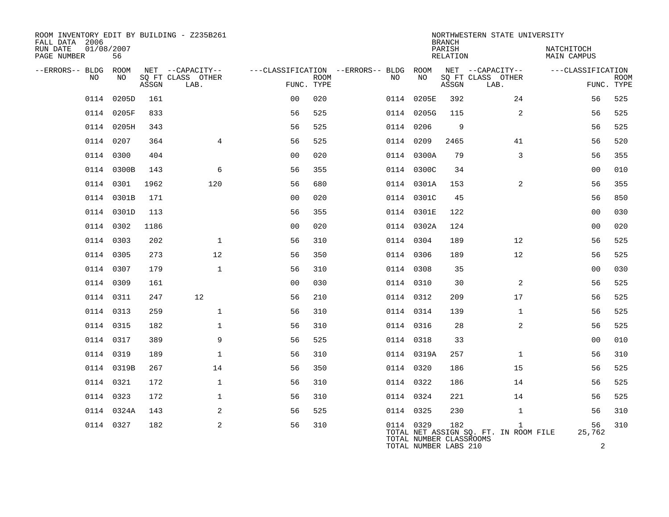| ROOM INVENTORY EDIT BY BUILDING - Z235B261<br>FALL DATA 2006 |                  |       |                           |                |             |                                        |                                                  | <b>BRANCH</b>      | NORTHWESTERN STATE UNIVERSITY                         |                                  |                           |
|--------------------------------------------------------------|------------------|-------|---------------------------|----------------|-------------|----------------------------------------|--------------------------------------------------|--------------------|-------------------------------------------------------|----------------------------------|---------------------------|
| RUN DATE<br>PAGE NUMBER                                      | 01/08/2007<br>56 |       |                           |                |             |                                        |                                                  | PARISH<br>RELATION |                                                       | NATCHITOCH<br><b>MAIN CAMPUS</b> |                           |
| --ERRORS-- BLDG ROOM                                         |                  |       | NET --CAPACITY--          |                |             | ---CLASSIFICATION --ERRORS-- BLDG ROOM |                                                  |                    | NET --CAPACITY--                                      | ---CLASSIFICATION                |                           |
| NO.                                                          | NO.              | ASSGN | SQ FT CLASS OTHER<br>LAB. | FUNC. TYPE     | <b>ROOM</b> | NO                                     | NO                                               | ASSGN              | SQ FT CLASS OTHER<br>LAB.                             |                                  | <b>ROOM</b><br>FUNC. TYPE |
| 0114                                                         | 0205D            | 161   |                           | 0 <sub>0</sub> | 020         |                                        | 0114 0205E                                       | 392                | 24                                                    | 56                               | 525                       |
|                                                              | 0114 0205F       | 833   |                           | 56             | 525         |                                        | 0114 0205G                                       | 115                | 2                                                     | 56                               | 525                       |
|                                                              | 0114 0205H       | 343   |                           | 56             | 525         | 0114 0206                              |                                                  | 9                  |                                                       | 56                               | 525                       |
|                                                              | 0114 0207        | 364   | $\overline{4}$            | 56             | 525         | 0114 0209                              |                                                  | 2465               | 41                                                    | 56                               | 520                       |
|                                                              | 0114 0300        | 404   |                           | 0 <sub>0</sub> | 020         |                                        | 0114 0300A                                       | 79                 | 3                                                     | 56                               | 355                       |
|                                                              | 0114 0300B       | 143   | 6                         | 56             | 355         |                                        | 0114 0300C                                       | 34                 |                                                       | 0 <sub>0</sub>                   | 010                       |
|                                                              | 0114 0301        | 1962  | 120                       | 56             | 680         |                                        | 0114 0301A                                       | 153                | 2                                                     | 56                               | 355                       |
|                                                              | 0114 0301B       | 171   |                           | 00             | 020         |                                        | 0114 0301C                                       | 45                 |                                                       | 56                               | 850                       |
|                                                              | 0114 0301D       | 113   |                           | 56             | 355         |                                        | 0114 0301E                                       | 122                |                                                       | 00                               | 030                       |
|                                                              | 0114 0302        | 1186  |                           | 0 <sub>0</sub> | 020         |                                        | 0114 0302A                                       | 124                |                                                       | 0 <sub>0</sub>                   | 020                       |
|                                                              | 0114 0303        | 202   | $\mathbf{1}$              | 56             | 310         | 0114 0304                              |                                                  | 189                | 12                                                    | 56                               | 525                       |
|                                                              | 0114 0305        | 273   | 12                        | 56             | 350         | 0114 0306                              |                                                  | 189                | 12                                                    | 56                               | 525                       |
|                                                              | 0114 0307        | 179   | $\mathbf{1}$              | 56             | 310         | 0114 0308                              |                                                  | 35                 |                                                       | 0 <sub>0</sub>                   | 030                       |
|                                                              | 0114 0309        | 161   |                           | 0 <sub>0</sub> | 030         | 0114 0310                              |                                                  | 30                 | 2                                                     | 56                               | 525                       |
|                                                              | 0114 0311        | 247   | 12                        | 56             | 210         | 0114 0312                              |                                                  | 209                | 17                                                    | 56                               | 525                       |
|                                                              | 0114 0313        | 259   | $\mathbf 1$               | 56             | 310         | 0114 0314                              |                                                  | 139                | $\mathbf{1}$                                          | 56                               | 525                       |
|                                                              | 0114 0315        | 182   | $\mathbf 1$               | 56             | 310         | 0114 0316                              |                                                  | 28                 | $\overline{2}$                                        | 56                               | 525                       |
|                                                              | 0114 0317        | 389   | 9                         | 56             | 525         | 0114 0318                              |                                                  | 33                 |                                                       | 0 <sub>0</sub>                   | 010                       |
|                                                              | 0114 0319        | 189   | $\mathbf{1}$              | 56             | 310         |                                        | 0114 0319A                                       | 257                | $\mathbf{1}$                                          | 56                               | 310                       |
|                                                              | 0114 0319B       | 267   | 14                        | 56             | 350         | 0114 0320                              |                                                  | 186                | 15                                                    | 56                               | 525                       |
|                                                              | 0114 0321        | 172   | $\mathbf{1}$              | 56             | 310         | 0114 0322                              |                                                  | 186                | 14                                                    | 56                               | 525                       |
|                                                              | 0114 0323        | 172   | $\mathbf{1}$              | 56             | 310         | 0114 0324                              |                                                  | 221                | 14                                                    | 56                               | 525                       |
|                                                              | 0114 0324A       | 143   | 2                         | 56             | 525         | 0114 0325                              |                                                  | 230                | $\mathbf{1}$                                          | 56                               | 310                       |
|                                                              | 0114 0327        | 182   | 2                         | 56             | 310         | 0114 0329                              | TOTAL NUMBER CLASSROOMS<br>TOTAL NUMBER LABS 210 | 182                | $\mathbf{1}$<br>TOTAL NET ASSIGN SQ. FT. IN ROOM FILE | 56<br>25,762<br>$\overline{2}$   | 310                       |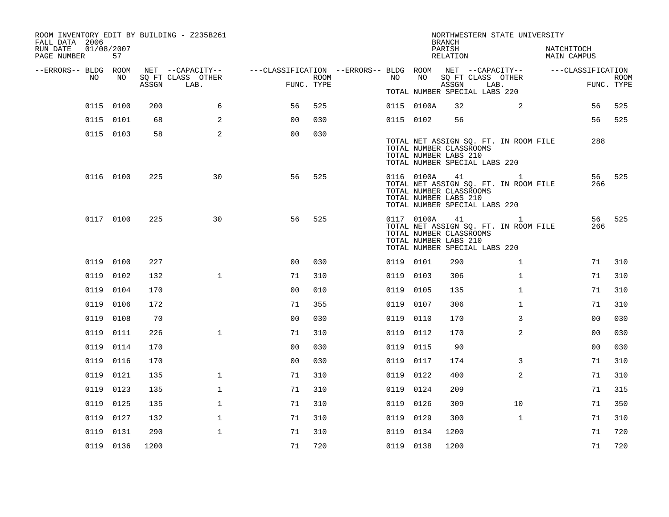| FALL DATA 2006<br>RUN DATE<br>PAGE NUMBER |      | 01/08/2007<br>57 |       | ROOM INVENTORY EDIT BY BUILDING - Z235B261    |                                                                                            |      |           |            | <b>BRANCH</b><br>PARISH<br>RELATION                               | NORTHWESTERN STATE UNIVERSITY                                                          | NATCHITOCH<br>MAIN CAMPUS |                |             |
|-------------------------------------------|------|------------------|-------|-----------------------------------------------|--------------------------------------------------------------------------------------------|------|-----------|------------|-------------------------------------------------------------------|----------------------------------------------------------------------------------------|---------------------------|----------------|-------------|
| --ERRORS-- BLDG ROOM                      | NO   | NO               | ASSGN | NET --CAPACITY--<br>SQ FT CLASS OTHER<br>LAB. | ---CLASSIFICATION --ERRORS-- BLDG ROOM NET --CAPACITY--    ---CLASSIFICATION<br>FUNC. TYPE | ROOM | NO        | NO         | ASSGN                                                             | SQ FT CLASS OTHER<br>LAB.                                                              |                           | FUNC. TYPE     | <b>ROOM</b> |
|                                           |      |                  |       |                                               |                                                                                            |      |           |            |                                                                   | TOTAL NUMBER SPECIAL LABS 220                                                          |                           |                |             |
|                                           |      | 0115 0100        | 200   | 6                                             | 56                                                                                         | 525  |           | 0115 0100A | 32                                                                | 2                                                                                      |                           | 56             | 525         |
|                                           |      | 0115 0101        | 68    | 2                                             | 0 <sub>0</sub>                                                                             | 030  | 0115 0102 |            | 56                                                                |                                                                                        |                           | 56             | 525         |
|                                           |      | 0115 0103        | 58    | 2                                             | 0 <sub>0</sub>                                                                             | 030  |           |            | TOTAL NUMBER CLASSROOMS<br>TOTAL NUMBER LABS 210                  | TOTAL NET ASSIGN SQ. FT. IN ROOM FILE<br>TOTAL NUMBER SPECIAL LABS 220                 |                           | 288            |             |
|                                           |      | 0116 0100        | 225   | 30                                            | 56                                                                                         | 525  |           |            | 0116 0100A 41<br>TOTAL NUMBER CLASSROOMS<br>TOTAL NUMBER LABS 210 | $\mathbf{1}$<br>TOTAL NET ASSIGN SQ. FT. IN ROOM FILE<br>TOTAL NUMBER SPECIAL LABS 220 |                           | 56<br>266      | 525         |
|                                           |      | 0117 0100        | 225   | 30                                            | 56                                                                                         | 525  |           | 0117 0100A | 41<br>TOTAL NUMBER CLASSROOMS<br>TOTAL NUMBER LABS 210            | $\mathbf{1}$<br>TOTAL NET ASSIGN SQ. FT. IN ROOM FILE<br>TOTAL NUMBER SPECIAL LABS 220 |                           | 56<br>266      | 525         |
|                                           |      | 0119 0100        | 227   |                                               | 0 <sub>0</sub>                                                                             | 030  | 0119 0101 |            | 290                                                               | $\mathbf{1}$                                                                           |                           | 71             | 310         |
|                                           | 0119 | 0102             | 132   | $\mathbf{1}$                                  | 71                                                                                         | 310  | 0119 0103 |            | 306                                                               | $\mathbf{1}$                                                                           |                           | 71             | 310         |
|                                           |      | 0119 0104        | 170   |                                               | 0 <sub>0</sub>                                                                             | 010  | 0119 0105 |            | 135                                                               | $\mathbf{1}$                                                                           |                           | 71             | 310         |
|                                           |      | 0119 0106        | 172   |                                               | 71                                                                                         | 355  | 0119 0107 |            | 306                                                               | $\mathbf{1}$                                                                           |                           | 71             | 310         |
|                                           | 0119 | 0108             | 70    |                                               | 0 <sub>0</sub>                                                                             | 030  | 0119 0110 |            | 170                                                               | 3                                                                                      |                           | 0 <sub>0</sub> | 030         |
|                                           | 0119 | 0111             | 226   | $\mathbf{1}$                                  | 71                                                                                         | 310  | 0119 0112 |            | 170                                                               | 2                                                                                      |                           | 0 <sub>0</sub> | 030         |
|                                           |      | 0119 0114        | 170   |                                               | 0 <sub>0</sub>                                                                             | 030  | 0119 0115 |            | 90                                                                |                                                                                        |                           | 00             | 030         |
|                                           |      | 0119 0116        | 170   |                                               | 0 <sub>0</sub>                                                                             | 030  | 0119 0117 |            | 174                                                               | 3                                                                                      |                           | 71             | 310         |
|                                           |      | 0119 0121        | 135   | $\mathbf{1}$                                  | 71                                                                                         | 310  | 0119 0122 |            | 400                                                               | 2                                                                                      |                           | 71             | 310         |
|                                           |      | 0119 0123        | 135   | $\mathbf 1$                                   | 71                                                                                         | 310  | 0119 0124 |            | 209                                                               |                                                                                        |                           | 71             | 315         |
|                                           |      | 0119 0125        | 135   | $\mathbf{1}$                                  | 71                                                                                         | 310  | 0119 0126 |            | 309                                                               | 10                                                                                     |                           | 71             | 350         |
|                                           |      | 0119 0127        | 132   | $\mathbf 1$                                   | 71                                                                                         | 310  | 0119 0129 |            | 300                                                               | $\mathbf{1}$                                                                           |                           | 71             | 310         |
|                                           |      | 0119 0131        | 290   | $\mathbf{1}$                                  | 71                                                                                         | 310  | 0119 0134 |            | 1200                                                              |                                                                                        |                           | 71             | 720         |
|                                           |      | 0119 0136        | 1200  |                                               | 71                                                                                         | 720  | 0119 0138 |            | 1200                                                              |                                                                                        |                           | 71             | 720         |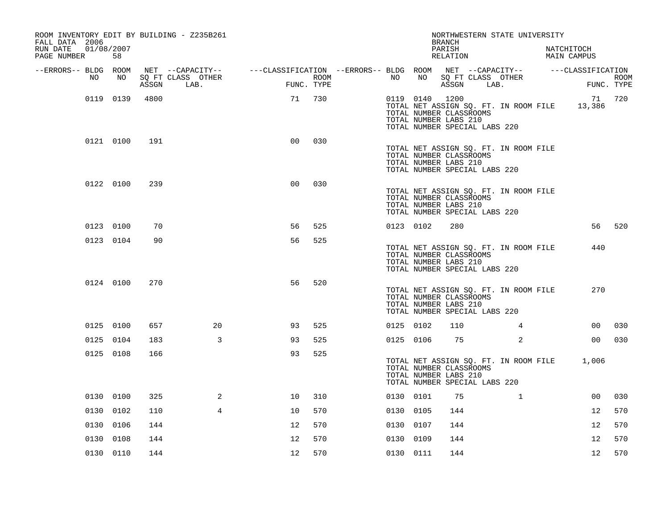| ROOM INVENTORY EDIT BY BUILDING - Z235B261<br>FALL DATA 2006 |           |       |                                                                                                                     |                |      |           |                | <b>BRANCH</b>                                                                     |      | NORTHWESTERN STATE UNIVERSITY         |                           |             |
|--------------------------------------------------------------|-----------|-------|---------------------------------------------------------------------------------------------------------------------|----------------|------|-----------|----------------|-----------------------------------------------------------------------------------|------|---------------------------------------|---------------------------|-------------|
| 01/08/2007<br>RUN DATE<br>PAGE NUMBER                        | 58        |       |                                                                                                                     |                |      |           |                | PARISH<br>RELATION                                                                |      |                                       | NATCHITOCH<br>MAIN CAMPUS |             |
| --ERRORS-- BLDG ROOM<br>NO                                   | NO        |       | NET --CAPACITY-- - ---CLASSIFICATION --ERRORS-- BLDG ROOM NET --CAPACITY-- - ---CLASSIFICATION<br>SQ FT CLASS OTHER |                | ROOM | NO        | NO             |                                                                                   |      | SQ FT CLASS OTHER                     |                           | <b>ROOM</b> |
|                                                              |           | ASSGN | LAB.                                                                                                                | FUNC. TYPE     |      |           |                | ASSGN                                                                             | LAB. |                                       |                           | FUNC. TYPE  |
|                                                              | 0119 0139 | 4800  |                                                                                                                     | 71             | 730  |           | 0119 0140 1200 | TOTAL NUMBER CLASSROOMS<br>TOTAL NUMBER LABS 210<br>TOTAL NUMBER SPECIAL LABS 220 |      | TOTAL NET ASSIGN SQ. FT. IN ROOM FILE | 71<br>13,386              | 720         |
|                                                              | 0121 0100 | 191   |                                                                                                                     | 0 <sub>0</sub> | 030  |           |                | TOTAL NUMBER CLASSROOMS<br>TOTAL NUMBER LABS 210<br>TOTAL NUMBER SPECIAL LABS 220 |      | TOTAL NET ASSIGN SQ. FT. IN ROOM FILE |                           |             |
|                                                              | 0122 0100 | 239   |                                                                                                                     | 0 <sub>0</sub> | 030  |           |                | TOTAL NUMBER CLASSROOMS<br>TOTAL NUMBER LABS 210<br>TOTAL NUMBER SPECIAL LABS 220 |      | TOTAL NET ASSIGN SQ. FT. IN ROOM FILE |                           |             |
|                                                              | 0123 0100 | 70    |                                                                                                                     | 56             | 525  | 0123 0102 |                | 280                                                                               |      |                                       | 56                        | 520         |
|                                                              | 0123 0104 | 90    |                                                                                                                     | 56             | 525  |           |                | TOTAL NUMBER CLASSROOMS<br>TOTAL NUMBER LABS 210<br>TOTAL NUMBER SPECIAL LABS 220 |      | TOTAL NET ASSIGN SQ. FT. IN ROOM FILE | 440                       |             |
|                                                              | 0124 0100 | 270   |                                                                                                                     | 56             | 520  |           |                | TOTAL NUMBER CLASSROOMS<br>TOTAL NUMBER LABS 210<br>TOTAL NUMBER SPECIAL LABS 220 |      | TOTAL NET ASSIGN SQ. FT. IN ROOM FILE | 270                       |             |
|                                                              | 0125 0100 | 657   | 20                                                                                                                  | 93             | 525  | 0125 0102 |                | 110                                                                               |      | $\overline{4}$                        | 0 <sub>0</sub>            | 030         |
|                                                              | 0125 0104 | 183   | 3                                                                                                                   | 93             | 525  | 0125 0106 |                | 75                                                                                |      | 2                                     | 00                        | 030         |
|                                                              | 0125 0108 | 166   |                                                                                                                     | 93             | 525  |           |                | TOTAL NUMBER CLASSROOMS<br>TOTAL NUMBER LABS 210<br>TOTAL NUMBER SPECIAL LABS 220 |      | TOTAL NET ASSIGN SQ. FT. IN ROOM FILE | 1,006                     |             |
|                                                              | 0130 0100 | 325   | 2                                                                                                                   | 10             | 310  | 0130 0101 |                | 75                                                                                |      | $\mathbf{1}$                          | 0 <sub>0</sub>            | 030         |
|                                                              | 0130 0102 | 110   | $\overline{4}$                                                                                                      | 10             | 570  | 0130 0105 |                | 144                                                                               |      |                                       | 12                        | 570         |
|                                                              | 0130 0106 | 144   |                                                                                                                     | 12             | 570  | 0130 0107 |                | 144                                                                               |      |                                       | 12                        | 570         |
|                                                              | 0130 0108 | 144   |                                                                                                                     | 12             | 570  | 0130 0109 |                | 144                                                                               |      |                                       | 12                        | 570         |
|                                                              | 0130 0110 | 144   |                                                                                                                     | 12             | 570  | 0130 0111 |                | 144                                                                               |      |                                       | 12                        | 570         |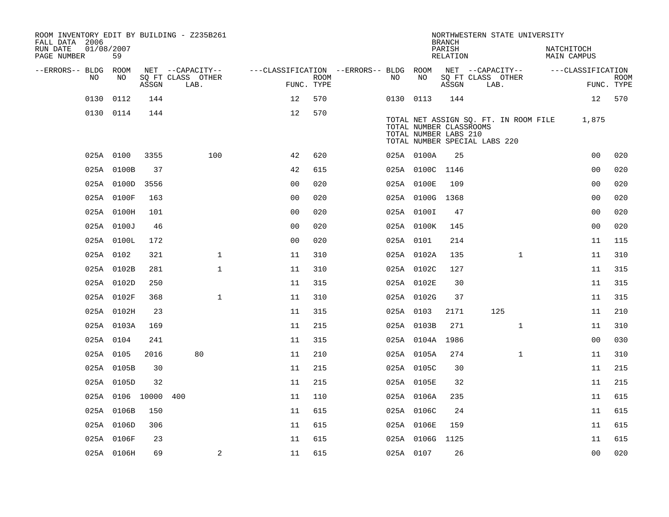| ROOM INVENTORY EDIT BY BUILDING - Z235B261<br>FALL DATA 2006 |                  |       |                           |                                        |      |     |                                                  | <b>BRANCH</b>      | NORTHWESTERN STATE UNIVERSITY                                          |                           |                |                           |
|--------------------------------------------------------------|------------------|-------|---------------------------|----------------------------------------|------|-----|--------------------------------------------------|--------------------|------------------------------------------------------------------------|---------------------------|----------------|---------------------------|
| RUN DATE<br>PAGE NUMBER                                      | 01/08/2007<br>59 |       |                           |                                        |      |     |                                                  | PARISH<br>RELATION |                                                                        | NATCHITOCH<br>MAIN CAMPUS |                |                           |
| --ERRORS-- BLDG ROOM                                         |                  |       | NET --CAPACITY--          | ---CLASSIFICATION --ERRORS-- BLDG ROOM |      |     |                                                  |                    | NET --CAPACITY--                                                       | ---CLASSIFICATION         |                |                           |
| NO.                                                          | NO.              | ASSGN | SQ FT CLASS OTHER<br>LAB. | FUNC. TYPE                             | ROOM | NO. | NO                                               | ASSGN              | SQ FT CLASS OTHER<br>LAB.                                              |                           |                | <b>ROOM</b><br>FUNC. TYPE |
| 0130                                                         | 0112             | 144   |                           | 12                                     | 570  |     | 0130 0113                                        | 144                |                                                                        |                           | 12             | 570                       |
|                                                              | 0130 0114        | 144   |                           | 12                                     | 570  |     | TOTAL NUMBER CLASSROOMS<br>TOTAL NUMBER LABS 210 |                    | TOTAL NET ASSIGN SQ. FT. IN ROOM FILE<br>TOTAL NUMBER SPECIAL LABS 220 |                           | 1,875          |                           |
|                                                              | 025A 0100        | 3355  | 100                       | 42                                     | 620  |     | 025A 0100A                                       | 25                 |                                                                        |                           | 00             | 020                       |
|                                                              | 025A 0100B       | 37    |                           | 42                                     | 615  |     | 025A 0100C 1146                                  |                    |                                                                        |                           | 0 <sub>0</sub> | 020                       |
|                                                              | 025A 0100D       | 3556  |                           | 0 <sub>0</sub>                         | 020  |     | 025A 0100E                                       | 109                |                                                                        |                           | 0 <sub>0</sub> | 020                       |
|                                                              | 025A 0100F       | 163   |                           | 0 <sub>0</sub>                         | 020  |     | 025A 0100G 1368                                  |                    |                                                                        |                           | 00             | 020                       |
|                                                              | 025A 0100H       | 101   |                           | 0 <sub>0</sub>                         | 020  |     | 025A 0100I                                       | 47                 |                                                                        |                           | 0 <sub>0</sub> | 020                       |
|                                                              | 025A 0100J       | 46    |                           | 0 <sub>0</sub>                         | 020  |     | 025A 0100K                                       | 145                |                                                                        |                           | 0 <sub>0</sub> | 020                       |
|                                                              | 025A 0100L       | 172   |                           | 0 <sub>0</sub>                         | 020  |     | 025A 0101                                        | 214                |                                                                        |                           | 11             | 115                       |
|                                                              | 025A 0102        | 321   | $\mathbf 1$               | 11                                     | 310  |     | 025A 0102A                                       | 135                | $\mathbf{1}$                                                           |                           | 11             | 310                       |
|                                                              | 025A 0102B       | 281   | $\mathbf{1}$              | 11                                     | 310  |     | 025A 0102C                                       | 127                |                                                                        |                           | 11             | 315                       |
|                                                              | 025A 0102D       | 250   |                           | 11                                     | 315  |     | 025A 0102E                                       | 30                 |                                                                        |                           | 11             | 315                       |
|                                                              | 025A 0102F       | 368   | $\mathbf{1}$              | 11                                     | 310  |     | 025A 0102G                                       | 37                 |                                                                        |                           | 11             | 315                       |
|                                                              | 025A 0102H       | 23    |                           | 11                                     | 315  |     | 025A 0103                                        | 2171               | 125                                                                    |                           | 11             | 210                       |
|                                                              | 025A 0103A       | 169   |                           | 11                                     | 215  |     | 025A 0103B                                       | 271                | $\mathbf{1}$                                                           |                           | 11             | 310                       |
|                                                              | 025A 0104        | 241   |                           | 11                                     | 315  |     | 025A 0104A 1986                                  |                    |                                                                        |                           | 0 <sub>0</sub> | 030                       |
|                                                              | 025A 0105        | 2016  | 80                        | 11                                     | 210  |     | 025A 0105A                                       | 274                | $\mathbf{1}$                                                           |                           | 11             | 310                       |
|                                                              | 025A 0105B       | 30    |                           | 11                                     | 215  |     | 025A 0105C                                       | 30                 |                                                                        |                           | 11             | 215                       |
|                                                              | 025A 0105D       | 32    |                           | 11                                     | 215  |     | 025A 0105E                                       | 32                 |                                                                        |                           | 11             | 215                       |
|                                                              | 025A 0106 10000  |       | 400                       | 11                                     | 110  |     | 025A 0106A                                       | 235                |                                                                        |                           | 11             | 615                       |
|                                                              | 025A 0106B       | 150   |                           | 11                                     | 615  |     | 025A 0106C                                       | 24                 |                                                                        |                           | 11             | 615                       |
|                                                              | 025A 0106D       | 306   |                           | 11                                     | 615  |     | 025A 0106E                                       | 159                |                                                                        |                           | 11             | 615                       |
|                                                              | 025A 0106F       | 23    |                           | 11                                     | 615  |     | 025A 0106G 1125                                  |                    |                                                                        |                           | 11             | 615                       |
|                                                              | 025A 0106H       | 69    | $\overline{a}$            | 11                                     | 615  |     | 025A 0107                                        | 26                 |                                                                        |                           | 0 <sub>0</sub> | 020                       |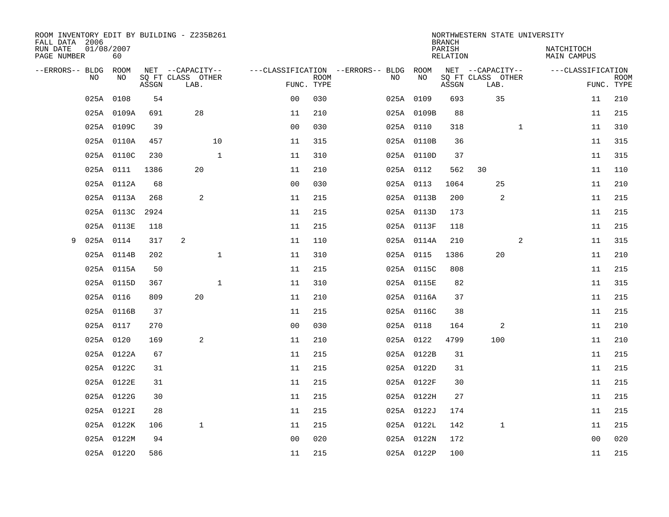| ROOM INVENTORY EDIT BY BUILDING - Z235B261<br>FALL DATA 2006 |                  |       |                           |                |             |                                        |            | <b>BRANCH</b>      | NORTHWESTERN STATE UNIVERSITY |                           |             |
|--------------------------------------------------------------|------------------|-------|---------------------------|----------------|-------------|----------------------------------------|------------|--------------------|-------------------------------|---------------------------|-------------|
| RUN DATE<br>PAGE NUMBER                                      | 01/08/2007<br>60 |       |                           |                |             |                                        |            | PARISH<br>RELATION |                               | NATCHITOCH<br>MAIN CAMPUS |             |
| --ERRORS-- BLDG ROOM                                         |                  |       | NET --CAPACITY--          |                |             | ---CLASSIFICATION --ERRORS-- BLDG ROOM |            |                    | NET --CAPACITY--              | ---CLASSIFICATION         |             |
| NO                                                           | NO               | ASSGN | SQ FT CLASS OTHER<br>LAB. | FUNC. TYPE     | <b>ROOM</b> | NO                                     | NO         | ASSGN              | SQ FT CLASS OTHER<br>LAB.     | FUNC. TYPE                | <b>ROOM</b> |
| 025A                                                         | 0108             | 54    |                           | 0 <sub>0</sub> | 030         |                                        | 025A 0109  | 693                | 35                            | 11                        | 210         |
|                                                              | 025A 0109A       | 691   | 28                        | 11             | 210         |                                        | 025A 0109B | 88                 |                               | 11                        | 215         |
|                                                              | 025A 0109C       | 39    |                           | 0 <sub>0</sub> | 030         |                                        | 025A 0110  | 318                | $\mathbf{1}$                  | 11                        | 310         |
|                                                              | 025A 0110A       | 457   | 10                        | 11             | 315         |                                        | 025A 0110B | 36                 |                               | 11                        | 315         |
|                                                              | 025A 0110C       | 230   | $\mathbf{1}$              | 11             | 310         |                                        | 025A 0110D | 37                 |                               | 11                        | 315         |
|                                                              | 025A 0111        | 1386  | 20                        | 11             | 210         |                                        | 025A 0112  | 562                | 30                            | 11                        | 110         |
|                                                              | 025A 0112A       | 68    |                           | 0 <sub>0</sub> | 030         |                                        | 025A 0113  | 1064               | 25                            | 11                        | 210         |
|                                                              | 025A 0113A       | 268   | $\sqrt{2}$                | 11             | 215         |                                        | 025A 0113B | 200                | 2                             | 11                        | 215         |
|                                                              | 025A 0113C       | 2924  |                           | 11             | 215         |                                        | 025A 0113D | 173                |                               | 11                        | 215         |
|                                                              | 025A 0113E       | 118   |                           | 11             | 215         |                                        | 025A 0113F | 118                |                               | 11                        | 215         |
| 9                                                            | 025A 0114        | 317   | 2                         | 11             | 110         |                                        | 025A 0114A | 210                | 2                             | 11                        | 315         |
|                                                              | 025A 0114B       | 202   | $\mathbf{1}$              | 11             | 310         |                                        | 025A 0115  | 1386               | 20                            | 11                        | 210         |
|                                                              | 025A 0115A       | 50    |                           | 11             | 215         |                                        | 025A 0115C | 808                |                               | 11                        | 215         |
|                                                              | 025A 0115D       | 367   | $\mathbf 1$               | 11             | 310         |                                        | 025A 0115E | 82                 |                               | 11                        | 315         |
|                                                              | 025A 0116        | 809   | 20                        | 11             | 210         |                                        | 025A 0116A | 37                 |                               | 11                        | 215         |
|                                                              | 025A 0116B       | 37    |                           | 11             | 215         |                                        | 025A 0116C | 38                 |                               | 11                        | 215         |
|                                                              | 025A 0117        | 270   |                           | 0 <sub>0</sub> | 030         |                                        | 025A 0118  | 164                | 2                             | 11                        | 210         |
|                                                              | 025A 0120        | 169   | 2                         | 11             | 210         |                                        | 025A 0122  | 4799               | 100                           | 11                        | 210         |
|                                                              | 025A 0122A       | 67    |                           | 11             | 215         |                                        | 025A 0122B | 31                 |                               | 11                        | 215         |
|                                                              | 025A 0122C       | 31    |                           | 11             | 215         |                                        | 025A 0122D | 31                 |                               | 11                        | 215         |
|                                                              | 025A 0122E       | 31    |                           | 11             | 215         |                                        | 025A 0122F | 30                 |                               | 11                        | 215         |
|                                                              | 025A 0122G       | 30    |                           | 11             | 215         |                                        | 025A 0122H | 27                 |                               | 11                        | 215         |
|                                                              | 025A 0122I       | 28    |                           | 11             | 215         |                                        | 025A 0122J | 174                |                               | 11                        | 215         |
|                                                              | 025A 0122K       | 106   | $\mathbf{1}$              | 11             | 215         |                                        | 025A 0122L | 142                | $\mathbf 1$                   | 11                        | 215         |
|                                                              | 025A 0122M       | 94    |                           | 0 <sub>0</sub> | 020         |                                        | 025A 0122N | 172                |                               | 0 <sub>0</sub>            | 020         |
|                                                              | 025A 01220       | 586   |                           | 11             | 215         |                                        | 025A 0122P | 100                |                               | 11                        | 215         |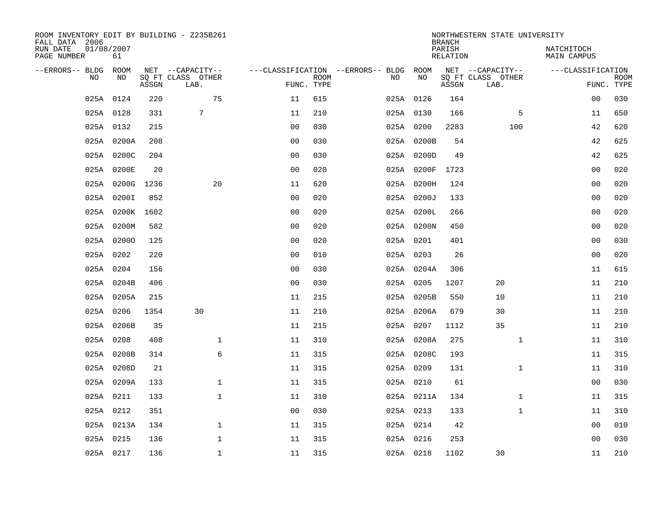| ROOM INVENTORY EDIT BY BUILDING - Z235B261<br>FALL DATA 2006 |                  |       |                                       |                |             |                                              |            | <b>BRANCH</b>             | NORTHWESTERN STATE UNIVERSITY         |                                  |             |
|--------------------------------------------------------------|------------------|-------|---------------------------------------|----------------|-------------|----------------------------------------------|------------|---------------------------|---------------------------------------|----------------------------------|-------------|
| RUN DATE<br>PAGE NUMBER                                      | 01/08/2007<br>61 |       |                                       |                |             |                                              |            | PARISH<br><b>RELATION</b> |                                       | NATCHITOCH<br><b>MAIN CAMPUS</b> |             |
| --ERRORS-- BLDG ROOM<br>NO                                   | NO               |       | NET --CAPACITY--<br>SQ FT CLASS OTHER |                | <b>ROOM</b> | ---CLASSIFICATION --ERRORS-- BLDG ROOM<br>NO | NO         |                           | NET --CAPACITY--<br>SQ FT CLASS OTHER | ---CLASSIFICATION                | <b>ROOM</b> |
|                                                              |                  | ASSGN | LAB.                                  | FUNC. TYPE     |             |                                              |            | ASSGN                     | LAB.                                  |                                  | FUNC. TYPE  |
|                                                              | 025A 0124        | 220   | 75                                    | 11             | 615         |                                              | 025A 0126  | 164                       |                                       | 00                               | 030         |
|                                                              | 025A 0128        | 331   | 7                                     | 11             | 210         |                                              | 025A 0130  | 166                       | 5                                     | 11                               | 650         |
|                                                              | 025A 0132        | 215   |                                       | 0 <sub>0</sub> | 030         |                                              | 025A 0200  | 2283                      | 100                                   | 42                               | 620         |
|                                                              | 025A 0200A       | 208   |                                       | 0 <sub>0</sub> | 030         |                                              | 025A 0200B | 54                        |                                       | 42                               | 625         |
|                                                              | 025A 0200C       | 204   |                                       | 0 <sub>0</sub> | 030         |                                              | 025A 0200D | 49                        |                                       | 42                               | 625         |
|                                                              | 025A 0200E       | 20    |                                       | 0 <sub>0</sub> | 020         |                                              | 025A 0200F | 1723                      |                                       | 0 <sub>0</sub>                   | 020         |
|                                                              | 025A 0200G       | 1236  | 20                                    | 11             | 620         |                                              | 025A 0200H | 124                       |                                       | 0 <sub>0</sub>                   | 020         |
|                                                              | 025A 0200I       | 852   |                                       | 0 <sub>0</sub> | 020         |                                              | 025A 0200J | 133                       |                                       | 0 <sub>0</sub>                   | 020         |
|                                                              | 025A 0200K 1602  |       |                                       | 0 <sub>0</sub> | 020         |                                              | 025A 0200L | 266                       |                                       | 00                               | 020         |
|                                                              | 025A 0200M       | 582   |                                       | 0 <sub>0</sub> | 020         |                                              | 025A 0200N | 450                       |                                       | 00                               | 020         |
|                                                              | 025A 02000       | 125   |                                       | 0 <sub>0</sub> | 020         |                                              | 025A 0201  | 401                       |                                       | 0 <sub>0</sub>                   | 030         |
|                                                              | 025A 0202        | 220   |                                       | 0 <sub>0</sub> | 010         |                                              | 025A 0203  | 26                        |                                       | 0 <sub>0</sub>                   | 020         |
|                                                              | 025A 0204        | 156   |                                       | 0 <sub>0</sub> | 030         |                                              | 025A 0204A | 306                       |                                       | 11                               | 615         |
|                                                              | 025A 0204B       | 406   |                                       | 0 <sub>0</sub> | 030         |                                              | 025A 0205  | 1207                      | 20                                    | 11                               | 210         |
|                                                              | 025A 0205A       | 215   |                                       | 11             | 215         |                                              | 025A 0205B | 550                       | 10                                    | 11                               | 210         |
|                                                              | 025A 0206        | 1354  | 30                                    | 11             | 210         |                                              | 025A 0206A | 679                       | 30                                    | 11                               | 210         |
|                                                              | 025A 0206B       | 35    |                                       | 11             | 215         |                                              | 025A 0207  | 1112                      | 35                                    | 11                               | 210         |
|                                                              | 025A 0208        | 408   | $\mathbf 1$                           | 11             | 310         |                                              | 025A 0208A | 275                       | $\mathbf{1}$                          | 11                               | 310         |
|                                                              | 025A 0208B       | 314   | 6                                     | 11             | 315         |                                              | 025A 0208C | 193                       |                                       | 11                               | 315         |
|                                                              | 025A 0208D       | 21    |                                       | 11             | 315         |                                              | 025A 0209  | 131                       | $\mathbf{1}$                          | 11                               | 310         |
|                                                              | 025A 0209A       | 133   | $\mathbf{1}$                          | 11             | 315         |                                              | 025A 0210  | 61                        |                                       | 0 <sub>0</sub>                   | 030         |
|                                                              | 025A 0211        | 133   | $\mathbf 1$                           | 11             | 310         |                                              | 025A 0211A | 134                       | $\mathbf{1}$                          | 11                               | 315         |
|                                                              | 025A 0212        | 351   |                                       | 0 <sub>0</sub> | 030         |                                              | 025A 0213  | 133                       | $\mathbf{1}$                          | 11                               | 310         |
|                                                              | 025A 0213A       | 134   | $\mathbf{1}$                          | 11             | 315         |                                              | 025A 0214  | 42                        |                                       | 00                               | 010         |
|                                                              | 025A 0215        | 136   | $\mathbf{1}$                          | 11             | 315         |                                              | 025A 0216  | 253                       |                                       | 0 <sub>0</sub>                   | 030         |
|                                                              | 025A 0217        | 136   | $\mathbf{1}$                          | 11             | 315         |                                              | 025A 0218  | 1102                      | 30                                    | 11                               | 210         |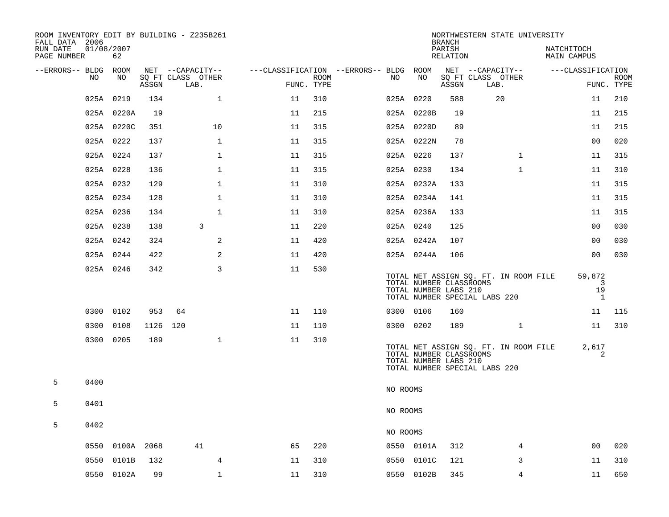| ROOM INVENTORY EDIT BY BUILDING - Z235B261<br>FALL DATA 2006 |            |            |       |                           |              |                                        |      |           |                                                  | <b>BRANCH</b>      | NORTHWESTERN STATE UNIVERSITY                                          |                                   |             |
|--------------------------------------------------------------|------------|------------|-------|---------------------------|--------------|----------------------------------------|------|-----------|--------------------------------------------------|--------------------|------------------------------------------------------------------------|-----------------------------------|-------------|
| RUN DATE<br>PAGE NUMBER                                      | 01/08/2007 | 62         |       |                           |              |                                        |      |           |                                                  | PARISH<br>RELATION |                                                                        | NATCHITOCH<br>MAIN CAMPUS         |             |
| --ERRORS-- BLDG ROOM                                         | NO.        | NO         |       | NET --CAPACITY--          |              | ---CLASSIFICATION --ERRORS-- BLDG ROOM |      | NO        | NO                                               |                    | NET --CAPACITY--                                                       | ---CLASSIFICATION                 | <b>ROOM</b> |
|                                                              |            |            | ASSGN | SQ FT CLASS OTHER<br>LAB. |              | FUNC. TYPE                             | ROOM |           |                                                  | ASSGN              | SQ FT CLASS OTHER<br>LAB.                                              |                                   | FUNC. TYPE  |
|                                                              | 025A 0219  |            | 134   |                           | $\mathbf{1}$ | 11                                     | 310  | 025A 0220 |                                                  | 588                | 20                                                                     | 11                                | 210         |
|                                                              |            | 025A 0220A | 19    |                           |              | 11                                     | 215  |           | 025A 0220B                                       | 19                 |                                                                        | 11                                | 215         |
|                                                              |            | 025A 0220C | 351   |                           | 10           | 11                                     | 315  |           | 025A 0220D                                       | 89                 |                                                                        | 11                                | 215         |
|                                                              | 025A 0222  |            | 137   |                           | $\mathbf 1$  | 11                                     | 315  |           | 025A 0222N                                       | 78                 |                                                                        | 0 <sub>0</sub>                    | 020         |
|                                                              | 025A 0224  |            | 137   |                           | $\mathbf 1$  | 11                                     | 315  | 025A 0226 |                                                  | 137                | $\mathbf{1}$                                                           | 11                                | 315         |
|                                                              | 025A 0228  |            | 136   |                           | $\mathbf 1$  | 11                                     | 315  | 025A 0230 |                                                  | 134                | $\mathbf{1}$                                                           | 11                                | 310         |
|                                                              | 025A 0232  |            | 129   |                           | $\mathbf 1$  | 11                                     | 310  |           | 025A 0232A                                       | 133                |                                                                        | 11                                | 315         |
|                                                              | 025A 0234  |            | 128   |                           | $\mathbf{1}$ | 11                                     | 310  |           | 025A 0234A                                       | 141                |                                                                        | 11                                | 315         |
|                                                              | 025A 0236  |            | 134   |                           | $\mathbf{1}$ | 11                                     | 310  |           | 025A 0236A                                       | 133                |                                                                        | 11                                | 315         |
|                                                              | 025A 0238  |            | 138   | 3                         |              | 11                                     | 220  | 025A 0240 |                                                  | 125                |                                                                        | 0 <sub>0</sub>                    | 030         |
|                                                              | 025A 0242  |            | 324   |                           | 2            | 11                                     | 420  |           | 025A 0242A                                       | 107                |                                                                        | 00                                | 030         |
|                                                              |            | 025A 0244  | 422   |                           | 2            | 11                                     | 420  |           | 025A 0244A                                       | 106                |                                                                        | 00                                | 030         |
|                                                              |            | 025A 0246  | 342   |                           | 3            | 11                                     | 530  |           | TOTAL NUMBER CLASSROOMS<br>TOTAL NUMBER LABS 210 |                    | TOTAL NET ASSIGN SQ. FT. IN ROOM FILE<br>TOTAL NUMBER SPECIAL LABS 220 | 59,872<br>3<br>19<br><sup>1</sup> |             |
|                                                              |            | 0300 0102  | 953   | 64                        |              | 11                                     | 110  | 0300 0106 |                                                  | 160                |                                                                        | 11                                | 115         |
|                                                              | 0300 0108  |            | 1126  | 120                       |              | 11                                     | 110  | 0300 0202 |                                                  | 189                | $\mathbf{1}$                                                           | 11                                | 310         |
|                                                              | 0300 0205  |            | 189   |                           | $\mathbf 1$  | 11                                     | 310  |           | TOTAL NUMBER CLASSROOMS<br>TOTAL NUMBER LABS 210 |                    | TOTAL NET ASSIGN SQ. FT. IN ROOM FILE<br>TOTAL NUMBER SPECIAL LABS 220 | 2,617<br>2                        |             |
| 5                                                            | 0400       |            |       |                           |              |                                        |      | NO ROOMS  |                                                  |                    |                                                                        |                                   |             |
| 5                                                            | 0401       |            |       |                           |              |                                        |      | NO ROOMS  |                                                  |                    |                                                                        |                                   |             |
| 5                                                            | 0402       |            |       |                           |              |                                        |      | NO ROOMS  |                                                  |                    |                                                                        |                                   |             |
|                                                              |            | 0550 0100A | 2068  | 41                        |              | 65                                     | 220  |           | 0550 0101A                                       | 312                | 4                                                                      | 00                                | 020         |
|                                                              | 0550       | 0101B      | 132   |                           | 4            | 11                                     | 310  | 0550      | 0101C                                            | 121                | 3                                                                      | 11                                | 310         |
|                                                              |            | 0550 0102A | 99    |                           | $\mathbf{1}$ | 11                                     | 310  |           | 0550 0102B                                       | 345                | 4                                                                      | 11                                | 650         |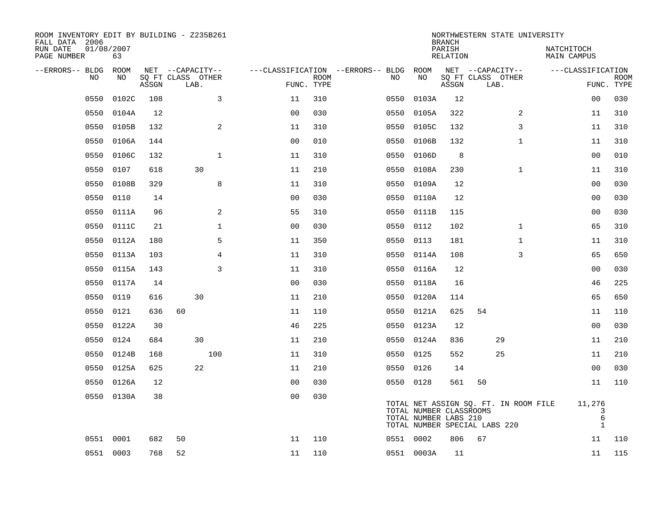| ROOM INVENTORY EDIT BY BUILDING - Z235B261<br>FALL DATA 2006<br>RUN DATE | 01/08/2007 |       |                                       |                |             |                                         |            |            | <b>BRANCH</b><br>PARISH                          | NORTHWESTERN STATE UNIVERSITY                                          | NATCHITOCH                       |             |
|--------------------------------------------------------------------------|------------|-------|---------------------------------------|----------------|-------------|-----------------------------------------|------------|------------|--------------------------------------------------|------------------------------------------------------------------------|----------------------------------|-------------|
| PAGE NUMBER                                                              | 63         |       |                                       |                |             |                                         |            |            | <b>RELATION</b>                                  |                                                                        | <b>MAIN CAMPUS</b>               |             |
| --ERRORS-- BLDG<br>NO.                                                   | ROOM<br>NO |       | NET --CAPACITY--<br>SQ FT CLASS OTHER |                | <b>ROOM</b> | ---CLASSIFICATION --ERRORS-- BLDG<br>NO |            | ROOM<br>NO |                                                  | NET --CAPACITY--<br>SQ FT CLASS OTHER                                  | ---CLASSIFICATION                | <b>ROOM</b> |
|                                                                          |            | ASSGN | LAB.                                  | FUNC. TYPE     |             |                                         |            |            | ASSGN                                            | LAB.                                                                   |                                  | FUNC. TYPE  |
| 0550                                                                     | 0102C      | 108   | 3                                     | 11             | 310         | 0550                                    |            | 0103A      | 12                                               |                                                                        | 0 <sub>0</sub>                   | 030         |
| 0550                                                                     | 0104A      | 12    |                                       | 0 <sub>0</sub> | 030         | 0550                                    |            | 0105A      | 322                                              | 2                                                                      | 11                               | 310         |
| 0550                                                                     | 0105B      | 132   | 2                                     | 11             | 310         | 0550                                    |            | 0105C      | 132                                              | 3                                                                      | 11                               | 310         |
| 0550                                                                     | 0106A      | 144   |                                       | 0 <sub>0</sub> | 010         |                                         | 0550       | 0106B      | 132                                              | $\mathbf{1}$                                                           | 11                               | 310         |
| 0550                                                                     | 0106C      | 132   | $\mathbf{1}$                          | 11             | 310         | 0550                                    |            | 0106D      | 8                                                |                                                                        | 0 <sub>0</sub>                   | 010         |
| 0550                                                                     | 0107       | 618   | 30                                    | 11             | 210         |                                         | 0550 0108A |            | 230                                              | $\mathbf{1}$                                                           | 11                               | 310         |
| 0550                                                                     | 0108B      | 329   | 8                                     | 11             | 310         |                                         | 0550       | 0109A      | 12                                               |                                                                        | 0 <sub>0</sub>                   | 030         |
| 0550                                                                     | 0110       | 14    |                                       | 0 <sub>0</sub> | 030         |                                         | 0550 0110A |            | 12                                               |                                                                        | 00                               | 030         |
| 0550                                                                     | 0111A      | 96    | 2                                     | 55             | 310         | 0550                                    |            | 0111B      | 115                                              |                                                                        | 00                               | 030         |
| 0550                                                                     | 0111C      | 21    | $\mathbf 1$                           | 0 <sub>0</sub> | 030         | 0550                                    |            | 0112       | 102                                              | $\mathbf{1}$                                                           | 65                               | 310         |
| 0550                                                                     | 0112A      | 180   | 5                                     | 11             | 350         | 0550                                    |            | 0113       | 181                                              | $\mathbf{1}$                                                           | 11                               | 310         |
| 0550                                                                     | 0113A      | 103   | 4                                     | 11             | 310         | 0550                                    |            | 0114A      | 108                                              | 3                                                                      | 65                               | 650         |
| 0550                                                                     | 0115A      | 143   | 3                                     | 11             | 310         | 0550                                    |            | 0116A      | 12                                               |                                                                        | 00                               | 030         |
| 0550                                                                     | 0117A      | 14    |                                       | 0 <sub>0</sub> | 030         | 0550                                    |            | 0118A      | 16                                               |                                                                        | 46                               | 225         |
| 0550                                                                     | 0119       | 616   | 30                                    | 11             | 210         |                                         | 0550 0120A |            | 114                                              |                                                                        | 65                               | 650         |
| 0550                                                                     | 0121       | 636   | 60                                    | 11             | 110         | 0550                                    |            | 0121A      | 625                                              | 54                                                                     | 11                               | 110         |
| 0550                                                                     | 0122A      | 30    |                                       | 46             | 225         |                                         | 0550 0123A |            | 12                                               |                                                                        | 00                               | 030         |
| 0550                                                                     | 0124       | 684   | 30                                    | 11             | 210         | 0550                                    |            | 0124A      | 836                                              | 29                                                                     | 11                               | 210         |
| 0550                                                                     | 0124B      | 168   | 100                                   | 11             | 310         |                                         | 0550 0125  |            | 552                                              | 25                                                                     | 11                               | 210         |
| 0550                                                                     | 0125A      | 625   | 22                                    | 11             | 210         |                                         | 0550       | 0126       | 14                                               |                                                                        | 00                               | 030         |
| 0550                                                                     | 0126A      | 12    |                                       | 0 <sub>0</sub> | 030         |                                         | 0550 0128  |            | 561                                              | 50                                                                     | 11                               | 110         |
| 0550                                                                     | 0130A      | 38    |                                       | 0 <sub>0</sub> | 030         |                                         |            |            | TOTAL NUMBER CLASSROOMS<br>TOTAL NUMBER LABS 210 | TOTAL NET ASSIGN SQ. FT. IN ROOM FILE<br>TOTAL NUMBER SPECIAL LABS 220 | 11,276<br>3<br>6<br>$\mathbf{1}$ |             |
|                                                                          | 0551 0001  | 682   | 50                                    | 11             | 110         |                                         | 0551 0002  |            | 806                                              | 67                                                                     | 11                               | 110         |
|                                                                          | 0551 0003  | 768   | 52                                    | 11             | 110         |                                         | 0551 0003A |            | 11                                               |                                                                        | 11                               | 115         |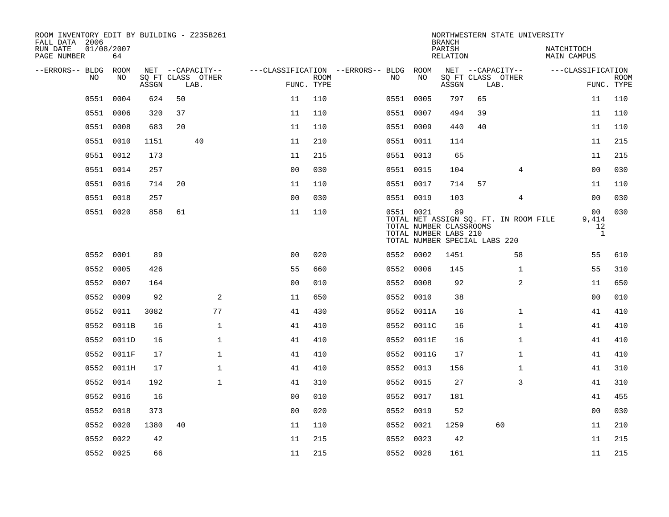| ROOM INVENTORY EDIT BY BUILDING - Z235B261<br>FALL DATA 2006 |                  |       |    |                           |                                        |                           |           |                                                                                   | <b>BRANCH</b>      |      | NORTHWESTERN STATE UNIVERSITY         |                           |                                               |             |
|--------------------------------------------------------------|------------------|-------|----|---------------------------|----------------------------------------|---------------------------|-----------|-----------------------------------------------------------------------------------|--------------------|------|---------------------------------------|---------------------------|-----------------------------------------------|-------------|
| RUN DATE<br>PAGE NUMBER                                      | 01/08/2007<br>64 |       |    |                           |                                        |                           |           |                                                                                   | PARISH<br>RELATION |      |                                       | NATCHITOCH<br>MAIN CAMPUS |                                               |             |
| --ERRORS-- BLDG ROOM                                         |                  |       |    | NET --CAPACITY--          | ---CLASSIFICATION --ERRORS-- BLDG ROOM |                           |           |                                                                                   |                    |      | NET --CAPACITY--                      |                           | ---CLASSIFICATION                             |             |
| NO.                                                          | NO.              | ASSGN |    | SQ FT CLASS OTHER<br>LAB. |                                        | <b>ROOM</b><br>FUNC. TYPE | NO.       | NO                                                                                | ASSGN              | LAB. | SQ FT CLASS OTHER                     |                           | FUNC. TYPE                                    | <b>ROOM</b> |
| 0551                                                         | 0004             | 624   | 50 |                           | 11                                     | 110                       | 0551 0005 |                                                                                   | 797                | 65   |                                       |                           | 11                                            | 110         |
| 0551                                                         | 0006             | 320   | 37 |                           | 11                                     | 110                       | 0551 0007 |                                                                                   | 494                | 39   |                                       |                           | 11                                            | 110         |
|                                                              | 0551 0008        | 683   | 20 |                           | 11                                     | 110                       | 0551 0009 |                                                                                   | 440                | 40   |                                       |                           | 11                                            | 110         |
|                                                              | 0551 0010        | 1151  |    | 40                        | 11                                     | 210                       | 0551 0011 |                                                                                   | 114                |      |                                       |                           | 11                                            | 215         |
|                                                              | 0551 0012        | 173   |    |                           | 11                                     | 215                       | 0551 0013 |                                                                                   | 65                 |      |                                       |                           | 11                                            | 215         |
|                                                              | 0551 0014        | 257   |    |                           | 0 <sub>0</sub>                         | 030                       | 0551 0015 |                                                                                   | 104                |      | 4                                     |                           | 00                                            | 030         |
|                                                              | 0551 0016        | 714   | 20 |                           | 11                                     | 110                       | 0551 0017 |                                                                                   | 714                | 57   |                                       |                           | 11                                            | 110         |
|                                                              | 0551 0018        | 257   |    |                           | 0 <sub>0</sub>                         | 030                       | 0551 0019 |                                                                                   | 103                |      | 4                                     |                           | 0 <sub>0</sub>                                | 030         |
|                                                              | 0551 0020        | 858   | 61 |                           | 11                                     | 110                       | 0551 0021 | TOTAL NUMBER CLASSROOMS<br>TOTAL NUMBER LABS 210<br>TOTAL NUMBER SPECIAL LABS 220 | 89                 |      | TOTAL NET ASSIGN SQ. FT. IN ROOM FILE |                           | 0 <sub>0</sub><br>9,414<br>12<br>$\mathbf{1}$ | 030         |
|                                                              | 0552 0001        | 89    |    |                           | 0 <sub>0</sub>                         | 020                       | 0552 0002 |                                                                                   | 1451               |      | 58                                    |                           | 55                                            | 610         |
| 0552                                                         | 0005             | 426   |    |                           | 55                                     | 660                       | 0552      | 0006                                                                              | 145                |      | $\mathbf{1}$                          |                           | 55                                            | 310         |
| 0552                                                         | 0007             | 164   |    |                           | 00                                     | 010                       | 0552 0008 |                                                                                   | 92                 |      | 2                                     |                           | 11                                            | 650         |
| 0552                                                         | 0009             | 92    |    | 2                         | 11                                     | 650                       | 0552      | 0010                                                                              | 38                 |      |                                       |                           | 0 <sub>0</sub>                                | 010         |
|                                                              | 0552 0011        | 3082  |    | 77                        | 41                                     | 430                       |           | 0552 0011A                                                                        | 16                 |      | $\mathbf{1}$                          |                           | 41                                            | 410         |
| 0552                                                         | 0011B            | 16    |    | $\mathbf{1}$              | 41                                     | 410                       |           | 0552 0011C                                                                        | 16                 |      | $\mathbf{1}$                          |                           | 41                                            | 410         |
|                                                              | 0552 0011D       | 16    |    | $\mathbf{1}$              | 41                                     | 410                       |           | 0552 0011E                                                                        | 16                 |      | $\mathbf{1}$                          |                           | 41                                            | 410         |
|                                                              | 0552 0011F       | 17    |    | $\mathbf 1$               | 41                                     | 410                       |           | 0552 0011G                                                                        | 17                 |      | $\mathbf{1}$                          |                           | 41                                            | 410         |
|                                                              | 0552 0011H       | 17    |    | $\mathbf 1$               | 41                                     | 410                       | 0552 0013 |                                                                                   | 156                |      | $\mathbf{1}$                          |                           | 41                                            | 310         |
|                                                              | 0552 0014        | 192   |    | $\mathbf{1}$              | 41                                     | 310                       | 0552 0015 |                                                                                   | 27                 |      | 3                                     |                           | 41                                            | 310         |
|                                                              | 0552 0016        | 16    |    |                           | 0 <sub>0</sub>                         | 010                       | 0552 0017 |                                                                                   | 181                |      |                                       |                           | 41                                            | 455         |
|                                                              | 0552 0018        | 373   |    |                           | 0 <sub>0</sub>                         | 020                       | 0552 0019 |                                                                                   | 52                 |      |                                       |                           | 00                                            | 030         |
| 0552                                                         | 0020             | 1380  | 40 |                           | 11                                     | 110                       | 0552 0021 |                                                                                   | 1259               |      | 60                                    |                           | 11                                            | 210         |
| 0552                                                         | 0022             | 42    |    |                           | 11                                     | 215                       | 0552 0023 |                                                                                   | 42                 |      |                                       |                           | 11                                            | 215         |
|                                                              | 0552 0025        | 66    |    |                           | 11                                     | 215                       | 0552 0026 |                                                                                   | 161                |      |                                       |                           | 11                                            | 215         |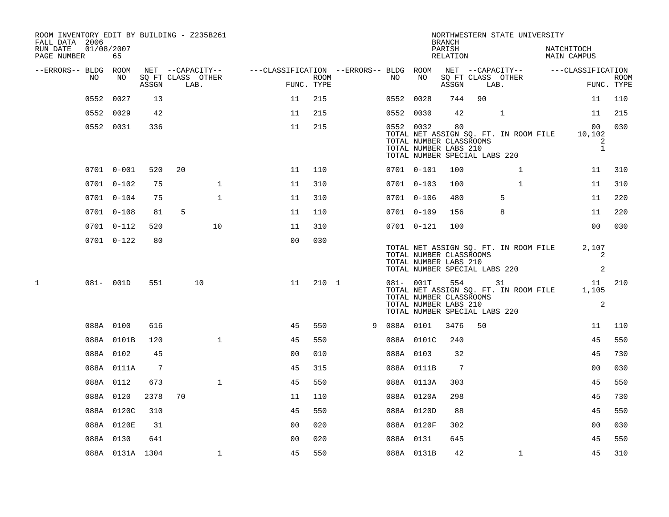| ROOM INVENTORY EDIT BY BUILDING - Z235B261<br>FALL DATA 2006<br>RUN DATE<br>PAGE NUMBER |      | 01/08/2007<br>65 |                 |    |                           |                                                         |                    |   |           |                                                                                                   | <b>BRANCH</b><br>PARISH<br>RELATION |        | NORTHWESTERN STATE UNIVERSITY         | NATCHITOCH<br><b>MAIN CAMPUS</b>               |                           |
|-----------------------------------------------------------------------------------------|------|------------------|-----------------|----|---------------------------|---------------------------------------------------------|--------------------|---|-----------|---------------------------------------------------------------------------------------------------|-------------------------------------|--------|---------------------------------------|------------------------------------------------|---------------------------|
| --ERRORS-- BLDG ROOM                                                                    |      |                  |                 |    | NET --CAPACITY--          | ---CLASSIFICATION --ERRORS-- BLDG ROOM NET --CAPACITY-- |                    |   |           |                                                                                                   |                                     |        |                                       | ---CLASSIFICATION                              |                           |
|                                                                                         | NO.  | NO               | ASSGN           |    | SO FT CLASS OTHER<br>LAB. |                                                         | ROOM<br>FUNC. TYPE |   | NO        | NO                                                                                                | ASSGN                               | LAB.   | SQ FT CLASS OTHER                     |                                                | <b>ROOM</b><br>FUNC. TYPE |
|                                                                                         | 0552 | 0027             | 13              |    |                           | 11                                                      | 215                |   | 0552 0028 |                                                                                                   | 744                                 | 90     |                                       | 11                                             | 110                       |
|                                                                                         |      | 0552 0029        | 42              |    |                           | 11                                                      | 215                |   | 0552 0030 |                                                                                                   | 42                                  |        | $\mathbf 1$                           | 11                                             | 215                       |
|                                                                                         |      | 0552 0031        | 336             |    |                           | 11                                                      | 215                |   |           | 0552 0032<br>TOTAL NUMBER CLASSROOMS<br>TOTAL NUMBER LABS 210<br>TOTAL NUMBER SPECIAL LABS 220    | 80                                  |        | TOTAL NET ASSIGN SQ. FT. IN ROOM FILE | 00 <sub>o</sub><br>10,102<br>2<br>$\mathbf{1}$ | 030                       |
|                                                                                         |      | 0701 0-001       | 520             | 20 |                           | 11                                                      | 110                |   |           | 0701 0-101                                                                                        | 100                                 |        | $\mathbf{1}$                          | 11                                             | 310                       |
|                                                                                         |      | $0701$ $0-102$   | 75              |    | $\mathbf 1$               | 11                                                      | 310                |   |           | 0701 0-103                                                                                        | 100                                 |        | $\mathbf{1}$                          | 11                                             | 310                       |
|                                                                                         |      | 0701 0-104       | 75              |    | $\mathbf{1}$              | 11                                                      | 310                |   |           | 0701 0-106                                                                                        | 480                                 |        | 5                                     | 11                                             | 220                       |
|                                                                                         |      | $0701$ $0-108$   | 81              | 5  |                           | 11                                                      | 110                |   |           | 0701 0-109                                                                                        | 156                                 |        | 8                                     | 11                                             | 220                       |
|                                                                                         |      | 0701 0-112       | 520             |    | 10                        | 11                                                      | 310                |   |           | 0701 0-121                                                                                        | 100                                 |        |                                       | 0 <sub>0</sub>                                 | 030                       |
|                                                                                         |      | $0701$ $0-122$   | 80              |    |                           | 0 <sub>0</sub>                                          | 030                |   |           | TOTAL NUMBER CLASSROOMS<br>TOTAL NUMBER LABS 210<br>TOTAL NUMBER SPECIAL LABS 220                 |                                     |        | TOTAL NET ASSIGN SQ. FT. IN ROOM FILE | 2,107<br>2<br>2                                |                           |
| 1                                                                                       |      | 081- 001D        | 551             |    | 10                        | 11                                                      | 210 1              |   |           | $081 - 001T$<br>TOTAL NUMBER CLASSROOMS<br>TOTAL NUMBER LABS 210<br>TOTAL NUMBER SPECIAL LABS 220 |                                     | 554 31 | TOTAL NET ASSIGN SQ. FT. IN ROOM FILE | 11<br>1,105<br>2                               | 210                       |
|                                                                                         |      | 088A 0100        | 616             |    |                           | 45                                                      | 550                | 9 | 088A 0101 |                                                                                                   | 3476                                | 50     |                                       | 11                                             | 110                       |
|                                                                                         |      | 088A 0101B       | 120             |    | $\mathbf{1}$              | 45                                                      | 550                |   |           | 088A 0101C                                                                                        | 240                                 |        |                                       | 45                                             | 550                       |
|                                                                                         |      | 088A 0102        | 45              |    |                           | 0 <sub>0</sub>                                          | 010                |   | 088A 0103 |                                                                                                   | 32                                  |        |                                       | 45                                             | 730                       |
|                                                                                         |      | 088A 0111A       | $7\phantom{.0}$ |    |                           | 45                                                      | 315                |   |           | 088A 0111B                                                                                        | 7                                   |        |                                       | 0 <sub>0</sub>                                 | 030                       |
|                                                                                         |      | 088A 0112        | 673             |    | $\mathbf{1}$              | 45                                                      | 550                |   |           | 088A 0113A                                                                                        | 303                                 |        |                                       | 45                                             | 550                       |
|                                                                                         |      | 088A 0120        | 2378            | 70 |                           | 11                                                      | 110                |   |           | 088A 0120A                                                                                        | 298                                 |        |                                       | 45                                             | 730                       |
|                                                                                         |      | 088A 0120C       | 310             |    |                           | 45                                                      | 550                |   |           | 088A 0120D                                                                                        | 88                                  |        |                                       | 45                                             | 550                       |
|                                                                                         |      | 088A 0120E       | 31              |    |                           | 0 <sub>0</sub>                                          | 020                |   |           | 088A 0120F                                                                                        | 302                                 |        |                                       | 0 <sub>0</sub>                                 | 030                       |
|                                                                                         |      | 088A 0130        | 641             |    |                           | 0 <sub>0</sub>                                          | 020                |   | 088A 0131 |                                                                                                   | 645                                 |        |                                       | 45                                             | 550                       |
|                                                                                         |      | 088A 0131A 1304  |                 |    | $\mathbf 1$               | 45                                                      | 550                |   |           | 088A 0131B                                                                                        | 42                                  |        | $\mathbf{1}$                          | 45                                             | 310                       |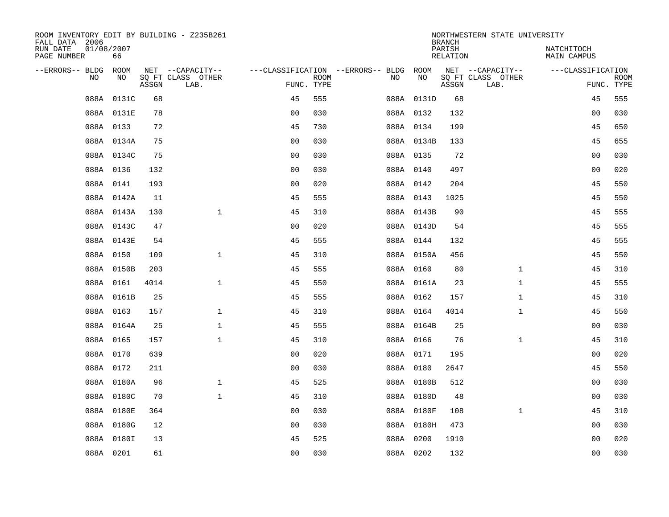| ROOM INVENTORY EDIT BY BUILDING - Z235B261<br>FALL DATA 2006 |                  |       |                           |                |             |                                        |            | <b>BRANCH</b>      | NORTHWESTERN STATE UNIVERSITY |                           |                           |
|--------------------------------------------------------------|------------------|-------|---------------------------|----------------|-------------|----------------------------------------|------------|--------------------|-------------------------------|---------------------------|---------------------------|
| RUN DATE<br>PAGE NUMBER                                      | 01/08/2007<br>66 |       |                           |                |             |                                        |            | PARISH<br>RELATION |                               | NATCHITOCH<br>MAIN CAMPUS |                           |
| --ERRORS-- BLDG                                              | ROOM             |       | NET --CAPACITY--          |                |             | ---CLASSIFICATION --ERRORS-- BLDG ROOM |            |                    | NET --CAPACITY--              | ---CLASSIFICATION         |                           |
| NO                                                           | NO               | ASSGN | SQ FT CLASS OTHER<br>LAB. | FUNC. TYPE     | <b>ROOM</b> | NO                                     | NO         | ASSGN              | SQ FT CLASS OTHER<br>LAB.     |                           | <b>ROOM</b><br>FUNC. TYPE |
| 088A                                                         | 0131C            | 68    |                           | 45             | 555         |                                        | 088A 0131D | 68                 |                               | 45                        | 555                       |
|                                                              | 088A 0131E       | 78    |                           | 0 <sub>0</sub> | 030         |                                        | 088A 0132  | 132                |                               | 00                        | 030                       |
|                                                              | 088A 0133        | 72    |                           | 45             | 730         |                                        | 088A 0134  | 199                |                               | 45                        | 650                       |
|                                                              | 088A 0134A       | 75    |                           | 0 <sub>0</sub> | 030         |                                        | 088A 0134B | 133                |                               | 45                        | 655                       |
|                                                              | 088A 0134C       | 75    |                           | 0 <sub>0</sub> | 030         |                                        | 088A 0135  | 72                 |                               | 0 <sub>0</sub>            | 030                       |
|                                                              | 088A 0136        | 132   |                           | 0 <sub>0</sub> | 030         |                                        | 088A 0140  | 497                |                               | 0 <sub>0</sub>            | 020                       |
|                                                              | 088A 0141        | 193   |                           | 0 <sub>0</sub> | 020         |                                        | 088A 0142  | 204                |                               | 45                        | 550                       |
|                                                              | 088A 0142A       | 11    |                           | 45             | 555         |                                        | 088A 0143  | 1025               |                               | 45                        | 550                       |
|                                                              | 088A 0143A       | 130   | $\mathbf{1}$              | 45             | 310         |                                        | 088A 0143B | 90                 |                               | 45                        | 555                       |
|                                                              | 088A 0143C       | 47    |                           | 0 <sub>0</sub> | 020         |                                        | 088A 0143D | 54                 |                               | 45                        | 555                       |
|                                                              | 088A 0143E       | 54    |                           | 45             | 555         |                                        | 088A 0144  | 132                |                               | 45                        | 555                       |
|                                                              | 088A 0150        | 109   | $\mathbf{1}$              | 45             | 310         |                                        | 088A 0150A | 456                |                               | 45                        | 550                       |
|                                                              | 088A 0150B       | 203   |                           | 45             | 555         |                                        | 088A 0160  | 80                 | $\mathbf{1}$                  | 45                        | 310                       |
|                                                              | 088A 0161        | 4014  | $\mathbf{1}$              | 45             | 550         |                                        | 088A 0161A | 23                 | $\mathbf{1}$                  | 45                        | 555                       |
|                                                              | 088A 0161B       | 25    |                           | 45             | 555         |                                        | 088A 0162  | 157                | $\mathbf{1}$                  | 45                        | 310                       |
|                                                              | 088A 0163        | 157   | $\mathbf{1}$              | 45             | 310         |                                        | 088A 0164  | 4014               | $\mathbf{1}$                  | 45                        | 550                       |
|                                                              | 088A 0164A       | 25    | $\mathbf{1}$              | 45             | 555         |                                        | 088A 0164B | 25                 |                               | 0 <sub>0</sub>            | 030                       |
|                                                              | 088A 0165        | 157   | $\mathbf{1}$              | 45             | 310         |                                        | 088A 0166  | 76                 | $\mathbf{1}$                  | 45                        | 310                       |
|                                                              | 088A 0170        | 639   |                           | 0 <sub>0</sub> | 020         |                                        | 088A 0171  | 195                |                               | 00                        | 020                       |
|                                                              | 088A 0172        | 211   |                           | 00             | 030         |                                        | 088A 0180  | 2647               |                               | 45                        | 550                       |
|                                                              | 088A 0180A       | 96    | $\mathbf 1$               | 45             | 525         |                                        | 088A 0180B | 512                |                               | 00                        | 030                       |
|                                                              | 088A 0180C       | 70    | $\mathbf{1}$              | 45             | 310         |                                        | 088A 0180D | 48                 |                               | 00                        | 030                       |
|                                                              | 088A 0180E       | 364   |                           | 0 <sub>0</sub> | 030         |                                        | 088A 0180F | 108                | $\mathbf{1}$                  | 45                        | 310                       |
|                                                              | 088A 0180G       | 12    |                           | 0 <sub>0</sub> | 030         |                                        | 088A 0180H | 473                |                               | 0 <sub>0</sub>            | 030                       |
|                                                              | 088A 0180I       | 13    |                           | 45             | 525         |                                        | 088A 0200  | 1910               |                               | 00                        | 020                       |
|                                                              | 088A 0201        | 61    |                           | 0 <sub>0</sub> | 030         |                                        | 088A 0202  | 132                |                               | 0 <sub>0</sub>            | 030                       |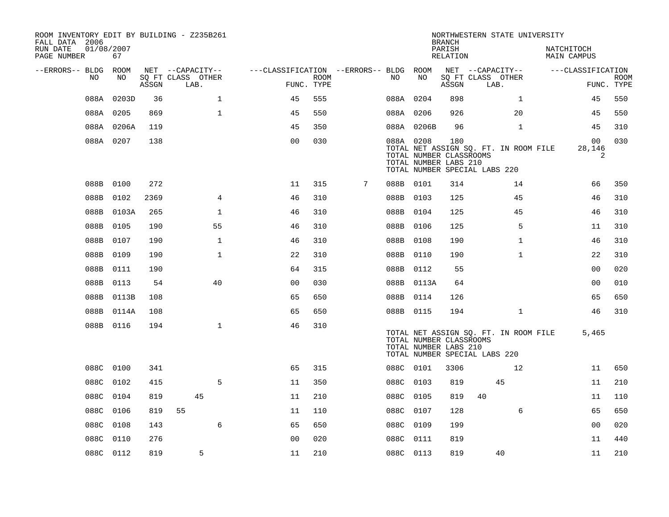| ROOM INVENTORY EDIT BY BUILDING - Z235B261<br>FALL DATA 2006<br>RUN DATE<br>PAGE NUMBER | 01/08/2007<br>67 |       |                                       |                                        |             |   |           |                                                               | <b>BRANCH</b><br>PARISH<br>RELATION | NORTHWESTERN STATE UNIVERSITY                                          |              | NATCHITOCH | MAIN CAMPUS                    |             |
|-----------------------------------------------------------------------------------------|------------------|-------|---------------------------------------|----------------------------------------|-------------|---|-----------|---------------------------------------------------------------|-------------------------------------|------------------------------------------------------------------------|--------------|------------|--------------------------------|-------------|
|                                                                                         |                  |       |                                       |                                        |             |   |           |                                                               |                                     |                                                                        |              |            |                                |             |
| --ERRORS-- BLDG ROOM<br>NO.                                                             | NO               |       | NET --CAPACITY--<br>SQ FT CLASS OTHER | ---CLASSIFICATION --ERRORS-- BLDG ROOM | <b>ROOM</b> |   | NO.       | NO                                                            |                                     | NET --CAPACITY--<br>SQ FT CLASS OTHER                                  |              |            | ---CLASSIFICATION              | <b>ROOM</b> |
|                                                                                         |                  | ASSGN | LAB.                                  | FUNC. TYPE                             |             |   |           |                                                               | ASSGN                               | LAB.                                                                   |              |            |                                | FUNC. TYPE  |
| 088A                                                                                    | 0203D            | 36    | $\mathbf{1}$                          | 45                                     | 555         |   |           | 088A 0204                                                     | 898                                 |                                                                        | $\mathbf{1}$ |            | 45                             | 550         |
|                                                                                         | 088A 0205        | 869   | $\mathbf{1}$                          | 45                                     | 550         |   |           | 088A 0206                                                     | 926                                 |                                                                        | 20           |            | 45                             | 550         |
|                                                                                         | 088A 0206A       | 119   |                                       | 45                                     | 350         |   |           | 088A 0206B                                                    | 96                                  |                                                                        | $\mathbf{1}$ |            | 45                             | 310         |
|                                                                                         | 088A 0207        | 138   |                                       | 0 <sub>0</sub>                         | 030         |   |           | 088A 0208<br>TOTAL NUMBER CLASSROOMS<br>TOTAL NUMBER LABS 210 | 180                                 | TOTAL NET ASSIGN SQ. FT. IN ROOM FILE<br>TOTAL NUMBER SPECIAL LABS 220 |              |            | 00<br>28,146<br>$\overline{2}$ | 030         |
|                                                                                         | 088B 0100        | 272   |                                       | 11                                     | 315         | 7 |           | 088B 0101                                                     | 314                                 |                                                                        | 14           |            | 66                             | 350         |
| 088B                                                                                    | 0102             | 2369  | 4                                     | 46                                     | 310         |   |           | 088B 0103                                                     | 125                                 |                                                                        | 45           |            | 46                             | 310         |
| 088B                                                                                    | 0103A            | 265   | $\mathbf 1$                           | 46                                     | 310         |   |           | 088B 0104                                                     | 125                                 |                                                                        | 45           |            | 46                             | 310         |
| 088B                                                                                    | 0105             | 190   | 55                                    | 46                                     | 310         |   |           | 088B 0106                                                     | 125                                 |                                                                        | 5            |            | 11                             | 310         |
| 088B                                                                                    | 0107             | 190   | $\mathbf 1$                           | 46                                     | 310         |   | 088B 0108 |                                                               | 190                                 |                                                                        | $\mathbf{1}$ |            | 46                             | 310         |
|                                                                                         | 088B 0109        | 190   | $\mathbf{1}$                          | 22                                     | 310         |   |           | 088B 0110                                                     | 190                                 |                                                                        | $\mathbf{1}$ |            | 22                             | 310         |
| 088B                                                                                    | 0111             | 190   |                                       | 64                                     | 315         |   |           | 088B 0112                                                     | 55                                  |                                                                        |              |            | 0 <sub>0</sub>                 | 020         |
| 088B                                                                                    | 0113             | 54    | 40                                    | 0 <sub>0</sub>                         | 030         |   |           | 088B 0113A                                                    | 64                                  |                                                                        |              |            | 00                             | 010         |
|                                                                                         | 088B 0113B       | 108   |                                       | 65                                     | 650         |   | 088B 0114 |                                                               | 126                                 |                                                                        |              |            | 65                             | 650         |
|                                                                                         | 088B 0114A       | 108   |                                       | 65                                     | 650         |   |           | 088B 0115                                                     | 194                                 |                                                                        | $\mathbf{1}$ |            | 46                             | 310         |
|                                                                                         | 088B 0116        | 194   | $\mathbf{1}$                          | 46                                     | 310         |   |           | TOTAL NUMBER CLASSROOMS<br>TOTAL NUMBER LABS 210              |                                     | TOTAL NET ASSIGN SQ. FT. IN ROOM FILE<br>TOTAL NUMBER SPECIAL LABS 220 |              |            | 5,465                          |             |
|                                                                                         | 088C 0100        | 341   |                                       | 65                                     | 315         |   |           | 088C 0101                                                     | 3306                                |                                                                        | 12           |            | 11                             | 650         |
| 088C                                                                                    | 0102             | 415   | 5                                     | 11                                     | 350         |   |           | 088C 0103                                                     | 819                                 |                                                                        | 45           |            | 11                             | 210         |
| 088C                                                                                    | 0104             | 819   | 45                                    | 11                                     | 210         |   | 088C      | 0105                                                          | 819                                 | 40                                                                     |              |            | 11                             | 110         |
| 088C                                                                                    | 0106             | 819   | 55                                    | 11                                     | 110         |   | 088C 0107 |                                                               | 128                                 |                                                                        | 6            |            | 65                             | 650         |
| 088C                                                                                    | 0108             | 143   | 6                                     | 65                                     | 650         |   | 088C      | 0109                                                          | 199                                 |                                                                        |              |            | 0 <sub>0</sub>                 | 020         |
| 088C                                                                                    | 0110             | 276   |                                       | 0 <sub>0</sub>                         | 020         |   | 088C      | 0111                                                          | 819                                 |                                                                        |              |            | 11                             | 440         |
|                                                                                         | 088C 0112        | 819   | 5                                     | 11                                     | 210         |   |           | 088C 0113                                                     | 819                                 |                                                                        | 40           |            | 11                             | 210         |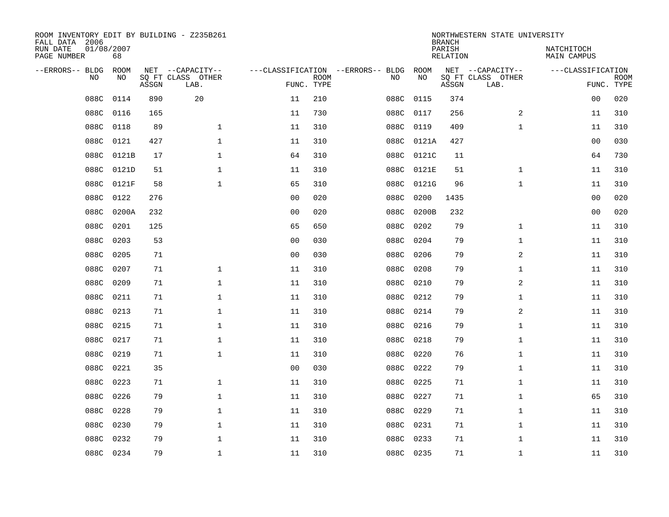| ROOM INVENTORY EDIT BY BUILDING - Z235B261<br>FALL DATA 2006 |                  |       |                           |                |                           |                                   |           | <b>BRANCH</b>             | NORTHWESTERN STATE UNIVERSITY |                           |                           |
|--------------------------------------------------------------|------------------|-------|---------------------------|----------------|---------------------------|-----------------------------------|-----------|---------------------------|-------------------------------|---------------------------|---------------------------|
| RUN DATE<br>PAGE NUMBER                                      | 01/08/2007<br>68 |       |                           |                |                           |                                   |           | PARISH<br><b>RELATION</b> |                               | NATCHITOCH<br>MAIN CAMPUS |                           |
| --ERRORS-- BLDG                                              | <b>ROOM</b>      |       | NET --CAPACITY--          |                |                           | ---CLASSIFICATION --ERRORS-- BLDG | ROOM      |                           | NET --CAPACITY--              | ---CLASSIFICATION         |                           |
| NO                                                           | NO               | ASSGN | SQ FT CLASS OTHER<br>LAB. |                | <b>ROOM</b><br>FUNC. TYPE | NO                                | NO        | ASSGN                     | SQ FT CLASS OTHER<br>LAB.     |                           | <b>ROOM</b><br>FUNC. TYPE |
| 088C                                                         | 0114             | 890   | 20                        | 11             | 210                       | 088C                              | 0115      | 374                       |                               | 0 <sub>0</sub>            | 020                       |
| 088C                                                         | 0116             | 165   |                           | 11             | 730                       | 088C                              | 0117      | 256                       | 2                             | 11                        | 310                       |
| 088C                                                         | 0118             | 89    | $\mathbf 1$               | 11             | 310                       | 088C                              | 0119      | 409                       | $\mathbf{1}$                  | 11                        | 310                       |
| 088C                                                         | 0121             | 427   | $\mathbf 1$               | 11             | 310                       | 088C                              | 0121A     | 427                       |                               | 0 <sub>0</sub>            | 030                       |
| 088C                                                         | 0121B            | 17    | $\mathbf{1}$              | 64             | 310                       | 088C                              | 0121C     | 11                        |                               | 64                        | 730                       |
| 088C                                                         | 0121D            | 51    | $\mathbf 1$               | 11             | 310                       | 088C                              | 0121E     | 51                        | $\mathbf{1}$                  | 11                        | 310                       |
| 088C                                                         | 0121F            | 58    | $\mathbf{1}$              | 65             | 310                       | 088C                              | 0121G     | 96                        | $\mathbf{1}$                  | 11                        | 310                       |
| 088C                                                         | 0122             | 276   |                           | 0 <sub>0</sub> | 020                       | 088C                              | 0200      | 1435                      |                               | 0 <sub>0</sub>            | 020                       |
| 088C                                                         | 0200A            | 232   |                           | 0 <sub>0</sub> | 020                       | 088C                              | 0200B     | 232                       |                               | 0 <sub>0</sub>            | 020                       |
| 088C                                                         | 0201             | 125   |                           | 65             | 650                       | 088C                              | 0202      | 79                        | $\mathbf{1}$                  | 11                        | 310                       |
| 088C                                                         | 0203             | 53    |                           | 0 <sub>0</sub> | 030                       | 088C                              | 0204      | 79                        | $\mathbf{1}$                  | 11                        | 310                       |
| 088C                                                         | 0205             | 71    |                           | 0 <sub>0</sub> | 030                       | 088C                              | 0206      | 79                        | 2                             | 11                        | 310                       |
| 088C                                                         | 0207             | 71    | $\mathbf 1$               | 11             | 310                       | 088C                              | 0208      | 79                        | $\mathbf{1}$                  | 11                        | 310                       |
| 088C                                                         | 0209             | 71    | $\mathbf 1$               | 11             | 310                       | 088C                              | 0210      | 79                        | 2                             | 11                        | 310                       |
| 088C                                                         | 0211             | 71    | $\mathbf 1$               | 11             | 310                       | 088C                              | 0212      | 79                        | $\mathbf{1}$                  | 11                        | 310                       |
| 088C                                                         | 0213             | 71    | $\mathbf{1}$              | 11             | 310                       | 088C                              | 0214      | 79                        | 2                             | 11                        | 310                       |
| 088C                                                         | 0215             | 71    | 1                         | 11             | 310                       | 088C                              | 0216      | 79                        | $\mathbf{1}$                  | 11                        | 310                       |
| 088C                                                         | 0217             | 71    | $\mathbf 1$               | 11             | 310                       | 088C                              | 0218      | 79                        | $\mathbf{1}$                  | 11                        | 310                       |
| 088C                                                         | 0219             | 71    | 1                         | 11             | 310                       | 088C                              | 0220      | 76                        | $\mathbf{1}$                  | 11                        | 310                       |
| 088C                                                         | 0221             | 35    |                           | 0 <sub>0</sub> | 030                       | 088C                              | 0222      | 79                        | $\mathbf{1}$                  | 11                        | 310                       |
| 088C                                                         | 0223             | 71    | $\mathbf 1$               | 11             | 310                       |                                   | 088C 0225 | 71                        | $\mathbf{1}$                  | 11                        | 310                       |
| 088C                                                         | 0226             | 79    | $\mathbf 1$               | 11             | 310                       | 088C                              | 0227      | 71                        | $\mathbf{1}$                  | 65                        | 310                       |
| 088C                                                         | 0228             | 79    | $\mathbf 1$               | 11             | 310                       | 088C                              | 0229      | 71                        | $\mathbf{1}$                  | 11                        | 310                       |
| 088C                                                         | 0230             | 79    | $\mathbf 1$               | 11             | 310                       | 088C                              | 0231      | 71                        | $\mathbf{1}$                  | 11                        | 310                       |
| 088C                                                         | 0232             | 79    | $\mathbf 1$               | 11             | 310                       | 088C                              | 0233      | 71                        | $\mathbf{1}$                  | 11                        | 310                       |
|                                                              | 088C 0234        | 79    | $\mathbf{1}$              | 11             | 310                       |                                   | 088C 0235 | 71                        | $\mathbf{1}$                  | 11                        | 310                       |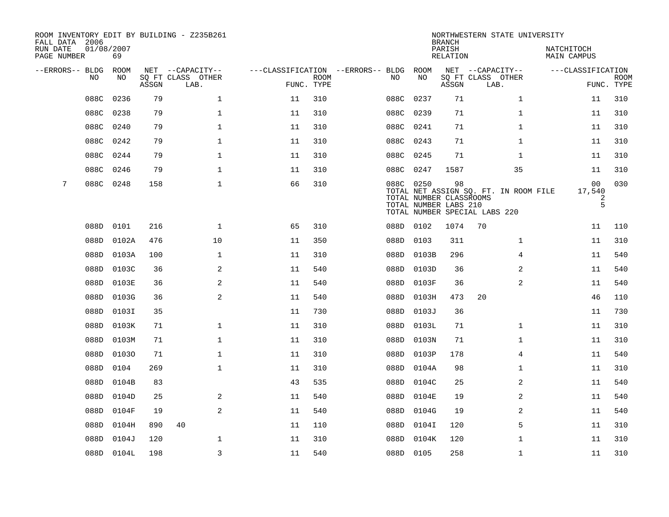| FALL DATA 2006          |                |            |       | ROOM INVENTORY EDIT BY BUILDING - Z235B261 |                                   |                           |      |                                                               | <b>BRANCH</b>      | NORTHWESTERN STATE UNIVERSITY                                          |                           |                           |
|-------------------------|----------------|------------|-------|--------------------------------------------|-----------------------------------|---------------------------|------|---------------------------------------------------------------|--------------------|------------------------------------------------------------------------|---------------------------|---------------------------|
| RUN DATE<br>PAGE NUMBER | 01/08/2007     | 69         |       |                                            |                                   |                           |      |                                                               | PARISH<br>RELATION |                                                                        | NATCHITOCH<br>MAIN CAMPUS |                           |
| --ERRORS-- BLDG         |                | ROOM       |       | NET --CAPACITY--                           | ---CLASSIFICATION --ERRORS-- BLDG |                           |      | ROOM                                                          |                    | NET --CAPACITY--                                                       | ---CLASSIFICATION         |                           |
|                         | N <sub>O</sub> | NO.        | ASSGN | SO FT CLASS OTHER<br>LAB.                  |                                   | <b>ROOM</b><br>FUNC. TYPE | NO.  | NO                                                            | ASSGN              | SQ FT CLASS OTHER<br>LAB.                                              |                           | <b>ROOM</b><br>FUNC. TYPE |
|                         | 088C           | 0236       | 79    | $\mathbf{1}$                               | 11                                | 310                       | 088C | 0237                                                          | 71                 | $\mathbf{1}$                                                           | 11                        | 310                       |
|                         | 088C           | 0238       | 79    | $\mathbf{1}$                               | 11                                | 310                       | 088C | 0239                                                          | 71                 | $\mathbf{1}$                                                           | 11                        | 310                       |
|                         | 088C           | 0240       | 79    | $\mathbf 1$                                | 11                                | 310                       | 088C | 0241                                                          | 71                 | $\mathbf{1}$                                                           | 11                        | 310                       |
|                         | 088C           | 0242       | 79    | 1                                          | 11                                | 310                       | 088C | 0243                                                          | 71                 | $\mathbf{1}$                                                           | 11                        | 310                       |
|                         | 088C           | 0244       | 79    | $\mathbf 1$                                | 11                                | 310                       | 088C | 0245                                                          | 71                 | $\mathbf{1}$                                                           | 11                        | 310                       |
|                         | 088C           | 0246       | 79    | $\mathbf{1}$                               | 11                                | 310                       | 088C | 0247                                                          | 1587               | 35                                                                     | 11                        | 310                       |
| 7                       | 088C 0248      |            | 158   | $\mathbf{1}$                               | 66                                | 310                       |      | 088C 0250<br>TOTAL NUMBER CLASSROOMS<br>TOTAL NUMBER LABS 210 | 98                 | TOTAL NET ASSIGN SQ. FT. IN ROOM FILE<br>TOTAL NUMBER SPECIAL LABS 220 | 00<br>17,540<br>2<br>5    | 030                       |
|                         | 088D           | 0101       | 216   | $\mathbf 1$                                | 65                                | 310                       |      | 088D 0102                                                     | 1074               | 70                                                                     | 11                        | 110                       |
|                         | 088D           | 0102A      | 476   | 10                                         | 11                                | 350                       | 088D | 0103                                                          | 311                | $\mathbf{1}$                                                           | 11                        | 310                       |
|                         | 088D           | 0103A      | 100   | $\mathbf{1}$                               | 11                                | 310                       | 088D | 0103B                                                         | 296                | $\overline{4}$                                                         | 11                        | 540                       |
|                         | 088D           | 0103C      | 36    | 2                                          | 11                                | 540                       | 088D | 0103D                                                         | 36                 | 2                                                                      | 11                        | 540                       |
|                         | 088D           | 0103E      | 36    | 2                                          | 11                                | 540                       | 088D | 0103F                                                         | 36                 | 2                                                                      | 11                        | 540                       |
|                         | 088D           | 0103G      | 36    | 2                                          | 11                                | 540                       | 088D | 0103H                                                         | 473                | 20                                                                     | 46                        | 110                       |
|                         | 088D           | 0103I      | 35    |                                            | 11                                | 730                       | 088D | 0103J                                                         | 36                 |                                                                        | 11                        | 730                       |
|                         | 088D           | 0103K      | 71    | $\mathbf{1}$                               | 11                                | 310                       | 088D | 0103L                                                         | 71                 | $\mathbf{1}$                                                           | 11                        | 310                       |
|                         | 088D           | 0103M      | 71    | $\mathbf 1$                                | 11                                | 310                       | 088D | 0103N                                                         | 71                 | $\mathbf{1}$                                                           | 11                        | 310                       |
|                         | 088D           | 01030      | 71    | 1                                          | 11                                | 310                       | 088D | 0103P                                                         | 178                | 4                                                                      | 11                        | 540                       |
|                         | 088D           | 0104       | 269   | $\mathbf{1}$                               | 11                                | 310                       | 088D | 0104A                                                         | 98                 | $\mathbf{1}$                                                           | 11                        | 310                       |
|                         | 088D           | 0104B      | 83    |                                            | 43                                | 535                       | 088D | 0104C                                                         | 25                 | 2                                                                      | 11                        | 540                       |
|                         | 088D           | 0104D      | 25    | 2                                          | 11                                | 540                       | 088D | 0104E                                                         | 19                 | 2                                                                      | 11                        | 540                       |
|                         | 088D           | 0104F      | 19    | 2                                          | 11                                | 540                       | 088D | 0104G                                                         | 19                 | 2                                                                      | 11                        | 540                       |
|                         | 088D           | 0104H      | 890   | 40                                         | 11                                | 110                       | 088D | 0104I                                                         | 120                | 5                                                                      | 11                        | 310                       |
|                         | 088D           | 0104J      | 120   | $\mathbf 1$                                | 11                                | 310                       | 088D | 0104K                                                         | 120                | $\mathbf{1}$                                                           | 11                        | 310                       |
|                         |                | 088D 0104L | 198   | $\overline{3}$                             | 11                                | 540                       |      | 088D 0105                                                     | 258                | $\mathbf{1}$                                                           | 11                        | 310                       |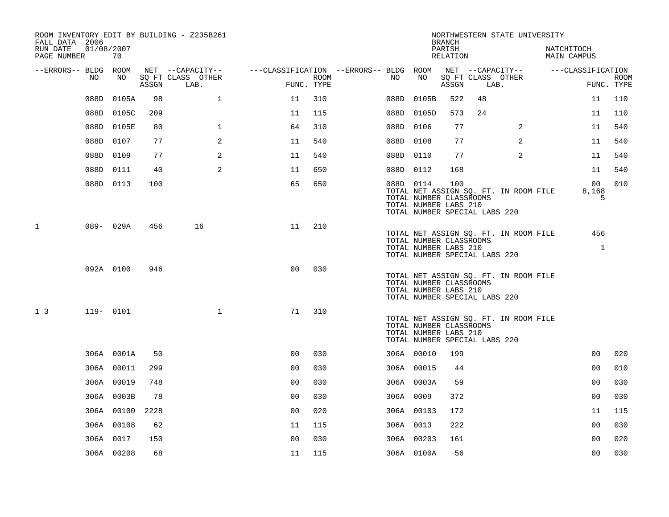| FALL DATA 2006<br>RUN DATE | 01/08/2007 |              |       | ROOM INVENTORY EDIT BY BUILDING - Z235B261 |                                        |      |           |            | <b>BRANCH</b><br>PARISH                                 |                               | NORTHWESTERN STATE UNIVERSITY         | NATCHITOCH                   |             |
|----------------------------|------------|--------------|-------|--------------------------------------------|----------------------------------------|------|-----------|------------|---------------------------------------------------------|-------------------------------|---------------------------------------|------------------------------|-------------|
| PAGE NUMBER                |            | 70           |       |                                            |                                        |      |           |            | RELATION                                                |                               |                                       | <b>MAIN CAMPUS</b>           |             |
| --ERRORS-- BLDG ROOM       | NO         | NO           |       | NET --CAPACITY--<br>SQ FT CLASS OTHER      | ---CLASSIFICATION --ERRORS-- BLDG ROOM | ROOM | NO        | NO         |                                                         |                               | NET --CAPACITY--<br>SQ FT CLASS OTHER | ---CLASSIFICATION            | <b>ROOM</b> |
|                            |            |              | ASSGN | LAB.                                       | FUNC. TYPE                             |      |           |            | ASSGN                                                   | LAB.                          |                                       |                              | FUNC. TYPE  |
|                            | 088D       | 0105A        | 98    | $\mathbf 1$                                | 11                                     | 310  | 088D      | 0105B      | 522                                                     | 48                            |                                       | 11                           | 110         |
|                            | 088D       | 0105C        | 209   |                                            | 11                                     | 115  |           | 088D 0105D | 573                                                     | 24                            |                                       | 11                           | 110         |
|                            |            | 088D 0105E   | 80    | $\mathbf 1$                                | 64                                     | 310  | 088D 0106 |            | 77                                                      |                               | 2                                     | 11                           | 540         |
|                            |            | 088D 0107    | 77    | 2                                          | 11                                     | 540  | 088D 0108 |            | 77                                                      |                               | 2                                     | 11                           | 540         |
|                            | 088D       | 0109         | 77    | $\mathbf{2}$                               | 11                                     | 540  | 088D 0110 |            | 77                                                      |                               | 2                                     | 11                           | 540         |
|                            | 088D       | 0111         | 40    | 2                                          | 11                                     | 650  | 088D 0112 |            | 168                                                     |                               |                                       | 11                           | 540         |
|                            |            | 088D 0113    | 100   |                                            | 65                                     | 650  | 088D 0114 |            | 100<br>TOTAL NUMBER CLASSROOMS<br>TOTAL NUMBER LABS 210 | TOTAL NUMBER SPECIAL LABS 220 | TOTAL NET ASSIGN SQ. FT. IN ROOM FILE | 0 <sub>0</sub><br>8,168<br>5 | 010         |
| $\mathbf{1}$               |            | 089- 029A    | 456   | 16                                         | 11                                     | 210  |           |            | TOTAL NUMBER CLASSROOMS<br>TOTAL NUMBER LABS 210        | TOTAL NUMBER SPECIAL LABS 220 | TOTAL NET ASSIGN SQ. FT. IN ROOM FILE | 456<br>$\mathbf{1}$          |             |
|                            |            | 092A 0100    | 946   |                                            | 0 <sub>0</sub>                         | 030  |           |            | TOTAL NUMBER CLASSROOMS<br>TOTAL NUMBER LABS 210        | TOTAL NUMBER SPECIAL LABS 220 | TOTAL NET ASSIGN SQ. FT. IN ROOM FILE |                              |             |
| 1 <sup>3</sup>             |            | $119 - 0101$ |       | $\mathbf{1}$                               | 71                                     | 310  |           |            | TOTAL NUMBER CLASSROOMS<br>TOTAL NUMBER LABS 210        | TOTAL NUMBER SPECIAL LABS 220 | TOTAL NET ASSIGN SQ. FT. IN ROOM FILE |                              |             |
|                            |            | 306A 0001A   | 50    |                                            | 0 <sub>0</sub>                         | 030  |           | 306A 00010 | 199                                                     |                               |                                       | 0 <sub>0</sub>               | 020         |
|                            |            | 306A 00011   | 299   |                                            | 00                                     | 030  |           | 306A 00015 | 44                                                      |                               |                                       | 0 <sub>0</sub>               | 010         |
|                            |            | 306A 00019   | 748   |                                            | 0 <sub>0</sub>                         | 030  |           | 306A 0003A | 59                                                      |                               |                                       | 0 <sub>0</sub>               | 030         |
|                            |            | 306A 0003B   | 78    |                                            | 0 <sub>0</sub>                         | 030  | 306A 0009 |            | 372                                                     |                               |                                       | 0 <sub>0</sub>               | 030         |
|                            |            | 306A 00100   | 2228  |                                            | 0 <sub>0</sub>                         | 020  |           | 306A 00103 | 172                                                     |                               |                                       | 11                           | 115         |
|                            |            | 306A 00108   | 62    |                                            | 11                                     | 115  | 306A 0013 |            | 222                                                     |                               |                                       | 0 <sub>0</sub>               | 030         |
|                            |            | 306A 0017    | 150   |                                            | 0 <sub>0</sub>                         | 030  |           | 306A 00203 | 161                                                     |                               |                                       | 00                           | 020         |
|                            |            | 306A 00208   | 68    |                                            | 11                                     | 115  |           | 306A 0100A | 56                                                      |                               |                                       | 0 <sub>0</sub>               | 030         |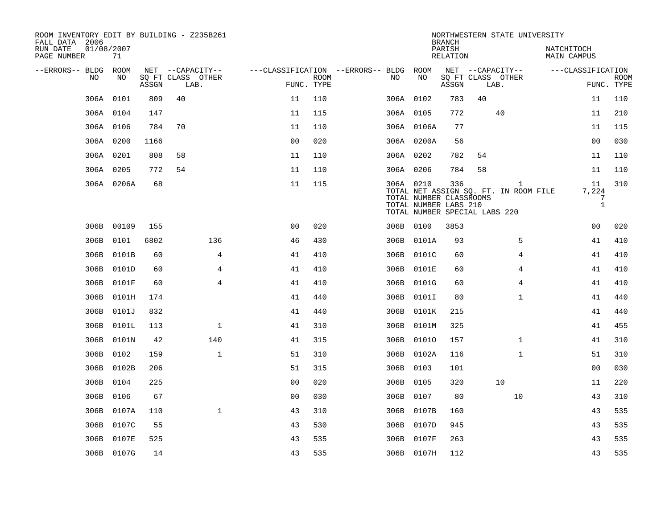| ROOM INVENTORY EDIT BY BUILDING - Z235B261<br>FALL DATA 2006 |                  |       |                           |                                        |      |           |                                                                                   | <b>BRANCH</b>      |    | NORTHWESTERN STATE UNIVERSITY                         |                           |                                  |                           |
|--------------------------------------------------------------|------------------|-------|---------------------------|----------------------------------------|------|-----------|-----------------------------------------------------------------------------------|--------------------|----|-------------------------------------------------------|---------------------------|----------------------------------|---------------------------|
| RUN DATE<br>PAGE NUMBER                                      | 01/08/2007<br>71 |       |                           |                                        |      |           |                                                                                   | PARISH<br>RELATION |    |                                                       | NATCHITOCH<br>MAIN CAMPUS |                                  |                           |
| --ERRORS-- BLDG ROOM                                         |                  |       | NET --CAPACITY--          | ---CLASSIFICATION --ERRORS-- BLDG ROOM |      |           |                                                                                   |                    |    | NET --CAPACITY--                                      | ---CLASSIFICATION         |                                  |                           |
| NO.                                                          | NO.              | ASSGN | SQ FT CLASS OTHER<br>LAB. | FUNC. TYPE                             | ROOM | NO.       | NO                                                                                | ASSGN              |    | SQ FT CLASS OTHER<br>LAB.                             |                           |                                  | <b>ROOM</b><br>FUNC. TYPE |
|                                                              | 306A 0101        | 809   | 40                        | 11                                     | 110  | 306A 0102 |                                                                                   | 783                | 40 |                                                       |                           | 11                               | 110                       |
|                                                              | 306A 0104        | 147   |                           | 11                                     | 115  | 306A 0105 |                                                                                   | 772                |    | 40                                                    |                           | 11                               | 210                       |
|                                                              | 306A 0106        | 784   | 70                        | 11                                     | 110  |           | 306A 0106A                                                                        | 77                 |    |                                                       |                           | 11                               | 115                       |
|                                                              | 306A 0200        | 1166  |                           | 0 <sub>0</sub>                         | 020  |           | 306A 0200A                                                                        | 56                 |    |                                                       |                           | 0 <sub>0</sub>                   | 030                       |
|                                                              | 306A 0201        | 808   | 58                        | 11                                     | 110  | 306A 0202 |                                                                                   | 782                | 54 |                                                       |                           | 11                               | 110                       |
|                                                              | 306A 0205        | 772   | 54                        | 11                                     | 110  | 306A 0206 |                                                                                   | 784                | 58 |                                                       |                           | 11                               | 110                       |
|                                                              | 306A 0206A       | 68    |                           | 11                                     | 115  | 306A 0210 | TOTAL NUMBER CLASSROOMS<br>TOTAL NUMBER LABS 210<br>TOTAL NUMBER SPECIAL LABS 220 | 336                |    | $\mathbf{1}$<br>TOTAL NET ASSIGN SQ. FT. IN ROOM FILE |                           | 11<br>7,224<br>7<br>$\mathbf{1}$ | 310                       |
|                                                              | 306B 00109       | 155   |                           | 0 <sub>0</sub>                         | 020  |           | 306B 0100                                                                         | 3853               |    |                                                       |                           | 0 <sub>0</sub>                   | 020                       |
|                                                              | 306B 0101        | 6802  | 136                       | 46                                     | 430  |           | 306B 0101A                                                                        | 93                 |    | 5                                                     |                           | 41                               | 410                       |
|                                                              | 306B 0101B       | 60    | 4                         | 41                                     | 410  |           | 306B 0101C                                                                        | 60                 |    | 4                                                     |                           | 41                               | 410                       |
| 306B                                                         | 0101D            | 60    | $\overline{4}$            | 41                                     | 410  |           | 306B 0101E                                                                        | 60                 |    | $\overline{4}$                                        |                           | 41                               | 410                       |
| 306B                                                         | 0101F            | 60    | $\overline{4}$            | 41                                     | 410  |           | 306B 0101G                                                                        | 60                 |    | 4                                                     |                           | 41                               | 410                       |
|                                                              | 306B 0101H       | 174   |                           | 41                                     | 440  |           | 306B 0101I                                                                        | 80                 |    | $\mathbf{1}$                                          |                           | 41                               | 440                       |
|                                                              | 306B 0101J       | 832   |                           | 41                                     | 440  |           | 306B 0101K                                                                        | 215                |    |                                                       |                           | 41                               | 440                       |
| 306B                                                         | 0101L            | 113   | $\mathbf{1}$              | 41                                     | 310  |           | 306B 0101M                                                                        | 325                |    |                                                       |                           | 41                               | 455                       |
| 306B                                                         | 0101N            | 42    | 140                       | 41                                     | 315  |           | 306B 01010                                                                        | 157                |    | $\mathbf{1}$                                          |                           | 41                               | 310                       |
| 306B                                                         | 0102             | 159   | $\mathbf{1}$              | 51                                     | 310  |           | 306B 0102A                                                                        | 116                |    | $\mathbf{1}$                                          |                           | 51                               | 310                       |
| 306B                                                         | 0102B            | 206   |                           | 51                                     | 315  | 306B 0103 |                                                                                   | 101                |    |                                                       |                           | 0 <sub>0</sub>                   | 030                       |
|                                                              | 306B 0104        | 225   |                           | 0 <sub>0</sub>                         | 020  | 306B 0105 |                                                                                   | 320                |    | 10                                                    |                           | 11                               | 220                       |
| 306B                                                         | 0106             | 67    |                           | 0 <sub>0</sub>                         | 030  | 306B 0107 |                                                                                   | 80                 |    | 10                                                    |                           | 43                               | 310                       |
|                                                              | 306B 0107A       | 110   | $\mathbf{1}$              | 43                                     | 310  |           | 306B 0107B                                                                        | 160                |    |                                                       |                           | 43                               | 535                       |
| 306B                                                         | 0107C            | 55    |                           | 43                                     | 530  |           | 306B 0107D                                                                        | 945                |    |                                                       |                           | 43                               | 535                       |
|                                                              | 306B 0107E       | 525   |                           | 43                                     | 535  |           | 306B 0107F                                                                        | 263                |    |                                                       |                           | 43                               | 535                       |
|                                                              | 306B 0107G       | 14    |                           | 43                                     | 535  |           | 306B 0107H                                                                        | 112                |    |                                                       |                           | 43                               | 535                       |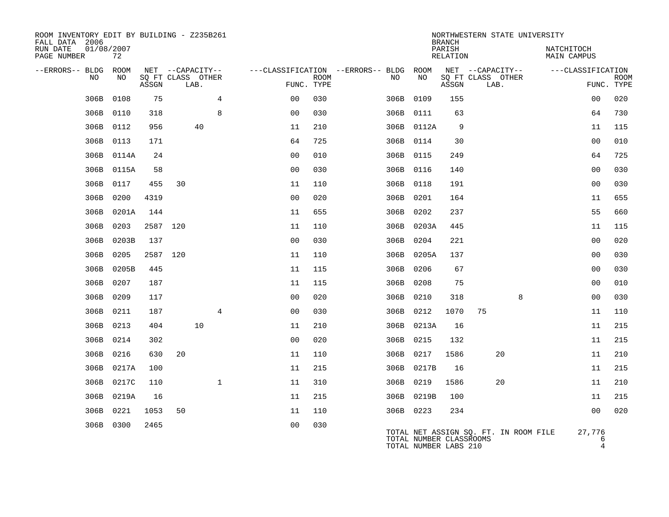| ROOM INVENTORY EDIT BY BUILDING - Z235B261<br>FALL DATA 2006 |                  |       |                   |      |              |                                        |                           |           |                                                  | <b>BRANCH</b>      |                           |    | NORTHWESTERN STATE UNIVERSITY         |                    |             |
|--------------------------------------------------------------|------------------|-------|-------------------|------|--------------|----------------------------------------|---------------------------|-----------|--------------------------------------------------|--------------------|---------------------------|----|---------------------------------------|--------------------|-------------|
| RUN DATE<br>PAGE NUMBER                                      | 01/08/2007<br>72 |       |                   |      |              |                                        |                           |           |                                                  | PARISH<br>RELATION |                           |    | NATCHITOCH                            | <b>MAIN CAMPUS</b> |             |
| --ERRORS-- BLDG ROOM                                         |                  |       | NET --CAPACITY--  |      |              | ---CLASSIFICATION --ERRORS-- BLDG ROOM |                           |           |                                                  |                    | NET --CAPACITY--          |    |                                       | ---CLASSIFICATION  |             |
| NO                                                           | NO               | ASSGN | SQ FT CLASS OTHER | LAB. |              |                                        | <b>ROOM</b><br>FUNC. TYPE | NO        | NO                                               | ASSGN              | SQ FT CLASS OTHER<br>LAB. |    |                                       | FUNC. TYPE         | <b>ROOM</b> |
| 306B                                                         | 0108             | 75    |                   |      | 4            | 0 <sub>0</sub>                         | 030                       | 306B 0109 |                                                  | 155                |                           |    |                                       | 00                 | 020         |
| 306B                                                         | 0110             | 318   |                   |      | 8            | 0 <sub>0</sub>                         | 030                       | 306B      | 0111                                             | 63                 |                           |    |                                       | 64                 | 730         |
| 306B                                                         | 0112             | 956   |                   | 40   |              | 11                                     | 210                       |           | 306B 0112A                                       | 9                  |                           |    |                                       | 11                 | 115         |
| 306B                                                         | 0113             | 171   |                   |      |              | 64                                     | 725                       | 306B 0114 |                                                  | 30                 |                           |    |                                       | 0 <sub>0</sub>     | 010         |
| 306B                                                         | 0114A            | 24    |                   |      |              | 0 <sub>0</sub>                         | 010                       | 306B 0115 |                                                  | 249                |                           |    |                                       | 64                 | 725         |
| 306B                                                         | 0115A            | 58    |                   |      |              | 0 <sub>0</sub>                         | 030                       | 306B 0116 |                                                  | 140                |                           |    |                                       | 0 <sub>0</sub>     | 030         |
| 306B                                                         | 0117             | 455   | 30                |      |              | 11                                     | 110                       | 306B 0118 |                                                  | 191                |                           |    |                                       | 0 <sub>0</sub>     | 030         |
| 306B                                                         | 0200             | 4319  |                   |      |              | 0 <sub>0</sub>                         | 020                       | 306B 0201 |                                                  | 164                |                           |    |                                       | 11                 | 655         |
| 306B                                                         | 0201A            | 144   |                   |      |              | 11                                     | 655                       | 306B 0202 |                                                  | 237                |                           |    |                                       | 55                 | 660         |
| 306B                                                         | 0203             |       | 2587 120          |      |              | 11                                     | 110                       |           | 306B 0203A                                       | 445                |                           |    |                                       | 11                 | 115         |
| 306B                                                         | 0203B            | 137   |                   |      |              | 0 <sub>0</sub>                         | 030                       | 306B 0204 |                                                  | 221                |                           |    |                                       | 0 <sub>0</sub>     | 020         |
| 306B                                                         | 0205             |       | 2587 120          |      |              | 11                                     | 110                       |           | 306B 0205A                                       | 137                |                           |    |                                       | 0 <sub>0</sub>     | 030         |
| 306B                                                         | 0205B            | 445   |                   |      |              | 11                                     | 115                       | 306B      | 0206                                             | 67                 |                           |    |                                       | 00                 | 030         |
| 306B                                                         | 0207             | 187   |                   |      |              | 11                                     | 115                       | 306B 0208 |                                                  | 75                 |                           |    |                                       | 00                 | 010         |
| 306B                                                         | 0209             | 117   |                   |      |              | 0 <sub>0</sub>                         | 020                       | 306B      | 0210                                             | 318                |                           | 8  |                                       | 0 <sub>0</sub>     | 030         |
| 306B                                                         | 0211             | 187   |                   |      | 4            | 0 <sub>0</sub>                         | 030                       | 306B 0212 |                                                  | 1070               | 75                        |    |                                       | 11                 | 110         |
| 306B                                                         | 0213             | 404   |                   | 10   |              | 11                                     | 210                       |           | 306B 0213A                                       | 16                 |                           |    |                                       | 11                 | 215         |
| 306B                                                         | 0214             | 302   |                   |      |              | 0 <sub>0</sub>                         | 020                       | 306B 0215 |                                                  | 132                |                           |    |                                       | 11                 | 215         |
| 306B                                                         | 0216             | 630   | 20                |      |              | 11                                     | 110                       | 306B 0217 |                                                  | 1586               |                           | 20 |                                       | 11                 | 210         |
| 306B                                                         | 0217A            | 100   |                   |      |              | 11                                     | 215                       |           | 306B 0217B                                       | 16                 |                           |    |                                       | 11                 | 215         |
| 306B                                                         | 0217C            | 110   |                   |      | $\mathbf{1}$ | 11                                     | 310                       | 306B 0219 |                                                  | 1586               |                           | 20 |                                       | 11                 | 210         |
|                                                              | 306B 0219A       | 16    |                   |      |              | 11                                     | 215                       |           | 306B 0219B                                       | 100                |                           |    |                                       | 11                 | 215         |
| 306B                                                         | 0221             | 1053  | 50                |      |              | 11                                     | 110                       | 306B 0223 |                                                  | 234                |                           |    |                                       | 0 <sub>0</sub>     | 020         |
|                                                              | 306B 0300        | 2465  |                   |      |              | 0 <sub>0</sub>                         | 030                       |           | TOTAL NUMBER CLASSROOMS<br>TOTAL NUMBER LABS 210 |                    |                           |    | TOTAL NET ASSIGN SO. FT. IN ROOM FILE | 27,776<br>6<br>4   |             |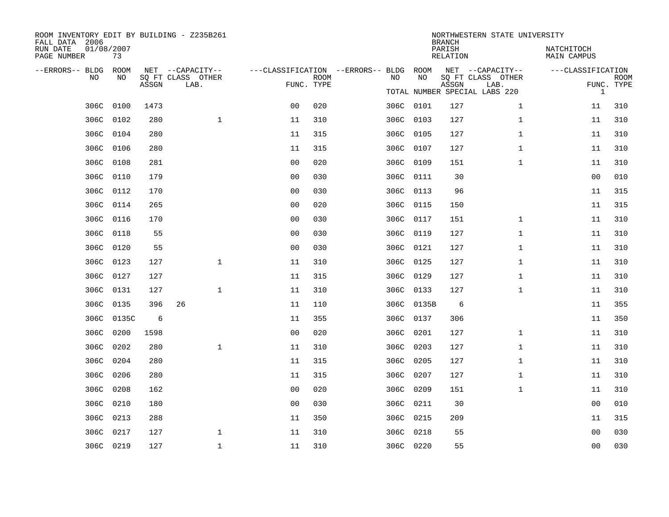| ROOM INVENTORY EDIT BY BUILDING - Z235B261<br>FALL DATA 2006 |           |       |                           |                                        |                           |  |           |            | <b>BRANCH</b> | NORTHWESTERN STATE UNIVERSITY    |                   |                           |
|--------------------------------------------------------------|-----------|-------|---------------------------|----------------------------------------|---------------------------|--|-----------|------------|---------------|----------------------------------|-------------------|---------------------------|
| 01/08/2007<br>RUN DATE<br>PAGE NUMBER                        |           |       |                           | PARISH<br>RELATION                     |                           |  |           |            |               | NATCHITOCH<br><b>MAIN CAMPUS</b> |                   |                           |
| --ERRORS-- BLDG                                              | ROOM      |       | NET --CAPACITY--          | ---CLASSIFICATION --ERRORS-- BLDG ROOM |                           |  |           |            |               | NET --CAPACITY--                 | ---CLASSIFICATION |                           |
| NO                                                           | NO        | ASSGN | SQ FT CLASS OTHER<br>LAB. |                                        | <b>ROOM</b><br>FUNC. TYPE |  | NO        | NO         | ASSGN         | SQ FT CLASS OTHER<br>LAB.        |                   | <b>ROOM</b><br>FUNC. TYPE |
|                                                              |           |       |                           |                                        |                           |  |           |            |               | TOTAL NUMBER SPECIAL LABS 220    | $\mathbf{1}$      |                           |
|                                                              | 306C 0100 | 1473  |                           | 0 <sub>0</sub>                         | 020                       |  | 306C 0101 |            | 127           | $\mathbf{1}$                     | 11                | 310                       |
| 306C                                                         | 0102      | 280   | $\mathbf 1$               | 11                                     | 310                       |  | 306C 0103 |            | 127           | $\mathbf{1}$                     | 11                | 310                       |
|                                                              | 306C 0104 | 280   |                           | 11                                     | 315                       |  | 306C 0105 |            | 127           | $\mathbf{1}$                     | 11                | 310                       |
|                                                              | 306C 0106 | 280   |                           | 11                                     | 315                       |  | 306C 0107 |            | 127           | $\mathbf{1}$                     | 11                | 310                       |
|                                                              | 306C 0108 | 281   |                           | 0 <sub>0</sub>                         | 020                       |  | 306C 0109 |            | 151           | $\mathbf{1}$                     | 11                | 310                       |
|                                                              | 306C 0110 | 179   |                           | 0 <sub>0</sub>                         | 030                       |  | 306C 0111 |            | 30            |                                  | 0 <sub>0</sub>    | 010                       |
|                                                              | 306C 0112 | 170   |                           | 0 <sub>0</sub>                         | 030                       |  | 306C 0113 |            | 96            |                                  | 11                | 315                       |
|                                                              | 306C 0114 | 265   |                           | 0 <sub>0</sub>                         | 020                       |  | 306C 0115 |            | 150           |                                  | 11                | 315                       |
|                                                              | 306C 0116 | 170   |                           | 0 <sub>0</sub>                         | 030                       |  | 306C 0117 |            | 151           | $\mathbf{1}$                     | 11                | 310                       |
| 306C                                                         | 0118      | 55    |                           | 0 <sub>0</sub>                         | 030                       |  | 306C 0119 |            | 127           | $\mathbf{1}$                     | 11                | 310                       |
| 306C                                                         | 0120      | 55    |                           | 0 <sub>0</sub>                         | 030                       |  | 306C 0121 |            | 127           | $\mathbf{1}$                     | 11                | 310                       |
|                                                              | 306C 0123 | 127   | $\mathbf 1$               | 11                                     | 310                       |  | 306C 0125 |            | 127           | $\mathbf{1}$                     | 11                | 310                       |
| 306C                                                         | 0127      | 127   |                           | 11                                     | 315                       |  | 306C 0129 |            | 127           | $\mathbf{1}$                     | 11                | 310                       |
| 306C                                                         | 0131      | 127   | $\mathbf 1$               | 11                                     | 310                       |  | 306C 0133 |            | 127           | $\mathbf{1}$                     | 11                | 310                       |
| 306C                                                         | 0135      | 396   | 26                        | 11                                     | 110                       |  |           | 306C 0135B | 6             |                                  | 11                | 355                       |
| 306C                                                         | 0135C     | 6     |                           | 11                                     | 355                       |  | 306C 0137 |            | 306           |                                  | 11                | 350                       |
| 306C                                                         | 0200      | 1598  |                           | 0 <sub>0</sub>                         | 020                       |  | 306C      | 0201       | 127           | $\mathbf{1}$                     | 11                | 310                       |
|                                                              | 306C 0202 | 280   | $\mathbf{1}$              | 11                                     | 310                       |  | 306C 0203 |            | 127           | $\mathbf{1}$                     | 11                | 310                       |
| 306C                                                         | 0204      | 280   |                           | 11                                     | 315                       |  | 306C 0205 |            | 127           | $\mathbf{1}$                     | 11                | 310                       |
| 306C                                                         | 0206      | 280   |                           | 11                                     | 315                       |  | 306C 0207 |            | 127           | $\mathbf{1}$                     | 11                | 310                       |
| 306C                                                         | 0208      | 162   |                           | 0 <sub>0</sub>                         | 020                       |  | 306C      | 0209       | 151           | $\mathbf{1}$                     | 11                | 310                       |
|                                                              | 306C 0210 | 180   |                           | 0 <sub>0</sub>                         | 030                       |  | 306C 0211 |            | 30            |                                  | 0 <sub>0</sub>    | 010                       |
| 306C                                                         | 0213      | 288   |                           | 11                                     | 350                       |  | 306C 0215 |            | 209           |                                  | 11                | 315                       |
| 306C                                                         | 0217      | 127   | $\mathbf 1$               | 11                                     | 310                       |  | 306C      | 0218       | 55            |                                  | 0 <sub>0</sub>    | 030                       |
|                                                              | 306C 0219 | 127   | $\mathbf 1$               | 11                                     | 310                       |  | 306C 0220 |            | 55            |                                  | 0 <sub>0</sub>    | 030                       |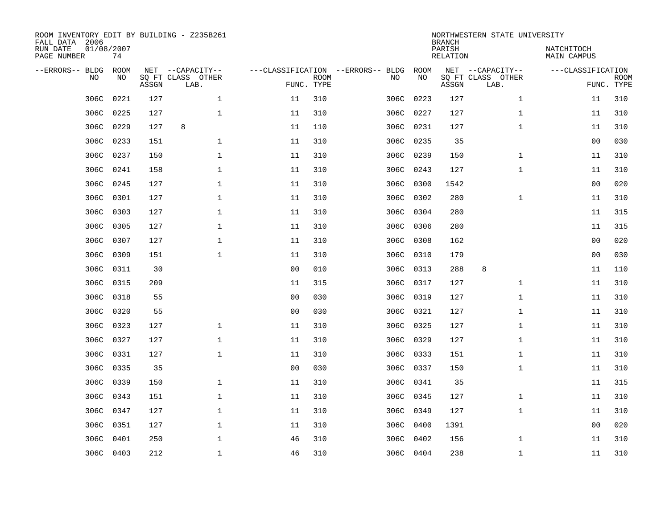| ROOM INVENTORY EDIT BY BUILDING - Z235B261<br>FALL DATA 2006 |             |       | NORTHWESTERN STATE UNIVERSITY<br><b>BRANCH</b> |                |                           |                                   |           |       |                           |                   |                           |
|--------------------------------------------------------------|-------------|-------|------------------------------------------------|----------------|---------------------------|-----------------------------------|-----------|-------|---------------------------|-------------------|---------------------------|
| RUN DATE<br>01/08/2007<br>PAGE NUMBER                        |             |       | PARISH<br><b>RELATION</b>                      |                |                           |                                   |           |       | NATCHITOCH<br>MAIN CAMPUS |                   |                           |
| --ERRORS-- BLDG                                              | <b>ROOM</b> |       | NET --CAPACITY--                               |                |                           | ---CLASSIFICATION --ERRORS-- BLDG | ROOM      |       | NET --CAPACITY--          | ---CLASSIFICATION |                           |
| NO                                                           | NO          | ASSGN | SQ FT CLASS OTHER<br>LAB.                      |                | <b>ROOM</b><br>FUNC. TYPE | NO                                | NO        | ASSGN | SQ FT CLASS OTHER<br>LAB. |                   | <b>ROOM</b><br>FUNC. TYPE |
| 306C                                                         | 0221        | 127   | $\mathbf{1}$                                   | 11             | 310                       | 306C                              | 0223      | 127   | $\mathbf{1}$              | 11                | 310                       |
| 306C                                                         | 0225        | 127   | $\mathbf{1}$                                   | 11             | 310                       |                                   | 306C 0227 | 127   | $\mathbf{1}$              | 11                | 310                       |
| 306C                                                         | 0229        | 127   | 8                                              | 11             | 110                       |                                   | 306C 0231 | 127   | $\mathbf{1}$              | 11                | 310                       |
| 306C                                                         | 0233        | 151   | $\mathbf 1$                                    | 11             | 310                       |                                   | 306C 0235 | 35    |                           | 0 <sub>0</sub>    | 030                       |
| 306C                                                         | 0237        | 150   | $\mathbf{1}$                                   | 11             | 310                       | 306C                              | 0239      | 150   | $\mathbf{1}$              | 11                | 310                       |
| 306C                                                         | 0241        | 158   | $\mathbf 1$                                    | 11             | 310                       |                                   | 306C 0243 | 127   | $\mathbf{1}$              | 11                | 310                       |
| 306C                                                         | 0245        | 127   | $\mathbf{1}$                                   | 11             | 310                       | 306C                              | 0300      | 1542  |                           | 0 <sub>0</sub>    | 020                       |
| 306C                                                         | 0301        | 127   | $\mathbf 1$                                    | 11             | 310                       |                                   | 306C 0302 | 280   | $\mathbf{1}$              | 11                | 310                       |
| 306C                                                         | 0303        | 127   | $\mathbf 1$                                    | 11             | 310                       | 306C                              | 0304      | 280   |                           | 11                | 315                       |
| 306C                                                         | 0305        | 127   | $\mathbf{1}$                                   | 11             | 310                       | 306C                              | 0306      | 280   |                           | 11                | 315                       |
| 306C                                                         | 0307        | 127   | $\mathbf 1$                                    | 11             | 310                       | 306C                              | 0308      | 162   |                           | 0 <sub>0</sub>    | 020                       |
| 306C                                                         | 0309        | 151   | $\mathbf 1$                                    | 11             | 310                       | 306C                              | 0310      | 179   |                           | 00                | 030                       |
| 306C                                                         | 0311        | 30    |                                                | 0 <sub>0</sub> | 010                       | 306C                              | 0313      | 288   | 8                         | 11                | 110                       |
| 306C                                                         | 0315        | 209   |                                                | 11             | 315                       |                                   | 306C 0317 | 127   | $\mathbf{1}$              | 11                | 310                       |
| 306C                                                         | 0318        | 55    |                                                | 0 <sub>0</sub> | 030                       | 306C                              | 0319      | 127   | $\mathbf{1}$              | 11                | 310                       |
| 306C                                                         | 0320        | 55    |                                                | 0 <sub>0</sub> | 030                       |                                   | 306C 0321 | 127   | $\mathbf{1}$              | 11                | 310                       |
| 306C                                                         | 0323        | 127   | $\mathbf{1}$                                   | 11             | 310                       |                                   | 306C 0325 | 127   | $\mathbf{1}$              | 11                | 310                       |
| 306C                                                         | 0327        | 127   | $\mathbf 1$                                    | 11             | 310                       |                                   | 306C 0329 | 127   | $\mathbf{1}$              | 11                | 310                       |
| 306C                                                         | 0331        | 127   | 1                                              | 11             | 310                       |                                   | 306C 0333 | 151   | $\mathbf{1}$              | 11                | 310                       |
| 306C                                                         | 0335        | 35    |                                                | 0 <sub>0</sub> | 030                       |                                   | 306C 0337 | 150   | $\mathbf{1}$              | 11                | 310                       |
| 306C                                                         | 0339        | 150   | $\mathbf 1$                                    | 11             | 310                       |                                   | 306C 0341 | 35    |                           | 11                | 315                       |
| 306C                                                         | 0343        | 151   | $\mathbf 1$                                    | 11             | 310                       |                                   | 306C 0345 | 127   | $\mathbf{1}$              | 11                | 310                       |
| 306C                                                         | 0347        | 127   | $\mathbf 1$                                    | 11             | 310                       |                                   | 306C 0349 | 127   | $\mathbf{1}$              | 11                | 310                       |
| 306C                                                         | 0351        | 127   | $\mathbf 1$                                    | 11             | 310                       |                                   | 306C 0400 | 1391  |                           | 0 <sub>0</sub>    | 020                       |
| 306C                                                         | 0401        | 250   | $\mathbf 1$                                    | 46             | 310                       | 306C                              | 0402      | 156   | $\mathbf{1}$              | 11                | 310                       |
|                                                              | 306C 0403   | 212   | $\mathbf{1}$                                   | 46             | 310                       |                                   | 306C 0404 | 238   | $\mathbf{1}$              | 11                | 310                       |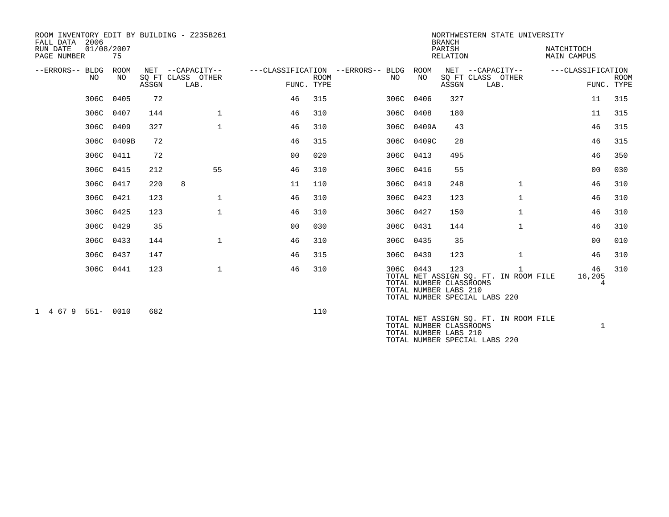| 2006<br>FALL DATA<br>RUN DATE<br>PAGE NUMBER | 01/08/2007<br>75 |       | ROOM INVENTORY EDIT BY BUILDING - Z235B261    |                |             |                                              | <b>BRANCH</b><br>PARISH<br><b>RELATION</b> | NORTHWESTERN STATE UNIVERSITY                           | NATCHITOCH<br><b>MAIN CAMPUS</b>                                            |                   |                           |
|----------------------------------------------|------------------|-------|-----------------------------------------------|----------------|-------------|----------------------------------------------|--------------------------------------------|---------------------------------------------------------|-----------------------------------------------------------------------------|-------------------|---------------------------|
| --ERRORS-- BLDG<br>NO                        | ROOM<br>NO       | ASSGN | NET --CAPACITY--<br>SQ FT CLASS OTHER<br>LAB. | FUNC. TYPE     | <b>ROOM</b> | ---CLASSIFICATION --ERRORS-- BLDG ROOM<br>NO | NO                                         | ASSGN                                                   | NET --CAPACITY--<br>SQ FT CLASS OTHER<br>LAB.                               | ---CLASSIFICATION | <b>ROOM</b><br>FUNC. TYPE |
|                                              | 306C 0405        | 72    |                                               | 46             | 315         | 306C 0406                                    |                                            | 327                                                     |                                                                             | 11                | 315                       |
|                                              | 306C 0407        | 144   | $\mathbf 1$                                   | 46             | 310         | 306C 0408                                    |                                            | 180                                                     |                                                                             | 11                | 315                       |
|                                              | 306C 0409        | 327   | $\mathbf{1}$                                  | 46             | 310         |                                              | 306C 0409A                                 | 43                                                      |                                                                             | 46                | 315                       |
|                                              | 306C<br>0409B    | 72    |                                               | 46             | 315         |                                              | 306C 0409C                                 | 28                                                      |                                                                             | 46                | 315                       |
|                                              | 306C 0411        | 72    |                                               | 0 <sub>0</sub> | 020         | 306C 0413                                    |                                            | 495                                                     |                                                                             | 46                | 350                       |
|                                              | 306C 0415        | 212   | 55                                            | 46             | 310         | 306C 0416                                    |                                            | 55                                                      |                                                                             | 0 <sub>0</sub>    | 030                       |
|                                              | 306C 0417        | 220   | 8                                             | 11             | 110         | 306C 0419                                    |                                            | 248                                                     | $\mathbf{1}$                                                                | 46                | 310                       |
|                                              | 306C 0421        | 123   | $\mathbf 1$                                   | 46             | 310         | 306C 0423                                    |                                            | 123                                                     | $\mathbf{1}$                                                                | 46                | 310                       |
|                                              | 306C 0425        | 123   | $\mathbf{1}$                                  | 46             | 310         | 306C 0427                                    |                                            | 150                                                     | $\mathbf{1}$                                                                | 46                | 310                       |
|                                              | 306C 0429        | 35    |                                               | 0 <sub>0</sub> | 030         | 306C 0431                                    |                                            | 144                                                     | $\mathbf{1}$                                                                | 46                | 310                       |
|                                              | 306C 0433        | 144   | $\mathbf 1$                                   | 46             | 310         | 306C 0435                                    |                                            | 35                                                      |                                                                             | 0 <sub>0</sub>    | 010                       |
|                                              | 306C 0437        | 147   |                                               | 46             | 315         | 306C 0439                                    |                                            | 123                                                     | $\mathbf{1}$                                                                | 46                | 310                       |
|                                              | 306C 0441        | 123   | $\mathbf 1$                                   | 46             | 310         | 306C 0443                                    |                                            | 123<br>TOTAL NUMBER CLASSROOMS<br>TOTAL NUMBER LABS 210 | 1<br>TOTAL NET ASSIGN SQ. FT. IN ROOM FILE<br>TOTAL NUMBER SPECIAL LABS 220 | 46<br>16,205<br>4 | 310                       |
| 1 4 67 9 551- 0010                           |                  | 682   |                                               |                | 110         |                                              |                                            | TOTAL NUMBER CLASSROOMS<br>TOTAL NUMBER LABS 210        | TOTAL NET ASSIGN SQ. FT. IN ROOM FILE<br>TOTAL NUMBER SPECIAL LABS 220      | $\mathbf{1}$      |                           |